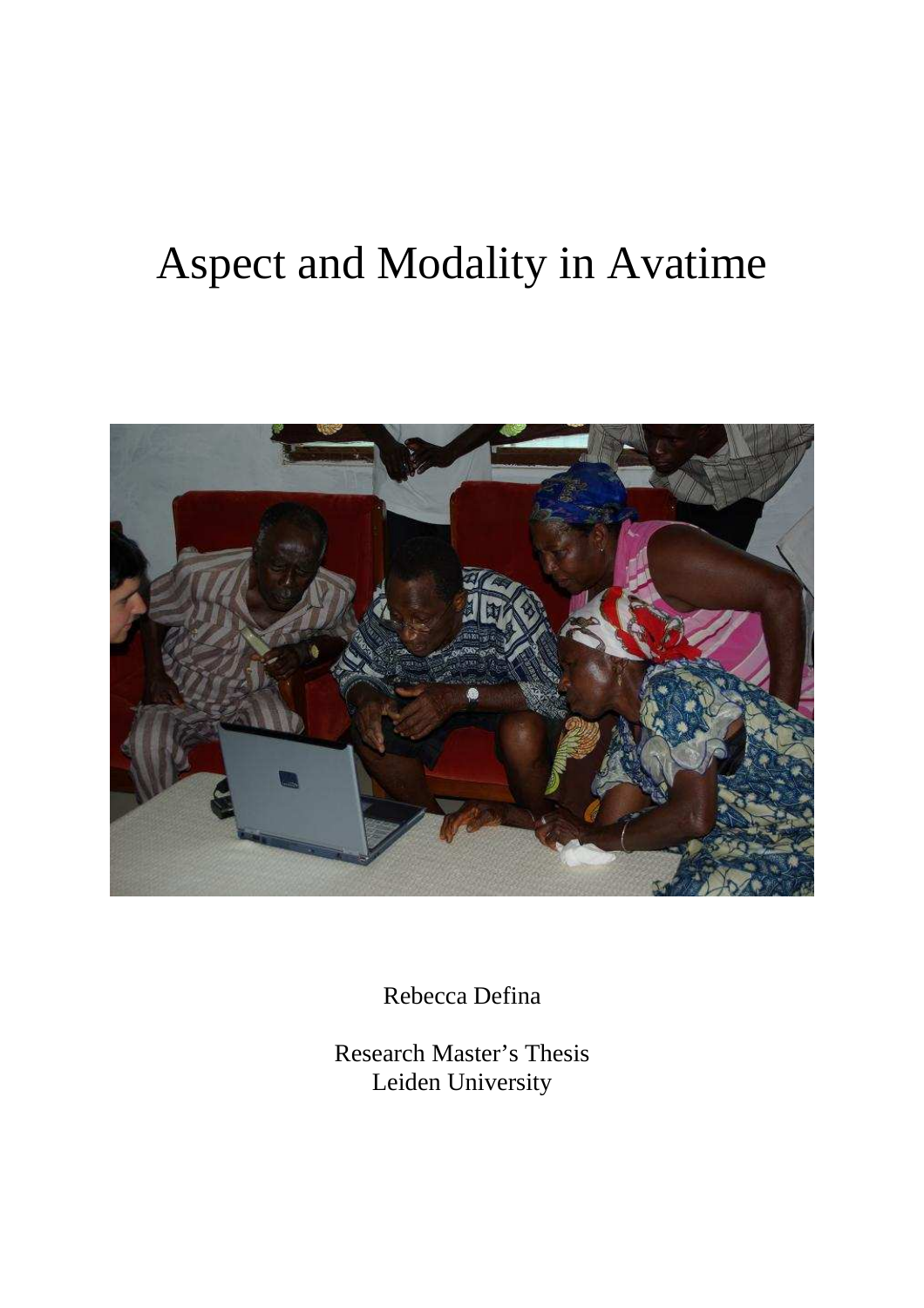# Aspect and Modality in Avatime



Rebecca Defina

Research Master's Thesis Leiden University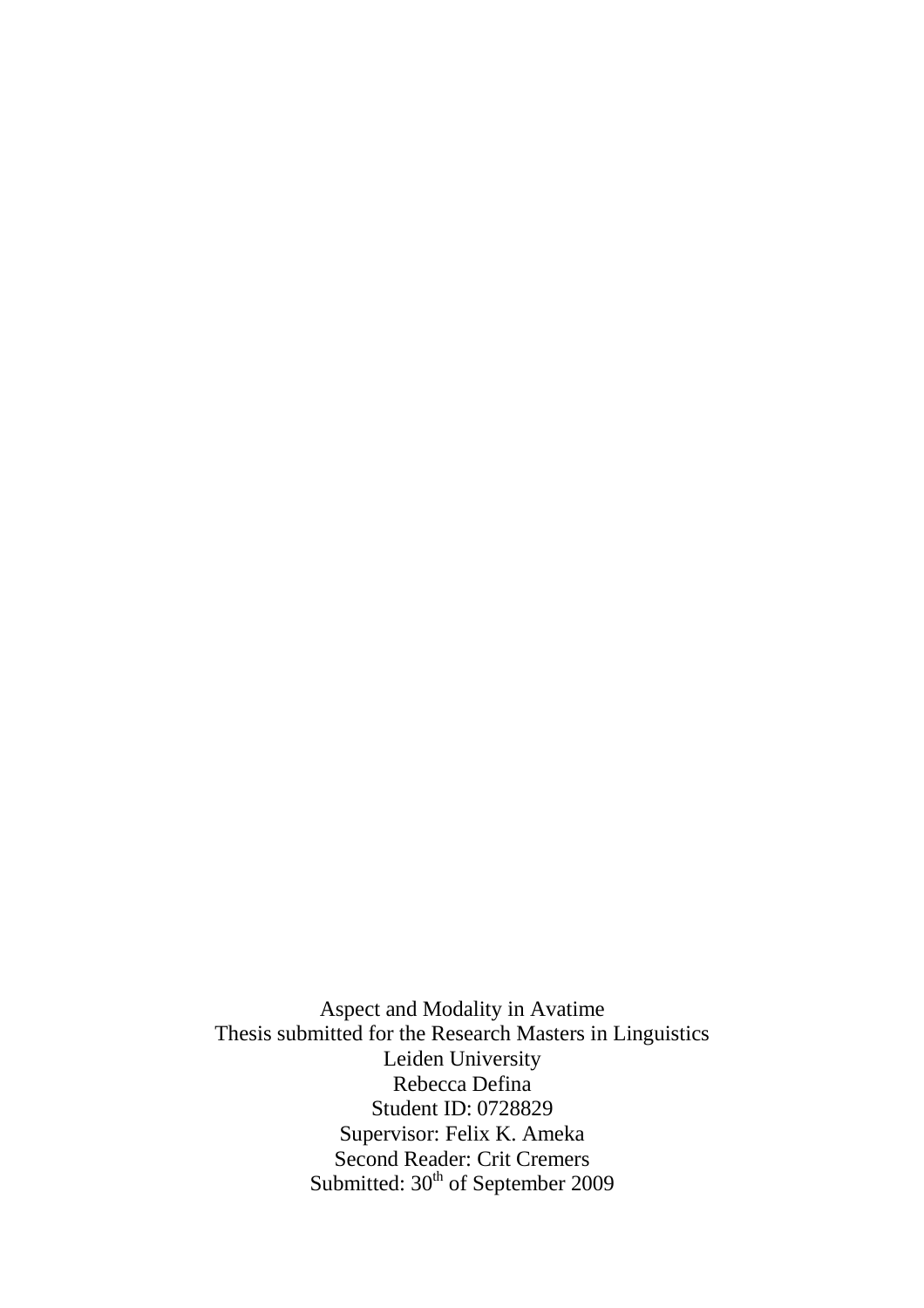Aspect and Modality in Avatime Thesis submitted for the Research Masters in Linguistics Leiden University Rebecca Defina Student ID: 0728829 Supervisor: Felix K. Ameka Second Reader: Crit Cremers Submitted: 30<sup>th</sup> of September 2009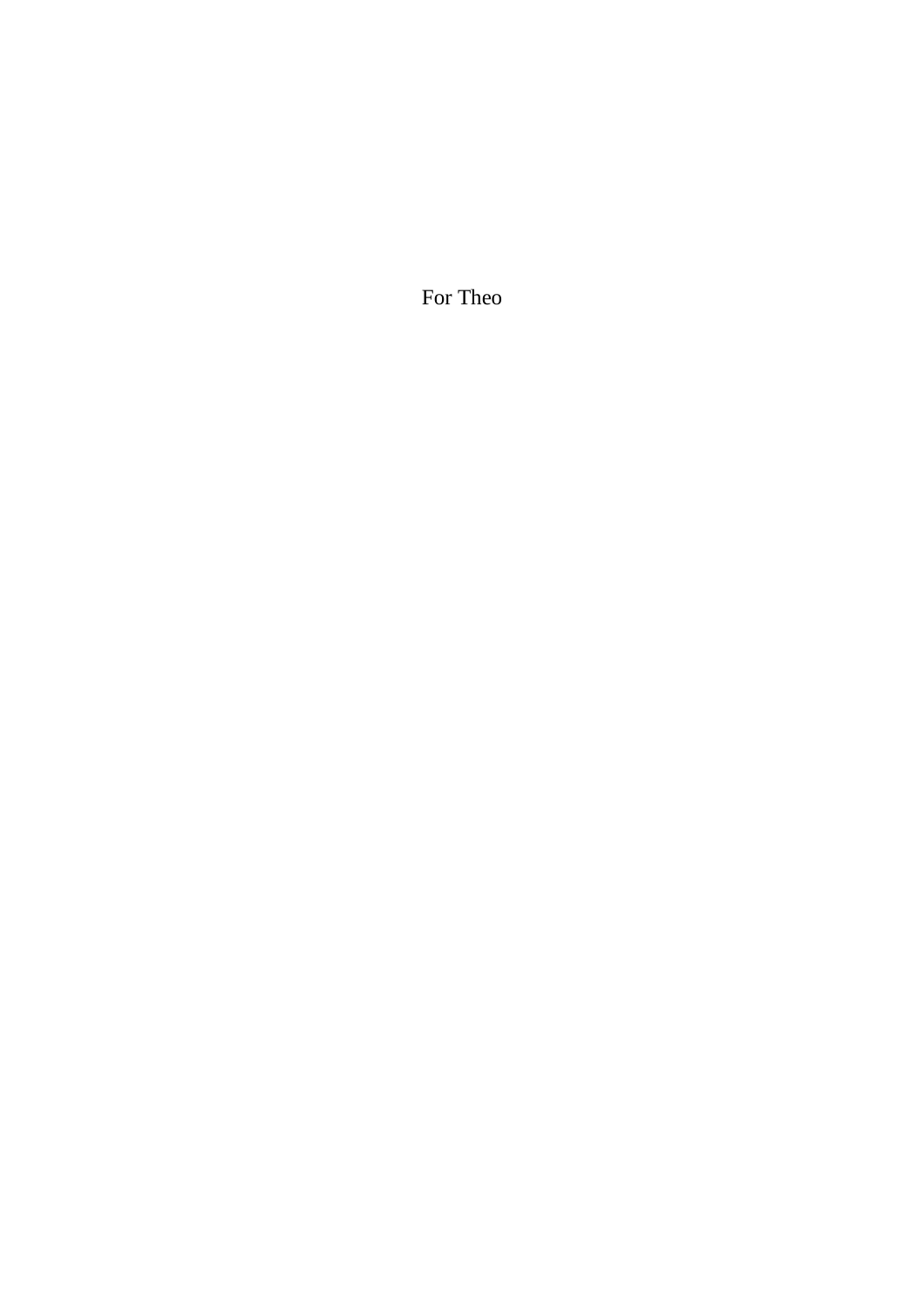For Theo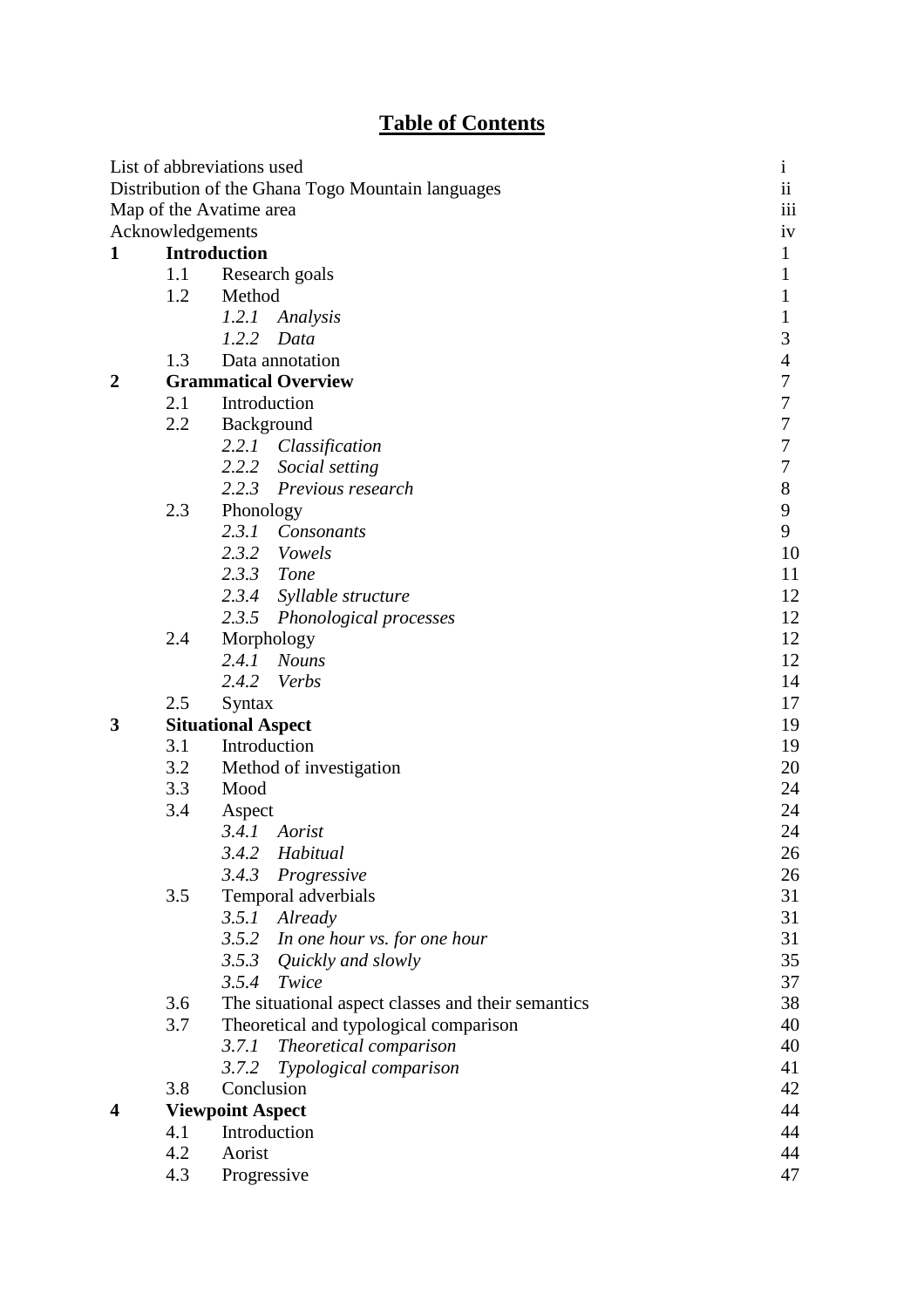# **Table of Contents**

|                         |                     | List of abbreviations used                         | $\mathbf{1}$     |  |  |  |  |
|-------------------------|---------------------|----------------------------------------------------|------------------|--|--|--|--|
|                         |                     | Distribution of the Ghana Togo Mountain languages  | $\ddot{\rm ii}$  |  |  |  |  |
|                         |                     | Map of the Avatime area                            | iii              |  |  |  |  |
|                         | Acknowledgements    |                                                    | 1V               |  |  |  |  |
| 1                       | <b>Introduction</b> |                                                    |                  |  |  |  |  |
|                         | 1.1                 | Research goals                                     | 1                |  |  |  |  |
|                         | 1.2                 | Method                                             | 1                |  |  |  |  |
|                         |                     | 1.2.1 Analysis                                     | 1                |  |  |  |  |
|                         |                     | 1.2.2<br>Data                                      | 3                |  |  |  |  |
|                         | 1.3                 | Data annotation                                    | $\overline{4}$   |  |  |  |  |
| $\boldsymbol{2}$        |                     | <b>Grammatical Overview</b>                        | 7                |  |  |  |  |
|                         | 2.1                 | Introduction                                       | 7                |  |  |  |  |
|                         | 2.2                 | Background                                         | $\boldsymbol{7}$ |  |  |  |  |
|                         |                     | 2.2.1 Classification                               | 7                |  |  |  |  |
|                         |                     | 2.2.2<br>Social setting                            | 7                |  |  |  |  |
|                         |                     | 2.2.3 Previous research                            | $8\,$            |  |  |  |  |
|                         | 2.3                 | Phonology                                          | 9                |  |  |  |  |
|                         |                     | 2.3.1 Consonants                                   | 9                |  |  |  |  |
|                         |                     | 2.3.2 Vowels                                       | 10               |  |  |  |  |
|                         |                     | 2.3.3 Tone                                         | 11               |  |  |  |  |
|                         |                     | 2.3.4 Syllable structure                           | 12               |  |  |  |  |
|                         |                     | 2.3.5<br>Phonological processes                    | 12               |  |  |  |  |
|                         | 2.4                 | Morphology                                         | 12               |  |  |  |  |
|                         |                     | 2.4.1 Nouns                                        | 12               |  |  |  |  |
|                         |                     | 2.4.2 Verbs                                        | 14               |  |  |  |  |
|                         | 2.5                 | Syntax                                             | 17               |  |  |  |  |
| 3                       |                     | <b>Situational Aspect</b>                          | 19               |  |  |  |  |
|                         | 3.1                 | Introduction                                       | 19               |  |  |  |  |
|                         | 3.2                 | Method of investigation                            | 20               |  |  |  |  |
|                         | 3.3                 | Mood                                               | 24               |  |  |  |  |
|                         | 3.4                 | Aspect                                             | 24               |  |  |  |  |
|                         |                     | 3.4.1 Aorist                                       | 24               |  |  |  |  |
|                         |                     | 3.4.2 Habitual                                     | 26               |  |  |  |  |
|                         |                     | 3.4.3<br>Progressive                               | 26               |  |  |  |  |
|                         | 3.5                 | Temporal adverbials                                | 31               |  |  |  |  |
|                         |                     | 3.5.1<br>Already                                   | 31               |  |  |  |  |
|                         |                     | 3.5.2<br>In one hour vs. for one hour              | 31               |  |  |  |  |
|                         |                     | 3.5.3<br>Quickly and slowly                        | 35               |  |  |  |  |
|                         |                     | 3.5.4<br>Twice                                     | 37               |  |  |  |  |
|                         | 3.6                 | The situational aspect classes and their semantics | 38               |  |  |  |  |
|                         | 3.7                 | Theoretical and typological comparison             | 40               |  |  |  |  |
|                         |                     | 3.7.1<br>Theoretical comparison                    | 40               |  |  |  |  |
|                         |                     | Typological comparison<br>3.7.2                    | 41               |  |  |  |  |
|                         | 3.8                 | Conclusion                                         | 42               |  |  |  |  |
| $\overline{\mathbf{4}}$ |                     | <b>Viewpoint Aspect</b>                            | 44               |  |  |  |  |
|                         | 4.1                 | Introduction                                       | 44               |  |  |  |  |
|                         | 4.2                 | Aorist                                             | 44               |  |  |  |  |
|                         | 4.3                 | Progressive                                        |                  |  |  |  |  |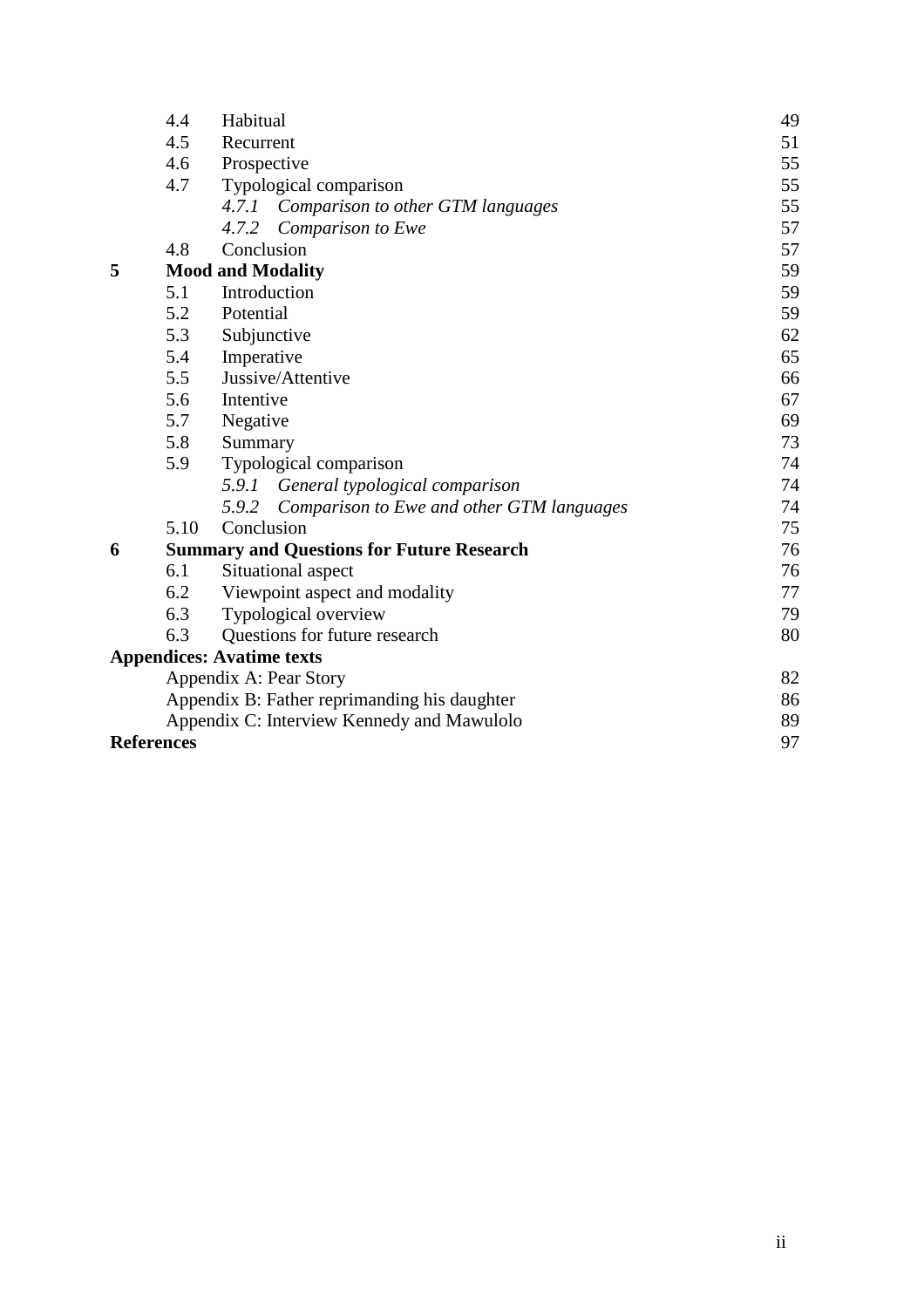|   | 4.4                           | Habitual                                           | 49 |  |  |  |  |
|---|-------------------------------|----------------------------------------------------|----|--|--|--|--|
|   | 4.5                           | Recurrent                                          | 51 |  |  |  |  |
|   | 4.6                           | Prospective                                        | 55 |  |  |  |  |
|   | 4.7<br>Typological comparison |                                                    |    |  |  |  |  |
|   |                               | Comparison to other GTM languages<br>4.7.1         | 55 |  |  |  |  |
|   |                               | 4.7.2<br>Comparison to Ewe                         | 57 |  |  |  |  |
|   | 4.8                           | Conclusion                                         | 57 |  |  |  |  |
| 5 |                               | <b>Mood and Modality</b>                           | 59 |  |  |  |  |
|   | 5.1                           | Introduction                                       | 59 |  |  |  |  |
|   | 5.2                           | Potential                                          | 59 |  |  |  |  |
|   | 5.3                           | Subjunctive                                        | 62 |  |  |  |  |
|   | 5.4                           | Imperative                                         | 65 |  |  |  |  |
|   | 5.5                           | Jussive/Attentive                                  | 66 |  |  |  |  |
|   | 5.6                           | Intentive                                          | 67 |  |  |  |  |
|   | 5.7<br>Negative               |                                                    |    |  |  |  |  |
|   | 5.8                           | Summary                                            | 73 |  |  |  |  |
|   | 5.9                           | Typological comparison                             | 74 |  |  |  |  |
|   |                               | 5.9.1 General typological comparison               | 74 |  |  |  |  |
|   |                               | 5.9.2<br>Comparison to Ewe and other GTM languages | 74 |  |  |  |  |
|   | 5.10                          | Conclusion                                         | 75 |  |  |  |  |
| 6 |                               | <b>Summary and Questions for Future Research</b>   | 76 |  |  |  |  |
|   | 6.1                           | Situational aspect                                 | 76 |  |  |  |  |
|   | 6.2                           | Viewpoint aspect and modality                      | 77 |  |  |  |  |
|   | 6.3                           | Typological overview                               | 79 |  |  |  |  |
|   | 6.3                           | Questions for future research                      | 80 |  |  |  |  |
|   |                               | <b>Appendices: Avatime texts</b>                   |    |  |  |  |  |
|   |                               | Appendix A: Pear Story                             | 82 |  |  |  |  |
|   |                               | Appendix B: Father reprimanding his daughter       | 86 |  |  |  |  |
|   |                               | Appendix C: Interview Kennedy and Mawulolo         | 89 |  |  |  |  |
|   | <b>References</b>             |                                                    |    |  |  |  |  |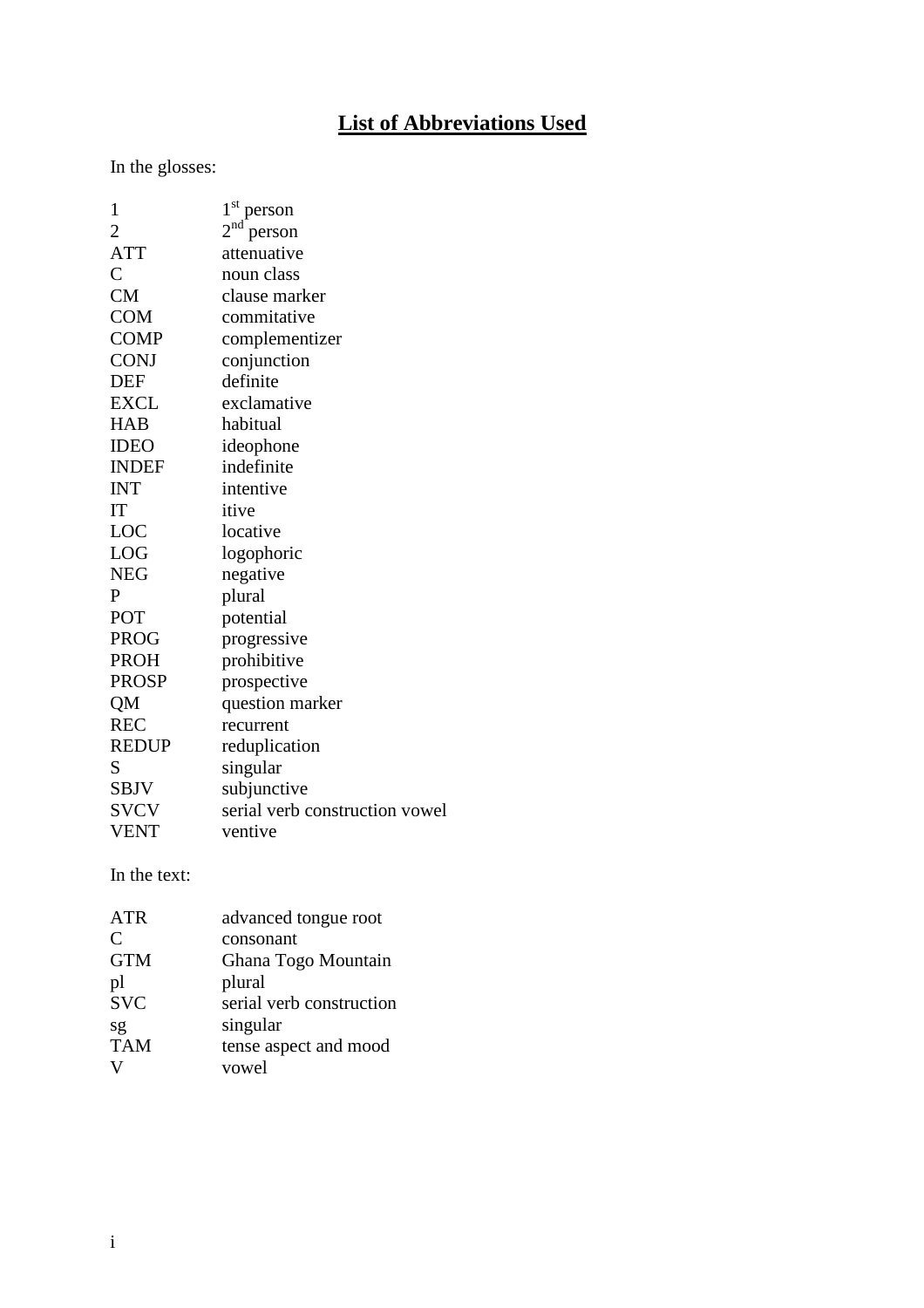# **List of Abbreviations Used**

In the glosses:

| 1              | $1st$ person                   |
|----------------|--------------------------------|
| $\overline{2}$ | $2nd$ person                   |
| <b>ATT</b>     | attenuative                    |
| $\overline{C}$ | noun class                     |
| <b>CM</b>      | clause marker                  |
| <b>COM</b>     | commitative                    |
| <b>COMP</b>    | complementizer                 |
| <b>CONJ</b>    | conjunction                    |
| <b>DEF</b>     | definite                       |
| <b>EXCL</b>    | exclamative                    |
| <b>HAB</b>     | habitual                       |
| <b>IDEO</b>    | ideophone                      |
| <b>INDEF</b>   | indefinite                     |
| <b>INT</b>     | intentive                      |
| IT             | itive                          |
| LOC            | locative                       |
| LOG            | logophoric                     |
| <b>NEG</b>     | negative                       |
| $\mathbf P$    | plural                         |
| POT            | potential                      |
| <b>PROG</b>    | progressive                    |
| <b>PROH</b>    | prohibitive                    |
| <b>PROSP</b>   | prospective                    |
| QM             | question marker                |
| <b>REC</b>     | recurrent                      |
| <b>REDUP</b>   | reduplication                  |
| S              | singular                       |
| SBJV           | subjunctive                    |
| <b>SVCV</b>    | serial verb construction vowel |
| <b>VENT</b>    | ventive                        |
|                |                                |

In the text:

| <b>ATR</b> | advanced tongue root     |
|------------|--------------------------|
| C          | consonant                |
| <b>GTM</b> | Ghana Togo Mountain      |
| pl         | plural                   |
| svc        | serial verb construction |
| sg         | singular                 |
| <b>TAM</b> | tense aspect and mood    |
| V          | vowel                    |
|            |                          |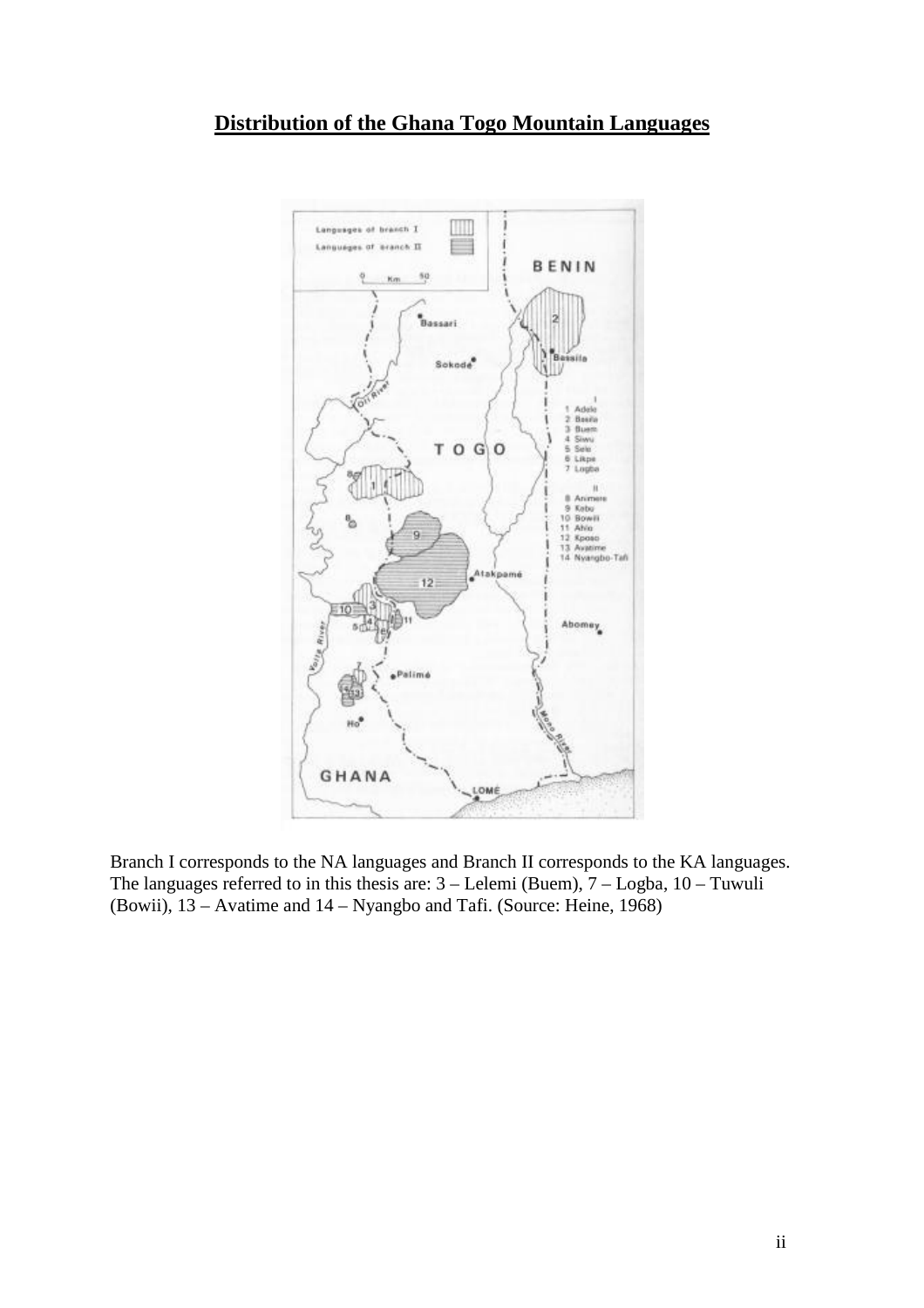

Branch I corresponds to the NA languages and Branch II corresponds to the KA languages. The languages referred to in this thesis are: 3 – Lelemi (Buem), 7 – Logba, 10 – Tuwuli (Bowii), 13 – Avatime and 14 – Nyangbo and Tafi. (Source: Heine, 1968)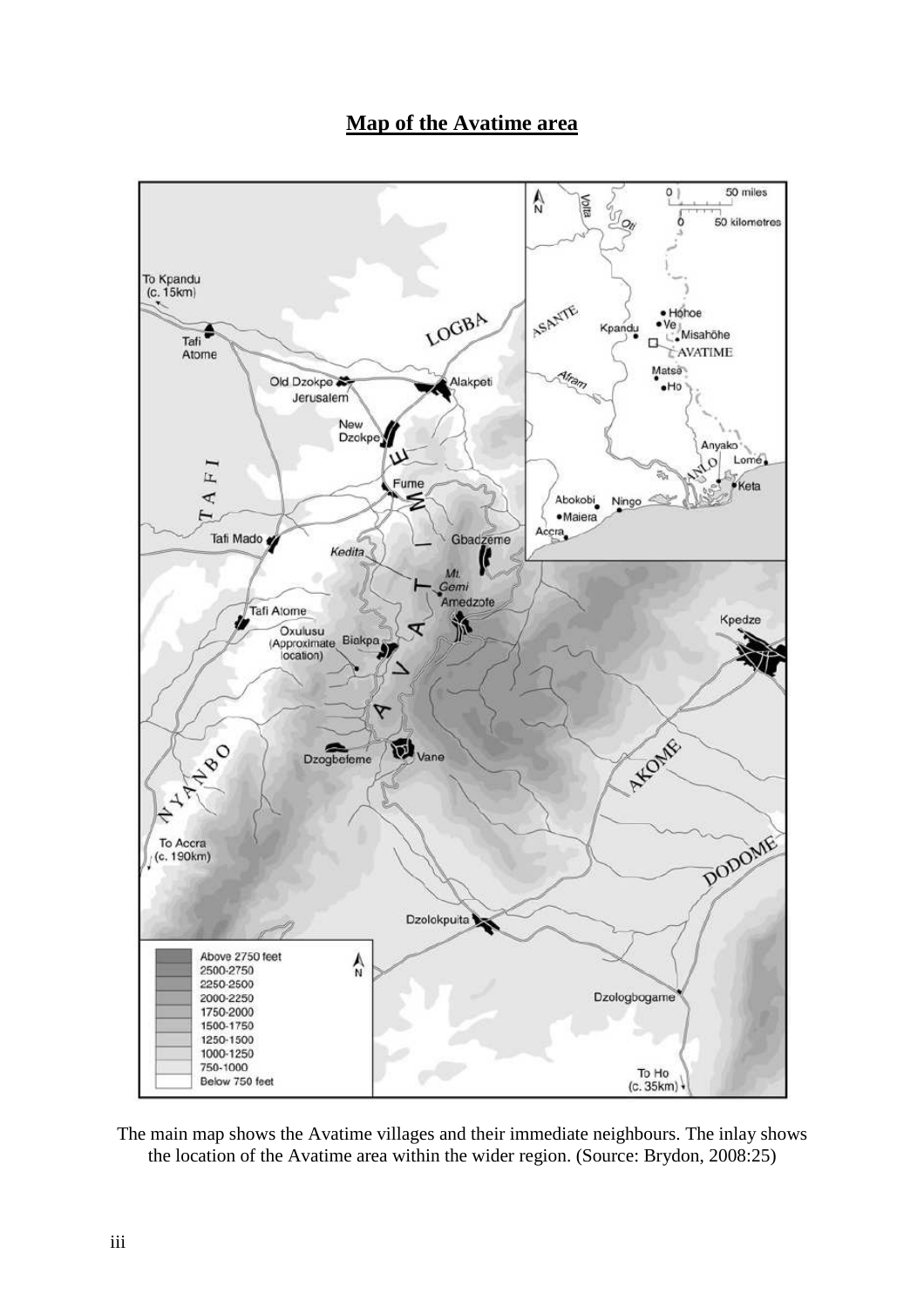

# **Map of the Avatime area**

The main map shows the Avatime villages and their immediate neighbours. The inlay shows the location of the Avatime area within the wider region. (Source: Brydon, 2008:25)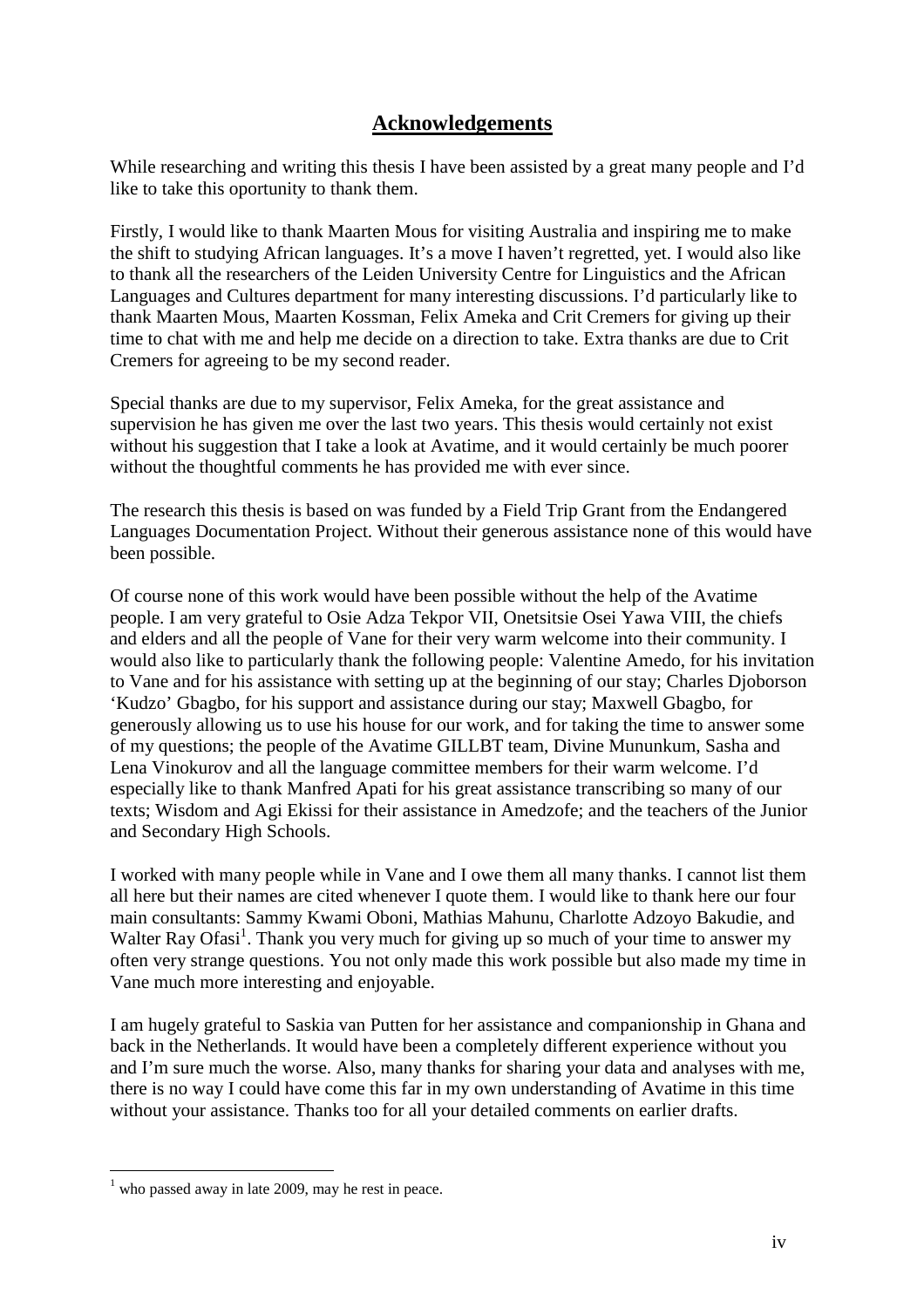# **Acknowledgements**

While researching and writing this thesis I have been assisted by a great many people and I'd like to take this oportunity to thank them.

Firstly, I would like to thank Maarten Mous for visiting Australia and inspiring me to make the shift to studying African languages. It's a move I haven't regretted, yet. I would also like to thank all the researchers of the Leiden University Centre for Linguistics and the African Languages and Cultures department for many interesting discussions. I'd particularly like to thank Maarten Mous, Maarten Kossman, Felix Ameka and Crit Cremers for giving up their time to chat with me and help me decide on a direction to take. Extra thanks are due to Crit Cremers for agreeing to be my second reader.

Special thanks are due to my supervisor, Felix Ameka, for the great assistance and supervision he has given me over the last two years. This thesis would certainly not exist without his suggestion that I take a look at Avatime, and it would certainly be much poorer without the thoughtful comments he has provided me with ever since.

The research this thesis is based on was funded by a Field Trip Grant from the Endangered Languages Documentation Project. Without their generous assistance none of this would have been possible.

Of course none of this work would have been possible without the help of the Avatime people. I am very grateful to Osie Adza Tekpor VII, Onetsitsie Osei Yawa VIII, the chiefs and elders and all the people of Vane for their very warm welcome into their community. I would also like to particularly thank the following people: Valentine Amedo, for his invitation to Vane and for his assistance with setting up at the beginning of our stay; Charles Djoborson 'Kudzo' Gbagbo, for his support and assistance during our stay; Maxwell Gbagbo, for generously allowing us to use his house for our work, and for taking the time to answer some of my questions; the people of the Avatime GILLBT team, Divine Mununkum, Sasha and Lena Vinokurov and all the language committee members for their warm welcome. I'd especially like to thank Manfred Apati for his great assistance transcribing so many of our texts; Wisdom and Agi Ekissi for their assistance in Amedzofe; and the teachers of the Junior and Secondary High Schools.

I worked with many people while in Vane and I owe them all many thanks. I cannot list them all here but their names are cited whenever I quote them. I would like to thank here our four main consultants: Sammy Kwami Oboni, Mathias Mahunu, Charlotte Adzoyo Bakudie, and Walter Ray Ofasi<sup>1</sup>. Thank you very much for giving up so much of your time to answer my often very strange questions. You not only made this work possible but also made my time in Vane much more interesting and enjoyable.

I am hugely grateful to Saskia van Putten for her assistance and companionship in Ghana and back in the Netherlands. It would have been a completely different experience without you and I'm sure much the worse. Also, many thanks for sharing your data and analyses with me, there is no way I could have come this far in my own understanding of Avatime in this time without your assistance. Thanks too for all your detailed comments on earlier drafts.

 $\overline{a}$ 

 $<sup>1</sup>$  who passed away in late 2009, may he rest in peace.</sup>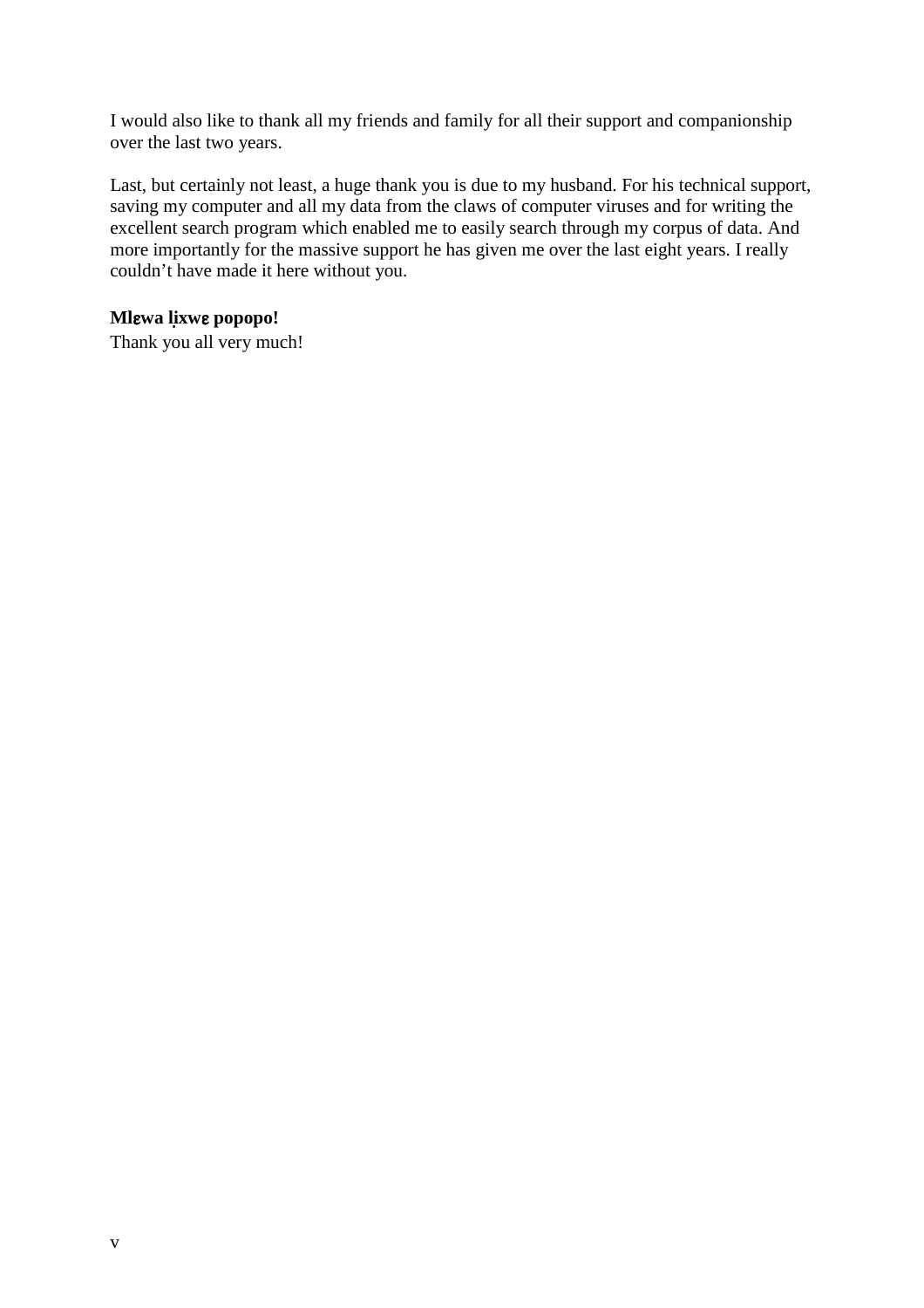I would also like to thank all my friends and family for all their support and companionship over the last two years.

Last, but certainly not least, a huge thank you is due to my husband. For his technical support, saving my computer and all my data from the claws of computer viruses and for writing the excellent search program which enabled me to easily search through my corpus of data. And more importantly for the massive support he has given me over the last eight years. I really couldn't have made it here without you.

# **Ml**ɛ**wa li**̣**xw**ɛ **popopo!**

Thank you all very much!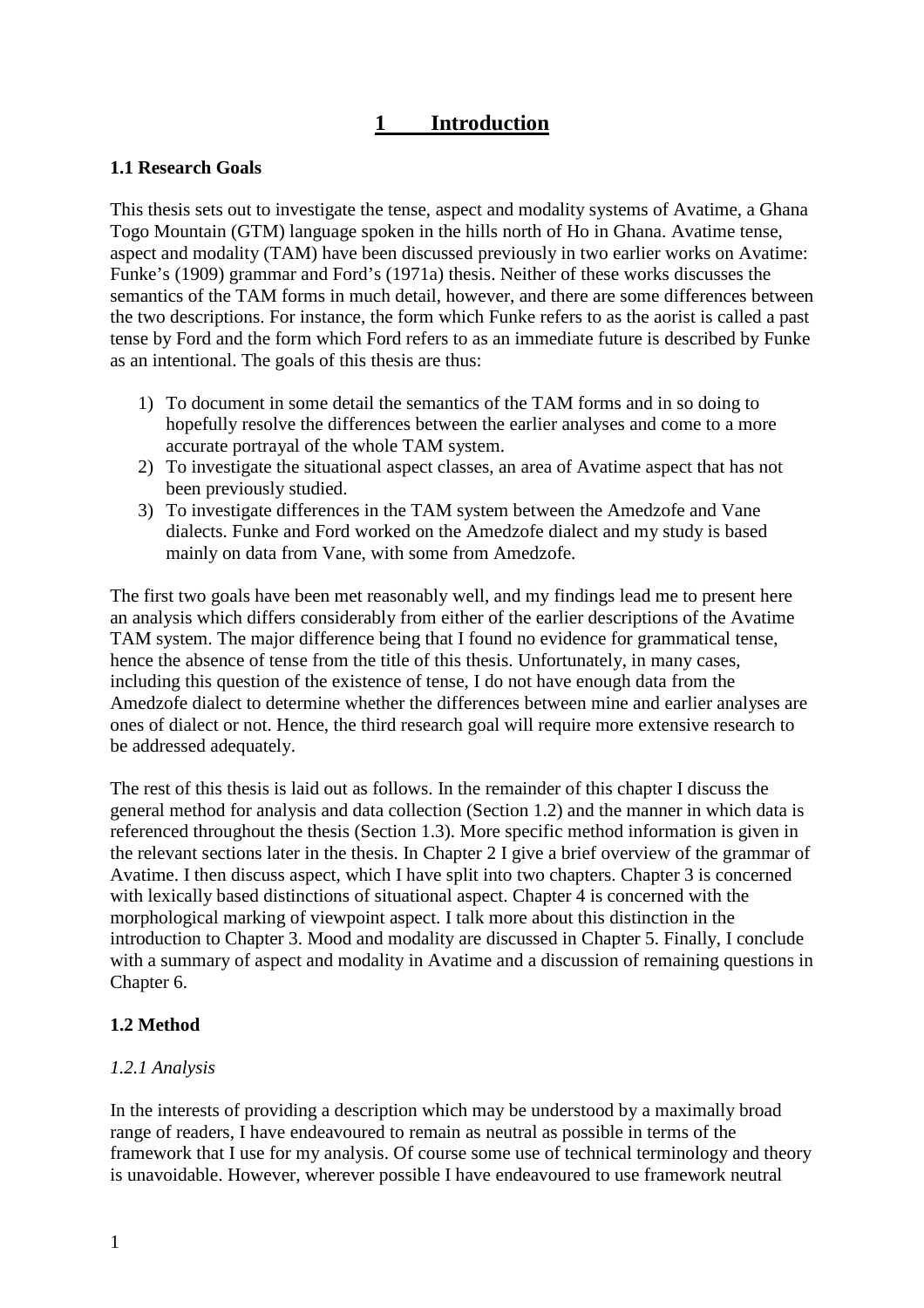# **1 Introduction**

#### **1.1 Research Goals**

This thesis sets out to investigate the tense, aspect and modality systems of Avatime, a Ghana Togo Mountain (GTM) language spoken in the hills north of Ho in Ghana. Avatime tense, aspect and modality (TAM) have been discussed previously in two earlier works on Avatime: Funke's (1909) grammar and Ford's (1971a) thesis. Neither of these works discusses the semantics of the TAM forms in much detail, however, and there are some differences between the two descriptions. For instance, the form which Funke refers to as the aorist is called a past tense by Ford and the form which Ford refers to as an immediate future is described by Funke as an intentional. The goals of this thesis are thus:

- 1) To document in some detail the semantics of the TAM forms and in so doing to hopefully resolve the differences between the earlier analyses and come to a more accurate portrayal of the whole TAM system.
- 2) To investigate the situational aspect classes, an area of Avatime aspect that has not been previously studied.
- 3) To investigate differences in the TAM system between the Amedzofe and Vane dialects. Funke and Ford worked on the Amedzofe dialect and my study is based mainly on data from Vane, with some from Amedzofe.

The first two goals have been met reasonably well, and my findings lead me to present here an analysis which differs considerably from either of the earlier descriptions of the Avatime TAM system. The major difference being that I found no evidence for grammatical tense, hence the absence of tense from the title of this thesis. Unfortunately, in many cases, including this question of the existence of tense, I do not have enough data from the Amedzofe dialect to determine whether the differences between mine and earlier analyses are ones of dialect or not. Hence, the third research goal will require more extensive research to be addressed adequately.

The rest of this thesis is laid out as follows. In the remainder of this chapter I discuss the general method for analysis and data collection (Section 1.2) and the manner in which data is referenced throughout the thesis (Section 1.3). More specific method information is given in the relevant sections later in the thesis. In Chapter 2 I give a brief overview of the grammar of Avatime. I then discuss aspect, which I have split into two chapters. Chapter 3 is concerned with lexically based distinctions of situational aspect. Chapter 4 is concerned with the morphological marking of viewpoint aspect. I talk more about this distinction in the introduction to Chapter 3. Mood and modality are discussed in Chapter 5. Finally, I conclude with a summary of aspect and modality in Avatime and a discussion of remaining questions in Chapter 6.

# **1.2 Method**

#### *1.2.1 Analysis*

In the interests of providing a description which may be understood by a maximally broad range of readers, I have endeavoured to remain as neutral as possible in terms of the framework that I use for my analysis. Of course some use of technical terminology and theory is unavoidable. However, wherever possible I have endeavoured to use framework neutral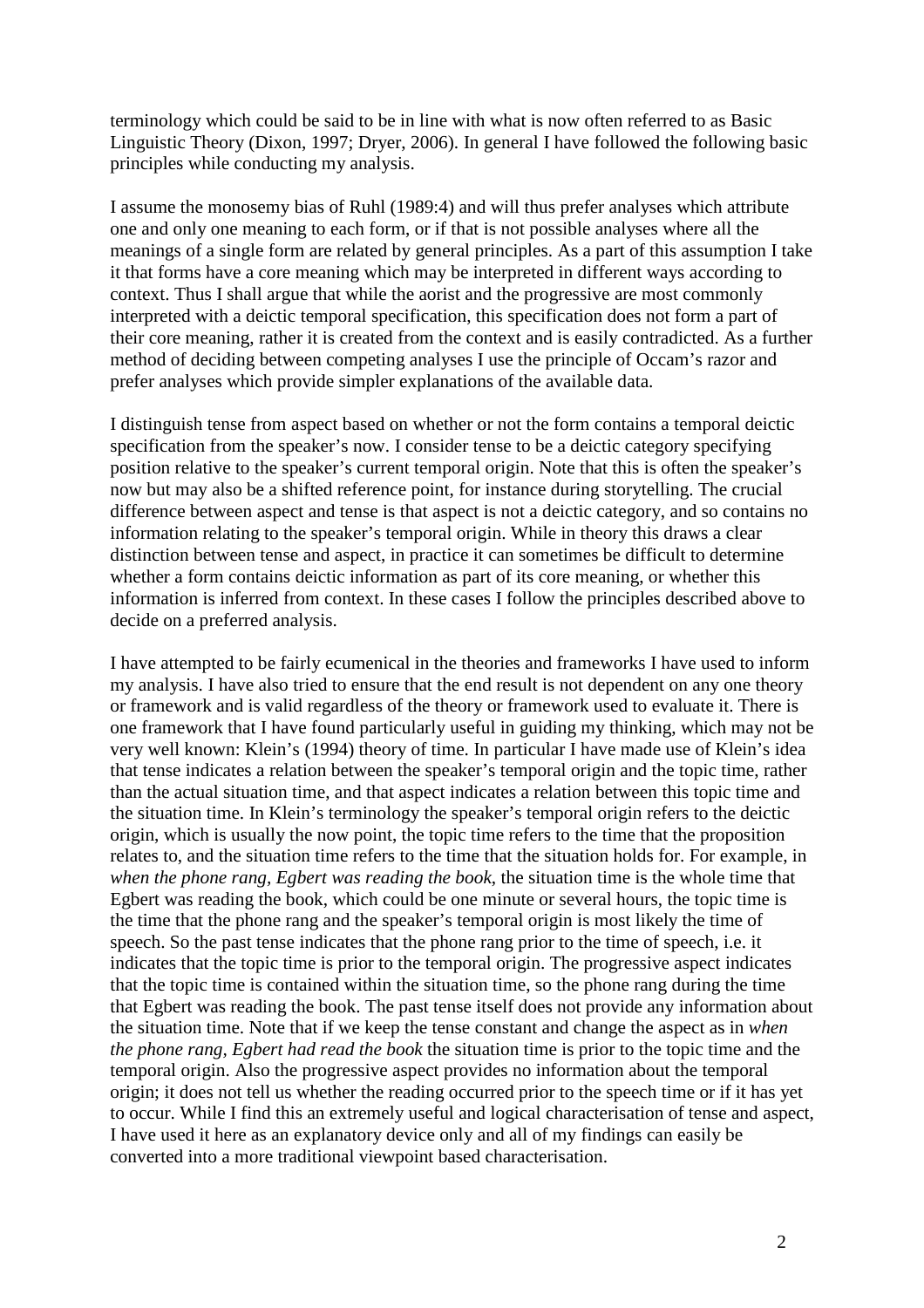terminology which could be said to be in line with what is now often referred to as Basic Linguistic Theory (Dixon, 1997; Dryer, 2006). In general I have followed the following basic principles while conducting my analysis.

I assume the monosemy bias of Ruhl (1989:4) and will thus prefer analyses which attribute one and only one meaning to each form, or if that is not possible analyses where all the meanings of a single form are related by general principles. As a part of this assumption I take it that forms have a core meaning which may be interpreted in different ways according to context. Thus I shall argue that while the aorist and the progressive are most commonly interpreted with a deictic temporal specification, this specification does not form a part of their core meaning, rather it is created from the context and is easily contradicted. As a further method of deciding between competing analyses I use the principle of Occam's razor and prefer analyses which provide simpler explanations of the available data.

I distinguish tense from aspect based on whether or not the form contains a temporal deictic specification from the speaker's now. I consider tense to be a deictic category specifying position relative to the speaker's current temporal origin. Note that this is often the speaker's now but may also be a shifted reference point, for instance during storytelling. The crucial difference between aspect and tense is that aspect is not a deictic category, and so contains no information relating to the speaker's temporal origin. While in theory this draws a clear distinction between tense and aspect, in practice it can sometimes be difficult to determine whether a form contains deictic information as part of its core meaning, or whether this information is inferred from context. In these cases I follow the principles described above to decide on a preferred analysis.

I have attempted to be fairly ecumenical in the theories and frameworks I have used to inform my analysis. I have also tried to ensure that the end result is not dependent on any one theory or framework and is valid regardless of the theory or framework used to evaluate it. There is one framework that I have found particularly useful in guiding my thinking, which may not be very well known: Klein's (1994) theory of time. In particular I have made use of Klein's idea that tense indicates a relation between the speaker's temporal origin and the topic time, rather than the actual situation time, and that aspect indicates a relation between this topic time and the situation time. In Klein's terminology the speaker's temporal origin refers to the deictic origin, which is usually the now point, the topic time refers to the time that the proposition relates to, and the situation time refers to the time that the situation holds for. For example, in *when the phone rang, Egbert was reading the book*, the situation time is the whole time that Egbert was reading the book, which could be one minute or several hours, the topic time is the time that the phone rang and the speaker's temporal origin is most likely the time of speech. So the past tense indicates that the phone rang prior to the time of speech, i.e. it indicates that the topic time is prior to the temporal origin. The progressive aspect indicates that the topic time is contained within the situation time, so the phone rang during the time that Egbert was reading the book. The past tense itself does not provide any information about the situation time. Note that if we keep the tense constant and change the aspect as in *when the phone rang, Egbert had read the book* the situation time is prior to the topic time and the temporal origin. Also the progressive aspect provides no information about the temporal origin; it does not tell us whether the reading occurred prior to the speech time or if it has yet to occur. While I find this an extremely useful and logical characterisation of tense and aspect, I have used it here as an explanatory device only and all of my findings can easily be converted into a more traditional viewpoint based characterisation.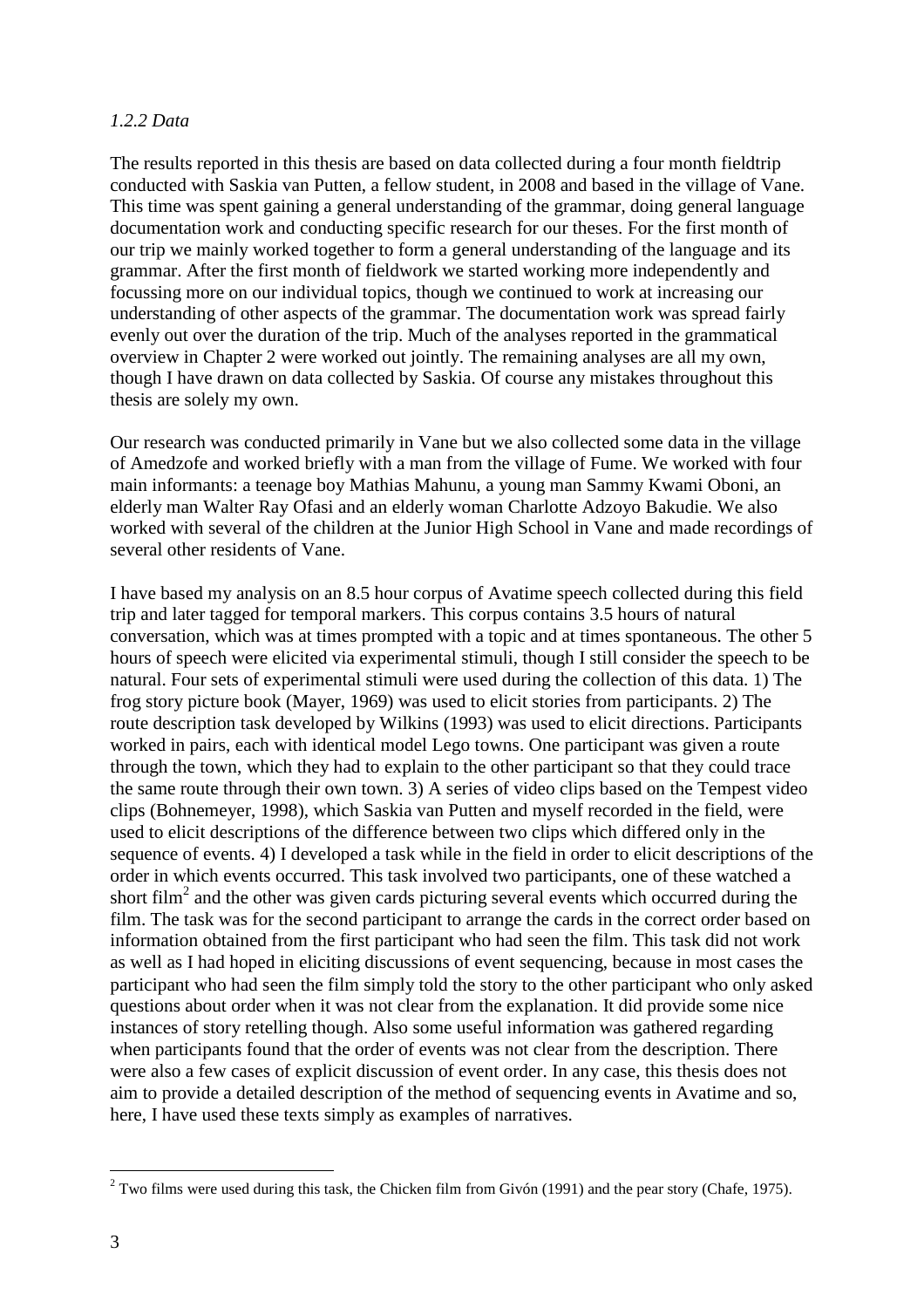#### *1.2.2 Data*

The results reported in this thesis are based on data collected during a four month fieldtrip conducted with Saskia van Putten, a fellow student, in 2008 and based in the village of Vane. This time was spent gaining a general understanding of the grammar, doing general language documentation work and conducting specific research for our theses. For the first month of our trip we mainly worked together to form a general understanding of the language and its grammar. After the first month of fieldwork we started working more independently and focussing more on our individual topics, though we continued to work at increasing our understanding of other aspects of the grammar. The documentation work was spread fairly evenly out over the duration of the trip. Much of the analyses reported in the grammatical overview in Chapter 2 were worked out jointly. The remaining analyses are all my own, though I have drawn on data collected by Saskia. Of course any mistakes throughout this thesis are solely my own.

Our research was conducted primarily in Vane but we also collected some data in the village of Amedzofe and worked briefly with a man from the village of Fume. We worked with four main informants: a teenage boy Mathias Mahunu, a young man Sammy Kwami Oboni, an elderly man Walter Ray Ofasi and an elderly woman Charlotte Adzoyo Bakudie. We also worked with several of the children at the Junior High School in Vane and made recordings of several other residents of Vane.

I have based my analysis on an 8.5 hour corpus of Avatime speech collected during this field trip and later tagged for temporal markers. This corpus contains 3.5 hours of natural conversation, which was at times prompted with a topic and at times spontaneous. The other 5 hours of speech were elicited via experimental stimuli, though I still consider the speech to be natural. Four sets of experimental stimuli were used during the collection of this data. 1) The frog story picture book (Mayer, 1969) was used to elicit stories from participants. 2) The route description task developed by Wilkins (1993) was used to elicit directions. Participants worked in pairs, each with identical model Lego towns. One participant was given a route through the town, which they had to explain to the other participant so that they could trace the same route through their own town. 3) A series of video clips based on the Tempest video clips (Bohnemeyer, 1998), which Saskia van Putten and myself recorded in the field, were used to elicit descriptions of the difference between two clips which differed only in the sequence of events. 4) I developed a task while in the field in order to elicit descriptions of the order in which events occurred. This task involved two participants, one of these watched a short film<sup>2</sup> and the other was given cards picturing several events which occurred during the film. The task was for the second participant to arrange the cards in the correct order based on information obtained from the first participant who had seen the film. This task did not work as well as I had hoped in eliciting discussions of event sequencing, because in most cases the participant who had seen the film simply told the story to the other participant who only asked questions about order when it was not clear from the explanation. It did provide some nice instances of story retelling though. Also some useful information was gathered regarding when participants found that the order of events was not clear from the description. There were also a few cases of explicit discussion of event order. In any case, this thesis does not aim to provide a detailed description of the method of sequencing events in Avatime and so, here, I have used these texts simply as examples of narratives.

<sup>&</sup>lt;sup>2</sup> Two films were used during this task, the Chicken film from Givón (1991) and the pear story (Chafe, 1975).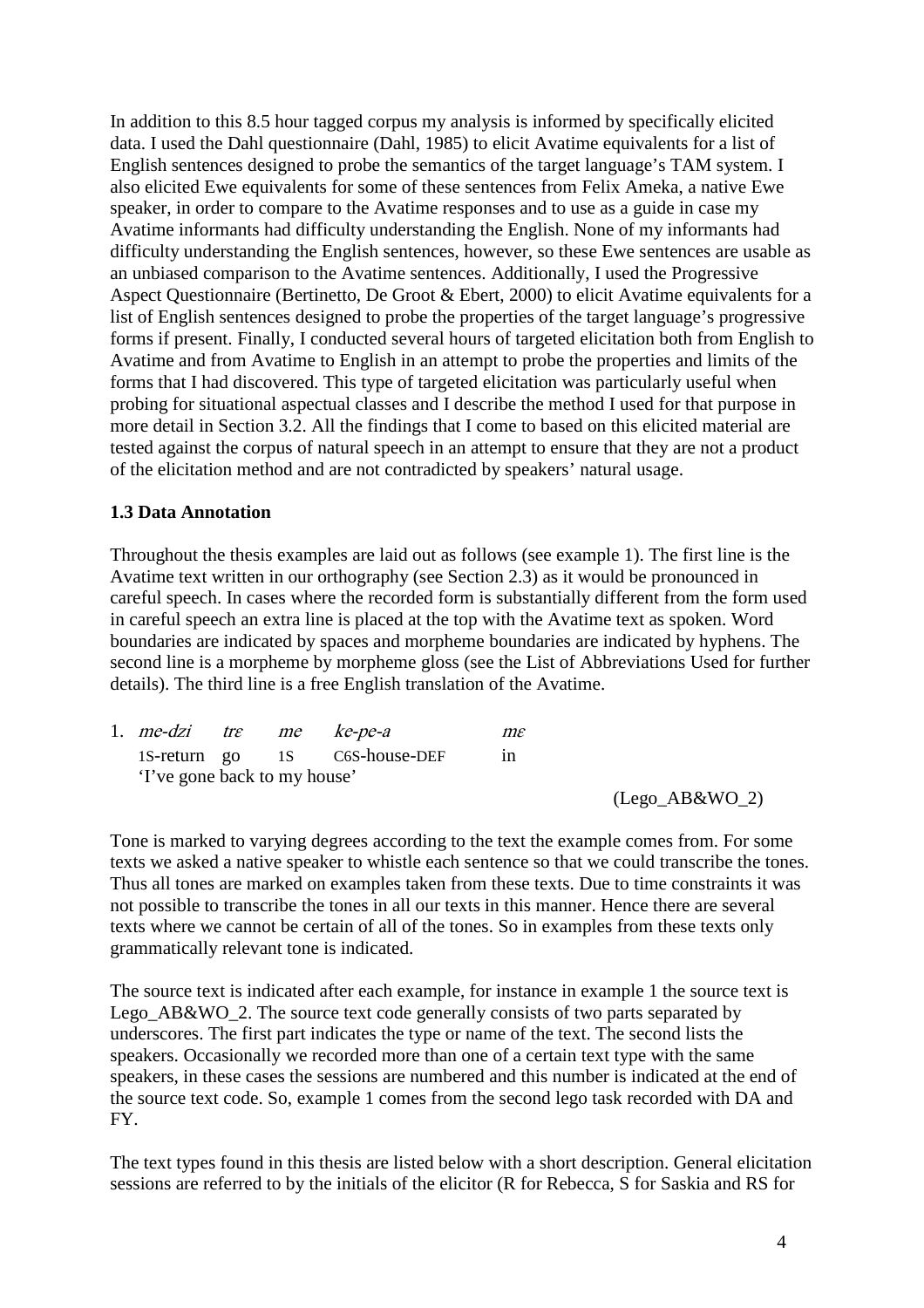In addition to this 8.5 hour tagged corpus my analysis is informed by specifically elicited data. I used the Dahl questionnaire (Dahl, 1985) to elicit Avatime equivalents for a list of English sentences designed to probe the semantics of the target language's TAM system. I also elicited Ewe equivalents for some of these sentences from Felix Ameka, a native Ewe speaker, in order to compare to the Avatime responses and to use as a guide in case my Avatime informants had difficulty understanding the English. None of my informants had difficulty understanding the English sentences, however, so these Ewe sentences are usable as an unbiased comparison to the Avatime sentences. Additionally, I used the Progressive Aspect Questionnaire (Bertinetto, De Groot & Ebert, 2000) to elicit Avatime equivalents for a list of English sentences designed to probe the properties of the target language's progressive forms if present. Finally, I conducted several hours of targeted elicitation both from English to Avatime and from Avatime to English in an attempt to probe the properties and limits of the forms that I had discovered. This type of targeted elicitation was particularly useful when probing for situational aspectual classes and I describe the method I used for that purpose in more detail in Section 3.2. All the findings that I come to based on this elicited material are tested against the corpus of natural speech in an attempt to ensure that they are not a product of the elicitation method and are not contradicted by speakers' natural usage.

#### **1.3 Data Annotation**

Throughout the thesis examples are laid out as follows (see example 1). The first line is the Avatime text written in our orthography (see Section 2.3) as it would be pronounced in careful speech. In cases where the recorded form is substantially different from the form used in careful speech an extra line is placed at the top with the Avatime text as spoken. Word boundaries are indicated by spaces and morpheme boundaries are indicated by hyphens. The second line is a morpheme by morpheme gloss (see the List of Abbreviations Used for further details). The third line is a free English translation of the Avatime.

| 1. <i>me-dzi</i> tre         |  | me ke-pe-a                    | $m\varepsilon$ |
|------------------------------|--|-------------------------------|----------------|
|                              |  | 1S-return go 1S C6S-house-DEF | in             |
| 'I've gone back to my house' |  |                               |                |

(Lego\_AB&WO\_2)

Tone is marked to varying degrees according to the text the example comes from. For some texts we asked a native speaker to whistle each sentence so that we could transcribe the tones. Thus all tones are marked on examples taken from these texts. Due to time constraints it was not possible to transcribe the tones in all our texts in this manner. Hence there are several texts where we cannot be certain of all of the tones. So in examples from these texts only grammatically relevant tone is indicated.

The source text is indicated after each example, for instance in example 1 the source text is Lego\_AB&WO\_2. The source text code generally consists of two parts separated by underscores. The first part indicates the type or name of the text. The second lists the speakers. Occasionally we recorded more than one of a certain text type with the same speakers, in these cases the sessions are numbered and this number is indicated at the end of the source text code. So, example 1 comes from the second lego task recorded with DA and FY.

The text types found in this thesis are listed below with a short description. General elicitation sessions are referred to by the initials of the elicitor (R for Rebecca, S for Saskia and RS for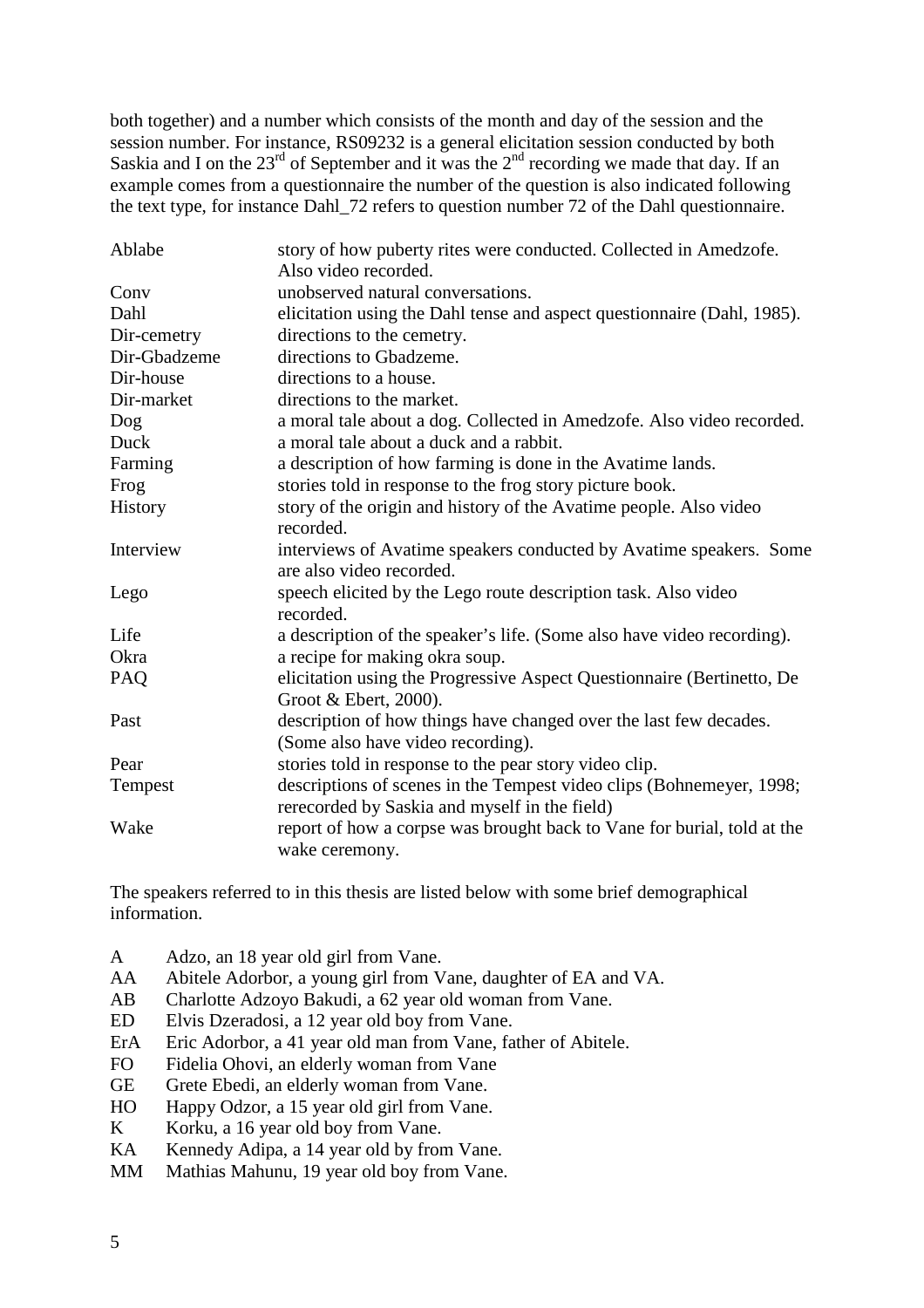both together) and a number which consists of the month and day of the session and the session number. For instance, RS09232 is a general elicitation session conducted by both Saskia and I on the  $23<sup>rd</sup>$  of September and it was the  $2<sup>nd</sup>$  recording we made that day. If an example comes from a questionnaire the number of the question is also indicated following the text type, for instance Dahl\_72 refers to question number 72 of the Dahl questionnaire.

| Ablabe       | story of how puberty rites were conducted. Collected in Amedzofe.       |
|--------------|-------------------------------------------------------------------------|
|              | Also video recorded.                                                    |
| Conv         | unobserved natural conversations.                                       |
| Dahl         | elicitation using the Dahl tense and aspect questionnaire (Dahl, 1985). |
| Dir-cemetry  | directions to the cemetry.                                              |
| Dir-Gbadzeme | directions to Gbadzeme.                                                 |
| Dir-house    | directions to a house.                                                  |
| Dir-market   | directions to the market.                                               |
| Dog          | a moral tale about a dog. Collected in Amedzofe. Also video recorded.   |
| Duck         | a moral tale about a duck and a rabbit.                                 |
| Farming      | a description of how farming is done in the Avatime lands.              |
| Frog         | stories told in response to the frog story picture book.                |
| History      | story of the origin and history of the Avatime people. Also video       |
|              | recorded.                                                               |
| Interview    | interviews of Avatime speakers conducted by Avatime speakers. Some      |
|              | are also video recorded.                                                |
| Lego         | speech elicited by the Lego route description task. Also video          |
|              | recorded.                                                               |
| Life         | a description of the speaker's life. (Some also have video recording).  |
| Okra         | a recipe for making okra soup.                                          |
| PAQ          | elicitation using the Progressive Aspect Questionnaire (Bertinetto, De  |
|              | Groot & Ebert, 2000).                                                   |
| Past         | description of how things have changed over the last few decades.       |
|              | (Some also have video recording).                                       |
| Pear         | stories told in response to the pear story video clip.                  |
| Tempest      | descriptions of scenes in the Tempest video clips (Bohnemeyer, 1998;    |
|              | rerecorded by Saskia and myself in the field)                           |
| Wake         | report of how a corpse was brought back to Vane for burial, told at the |
|              | wake ceremony.                                                          |

The speakers referred to in this thesis are listed below with some brief demographical information.

- A Adzo, an 18 year old girl from Vane.
- AA Abitele Adorbor, a young girl from Vane, daughter of EA and VA.
- AB Charlotte Adzoyo Bakudi, a 62 year old woman from Vane.
- ED Elvis Dzeradosi, a 12 year old boy from Vane.
- ErA Eric Adorbor, a 41 year old man from Vane, father of Abitele.
- FO Fidelia Ohovi, an elderly woman from Vane
- GE Grete Ebedi, an elderly woman from Vane.
- HO Happy Odzor, a 15 year old girl from Vane.
- K Korku, a 16 year old boy from Vane.
- KA Kennedy Adipa, a 14 year old by from Vane.
- MM Mathias Mahunu, 19 year old boy from Vane.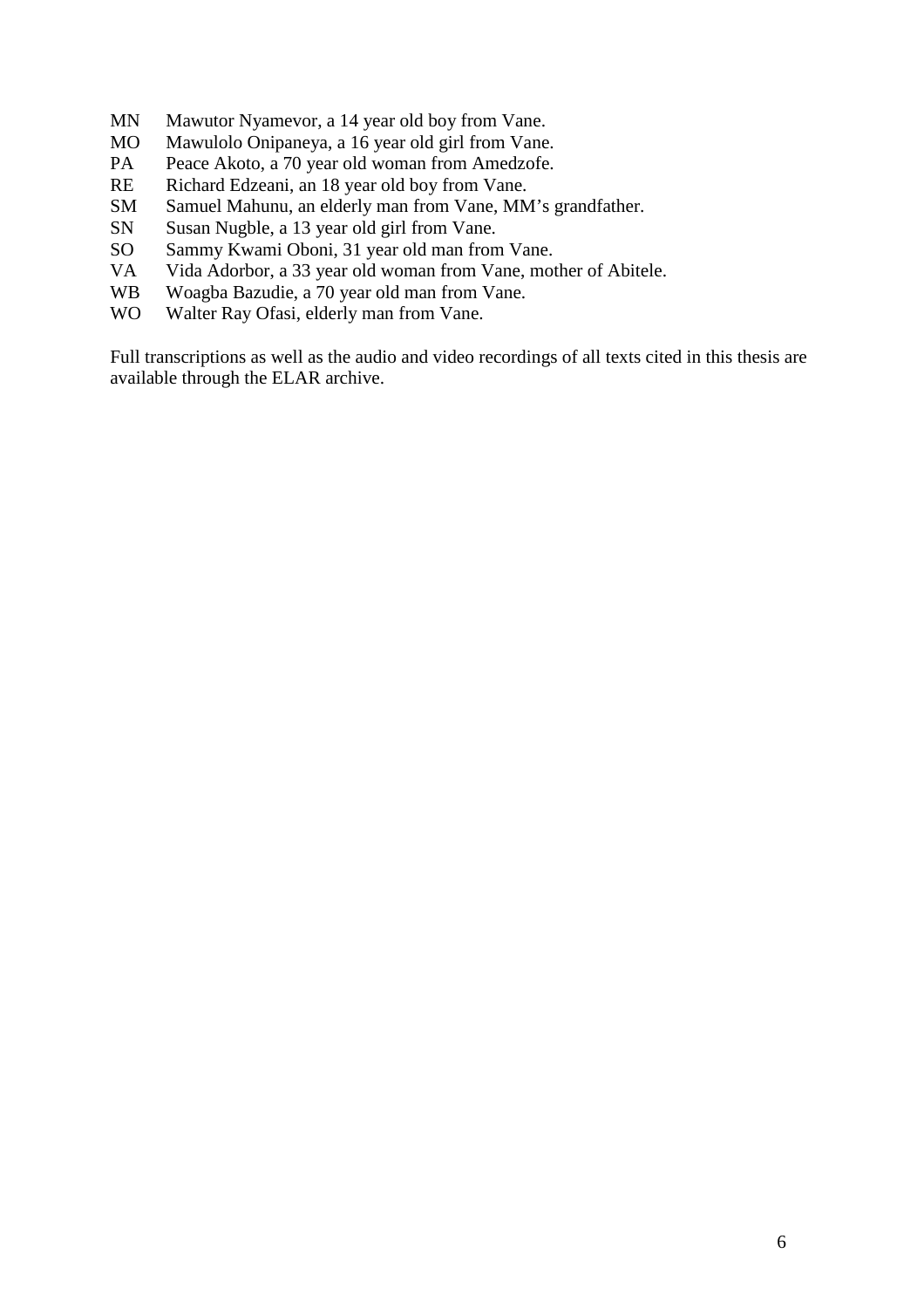- MN Mawutor Nyamevor, a 14 year old boy from Vane.
- MO Mawulolo Onipaneya, a 16 year old girl from Vane.
- PA Peace Akoto, a 70 year old woman from Amedzofe.
- RE Richard Edzeani, an 18 year old boy from Vane.
- SM Samuel Mahunu, an elderly man from Vane, MM's grandfather.
- SN Susan Nugble, a 13 year old girl from Vane.
- SO Sammy Kwami Oboni, 31 year old man from Vane.
- VA Vida Adorbor, a 33 year old woman from Vane, mother of Abitele.
- WB Woagba Bazudie, a 70 year old man from Vane.
- WO Walter Ray Ofasi, elderly man from Vane.

Full transcriptions as well as the audio and video recordings of all texts cited in this thesis are available through the ELAR archive.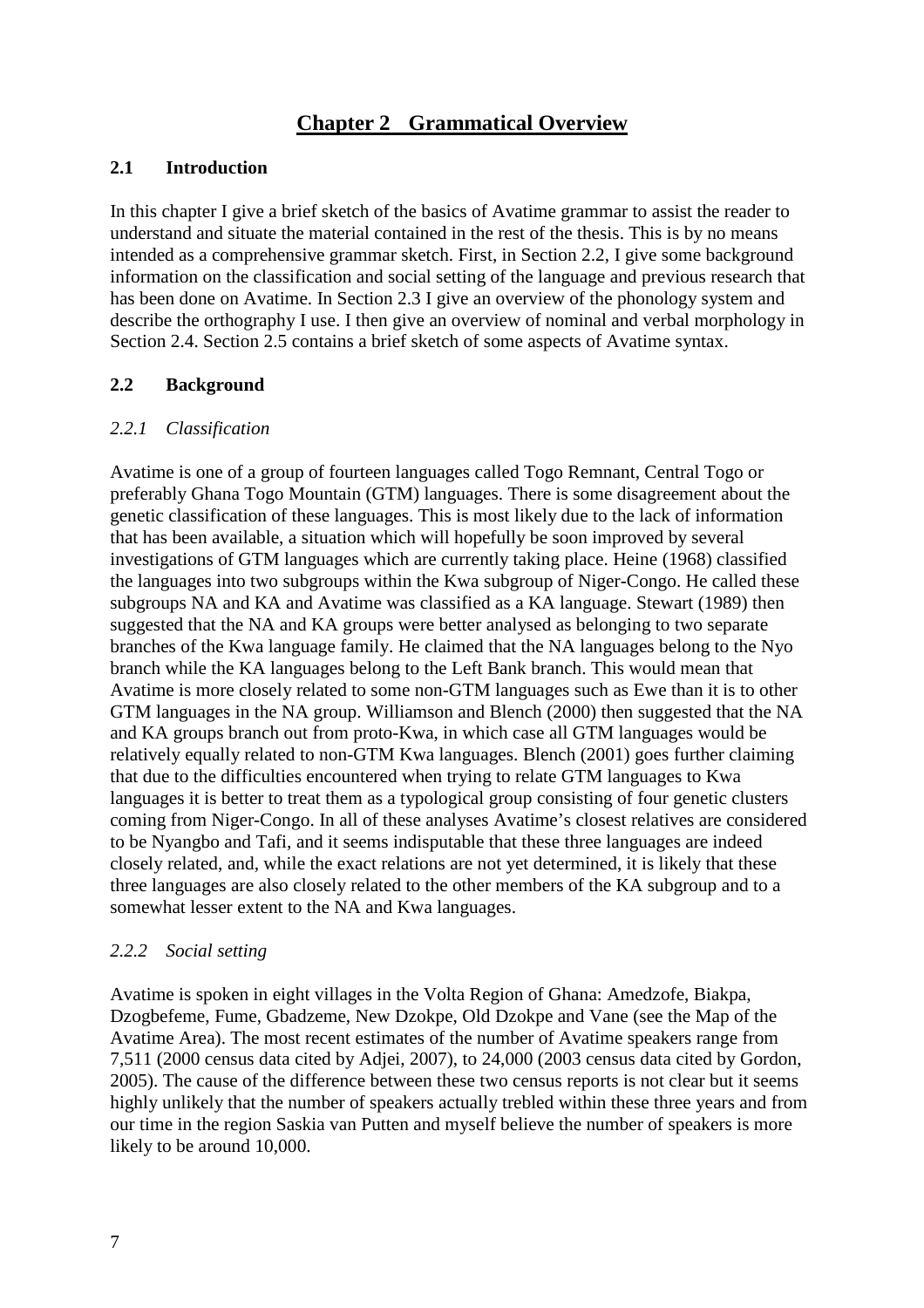# **Chapter 2 Grammatical Overview**

# **2.1 Introduction**

In this chapter I give a brief sketch of the basics of Avatime grammar to assist the reader to understand and situate the material contained in the rest of the thesis. This is by no means intended as a comprehensive grammar sketch. First, in Section 2.2, I give some background information on the classification and social setting of the language and previous research that has been done on Avatime. In Section 2.3 I give an overview of the phonology system and describe the orthography I use. I then give an overview of nominal and verbal morphology in Section 2.4. Section 2.5 contains a brief sketch of some aspects of Avatime syntax.

# **2.2 Background**

# *2.2.1 Classification*

Avatime is one of a group of fourteen languages called Togo Remnant, Central Togo or preferably Ghana Togo Mountain (GTM) languages. There is some disagreement about the genetic classification of these languages. This is most likely due to the lack of information that has been available, a situation which will hopefully be soon improved by several investigations of GTM languages which are currently taking place. Heine (1968) classified the languages into two subgroups within the Kwa subgroup of Niger-Congo. He called these subgroups NA and KA and Avatime was classified as a KA language. Stewart (1989) then suggested that the NA and KA groups were better analysed as belonging to two separate branches of the Kwa language family. He claimed that the NA languages belong to the Nyo branch while the KA languages belong to the Left Bank branch. This would mean that Avatime is more closely related to some non-GTM languages such as Ewe than it is to other GTM languages in the NA group. Williamson and Blench (2000) then suggested that the NA and KA groups branch out from proto-Kwa, in which case all GTM languages would be relatively equally related to non-GTM Kwa languages. Blench (2001) goes further claiming that due to the difficulties encountered when trying to relate GTM languages to Kwa languages it is better to treat them as a typological group consisting of four genetic clusters coming from Niger-Congo. In all of these analyses Avatime's closest relatives are considered to be Nyangbo and Tafi, and it seems indisputable that these three languages are indeed closely related, and, while the exact relations are not yet determined, it is likely that these three languages are also closely related to the other members of the KA subgroup and to a somewhat lesser extent to the NA and Kwa languages.

# *2.2.2 Social setting*

Avatime is spoken in eight villages in the Volta Region of Ghana: Amedzofe, Biakpa, Dzogbefeme, Fume, Gbadzeme, New Dzokpe, Old Dzokpe and Vane (see the Map of the Avatime Area). The most recent estimates of the number of Avatime speakers range from 7,511 (2000 census data cited by Adjei, 2007), to 24,000 (2003 census data cited by Gordon, 2005). The cause of the difference between these two census reports is not clear but it seems highly unlikely that the number of speakers actually trebled within these three years and from our time in the region Saskia van Putten and myself believe the number of speakers is more likely to be around 10,000.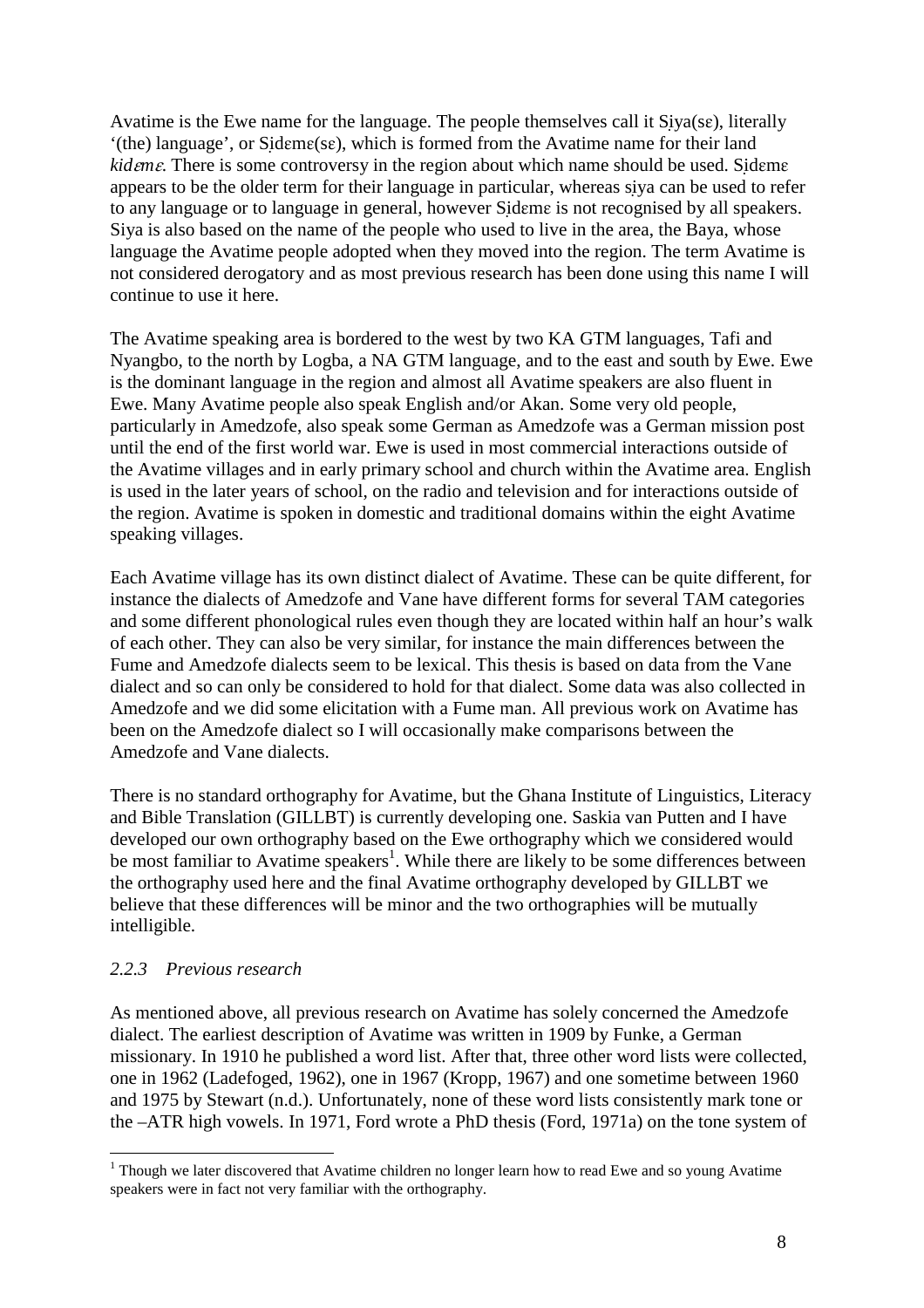Avatime is the Ewe name for the language. The people themselves call it  $Siya(se)$ , literally  $'(the)$  language', or Sideme(se), which is formed from the Avatime name for their land *kideme*. There is some controversy in the region about which name should be used. Sideme appears to be the older term for their language in particular, whereas siya can be used to refer to any language or to language in general, however Sideme is not recognised by all speakers. Siya is also based on the name of the people who used to live in the area, the Baya, whose language the Avatime people adopted when they moved into the region. The term Avatime is not considered derogatory and as most previous research has been done using this name I will continue to use it here.

The Avatime speaking area is bordered to the west by two KA GTM languages, Tafi and Nyangbo, to the north by Logba, a NA GTM language, and to the east and south by Ewe. Ewe is the dominant language in the region and almost all Avatime speakers are also fluent in Ewe. Many Avatime people also speak English and/or Akan. Some very old people, particularly in Amedzofe, also speak some German as Amedzofe was a German mission post until the end of the first world war. Ewe is used in most commercial interactions outside of the Avatime villages and in early primary school and church within the Avatime area. English is used in the later years of school, on the radio and television and for interactions outside of the region. Avatime is spoken in domestic and traditional domains within the eight Avatime speaking villages.

Each Avatime village has its own distinct dialect of Avatime. These can be quite different, for instance the dialects of Amedzofe and Vane have different forms for several TAM categories and some different phonological rules even though they are located within half an hour's walk of each other. They can also be very similar, for instance the main differences between the Fume and Amedzofe dialects seem to be lexical. This thesis is based on data from the Vane dialect and so can only be considered to hold for that dialect. Some data was also collected in Amedzofe and we did some elicitation with a Fume man. All previous work on Avatime has been on the Amedzofe dialect so I will occasionally make comparisons between the Amedzofe and Vane dialects.

There is no standard orthography for Avatime, but the Ghana Institute of Linguistics, Literacy and Bible Translation (GILLBT) is currently developing one. Saskia van Putten and I have developed our own orthography based on the Ewe orthography which we considered would be most familiar to Avatime speakers<sup>1</sup>. While there are likely to be some differences between the orthography used here and the final Avatime orthography developed by GILLBT we believe that these differences will be minor and the two orthographies will be mutually intelligible.

# *2.2.3 Previous research*

As mentioned above, all previous research on Avatime has solely concerned the Amedzofe dialect. The earliest description of Avatime was written in 1909 by Funke, a German missionary. In 1910 he published a word list. After that, three other word lists were collected, one in 1962 (Ladefoged, 1962), one in 1967 (Kropp, 1967) and one sometime between 1960 and 1975 by Stewart (n.d.). Unfortunately, none of these word lists consistently mark tone or the –ATR high vowels. In 1971, Ford wrote a PhD thesis (Ford, 1971a) on the tone system of

 1 Though we later discovered that Avatime children no longer learn how to read Ewe and so young Avatime speakers were in fact not very familiar with the orthography.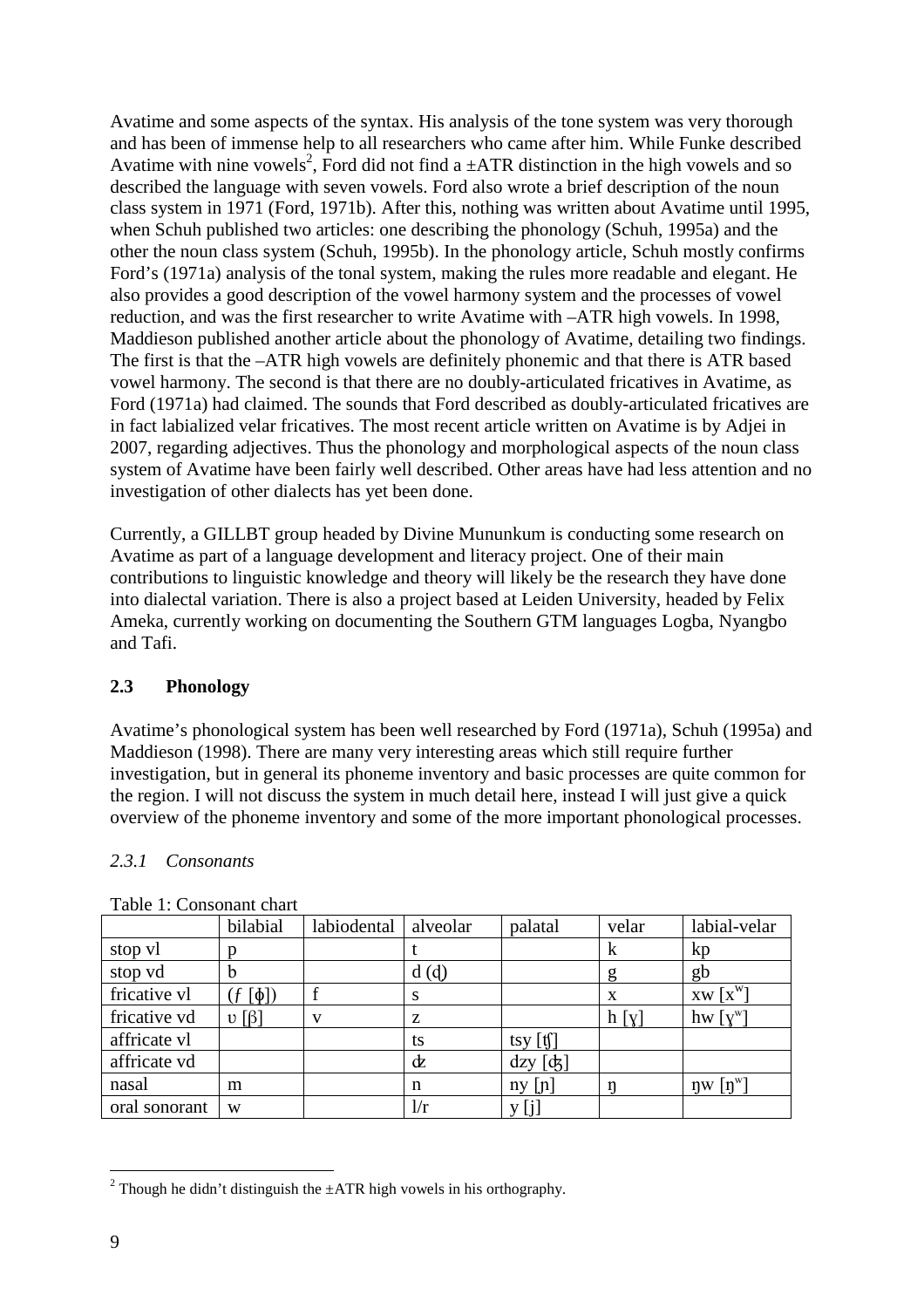Avatime and some aspects of the syntax. His analysis of the tone system was very thorough and has been of immense help to all researchers who came after him. While Funke described Avatime with nine vowels<sup>2</sup>, Ford did not find a  $\pm$ ATR distinction in the high vowels and so described the language with seven vowels. Ford also wrote a brief description of the noun class system in 1971 (Ford, 1971b). After this, nothing was written about Avatime until 1995, when Schuh published two articles: one describing the phonology (Schuh, 1995a) and the other the noun class system (Schuh, 1995b). In the phonology article, Schuh mostly confirms Ford's (1971a) analysis of the tonal system, making the rules more readable and elegant. He also provides a good description of the vowel harmony system and the processes of vowel reduction, and was the first researcher to write Avatime with –ATR high vowels. In 1998, Maddieson published another article about the phonology of Avatime, detailing two findings. The first is that the –ATR high vowels are definitely phonemic and that there is ATR based vowel harmony. The second is that there are no doubly-articulated fricatives in Avatime, as Ford (1971a) had claimed. The sounds that Ford described as doubly-articulated fricatives are in fact labialized velar fricatives. The most recent article written on Avatime is by Adjei in 2007, regarding adjectives. Thus the phonology and morphological aspects of the noun class system of Avatime have been fairly well described. Other areas have had less attention and no investigation of other dialects has yet been done.

Currently, a GILLBT group headed by Divine Mununkum is conducting some research on Avatime as part of a language development and literacy project. One of their main contributions to linguistic knowledge and theory will likely be the research they have done into dialectal variation. There is also a project based at Leiden University, headed by Felix Ameka, currently working on documenting the Southern GTM languages Logba, Nyangbo and Tafi.

# **2.3 Phonology**

Avatime's phonological system has been well researched by Ford (1971a), Schuh (1995a) and Maddieson (1998). There are many very interesting areas which still require further investigation, but in general its phoneme inventory and basic processes are quite common for the region. I will not discuss the system in much detail here, instead I will just give a quick overview of the phoneme inventory and some of the more important phonological processes.

# *2.3.1 Consonants*

|               | bilabial               | labiodental  | alveolar | palatal                           | velar | labial-velar                    |
|---------------|------------------------|--------------|----------|-----------------------------------|-------|---------------------------------|
| stop vl       |                        |              |          |                                   | k     | kp                              |
| stop vd       | h                      |              | d(d)     |                                   | g     | gb                              |
| fricative vl  | $\lceil \phi \rceil$   |              | S        |                                   | X     | $XW[X^W]$                       |
| fricative vd  | $\upsilon$ [ $\beta$ ] | $\mathbf{V}$ | Z        |                                   | h[y]  | hw $[y^w]$                      |
| affricate vl  |                        |              | ts       | tsy $\left[\text{t}\right]$       |       |                                 |
| affricate vd  |                        |              | dz       | $\mathrm{d} z y$ $\mathrm{d} \xi$ |       |                                 |
| nasal         | m                      |              | n        | $ny$ [n]                          |       | $\eta w$ $\lceil \eta^w \rceil$ |
| oral sonorant | W                      |              | 1/r      |                                   |       |                                 |

Table 1: Consonant chart

 $\overline{a}$ 

<sup>&</sup>lt;sup>2</sup> Though he didn't distinguish the  $\pm ATR$  high vowels in his orthography.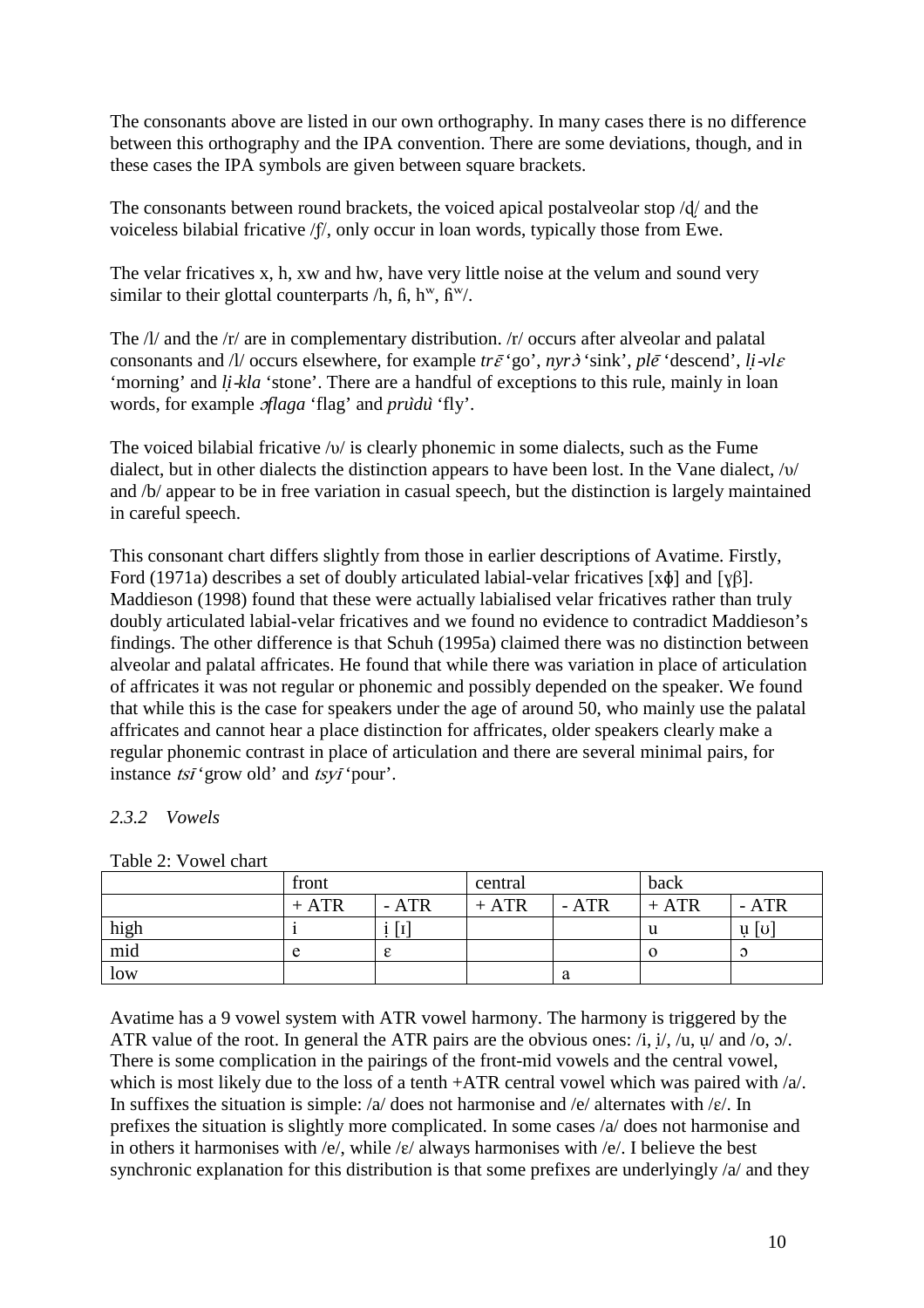The consonants above are listed in our own orthography. In many cases there is no difference between this orthography and the IPA convention. There are some deviations, though, and in these cases the IPA symbols are given between square brackets.

The consonants between round brackets, the voiced apical postalveolar stop  $\frac{d}{dx}$  and the voiceless bilabial fricative /f/, only occur in loan words, typically those from Ewe.

The velar fricatives x, h, xw and hw, have very little noise at the velum and sound very similar to their glottal counterparts  $/h$ ,  $\hat{h}$ ,  $h^w$ ,  $\hat{h}^w$ .

The  $\frac{1}{a}$  and the  $\frac{r}{a}$  are in complementary distribution.  $\frac{r}{c}$  occurs after alveolar and palatal consonants and /l/ occurs elsewhere, for example  $tr\bar{\varepsilon}$  'go', *nyr* $\dot{\sigma}$ 'sink', *ple*<sup> $\dot{\varepsilon}$ 'descend', *li*-*vlε*</sup> 'morning' and *li*-*kla* 'stone'. There are a handful of exceptions to this rule, mainly in loan words, for example ɔ*flaga* 'flag' and *pru*̀*du*̀'fly'.

The voiced bilabial fricative /υ/ is clearly phonemic in some dialects, such as the Fume dialect, but in other dialects the distinction appears to have been lost. In the Vane dialect, /υ/ and /b/ appear to be in free variation in casual speech, but the distinction is largely maintained in careful speech.

This consonant chart differs slightly from those in earlier descriptions of Avatime. Firstly, Ford (1971a) describes a set of doubly articulated labial-velar fricatives [xɸ] and [ɣβ]. Maddieson (1998) found that these were actually labialised velar fricatives rather than truly doubly articulated labial-velar fricatives and we found no evidence to contradict Maddieson's findings. The other difference is that Schuh (1995a) claimed there was no distinction between alveolar and palatal affricates. He found that while there was variation in place of articulation of affricates it was not regular or phonemic and possibly depended on the speaker. We found that while this is the case for speakers under the age of around 50, who mainly use the palatal affricates and cannot hear a place distinction for affricates, older speakers clearly make a regular phonemic contrast in place of articulation and there are several minimal pairs, for instance tsī 'grow old' and tsyī 'pour'.

# *2.3.2 Vowels*

|             | front  |                   | central |       | back   |                               |
|-------------|--------|-------------------|---------|-------|--------|-------------------------------|
|             | $+ATR$ | $-ATR$            | $+ATR$  | - ATR | $+ATR$ | $-ATR$                        |
| high<br>mid |        | $\lceil 1 \rceil$ |         |       | u      | $\mathbf{u}$ [ $\mathbf{v}$ ] |
|             | e      | ε                 |         |       |        | $\Omega$                      |
| low         |        |                   |         |       |        |                               |

Table 2: Vowel chart

Avatime has a 9 vowel system with ATR vowel harmony. The harmony is triggered by the ATR value of the root. In general the ATR pairs are the obvious ones:  $\ell$ ,  $\ell$ ,  $\ell$ ,  $\ell$ ,  $\mu$ , and  $\ell$ o,  $\delta$ . There is some complication in the pairings of the front-mid vowels and the central vowel, which is most likely due to the loss of a tenth +ATR central vowel which was paired with /a/. In suffixes the situation is simple: /a/ does not harmonise and /e/ alternates with / $\varepsilon$ /. In prefixes the situation is slightly more complicated. In some cases /a/ does not harmonise and in others it harmonises with /e/, while / $\varepsilon$ / always harmonises with /e/. I believe the best synchronic explanation for this distribution is that some prefixes are underlyingly /a/ and they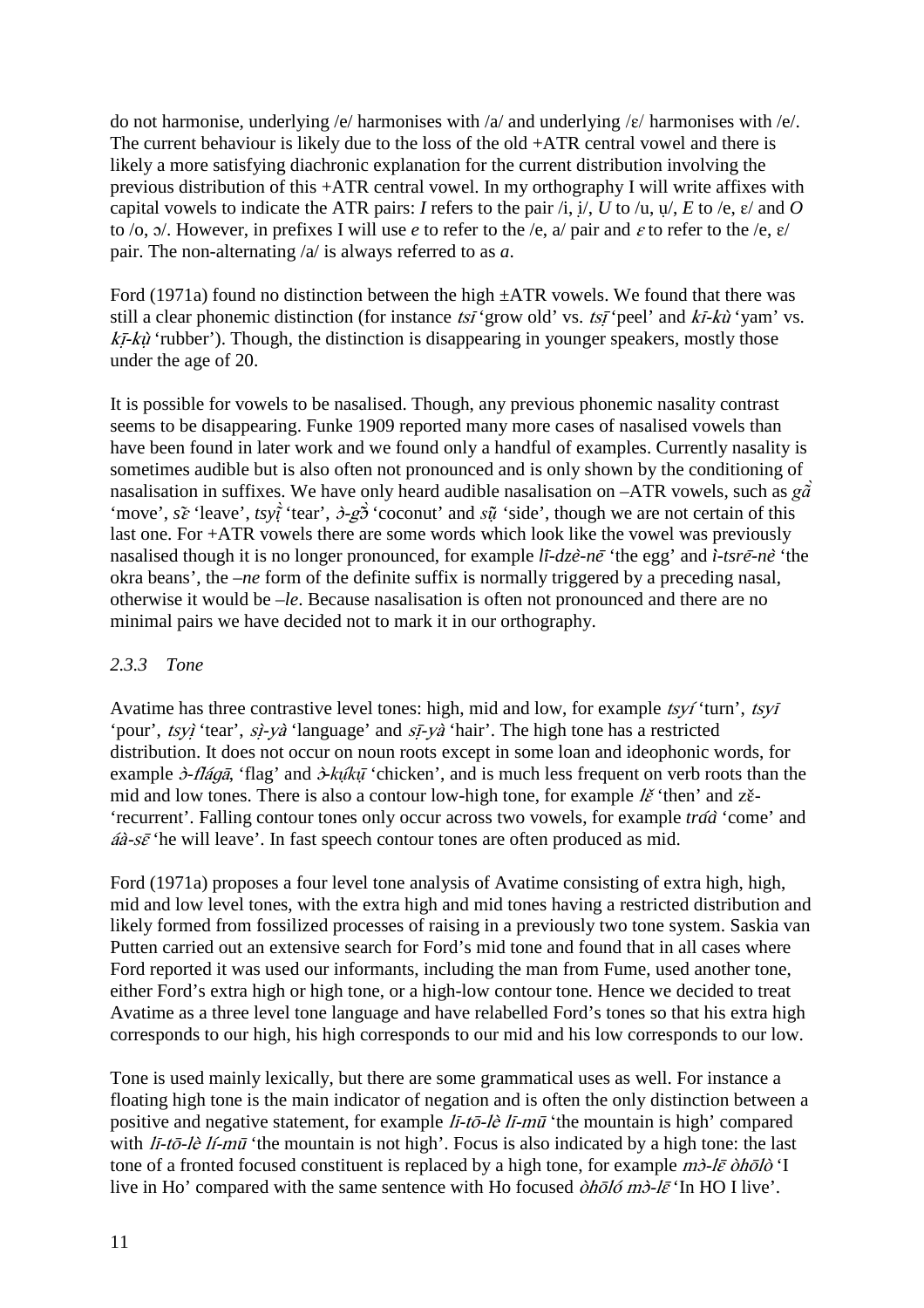do not harmonise, underlying /e/ harmonises with /a/ and underlying / $\varepsilon$ / harmonises with /e/. The current behaviour is likely due to the loss of the old +ATR central vowel and there is likely a more satisfying diachronic explanation for the current distribution involving the previous distribution of this +ATR central vowel. In my orthography I will write affixes with capital vowels to indicate the ATR pairs: *I* refers to the pair  $\pi$ , i/, *U* to  $\pi$ , *u*/, *E* to  $\pi$ ,  $\varepsilon$  and *O* to /o,  $\sigma$ . However, in prefixes I will use *e* to refer to the /e, a/ pair and *ε* to refer to the /e,  $\varepsilon$ / pair. The non-alternating /a/ is always referred to as *a*.

Ford (1971a) found no distinction between the high  $\pm ATR$  vowels. We found that there was still a clear phonemic distinction (for instance  $tsi$  'grow old' vs.  $tsi$  'peel' and  $ki- $k\dot{u}$$  'yam' vs.  $k\bar{t}$ -kù<sup>t</sup> 'rubber'). Though, the distinction is disappearing in younger speakers, mostly those under the age of 20.

It is possible for vowels to be nasalised. Though, any previous phonemic nasality contrast seems to be disappearing. Funke 1909 reported many more cases of nasalised vowels than have been found in later work and we found only a handful of examples. Currently nasality is sometimes audible but is also often not pronounced and is only shown by the conditioning of nasalisation in suffixes. We have only heard audible nasalisation on –ATR vowels, such as *gã* 'move', *s*ɛ̃'leave', *tsyt̃*'tear',  $\partial g\tilde{\partial}$ 'coconut' and *sų̃*'side', though we are not certain of this last one. For +ATR vowels there are some words which look like the vowel was previously nasalised though it is no longer pronounced, for example *li*̄*-dze*̀*-ne*̄'the egg' and *i*̀*-tsre*̄*-ne*̀ 'the okra beans', the *–ne* form of the definite suffix is normally triggered by a preceding nasal, otherwise it would be –*le*. Because nasalisation is often not pronounced and there are no minimal pairs we have decided not to mark it in our orthography.

# *2.3.3 Tone*

Avatime has three contrastive level tones: high, mid and low, for example tsyí 'turn', tsyi 'pour', tsyì 'tear', sì-yà 'language' and sī-yà 'hair'. The high tone has a restricted distribution. It does not occur on noun roots except in some loan and ideophonic words, for example  $\partial$ -*fláqā*, 'flag' and  $\partial$ -*kûkū* 'chicken', and is much less frequent on verb roots than the mid and low tones. There is also a contour low-high tone, for example  $\ell \check{\epsilon}$  'then' and z $\check{\epsilon}$ -'recurrent'. Falling contour tones only occur across two vowels, for example *tra*́*a*̀'come' and  $á\hat{a}-s\bar{\varepsilon}$ 'he will leave'. In fast speech contour tones are often produced as mid.

Ford (1971a) proposes a four level tone analysis of Avatime consisting of extra high, high, mid and low level tones, with the extra high and mid tones having a restricted distribution and likely formed from fossilized processes of raising in a previously two tone system. Saskia van Putten carried out an extensive search for Ford's mid tone and found that in all cases where Ford reported it was used our informants, including the man from Fume, used another tone, either Ford's extra high or high tone, or a high-low contour tone. Hence we decided to treat Avatime as a three level tone language and have relabelled Ford's tones so that his extra high corresponds to our high, his high corresponds to our mid and his low corresponds to our low.

Tone is used mainly lexically, but there are some grammatical uses as well. For instance a floating high tone is the main indicator of negation and is often the only distinction between a positive and negative statement, for example lī-tō-lè lī-mū 'the mountain is high' compared with  $I\bar{i}$ -tō-lè lí-mū 'the mountain is not high'. Focus is also indicated by a high tone: the last tone of a fronted focused constituent is replaced by a high tone, for example  $m\dot{\theta}$ -l $\bar{\epsilon}$  òholò 'I live in Ho' compared with the same sentence with Ho focused  $\partial h \bar{\partial} l \partial \bar{\partial} m \partial \bar{\partial} l \bar{\varepsilon}$  'In HO I live'.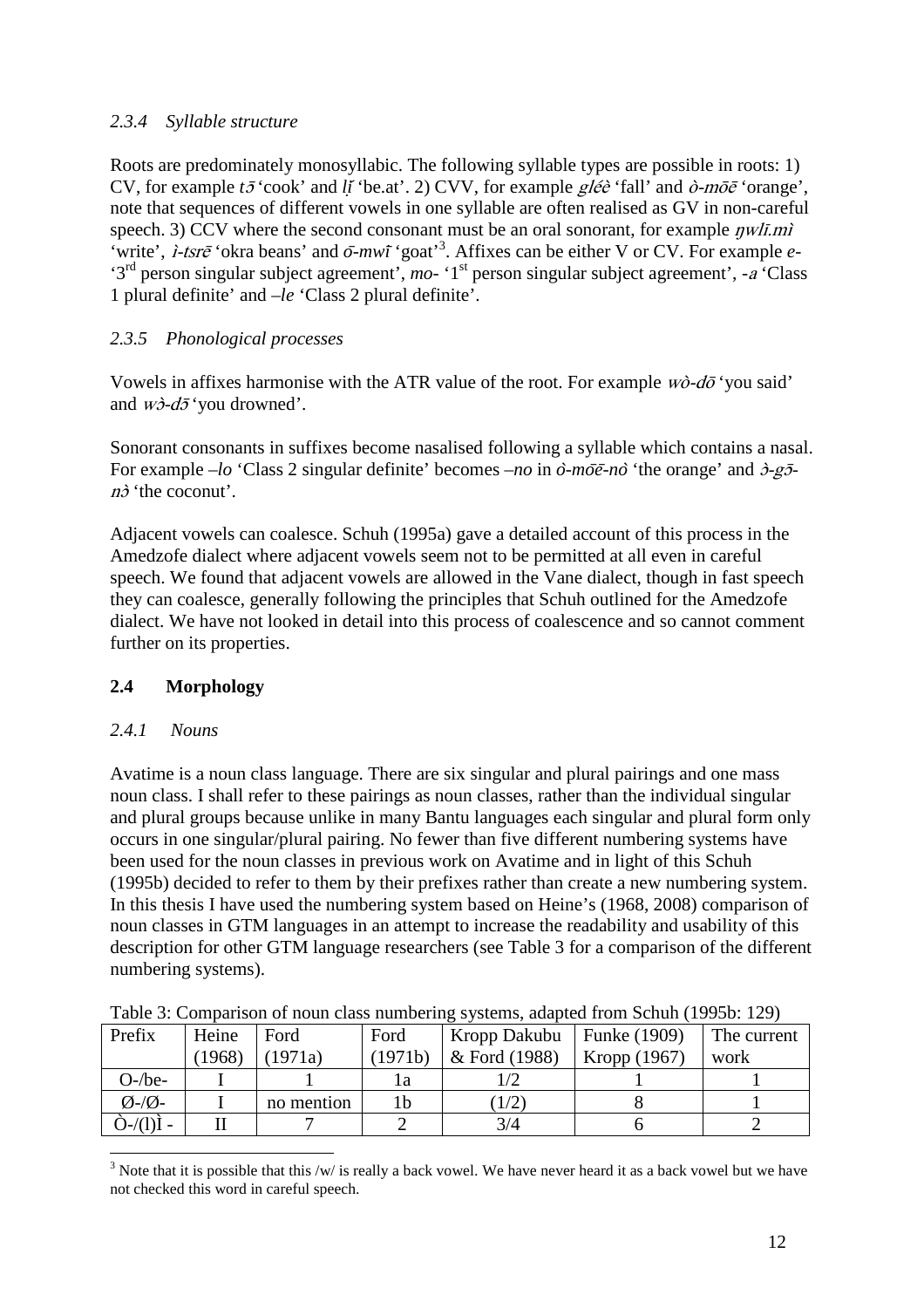# *2.3.4 Syllable structure*

Roots are predominately monosyllabic. The following syllable types are possible in roots: 1) CV, for example *t*<sub>2</sub><sup>'</sup>cook' and *li*<sup>'</sup>be.at'. 2) CVV, for example *gléè* 'fall' and  $\partial$ -m $\bar{\partial}$ <sup>e</sup> 'orange', note that sequences of different vowels in one syllable are often realised as GV in non-careful speech. 3) CCV where the second consonant must be an oral sonorant, for example  $\eta w l \bar{l} m \dot{l}$ 'write', *ì-tsrē* 'okra beans' and  $\bar{o}$ -mwī 'goat'<sup>3</sup>. Affixes can be either V or CV. For example *e*-'3rd person singular subject agreement', *mo-* '1st person singular subject agreement', *-*a 'Class 1 plural definite' and *–le* 'Class 2 plural definite'.

# *2.3.5 Phonological processes*

Vowels in affixes harmonise with the ATR value of the root. For example  $w\partial \bar{\partial}$  'you said' and  $w\partial d\bar{\partial}$  'you drowned'.

Sonorant consonants in suffixes become nasalised following a syllable which contains a nasal. For example *–lo* 'Class 2 singular definite' becomes *–no* in *o*̀*-mo*̄*e*̄*-no*̀ 'the orange' and ɔ̀-gɔ̄  $n\delta$  'the coconut'.

Adjacent vowels can coalesce. Schuh (1995a) gave a detailed account of this process in the Amedzofe dialect where adjacent vowels seem not to be permitted at all even in careful speech. We found that adjacent vowels are allowed in the Vane dialect, though in fast speech they can coalesce, generally following the principles that Schuh outlined for the Amedzofe dialect. We have not looked in detail into this process of coalescence and so cannot comment further on its properties.

# **2.4 Morphology**

# *2.4.1 Nouns*

Avatime is a noun class language. There are six singular and plural pairings and one mass noun class. I shall refer to these pairings as noun classes, rather than the individual singular and plural groups because unlike in many Bantu languages each singular and plural form only occurs in one singular/plural pairing. No fewer than five different numbering systems have been used for the noun classes in previous work on Avatime and in light of this Schuh (1995b) decided to refer to them by their prefixes rather than create a new numbering system. In this thesis I have used the numbering system based on Heine's (1968, 2008) comparison of noun classes in GTM languages in an attempt to increase the readability and usability of this description for other GTM language researchers (see Table 3 for a comparison of the different numbering systems).

| Tuble 5. Comparison of noun cluss numbering systems, adapted from Schan (17750, 127) |       |            |         |               |                     |             |  |  |
|--------------------------------------------------------------------------------------|-------|------------|---------|---------------|---------------------|-------------|--|--|
| Prefix                                                                               | Heine | Ford       | Ford    | Kropp Dakubu  | <b>Funke</b> (1909) | The current |  |  |
|                                                                                      | 1968) | 1971a)     | (1971b) | & Ford (1988) | Kropp (1967)        | work        |  |  |
| $O$ -/be-                                                                            |       |            |         |               |                     |             |  |  |
| $\emptyset$ -/ $\emptyset$ -                                                         |       | no mention |         | 1/2           |                     |             |  |  |
|                                                                                      |       |            |         | 3/4           |                     |             |  |  |

Table 3: Comparison of noun class numbering systems, adapted from Schuh (1995b: 129)

 $\overline{a}$  $3$  Note that it is possible that this /w/ is really a back vowel. We have never heard it as a back vowel but we have not checked this word in careful speech.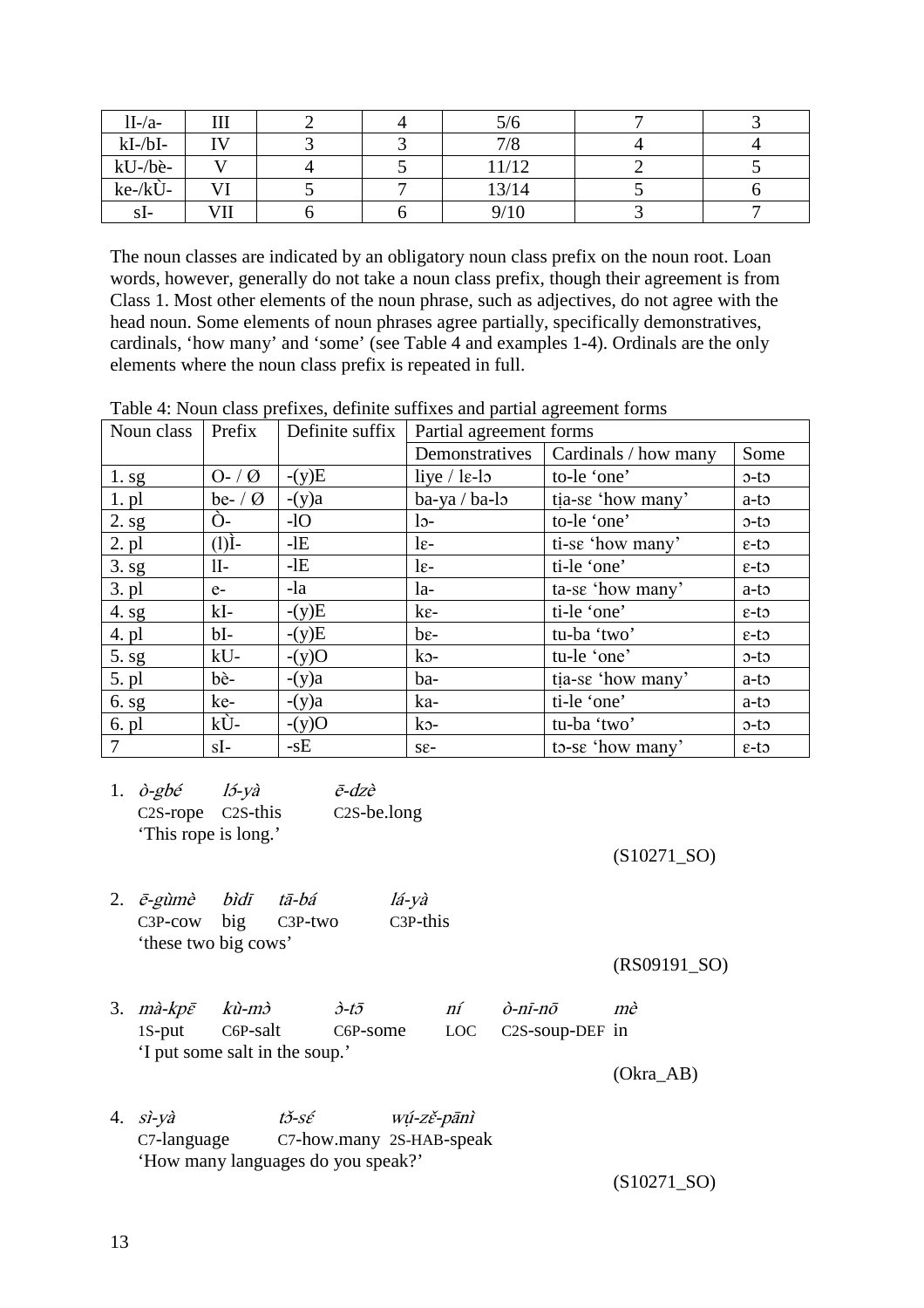| $1I-A$        | 111          |  | 5/6   |  |
|---------------|--------------|--|-------|--|
| $kI-\Delta I$ | $\mathbf{I}$ |  | 7/8   |  |
| kU-/bè-       |              |  | 11/12 |  |
| $ke-kU-$      | <b>TT</b>    |  | 13/14 |  |
| sI-           | VII          |  | 9/10  |  |

The noun classes are indicated by an obligatory noun class prefix on the noun root. Loan words, however, generally do not take a noun class prefix, though their agreement is from Class 1. Most other elements of the noun phrase, such as adjectives, do not agree with the head noun. Some elements of noun phrases agree partially, specifically demonstratives, cardinals, 'how many' and 'some' (see Table 4 and examples 1-4). Ordinals are the only elements where the noun class prefix is repeated in full.

Table 4: Noun class prefixes, definite suffixes and partial agreement forms

| Noun class        | Prefix       | Definite suffix | Partial agreement forms |                      |                   |
|-------------------|--------------|-----------------|-------------------------|----------------------|-------------------|
|                   |              |                 | Demonstratives          | Cardinals / how many | Some              |
| 1. s <sub>g</sub> | $O - / Q$    | $-(y)E$         | liye $/$ le-lo          | to-le 'one'          | $o-to$            |
| $1.$ pl           | be- $\theta$ | $-(y)a$         | ba-ya / ba-lo           | tia-se 'how many'    | $a-t$             |
| 2. sg             | $O-$         | $-1O$           | $15-$                   | to-le 'one'          | $o-to$            |
| $2.$ pl           | (I)          | $-IE$           | $1\varepsilon$ -        | ti-se 'how many'     | $\epsilon$ -to    |
| 3. sg             | $II-$        | $-IE$           | $1\varepsilon$ -        | ti-le 'one'          | $\epsilon$ -to    |
| $3. \text{ pl}$   | $e-$         | -la             | $1a-$                   | ta-se 'how many'     | $a-t$             |
| 4. sg             | $kI-$        | $-(y)E$         | $k\varepsilon$ -        | ti-le 'one'          | $\epsilon$ -to    |
| 4. pl             | $bI-$        | $-(y)E$         | $be-$                   | tu-ba 'two'          | $\epsilon$ -to    |
| 5. s <sub>g</sub> | $kU-$        | $-(y)O$         | $k_{\mathcal{D}}$ -     | tu-le 'one'          | $o-to$            |
| 5. pl             | bè-          | $-(y)a$         | ba-                     | tia-se 'how many'    | $a-t$             |
| 6. s <sub>g</sub> | ke-          | $-(y)a$         | ka-                     | ti-le 'one'          | $a-t$             |
| 6. pl             | kÙ-          | $-(y)O$         | $k_{\mathcal{D}}$       | tu-ba 'two'          | $o-to$            |
| $\overline{7}$    | sI-          | $-sE$           | $S_{\epsilon}$ -        | to-se 'how many'     | $\varepsilon$ -to |

1.  $\partial$ -gbé l<sup>5</sup>-yà  $\bar{e}$ -dzè C2S-rope C2S-this C2S-be.long 'This rope is long.'

(S10271\_SO)

2. ē-gùmè bìdī tā-bá lá-yà C3P-cow big C3P-two C3P-this 'these two big cows'

(RS09191\_SO)

3.  $m\hat{a}-k\hat{p}\bar{\varepsilon}$   $k\hat{u}-m\hat{c}$   $\hat{c}-t\bar{b}$   $\hat{m}\hat{c}$   $\hat{p}-m\hat{c}$   $m\hat{c}$ 1S-put C6P-salt C6P-some LOC C2S-soup-DEF in 'I put some salt in the soup.'

(Okra\_AB)

4.  $s\hat{i}-y\hat{a}$   $t\check{\sigma}-s\hat{\epsilon}$  wú-zě-pānì C7-language C7-how.many 2S-HAB-speak 'How many languages do you speak?'

(S10271\_SO)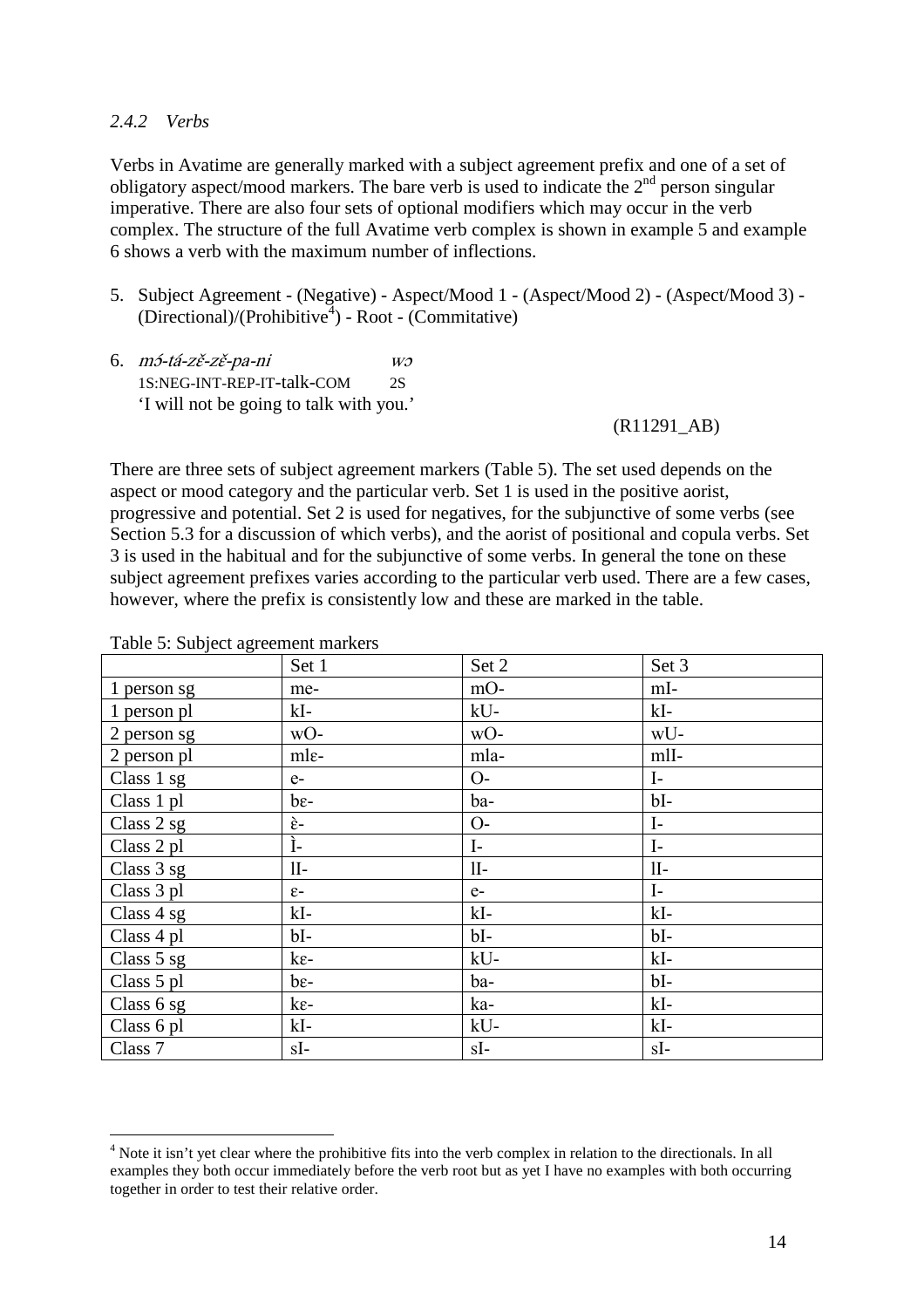#### *2.4.2 Verbs*

Verbs in Avatime are generally marked with a subject agreement prefix and one of a set of obligatory aspect/mood markers. The bare verb is used to indicate the  $2<sup>nd</sup>$  person singular imperative. There are also four sets of optional modifiers which may occur in the verb complex. The structure of the full Avatime verb complex is shown in example 5 and example 6 shows a verb with the maximum number of inflections.

- 5. Subject Agreement (Negative) Aspect/Mood 1 (Aspect/Mood 2) (Aspect/Mood 3) (Directional)/(Prohibitive<sup>4</sup> ) - Root - (Commitative)
- 6.  $m5-tá-z\check{e}-z\check{e}-pa-ni$  wo 1S:NEG-INT-REP-IT-talk-COM 2S 'I will not be going to talk with you.'

(R11291\_AB)

There are three sets of subject agreement markers (Table 5). The set used depends on the aspect or mood category and the particular verb. Set 1 is used in the positive aorist, progressive and potential. Set 2 is used for negatives, for the subjunctive of some verbs (see Section 5.3 for a discussion of which verbs), and the aorist of positional and copula verbs. Set 3 is used in the habitual and for the subjunctive of some verbs. In general the tone on these subject agreement prefixes varies according to the particular verb used. There are a few cases, however, where the prefix is consistently low and these are marked in the table.

|             | Set 1            | Set 2        | Set 3        |
|-------------|------------------|--------------|--------------|
| 1 person sg | me-              | $mO-$        | mI-          |
| 1 person pl | kI-              | kU-          | $kI-$        |
| 2 person sg | wO-              | wO-          | wU-          |
| 2 person pl | mle-             | mla-         | mlI-         |
| Class 1 sg  | $e-$             | $O-$         | $\mathbf{I}$ |
| Class 1 pl  | $be-$            | ba-          | $bI-$        |
| Class 2 sg  | è-               | $O-$         | $I-$         |
| Class 2 pl  | Ì-               | $\mathbf{I}$ | $I-$         |
| Class 3 sg  | $II-$            | $II-$        | $II-$        |
| Class 3 pl  | $\varepsilon$ -  | $e-$         | $\mathbf{I}$ |
| Class 4 sg  | $kI-$            | $kI-$        | $kI-$        |
| Class 4 pl  | $bI-$            | $bI-$        | $bI-$        |
| Class 5 sg  | $k\varepsilon$ - | kU-          | $kI-$        |
| Class 5 pl  | $be-$            | ba-          | $bI-$        |
| Class 6 sg  | $k\varepsilon$ - | ka-          | $kI-$        |
| Class 6 pl  | kI-              | kU-          | $kI-$        |
| Class 7     | $sI-$            | $sI-$        | $sI-$        |

Table 5: Subject agreement markers

 $\overline{a}$ 

<sup>&</sup>lt;sup>4</sup> Note it isn't yet clear where the prohibitive fits into the verb complex in relation to the directionals. In all examples they both occur immediately before the verb root but as yet I have no examples with both occurring together in order to test their relative order.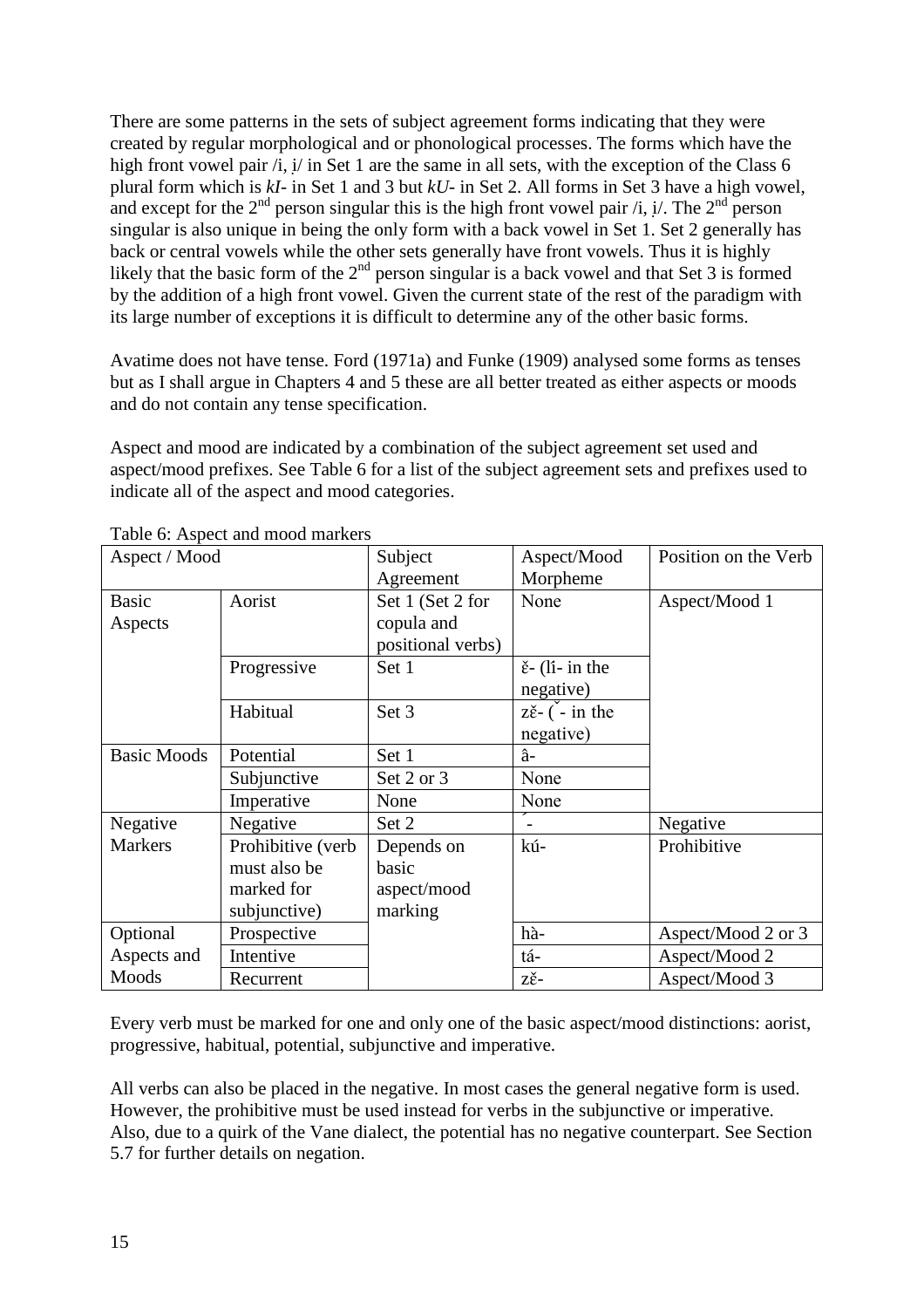There are some patterns in the sets of subject agreement forms indicating that they were created by regular morphological and or phonological processes. The forms which have the high front vowel pair  $\pi$ , i/ in Set 1 are the same in all sets, with the exception of the Class 6 plural form which is *kI-* in Set 1 and 3 but *kU-* in Set 2. All forms in Set 3 have a high vowel, and except for the  $2^{nd}$  person singular this is the high front vowel pair /i, i/. The  $2^{nd}$  person singular is also unique in being the only form with a back vowel in Set 1. Set 2 generally has back or central vowels while the other sets generally have front vowels. Thus it is highly likely that the basic form of the  $2<sup>nd</sup>$  person singular is a back vowel and that Set 3 is formed by the addition of a high front vowel. Given the current state of the rest of the paradigm with its large number of exceptions it is difficult to determine any of the other basic forms.

Avatime does not have tense. Ford (1971a) and Funke (1909) analysed some forms as tenses but as I shall argue in Chapters 4 and 5 these are all better treated as either aspects or moods and do not contain any tense specification.

Aspect and mood are indicated by a combination of the subject agreement set used and aspect/mood prefixes. See Table 6 for a list of the subject agreement sets and prefixes used to indicate all of the aspect and mood categories.

| Aspect / Mood      |                   | Subject           | Aspect/Mood                                   | Position on the Verb |
|--------------------|-------------------|-------------------|-----------------------------------------------|----------------------|
|                    |                   | Agreement         | Morpheme                                      |                      |
| <b>Basic</b>       | Aorist            | Set 1 (Set 2 for  | None                                          | Aspect/Mood 1        |
| Aspects            |                   | copula and        |                                               |                      |
|                    |                   | positional verbs) |                                               |                      |
|                    | Progressive       | Set 1             | $\check{\epsilon}$ - (li- in the              |                      |
|                    |                   |                   | negative)                                     |                      |
|                    | Habitual          | Set 3             | $z\check{\varepsilon}$ - $\check{(-)}$ in the |                      |
|                    |                   |                   | negative)                                     |                      |
| <b>Basic Moods</b> | Potential         | Set 1             | â-                                            |                      |
|                    | Subjunctive       | Set 2 or 3        | None                                          |                      |
|                    | Imperative        | None              | None                                          |                      |
| Negative           | Negative          | Set 2             |                                               | Negative             |
| <b>Markers</b>     | Prohibitive (verb | Depends on        | kú-                                           | Prohibitive          |
|                    | must also be      | basic             |                                               |                      |
|                    | marked for        | aspect/mood       |                                               |                      |
|                    | subjunctive)      | marking           |                                               |                      |
| Optional           | Prospective       |                   | hà-                                           | Aspect/Mood 2 or 3   |
| Aspects and        | Intentive         |                   | tá-                                           | Aspect/Mood 2        |
| Moods              | Recurrent         |                   | zě-                                           | Aspect/Mood 3        |

Table 6: Aspect and mood markers

Every verb must be marked for one and only one of the basic aspect/mood distinctions: aorist, progressive, habitual, potential, subjunctive and imperative.

All verbs can also be placed in the negative. In most cases the general negative form is used. However, the prohibitive must be used instead for verbs in the subjunctive or imperative. Also, due to a quirk of the Vane dialect, the potential has no negative counterpart. See Section 5.7 for further details on negation.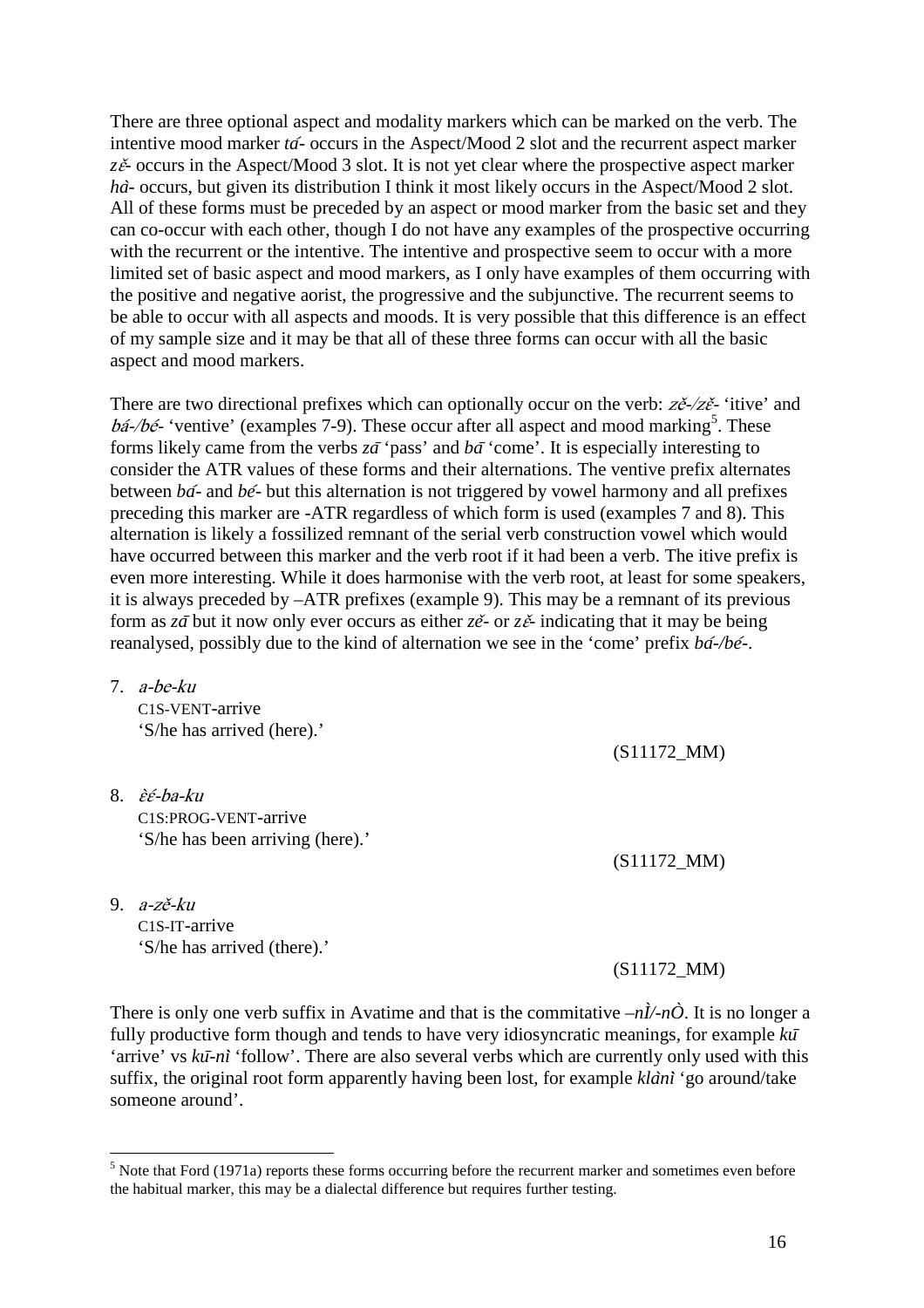There are three optional aspect and modality markers which can be marked on the verb. The intentive mood marker *ta*́*-* occurs in the Aspect/Mood 2 slot and the recurrent aspect marker z $\zeta$ <sup> $\zeta$ </sup><sup> $\zeta$ </sup> occurs in the Aspect/Mood 3 slot. It is not yet clear where the prospective aspect marker *ha*<sup>2</sup> occurs, but given its distribution I think it most likely occurs in the Aspect/Mood 2 slot. All of these forms must be preceded by an aspect or mood marker from the basic set and they can co-occur with each other, though I do not have any examples of the prospective occurring with the recurrent or the intentive. The intentive and prospective seem to occur with a more limited set of basic aspect and mood markers, as I only have examples of them occurring with the positive and negative aorist, the progressive and the subjunctive. The recurrent seems to be able to occur with all aspects and moods. It is very possible that this difference is an effect of my sample size and it may be that all of these three forms can occur with all the basic aspect and mood markers.

There are two directional prefixes which can optionally occur on the verb:  $z\check{e}$ - $\check{z}\check{e}$ - 'itive' and  $b\acute{a}$ -/b $\acute{e}$ - 'ventive' (examples 7-9). These occur after all aspect and mood marking<sup>5</sup>. These forms likely came from the verbs  $z\bar{a}$  'pass' and  $b\bar{a}$  'come'. It is especially interesting to consider the ATR values of these forms and their alternations. The ventive prefix alternates between *ba*́*-* and *be*́*-* but this alternation is not triggered by vowel harmony and all prefixes preceding this marker are -ATR regardless of which form is used (examples 7 and 8). This alternation is likely a fossilized remnant of the serial verb construction vowel which would have occurred between this marker and the verb root if it had been a verb. The itive prefix is even more interesting. While it does harmonise with the verb root, at least for some speakers, it is always preceded by –ATR prefixes (example 9). This may be a remnant of its previous form as *za*<sup> $\bar{a}$ </sup> but it now only ever occurs as either *ze*<sup> $\bar{c}$  or *ze*<sup> $\bar{c}$  indicating that it may be being</sup></sup> reanalysed, possibly due to the kind of alternation we see in the 'come' prefix *ba*́*-/be*́*-*.

- 7. a-be-ku C1S-VENT-arrive 'S/he has arrived (here).'
- 8. ɛ̀ɛ́-ba-ku C1S:PROG-VENT-arrive 'S/he has been arriving (here).'
- 9. a-zě-ku C1S-IT-arrive 'S/he has arrived (there).'

 $\overline{a}$ 

(S11172\_MM)

(S11172\_MM)

(S11172\_MM)

There is only one verb suffix in Avatime and that is the commitative  $-n\lambda/n\hat{O}$ . It is no longer a fully productive form though and tends to have very idiosyncratic meanings, for example *ku*̄ 'arrive' vs  $k\bar{u}$ -ni<sup>t</sup> (follow'. There are also several verbs which are currently only used with this suffix, the original root form apparently having been lost, for example *kla*̀*ni*̀ 'go around/take someone around'.

<sup>&</sup>lt;sup>5</sup> Note that Ford (1971a) reports these forms occurring before the recurrent marker and sometimes even before the habitual marker, this may be a dialectal difference but requires further testing.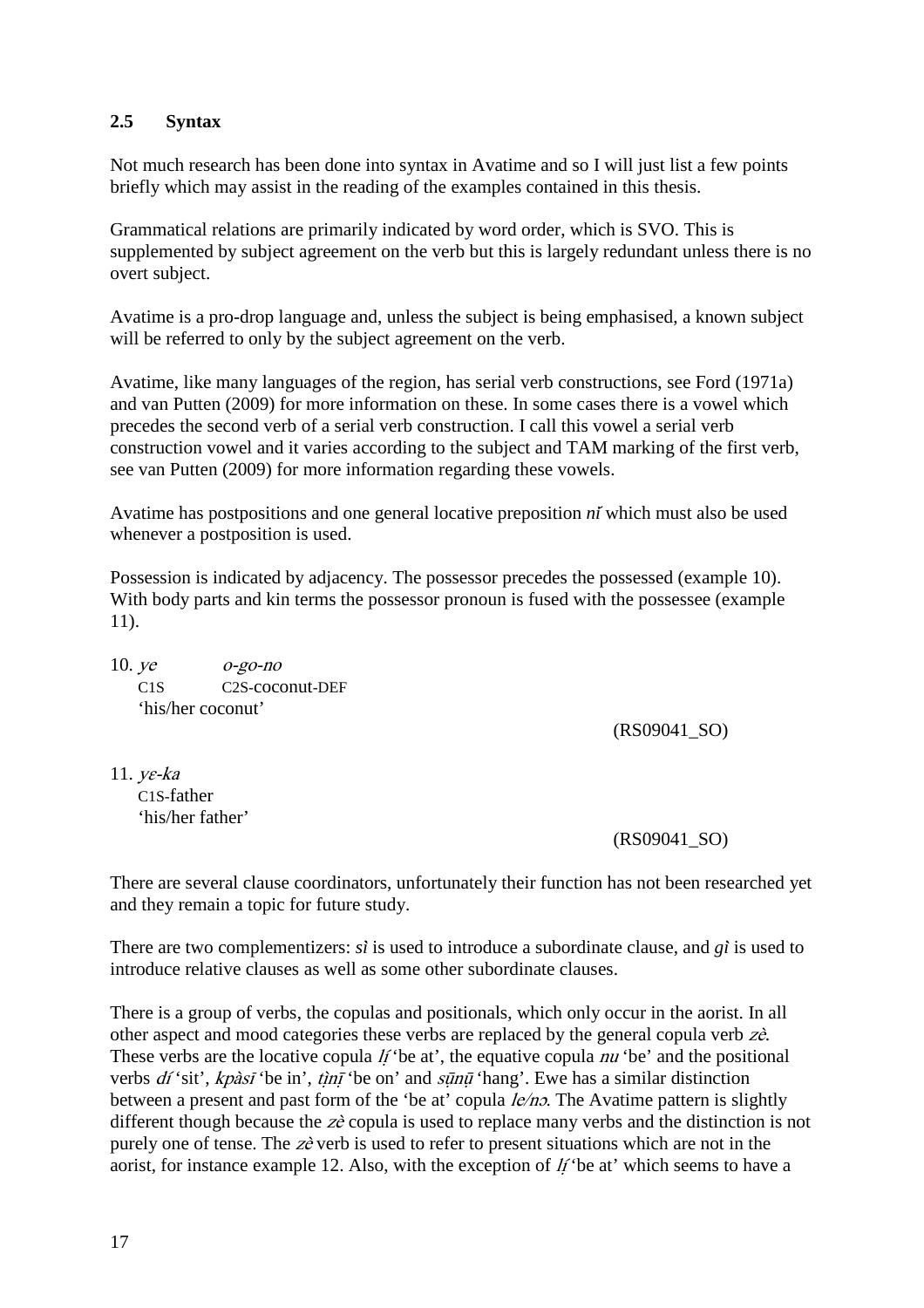# **2.5 Syntax**

Not much research has been done into syntax in Avatime and so I will just list a few points briefly which may assist in the reading of the examples contained in this thesis.

Grammatical relations are primarily indicated by word order, which is SVO. This is supplemented by subject agreement on the verb but this is largely redundant unless there is no overt subject.

Avatime is a pro-drop language and, unless the subject is being emphasised, a known subject will be referred to only by the subject agreement on the verb.

Avatime, like many languages of the region, has serial verb constructions, see Ford (1971a) and van Putten (2009) for more information on these. In some cases there is a vowel which precedes the second verb of a serial verb construction. I call this vowel a serial verb construction vowel and it varies according to the subject and TAM marking of the first verb, see van Putten (2009) for more information regarding these vowels.

Avatime has postpositions and one general locative preposition *ni*́ which must also be used whenever a postposition is used.

Possession is indicated by adjacency. The possessor precedes the possessed (example 10). With body parts and kin terms the possessor pronoun is fused with the possessee (example 11).

10. ye o-go-no C1S C2S-coconut-DEF 'his/her coconut'

(RS09041\_SO)

11. yɛ-ka C1S-father 'his/her father'

(RS09041\_SO)

There are several clause coordinators, unfortunately their function has not been researched yet and they remain a topic for future study.

There are two complementizers: *si*̀ is used to introduce a subordinate clause, and *gi*̀ is used to introduce relative clauses as well as some other subordinate clauses.

There is a group of verbs, the copulas and positionals, which only occur in the aorist. In all other aspect and mood categories these verbs are replaced by the general copula verb zè. These verbs are the locative copula  $\hat{H}$  'be at', the equative copula nu 'be' and the positional verbs  $df$ 'sit', kpàsī 'be in', tìnī 'be on' and sūnū 'hang'. Ewe has a similar distinction between a present and past form of the 'be at' copula  $le/no$ . The Avatime pattern is slightly different though because the  $z\hat{e}$  copula is used to replace many verbs and the distinction is not purely one of tense. The  $z\hat{e}$  verb is used to refer to present situations which are not in the aorist, for instance example 12. Also, with the exception of  *'be at' which seems to have a*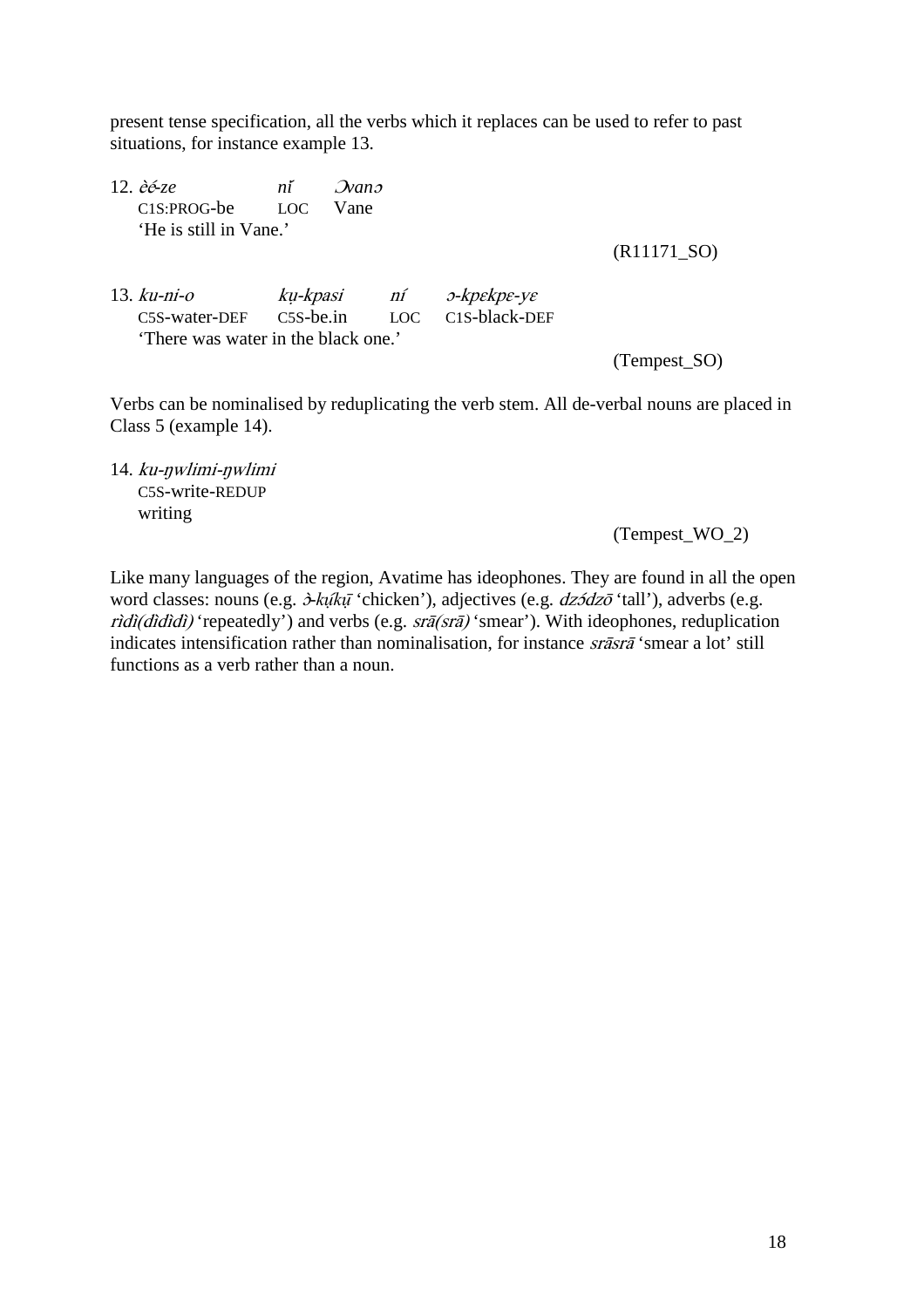present tense specification, all the verbs which it replaces can be used to refer to past situations, for instance example 13.

12. èé*-ze ni*́ <sup>Ɔ</sup>*van*<sup>ɔ</sup> C1S:PROG-be LOC Vane 'He is still in Vane.'

(R11171\_SO)

13. ku-ni-o kụ-kpasi ní ɔ-kpɛkpɛ-yɛ C5S-water-DEF C5S-be.in LOC C1S-black-DEF 'There was water in the black one.'

(Tempest\_SO)

Verbs can be nominalised by reduplicating the verb stem. All de-verbal nouns are placed in Class 5 (example 14).

14. ku-ŋwlimi-ŋwlimi C5S-write-REDUP writing

(Tempest\_WO\_2)

Like many languages of the region, Avatime has ideophones. They are found in all the open word classes: nouns (e.g.  $\dot{\sigma}$ *kų*<sup> $\dot{t}$ </sup>*kų*<sup> $\dot{t}$ </sup> 'chicken'), adjectives (e.g. *dz*ɔ̃*dz*ō 'tall'), adverbs (e.g.  $\vec{r}$ dì(dìdìdì) 'repeatedly') and verbs (e.g.  $\vec{s}$ a (srā) 'smear'). With ideophones, reduplication indicates intensification rather than nominalisation, for instance srāsrā 'smear a lot' still functions as a verb rather than a noun.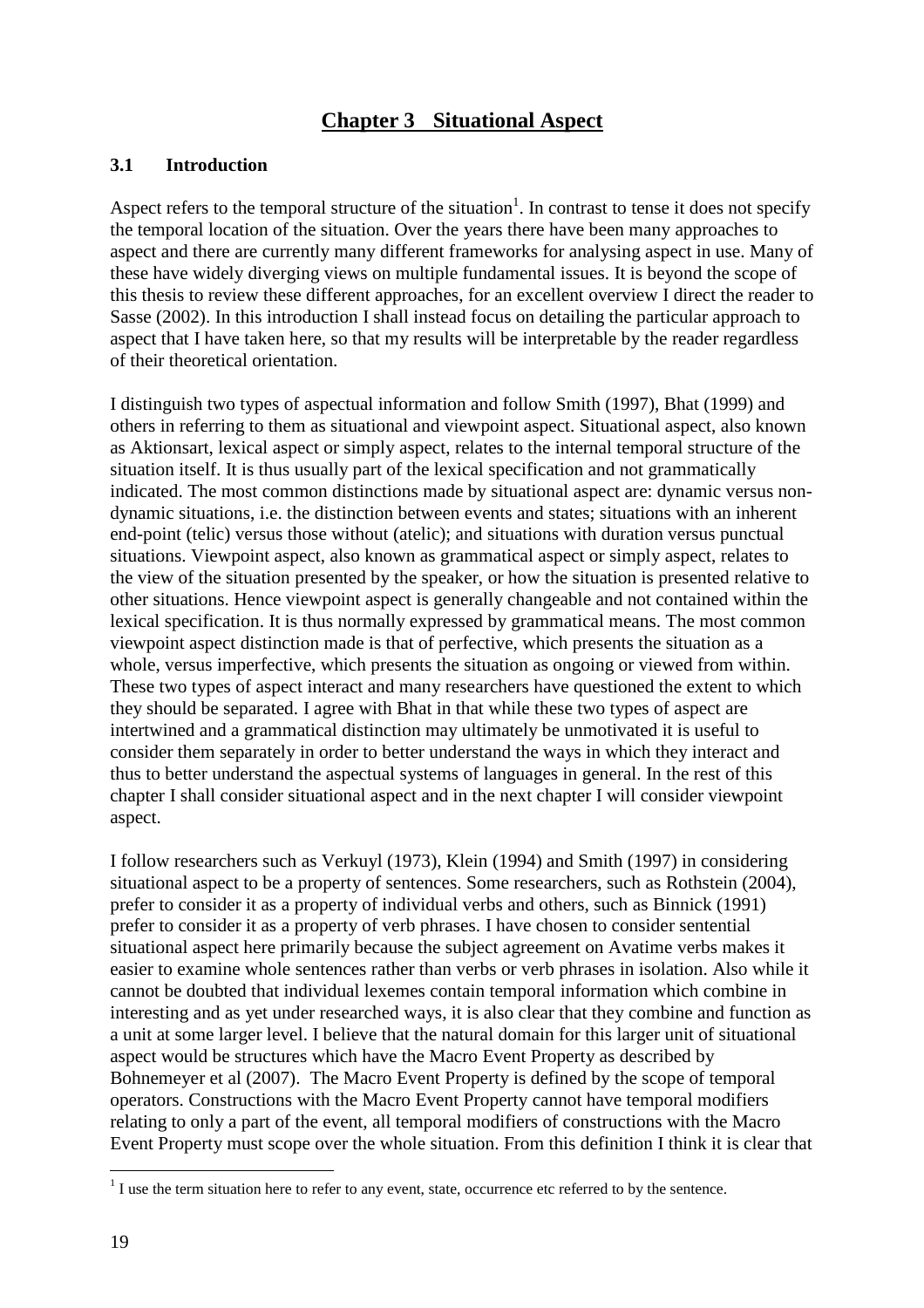# **Chapter 3 Situational Aspect**

#### **3.1 Introduction**

Aspect refers to the temporal structure of the situation<sup>1</sup>. In contrast to tense it does not specify the temporal location of the situation. Over the years there have been many approaches to aspect and there are currently many different frameworks for analysing aspect in use. Many of these have widely diverging views on multiple fundamental issues. It is beyond the scope of this thesis to review these different approaches, for an excellent overview I direct the reader to Sasse (2002). In this introduction I shall instead focus on detailing the particular approach to aspect that I have taken here, so that my results will be interpretable by the reader regardless of their theoretical orientation.

I distinguish two types of aspectual information and follow Smith (1997), Bhat (1999) and others in referring to them as situational and viewpoint aspect. Situational aspect, also known as Aktionsart, lexical aspect or simply aspect, relates to the internal temporal structure of the situation itself. It is thus usually part of the lexical specification and not grammatically indicated. The most common distinctions made by situational aspect are: dynamic versus nondynamic situations, i.e. the distinction between events and states; situations with an inherent end-point (telic) versus those without (atelic); and situations with duration versus punctual situations. Viewpoint aspect, also known as grammatical aspect or simply aspect, relates to the view of the situation presented by the speaker, or how the situation is presented relative to other situations. Hence viewpoint aspect is generally changeable and not contained within the lexical specification. It is thus normally expressed by grammatical means. The most common viewpoint aspect distinction made is that of perfective, which presents the situation as a whole, versus imperfective, which presents the situation as ongoing or viewed from within. These two types of aspect interact and many researchers have questioned the extent to which they should be separated. I agree with Bhat in that while these two types of aspect are intertwined and a grammatical distinction may ultimately be unmotivated it is useful to consider them separately in order to better understand the ways in which they interact and thus to better understand the aspectual systems of languages in general. In the rest of this chapter I shall consider situational aspect and in the next chapter I will consider viewpoint aspect.

I follow researchers such as Verkuyl (1973), Klein (1994) and Smith (1997) in considering situational aspect to be a property of sentences. Some researchers, such as Rothstein (2004), prefer to consider it as a property of individual verbs and others, such as Binnick (1991) prefer to consider it as a property of verb phrases. I have chosen to consider sentential situational aspect here primarily because the subject agreement on Avatime verbs makes it easier to examine whole sentences rather than verbs or verb phrases in isolation. Also while it cannot be doubted that individual lexemes contain temporal information which combine in interesting and as yet under researched ways, it is also clear that they combine and function as a unit at some larger level. I believe that the natural domain for this larger unit of situational aspect would be structures which have the Macro Event Property as described by Bohnemeyer et al (2007). The Macro Event Property is defined by the scope of temporal operators. Constructions with the Macro Event Property cannot have temporal modifiers relating to only a part of the event, all temporal modifiers of constructions with the Macro Event Property must scope over the whole situation. From this definition I think it is clear that

 $\overline{a}$ 

 $<sup>1</sup>$  I use the term situation here to refer to any event, state, occurrence etc referred to by the sentence.</sup>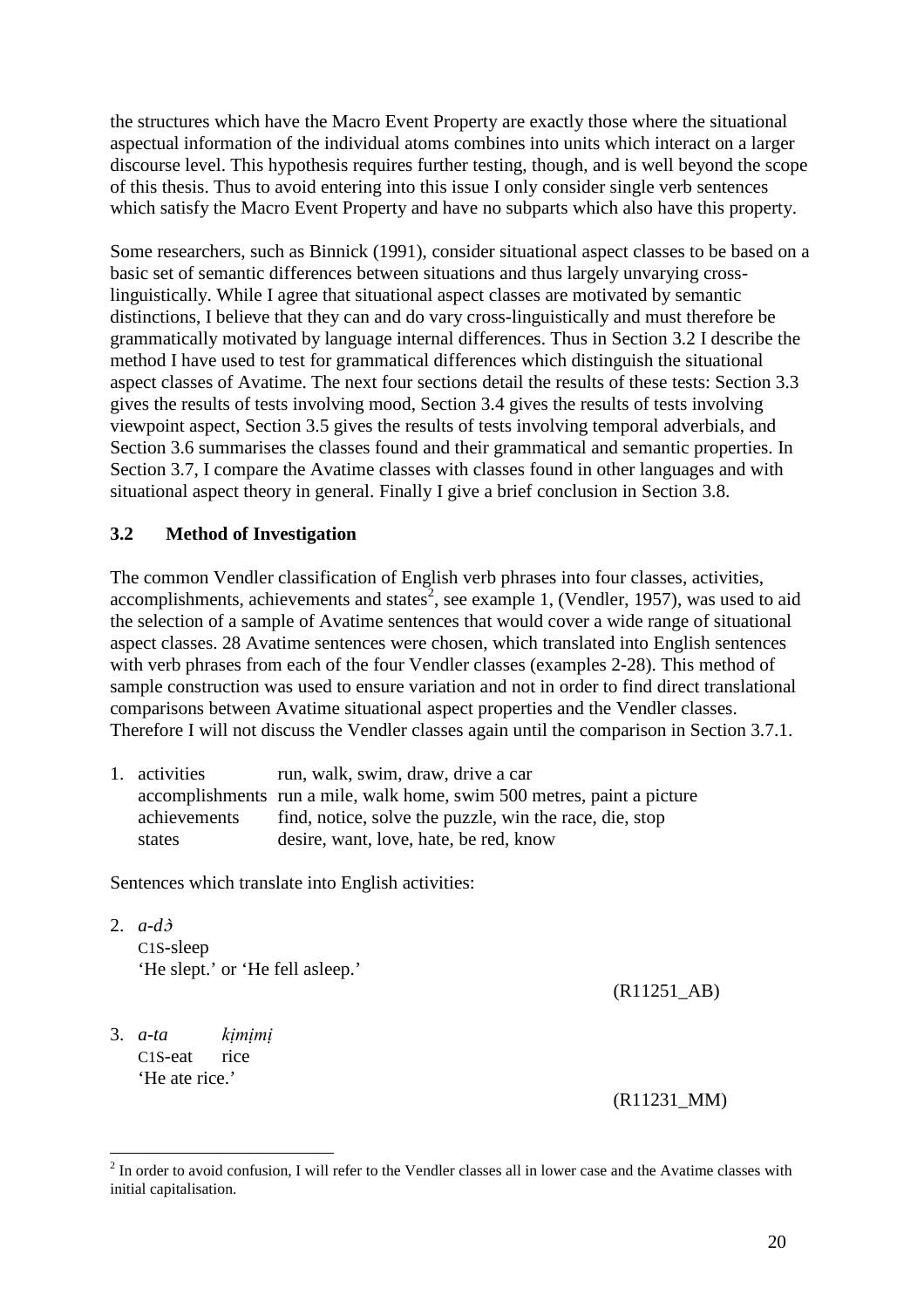the structures which have the Macro Event Property are exactly those where the situational aspectual information of the individual atoms combines into units which interact on a larger discourse level. This hypothesis requires further testing, though, and is well beyond the scope of this thesis. Thus to avoid entering into this issue I only consider single verb sentences which satisfy the Macro Event Property and have no subparts which also have this property.

Some researchers, such as Binnick (1991), consider situational aspect classes to be based on a basic set of semantic differences between situations and thus largely unvarying crosslinguistically. While I agree that situational aspect classes are motivated by semantic distinctions, I believe that they can and do vary cross-linguistically and must therefore be grammatically motivated by language internal differences. Thus in Section 3.2 I describe the method I have used to test for grammatical differences which distinguish the situational aspect classes of Avatime. The next four sections detail the results of these tests: Section 3.3 gives the results of tests involving mood, Section 3.4 gives the results of tests involving viewpoint aspect, Section 3.5 gives the results of tests involving temporal adverbials, and Section 3.6 summarises the classes found and their grammatical and semantic properties. In Section 3.7, I compare the Avatime classes with classes found in other languages and with situational aspect theory in general. Finally I give a brief conclusion in Section 3.8.

#### **3.2 Method of Investigation**

The common Vendler classification of English verb phrases into four classes, activities, accomplishments, achievements and states<sup>2</sup>, see example 1, (Vendler, 1957), was used to aid the selection of a sample of Avatime sentences that would cover a wide range of situational aspect classes. 28 Avatime sentences were chosen, which translated into English sentences with verb phrases from each of the four Vendler classes (examples 2-28). This method of sample construction was used to ensure variation and not in order to find direct translational comparisons between Avatime situational aspect properties and the Vendler classes. Therefore I will not discuss the Vendler classes again until the comparison in Section 3.7.1.

| 1. activities | run, walk, swim, draw, drive a car                                      |
|---------------|-------------------------------------------------------------------------|
|               | accomplishments run a mile, walk home, swim 500 metres, paint a picture |
| achievements  | find, notice, solve the puzzle, win the race, die, stop                 |
| states        | desire, want, love, hate, be red, know                                  |

Sentences which translate into English activities:

2. *a-d*ɔ̀ C1S-sleep 'He slept.' or 'He fell asleep.'

(R11251\_AB)

3. *a-ta kịmịmị* C1S-eat rice 'He ate rice.'

(R11231\_MM)

<sup>&</sup>lt;sup>2</sup> In order to avoid confusion, I will refer to the Vendler classes all in lower case and the Avatime classes with initial capitalisation.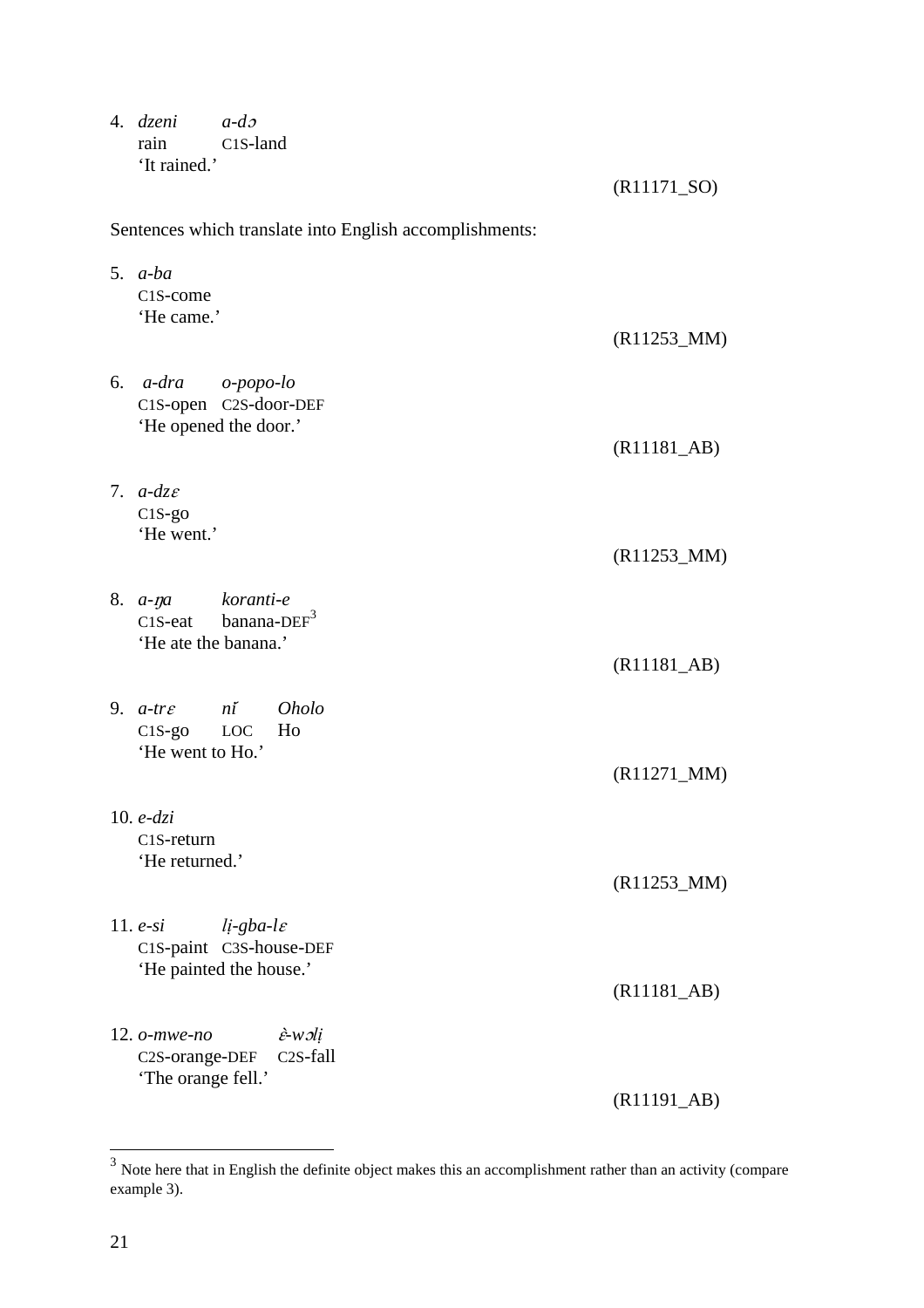4. *dzeni a-d*<sup>ɔ</sup>  $C1S$ -land 'It rained.'

(R11171\_SO)

| Sentences which translate into English accomplishments:                                                                          |                                       |
|----------------------------------------------------------------------------------------------------------------------------------|---------------------------------------|
| 5. $a-ba$<br>C1S-come<br>'He came.'                                                                                              |                                       |
|                                                                                                                                  | $(R11253_MM)$                         |
| $6. a-dra$<br>o-popo-lo<br>C1S-open C2S-door-DEF<br>'He opened the door.'                                                        |                                       |
| 7. $a-dz\varepsilon$                                                                                                             | $(R11181$ <sub>-AB</sub> $)$          |
| $C1S-go$<br>'He went.'                                                                                                           | $(R11253_MM)$                         |
| koranti-e<br>8. <i>a-na</i><br>banana- $DEF3$<br>$C1S$ -eat<br>'He ate the banana.'                                              | $(R11181$ <sub>-AB</sub> $)$          |
| 9. $a$ -tr $\varepsilon$<br>$n\tilde{i}$<br><i>Oholo</i><br>C1S-go LOC<br>Ho<br>'He went to Ho.'                                 |                                       |
| 10. $e$ - $dz$ <i>i</i>                                                                                                          | $(R11271_MM)$                         |
| C1S-return<br>'He returned.'                                                                                                     | $(R11253_MM)$                         |
| 11. $e$ -si<br>$li$ -gba-l $\varepsilon$<br>C1S-paint C3S-house-DEF<br>'He painted the house.'                                   |                                       |
|                                                                                                                                  | $(R11181$ <sub>-AB</sub> $)$          |
| $12.$ $o$ -mwe-no<br>$\hat{\varepsilon}$ -w $\partial$ <i>i</i><br>C <sub>2</sub> S-fall<br>C2S-orange-DEF<br>'The orange fell.' |                                       |
|                                                                                                                                  | $(R11191$ <sub><math>AB)</math></sub> |

<sup>&</sup>lt;sup>3</sup><br>Note here that in English the definite object makes this an accomplishment rather than an activity (compare example 3).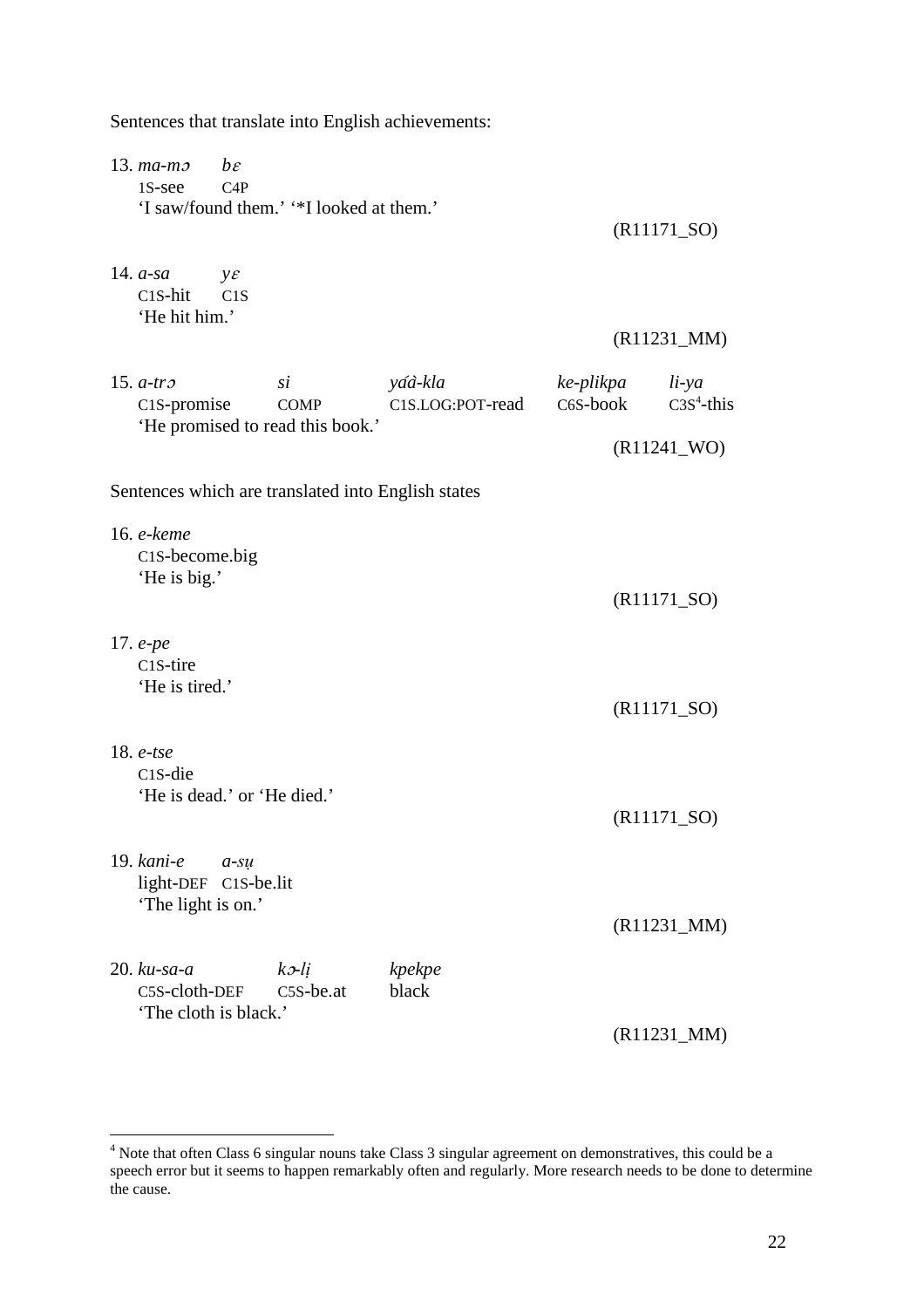| Sentences that translate into English achievements:                                        |                             |                       |                          |
|--------------------------------------------------------------------------------------------|-----------------------------|-----------------------|--------------------------|
| $13. ma-m2$<br>$b\varepsilon$<br>1S-see<br>C4P<br>'I saw/found them.' "*I looked at them.' |                             |                       | $(R11171\_SO)$           |
| 14. $a$ -sa<br>$y\varepsilon$<br>$C1S-hit$<br>C1S<br>'He hit him.'                         |                             |                       |                          |
|                                                                                            |                             |                       | $(R11231_MM)$            |
| 15. $a$ -tr $\sigma$<br>$\overline{si}$<br>C <sub>1</sub> S-promise<br><b>COMP</b>         | yáà-kla<br>C1S.LOG:POT-read | ke-plikpa<br>C6S-book | $li$ -ya<br>$C3S4$ -this |
| 'He promised to read this book.'                                                           |                             |                       | $(R11241$ _WO)           |
| Sentences which are translated into English states                                         |                             |                       |                          |
|                                                                                            |                             |                       |                          |
| 16. e-keme<br>C1S-become.big                                                               |                             |                       |                          |
| 'He is big.'                                                                               |                             |                       | $(R11171_SO)$            |
| 17. $e$ - $pe$                                                                             |                             |                       |                          |
| C <sub>1</sub> S-tire                                                                      |                             |                       |                          |
| 'He is tired.'                                                                             |                             |                       | $(R11171_SO)$            |
| 18. $e$ -tse                                                                               |                             |                       |                          |
| C <sub>1</sub> S-die                                                                       |                             |                       |                          |
| 'He is dead.' or 'He died.'                                                                |                             |                       | $(R11171_SO)$            |
| $19. \$<br>$a$ -su                                                                         |                             |                       |                          |
| light-DEF C1S-be.lit<br>'The light is on.'                                                 |                             |                       |                          |
|                                                                                            |                             |                       | $(R11231_MM)$            |
| $20.$ $ku$ -sa-a<br>$k$ $\sigma$ - $li$                                                    | kpekpe                      |                       |                          |
| C5S-cloth-DEF<br>$C5S$ -be.at<br>'The cloth is black.'                                     | black                       |                       |                          |
|                                                                                            |                             |                       | $(R11231_MM)$            |

 4 Note that often Class 6 singular nouns take Class 3 singular agreement on demonstratives, this could be a speech error but it seems to happen remarkably often and regularly. More research needs to be done to determine the cause.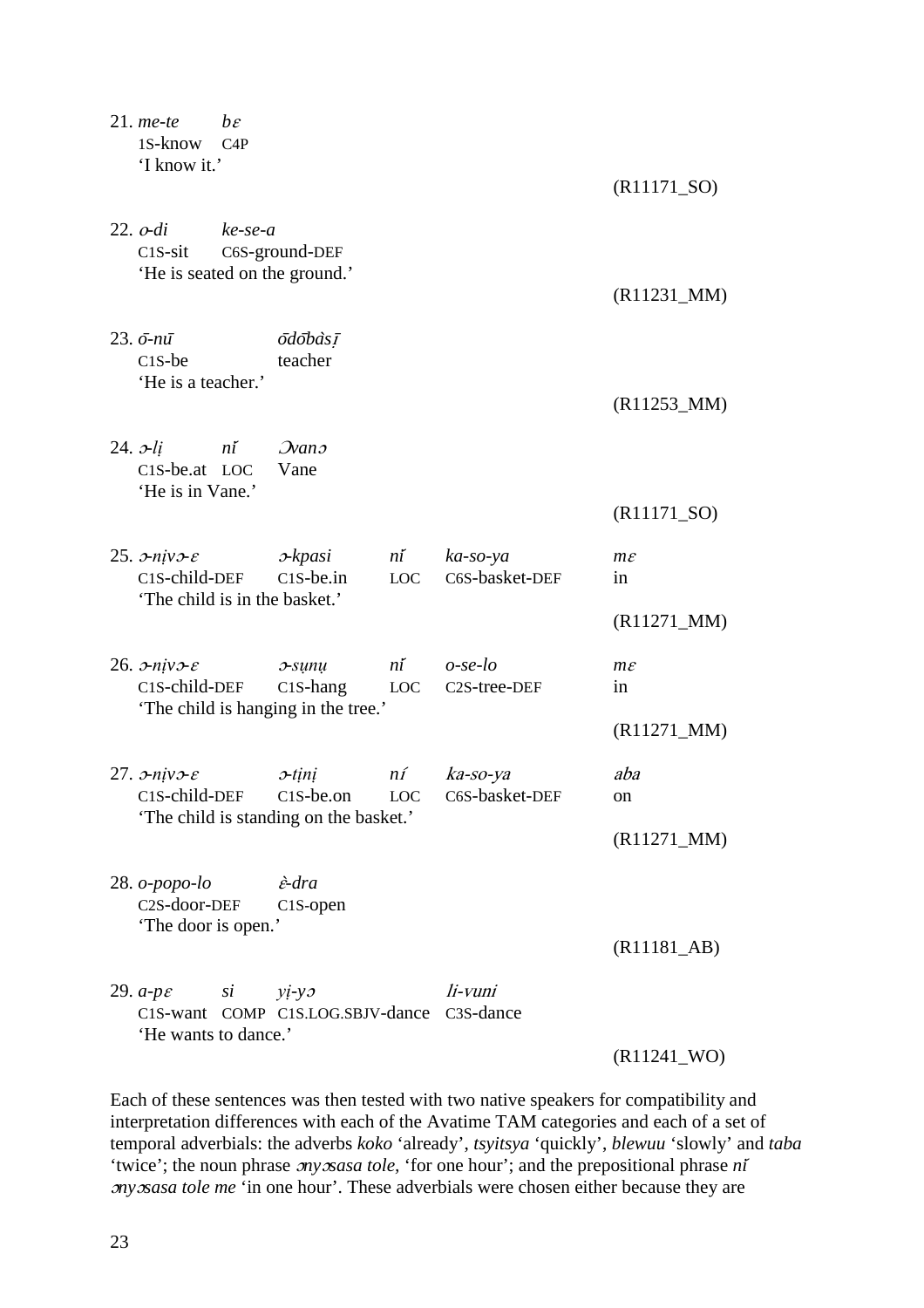| $21.$ me-te<br>1S-know<br>'I know it.'                                                                    | $b\varepsilon$<br>C4P |                                                                               |              |                               | $(R11171_SO)$           |
|-----------------------------------------------------------------------------------------------------------|-----------------------|-------------------------------------------------------------------------------|--------------|-------------------------------|-------------------------|
| $22.$ $o$ -di<br>$C1S-sit$                                                                                | $ke$ -se-a            | C6S-ground-DEF<br>'He is seated on the ground.'                               |              |                               | $(R11231_MM)$           |
| 23. $\bar{o}$ -nū<br>$C1S$ -be<br>'He is a teacher.'                                                      |                       | <i>ōdōbàsī</i><br>teacher                                                     |              |                               |                         |
| $24.$ $\nu$ -li ní $\mathcal{N}$ ano<br>C <sub>1</sub> S-be.at LOC                                        |                       | Vane                                                                          |              |                               | $(R11253_MM)$           |
| 'He is in Vane.'                                                                                          |                       |                                                                               |              |                               | $(R11171_SO)$           |
| 25. $\sigma$ -niv $\sigma$ - $\varepsilon$<br>C <sub>1</sub> S-child-DEF<br>'The child is in the basket.' |                       | x x pasi ni<br>$C1S$ -be.in                                                   | LOC          | $ka$ -so-ya<br>C6S-basket-DEF | $m\varepsilon$<br>in    |
|                                                                                                           |                       |                                                                               |              |                               | $(R11271_MM)$           |
| 26. $\sigma$ -niv $\sigma$ - $\varepsilon$<br>C1S-child-DEF                                               |                       | $x$ -sunu<br>C <sub>1</sub> S-hang LOC<br>'The child is hanging in the tree.' | $n\tilde{i}$ | $o$ -se-lo<br>C2S-tree-DEF    | $m\varepsilon$<br>in    |
|                                                                                                           |                       |                                                                               |              |                               | $(R11271_MM)$           |
| 27. $\sigma$ -niv $\sigma$ - $\varepsilon$<br>C1S-child-DEF                                               |                       | 0-tini<br>C1S-be.on<br>'The child is standing on the basket.'                 | $n_1$<br>LOC | ka-so-ya<br>C6S-basket-DEF    | aba<br>on               |
|                                                                                                           |                       |                                                                               |              |                               | $(R11271_MM)$           |
| $28.$ $o$ -popo-lo<br>C2S-door-DEF<br>'The door is open.'                                                 |                       | <i>è</i> -dra<br>C1S-open                                                     |              |                               |                         |
|                                                                                                           |                       |                                                                               |              |                               | (R11181 <sub>AB</sub> ) |
| 29. $a$ - $p\varepsilon$ si<br>'He wants to dance.'                                                       |                       | $yi-yz$<br>C1S-want COMP C1S.LOG.SBJV-dance C3S-dance                         |              | li-vuni                       |                         |
|                                                                                                           |                       |                                                                               |              |                               | $(R11241$ _WO)          |

Each of these sentences was then tested with two native speakers for compatibility and interpretation differences with each of the Avatime TAM categories and each of a set of temporal adverbials: the adverbs *koko* 'already', *tsyitsya* 'quickly', *blewuu* 'slowly' and *taba* 'twice'; the noun phrase ɔ*ny*ɔ*sasa tole,* 'for one hour'; and the prepositional phrase *ni*́ ɔ*ny*ɔ*sasa tole me* 'in one hour'. These adverbials were chosen either because they are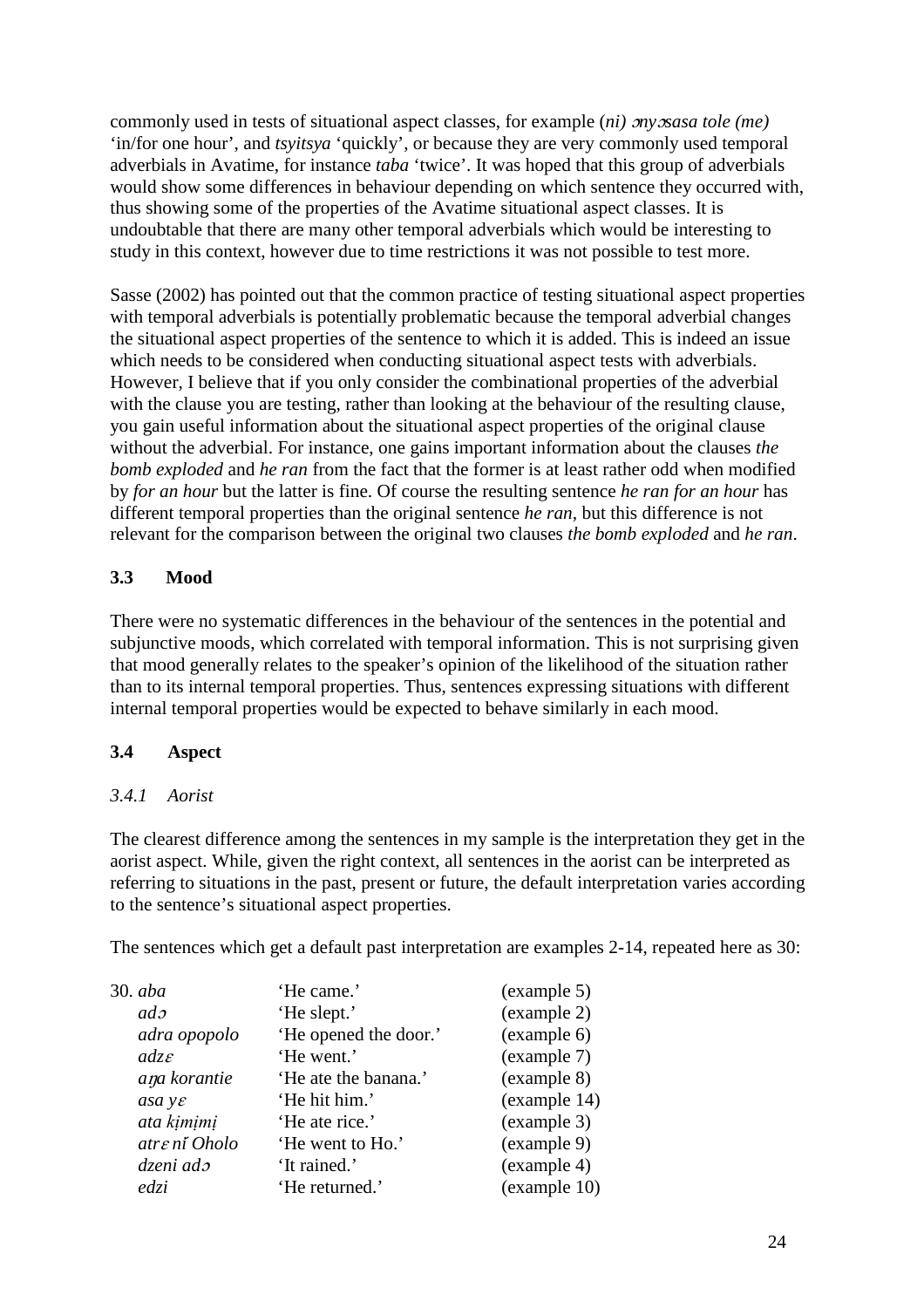commonly used in tests of situational aspect classes, for example (*ni)* ɔ*ny*ɔ*sasa tole (me)* 'in/for one hour', and *tsyitsya* 'quickly', or because they are very commonly used temporal adverbials in Avatime, for instance *taba* 'twice'. It was hoped that this group of adverbials would show some differences in behaviour depending on which sentence they occurred with, thus showing some of the properties of the Avatime situational aspect classes. It is undoubtable that there are many other temporal adverbials which would be interesting to study in this context, however due to time restrictions it was not possible to test more.

Sasse (2002) has pointed out that the common practice of testing situational aspect properties with temporal adverbials is potentially problematic because the temporal adverbial changes the situational aspect properties of the sentence to which it is added. This is indeed an issue which needs to be considered when conducting situational aspect tests with adverbials. However, I believe that if you only consider the combinational properties of the adverbial with the clause you are testing, rather than looking at the behaviour of the resulting clause, you gain useful information about the situational aspect properties of the original clause without the adverbial. For instance, one gains important information about the clauses *the bomb exploded* and *he ran* from the fact that the former is at least rather odd when modified by *for an hour* but the latter is fine. Of course the resulting sentence *he ran for an hour* has different temporal properties than the original sentence *he ran,* but this difference is not relevant for the comparison between the original two clauses *the bomb exploded* and *he ran*.

# **3.3 Mood**

There were no systematic differences in the behaviour of the sentences in the potential and subjunctive moods, which correlated with temporal information. This is not surprising given that mood generally relates to the speaker's opinion of the likelihood of the situation rather than to its internal temporal properties. Thus, sentences expressing situations with different internal temporal properties would be expected to behave similarly in each mood.

# **3.4 Aspect**

# *3.4.1 Aorist*

The clearest difference among the sentences in my sample is the interpretation they get in the aorist aspect. While, given the right context, all sentences in the aorist can be interpreted as referring to situations in the past, present or future, the default interpretation varies according to the sentence's situational aspect properties.

The sentences which get a default past interpretation are examples 2-14, repeated here as 30:

| 'He came.'            | (example 5)  |
|-----------------------|--------------|
| 'He slept.'           | (example 2)  |
| 'He opened the door.' | (example 6)  |
| 'He went.'            | (example 7)  |
| 'He ate the banana.'  | (example 8)  |
| 'He hit him.'         | (example 14) |
| 'He ate rice.'        | (example 3)  |
| 'He went to Ho.'      | (example 9)  |
| 'It rained.'          | (example 4)  |
| 'He returned.'        | (example 10) |
|                       |              |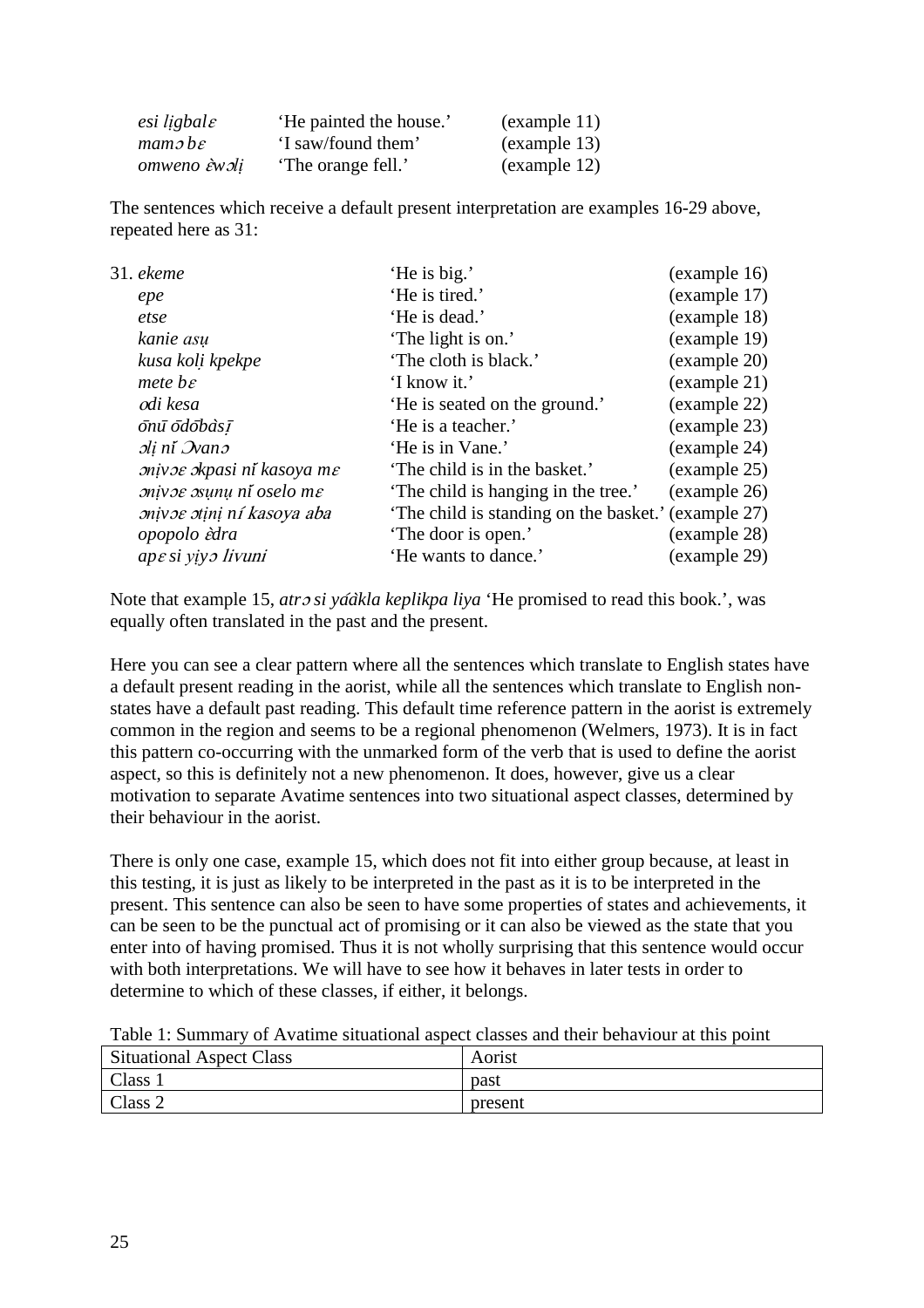| esi ligbal $\varepsilon$               | 'He painted the house.' | (example 11)                  |
|----------------------------------------|-------------------------|-------------------------------|
| $m$ am $\sigma$ <i>b</i> $\varepsilon$ | 'I saw/found them'      | (example 13)                  |
| omweno èwoli                           | 'The orange fell.'      | $\left($ example 12 $\right)$ |

The sentences which receive a default present interpretation are examples 16-29 above, repeated here as 31:

| 31. ekeme                         | 'He is big.'                                        | (example 16) |
|-----------------------------------|-----------------------------------------------------|--------------|
| epe                               | 'He is tired.'                                      | (example 17) |
| etse                              | 'He is dead.'                                       | (example 18) |
| kanie asu                         | 'The light is on.'                                  | (example 19) |
| kusa koli kpekpe                  | 'The cloth is black.'                               | (example 20) |
| $mete$ be                         | 'I know it.'                                        | (example 21) |
| odi kesa                          | 'He is seated on the ground.'                       | (example 22) |
| onū odobàsī                       | 'He is a teacher.'                                  | (example 23) |
| sli ni Ivans                      | 'He is in Vane.'                                    | (example 24) |
| mivoe okpasi ní kasoya me         | 'The child is in the basket.'                       | (example 25) |
| mivoe osunu ní oselo me           | 'The child is hanging in the tree.'                 | (example 26) |
| <i>snivos stini ní kasoya aba</i> | 'The child is standing on the basket.' (example 27) |              |
| opopolo èdra                      | 'The door is open.'                                 | (example 28) |
| ape si viyo livuni                | 'He wants to dance.'                                | (example 29) |
|                                   |                                                     |              |

Note that example 15, *atro si yáàkla keplikpa liya* 'He promised to read this book.', was equally often translated in the past and the present.

Here you can see a clear pattern where all the sentences which translate to English states have a default present reading in the aorist, while all the sentences which translate to English nonstates have a default past reading. This default time reference pattern in the aorist is extremely common in the region and seems to be a regional phenomenon (Welmers, 1973). It is in fact this pattern co-occurring with the unmarked form of the verb that is used to define the aorist aspect, so this is definitely not a new phenomenon. It does, however, give us a clear motivation to separate Avatime sentences into two situational aspect classes, determined by their behaviour in the aorist.

There is only one case, example 15, which does not fit into either group because, at least in this testing, it is just as likely to be interpreted in the past as it is to be interpreted in the present. This sentence can also be seen to have some properties of states and achievements, it can be seen to be the punctual act of promising or it can also be viewed as the state that you enter into of having promised. Thus it is not wholly surprising that this sentence would occur with both interpretations. We will have to see how it behaves in later tests in order to determine to which of these classes, if either, it belongs.

| Table 1: Summary of Avatime situational aspect classes and their behaviour at this point |  |  |  |  |  |
|------------------------------------------------------------------------------------------|--|--|--|--|--|
|------------------------------------------------------------------------------------------|--|--|--|--|--|

| <b>Situational Aspect Class</b> | Aorist  |
|---------------------------------|---------|
| <b>Class</b>                    | past    |
| Class 2                         | present |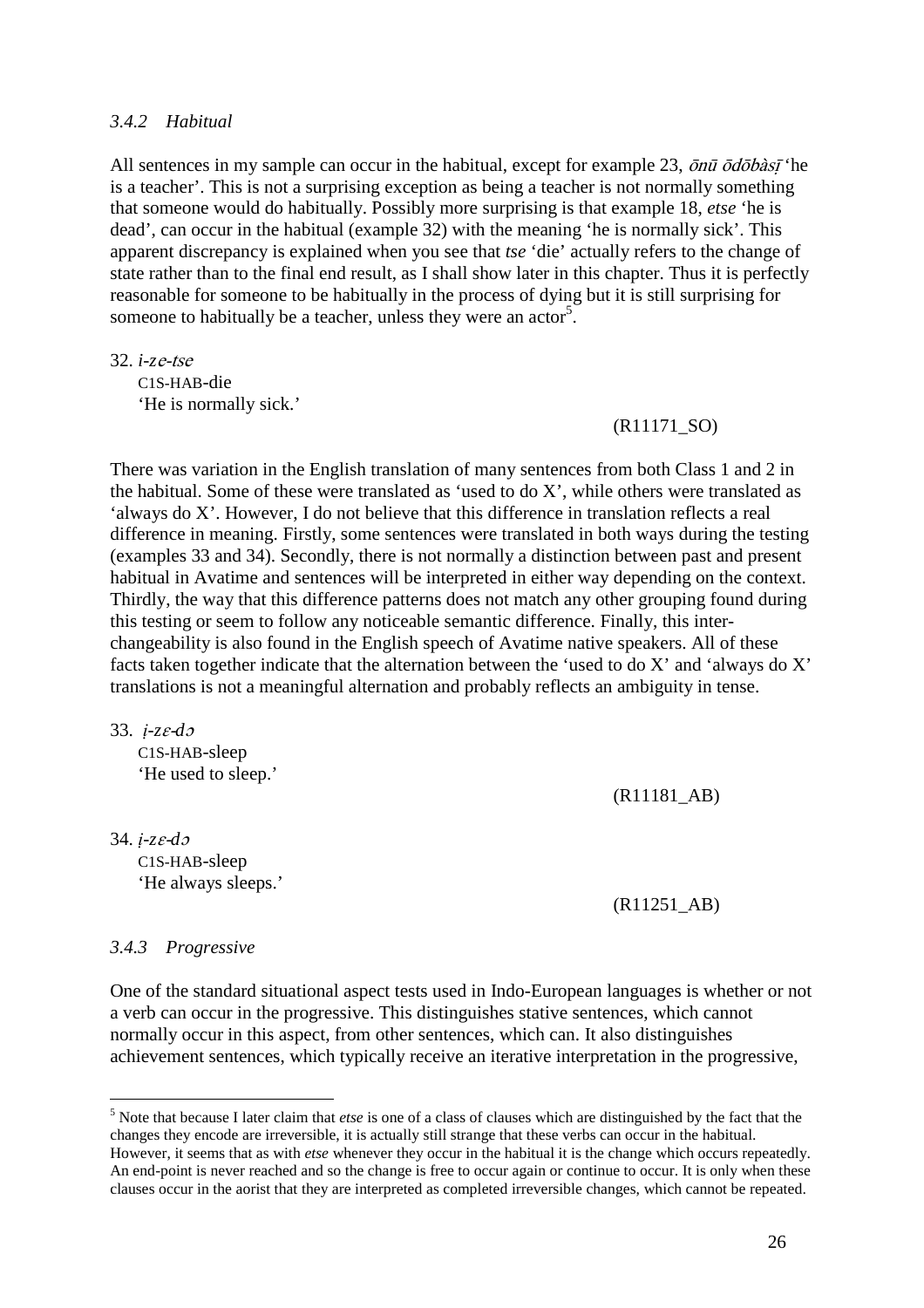#### *3.4.2 Habitual*

All sentences in my sample can occur in the habitual, except for example 23,  $\bar{\rho}n\bar{u} \bar{\sigma}d\bar{\sigma}b\dot{a}s\bar{f}$  'he is a teacher'. This is not a surprising exception as being a teacher is not normally something that someone would do habitually. Possibly more surprising is that example 18, *etse* 'he is dead', can occur in the habitual (example 32) with the meaning 'he is normally sick'. This apparent discrepancy is explained when you see that *tse* 'die' actually refers to the change of state rather than to the final end result, as I shall show later in this chapter. Thus it is perfectly reasonable for someone to be habitually in the process of dying but it is still surprising for someone to habitually be a teacher, unless they were an actor<sup>5</sup>.

32. *i-z*e-tse C1S-HAB-die 'He is normally sick.'

#### (R11171\_SO)

There was variation in the English translation of many sentences from both Class 1 and 2 in the habitual. Some of these were translated as 'used to do X', while others were translated as 'always do X'. However, I do not believe that this difference in translation reflects a real difference in meaning. Firstly, some sentences were translated in both ways during the testing (examples 33 and 34). Secondly, there is not normally a distinction between past and present habitual in Avatime and sentences will be interpreted in either way depending on the context. Thirdly, the way that this difference patterns does not match any other grouping found during this testing or seem to follow any noticeable semantic difference. Finally, this interchangeability is also found in the English speech of Avatime native speakers. All of these facts taken together indicate that the alternation between the 'used to do X' and 'always do X' translations is not a meaningful alternation and probably reflects an ambiguity in tense.

33. *ị-z*ɛ-*d*<sup>ɔ</sup>

C1S-HAB-sleep 'He used to sleep.'

(R11181\_AB)

34. *ị-z*ɛ-*d*<sup>ɔ</sup> C1S-HAB-sleep 'He always sleeps.'

(R11251\_AB)

#### *3.4.3 Progressive*

 $\overline{a}$ 

One of the standard situational aspect tests used in Indo-European languages is whether or not a verb can occur in the progressive. This distinguishes stative sentences, which cannot normally occur in this aspect, from other sentences, which can. It also distinguishes achievement sentences, which typically receive an iterative interpretation in the progressive,

<sup>5</sup> Note that because I later claim that *etse* is one of a class of clauses which are distinguished by the fact that the changes they encode are irreversible, it is actually still strange that these verbs can occur in the habitual. However, it seems that as with *etse* whenever they occur in the habitual it is the change which occurs repeatedly. An end-point is never reached and so the change is free to occur again or continue to occur. It is only when these clauses occur in the aorist that they are interpreted as completed irreversible changes, which cannot be repeated.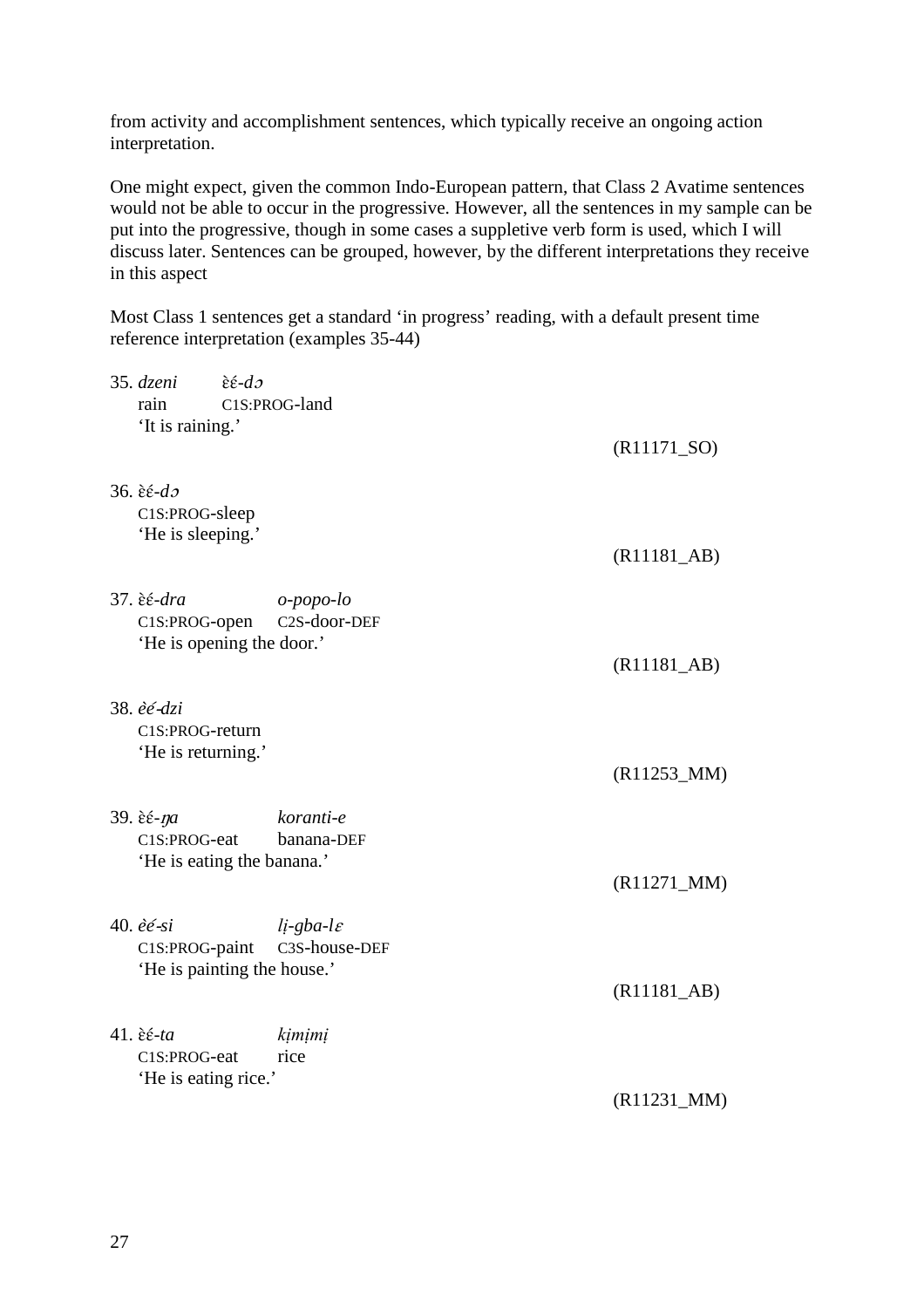from activity and accomplishment sentences, which typically receive an ongoing action interpretation.

One might expect, given the common Indo-European pattern, that Class 2 Avatime sentences would not be able to occur in the progressive. However, all the sentences in my sample can be put into the progressive, though in some cases a suppletive verb form is used, which I will discuss later. Sentences can be grouped, however, by the different interpretations they receive in this aspect

Most Class 1 sentences get a standard 'in progress' reading, with a default present time reference interpretation (examples 35-44)

| 35. dzeni                              | $\hat{\varepsilon}$ $\hat{\varepsilon}$ - $d\sigma$ |                                    |
|----------------------------------------|-----------------------------------------------------|------------------------------------|
| rain                                   | C1S:PROG-land                                       |                                    |
| 'It is raining.'                       |                                                     | $(R11171_SO)$                      |
| 36. $\hat{\epsilon} \in -d\mathcal{I}$ |                                                     |                                    |
| C1S:PROG-sleep                         |                                                     |                                    |
| 'He is sleeping.'                      |                                                     |                                    |
|                                        |                                                     | $(R11181$ <sub><i>AB</i></sub> $)$ |
| 37. <i>èé-dra</i>                      | o-popo-lo                                           |                                    |
| C1S:PROG-open                          | C2S-door-DEF                                        |                                    |
|                                        | 'He is opening the door.'                           |                                    |
|                                        |                                                     | $(R11181$ <sub>-AB</sub> $)$       |
|                                        |                                                     |                                    |
| 38. èé-dzi<br>C1S:PROG-return          |                                                     |                                    |
| 'He is returning.'                     |                                                     |                                    |
|                                        |                                                     | $(R11253_MM)$                      |
|                                        |                                                     |                                    |
| 39. <i>εε-ηα</i>                       | koranti-e                                           |                                    |
| C1S:PROG-eat                           | banana-DEF<br>'He is eating the banana.'            |                                    |
|                                        |                                                     | $(R11271_MM)$                      |
|                                        |                                                     |                                    |
| 40. $\hat{e}\acute{e}$ -si             | $li$ -gba-l $\varepsilon$                           |                                    |
| C1S:PROG-paint                         | C3S-house-DEF                                       |                                    |
|                                        | 'He is painting the house.'                         | $(R11181$ <sub><i>AB</i></sub> $)$ |
|                                        |                                                     |                                    |
| 41. <i>èé-ta</i>                       | kimimi                                              |                                    |
| C1S:PROG-eat                           | rice                                                |                                    |
| 'He is eating rice.'                   |                                                     |                                    |
|                                        |                                                     | $(R11231_MM)$                      |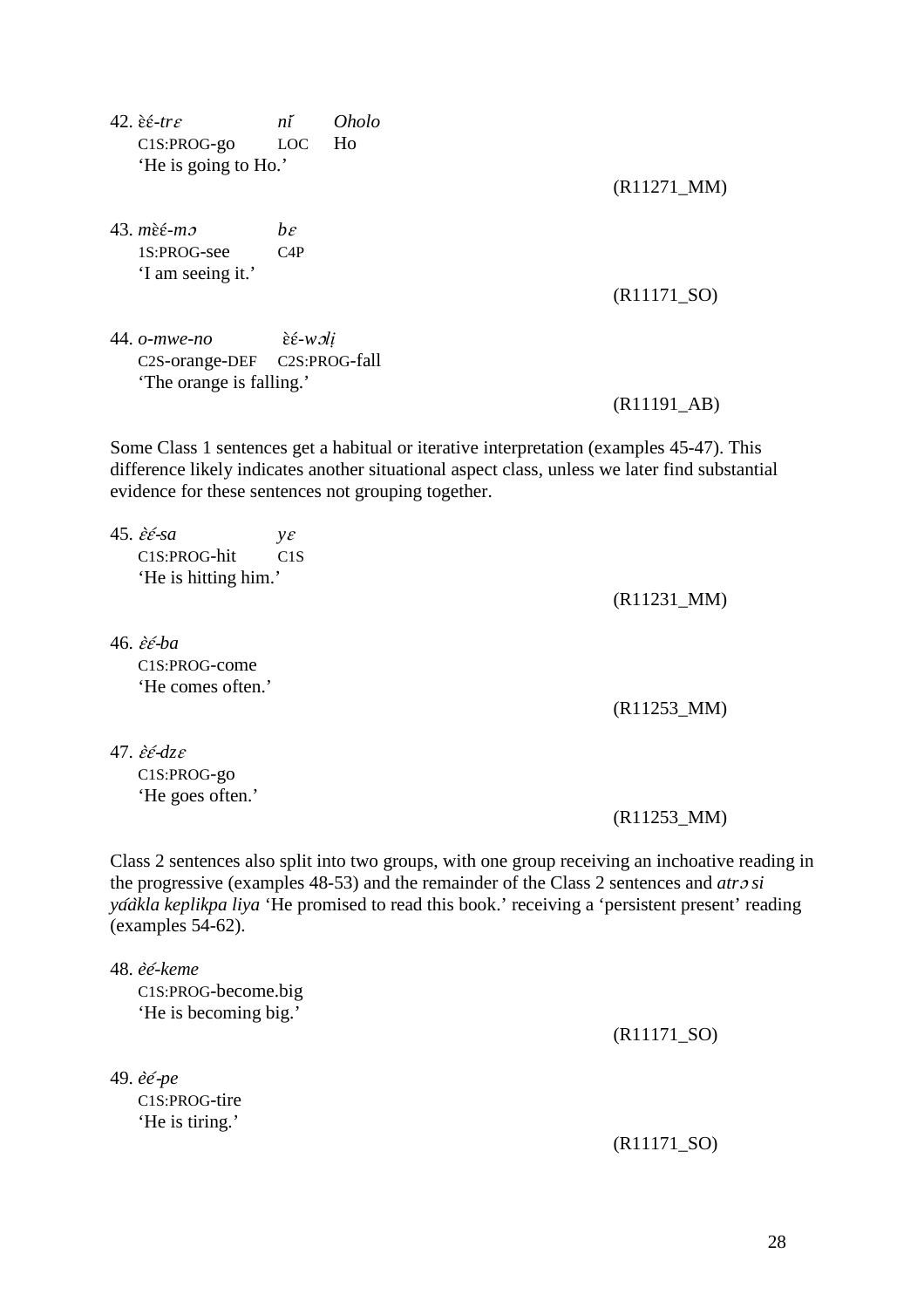42. ɛ̀ɛ́-*tr*ɛ *ni*́ *Oholo* C1S:PROG-go LOC Ho 'He is going to Ho.'

43. *m*ɛ̀ɛ́-*m*ɔ *b*<sup>ɛ</sup> 1S:PROG-see C4P 'I am seeing it.'

44. *o-mwe-no* ɛ̀ɛ́-*w*ɔ*lị* C2S-orange-DEF C2S:PROG-fall 'The orange is falling.'

(R11171\_SO)

(R11271\_MM)

(R11191\_AB)

Some Class 1 sentences get a habitual or iterative interpretation (examples 45-47). This difference likely indicates another situational aspect class, unless we later find substantial evidence for these sentences not grouping together.

45.  $\hat{\varepsilon} \in \overline{\varepsilon}$ *sa*  $y \varepsilon$ C1S:PROG-hit C1S 'He is hitting him.'

46. ɛ̀ɛ́-*ba* C1S:PROG-come 'He comes often.'

(R11253\_MM)

(R11231\_MM)

47. ɛ̀ɛ́-*dz*<sup>ɛ</sup> C1S:PROG-go 'He goes often.'

(R11253\_MM)

Class 2 sentences also split into two groups, with one group receiving an inchoative reading in the progressive (examples 48-53) and the remainder of the Class 2 sentences and *atr*ɔ *si ya*́*a*̀*kla keplikpa liya* 'He promised to read this book.' receiving a 'persistent present' reading (examples 54-62).

48. *e*̀*e*́*-keme*  C1S:PROG-become.big 'He is becoming big.'

49. *e*̀*e*́-*pe* C1S:PROG-tire 'He is tiring.'

(R11171\_SO)

(R11171\_SO)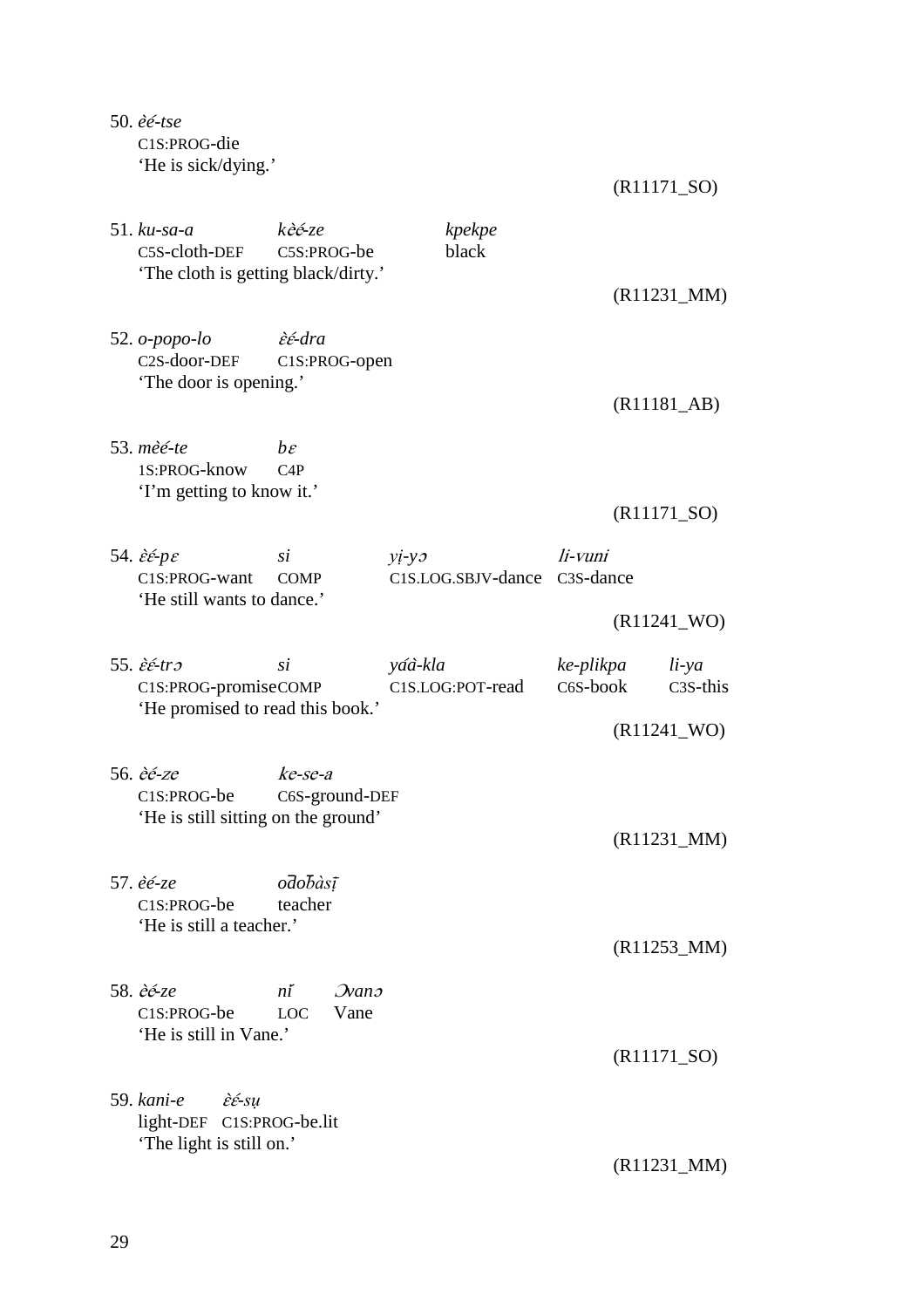50. *e*̀*e*́*-tse*  C1S:PROG-die 'He is sick/dying.'

(R11171\_SO)

| $51.$ $ku$ -sa-a<br>C5S-cloth-DEF<br>'The cloth is getting black/dirty.'                           | kèé-ze<br>C5S:PROG-be                         | kpekpe<br>black               |                                   |                                   |
|----------------------------------------------------------------------------------------------------|-----------------------------------------------|-------------------------------|-----------------------------------|-----------------------------------|
|                                                                                                    |                                               |                               |                                   | $(R11231_MM)$                     |
| 52. $o$ -popo-lo<br>C2S-door-DEF<br>'The door is opening.'                                         | <i>εε</i> -dra<br>C1S:PROG-open               |                               |                                   | $(R11181$ <sub>-</sub> AB)        |
| 53. mèé-te<br>1S:PROG-know<br>'I'm getting to know it.'                                            | $h\varepsilon$<br>C4P                         |                               |                                   | $(R11171_SO)$                     |
| 54. $\hat{\varepsilon} \in p\varepsilon$<br>C1S:PROG-want<br>'He still wants to dance.'            | si<br><b>COMP</b>                             | $yi-yz$<br>C1S.LOG.SBJV-dance | li-vuni<br>C <sub>3</sub> S-dance |                                   |
|                                                                                                    |                                               |                               |                                   | $(R11241$ _WO)                    |
| 55. $\hat{\varepsilon} \in tr \mathfrak{I}$<br>C1S:PROG-promiseCOMP                                | si                                            | yáà-kla<br>C1S.LOG:POT-read   | ke-plikpa<br>C6S-book             | $li$ -ya<br>C <sub>3</sub> S-this |
| 'He promised to read this book.'                                                                   |                                               |                               |                                   | $(R11241$ _WO)                    |
| 56. <i>èé-ze</i><br>C1S:PROG-be<br>'He is still sitting on the ground'                             | ke-se-a<br>C6S-ground-DEF                     |                               |                                   | $(R11231_MM)$                     |
| 57. èé-ze<br>C <sub>1</sub> S:PROG-be<br>'He is still a teacher.'                                  | odobàsī<br>teacher                            |                               |                                   | $(R11253_MM)$                     |
| 58. <i>èé-ze</i><br>C1S:PROG-be<br>'He is still in Vane.'                                          | $\mathcal{D}$ ano<br>ní<br>Vane<br><b>LOC</b> |                               |                                   |                                   |
|                                                                                                    |                                               |                               |                                   | $(R11171_SO)$                     |
| 59. kani-e<br>$\hat{\varepsilon}$ $\hat{\varepsilon}$ -su<br>light-DEF<br>'The light is still on.' | C1S:PROG-be.lit                               |                               |                                   | $(R11231_MM)$                     |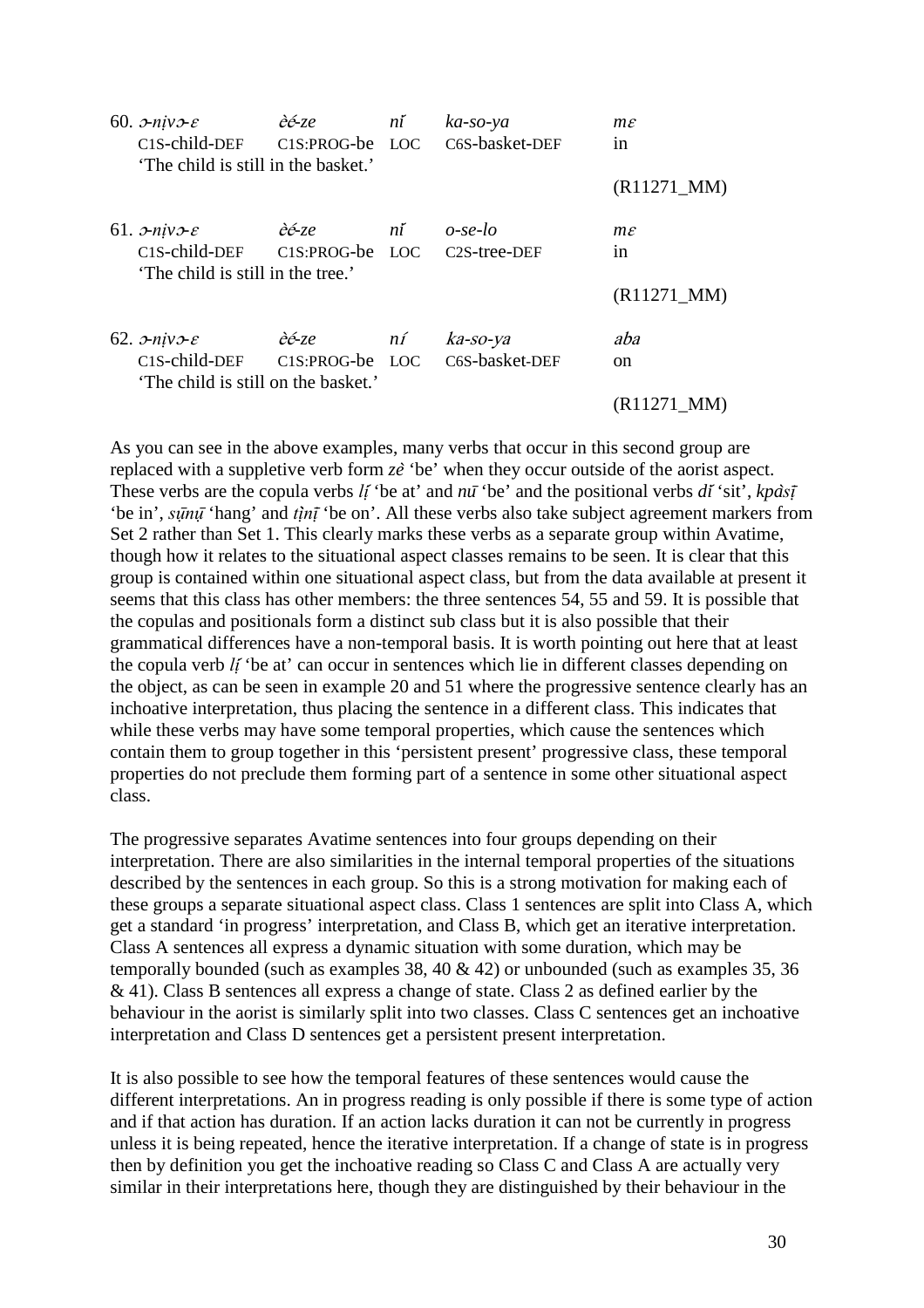| 60. $\sigma$ -niv $\sigma$ - $\varepsilon$<br>C1S-child-DEF C1S:PROG-be LOC                                      | èé-ze | ní | ka-so-ya<br>C6S-basket-DEF              | $m\varepsilon$<br>1n  |
|------------------------------------------------------------------------------------------------------------------|-------|----|-----------------------------------------|-----------------------|
| 'The child is still in the basket.'                                                                              |       |    |                                         | $(R11271_MM)$         |
| 61. $\sigma$ -niv $\sigma$ - $\varepsilon$<br>C1S-child-DEF C1S:PROG-be LOC<br>'The child is still in the tree.' | èé-ze | ní | $o$ -se-lo<br>C <sub>2</sub> S-tree-DEF | $m\varepsilon$<br>1n  |
|                                                                                                                  |       |    |                                         | $(R11271 \text{ MM})$ |
| 62. $\sigma$ -niv $\sigma$ - $\varepsilon$<br>C1S-child-DEF C1S:PROG-be LOC                                      | èé-ze | ní | ka-so-ya<br>C <sub>6</sub> S-basket-DEF | aba                   |
| 'The child is still on the basket.'                                                                              |       |    |                                         | <sub>on</sub>         |
|                                                                                                                  |       |    |                                         | $(R11271_MM)$         |

As you can see in the above examples, many verbs that occur in this second group are replaced with a suppletive verb form *ze*̀ 'be' when they occur outside of the aorist aspect. These verbs are the copula verbs *lị*́ 'be at' and *nu*̄ 'be' and the positional verbs *di*́ 'sit', *kpasị*̀ ̄ 'be in', *sụnụ* 'hang' and *tịn*ị 'be on'. All these verbs also take subject agreement markers from Set 2 rather than Set 1. This clearly marks these verbs as a separate group within Avatime, though how it relates to the situational aspect classes remains to be seen. It is clear that this group is contained within one situational aspect class, but from the data available at present it seems that this class has other members: the three sentences 54, 55 and 59. It is possible that the copulas and positionals form a distinct sub class but it is also possible that their grammatical differences have a non-temporal basis. It is worth pointing out here that at least the copula verb *lị*́'be at' can occur in sentences which lie in different classes depending on the object, as can be seen in example 20 and 51 where the progressive sentence clearly has an inchoative interpretation, thus placing the sentence in a different class. This indicates that while these verbs may have some temporal properties, which cause the sentences which contain them to group together in this 'persistent present' progressive class, these temporal properties do not preclude them forming part of a sentence in some other situational aspect class.

The progressive separates Avatime sentences into four groups depending on their interpretation. There are also similarities in the internal temporal properties of the situations described by the sentences in each group. So this is a strong motivation for making each of these groups a separate situational aspect class. Class 1 sentences are split into Class A, which get a standard 'in progress' interpretation, and Class B, which get an iterative interpretation. Class A sentences all express a dynamic situation with some duration, which may be temporally bounded (such as examples 38, 40 & 42) or unbounded (such as examples 35, 36 & 41). Class B sentences all express a change of state. Class 2 as defined earlier by the behaviour in the aorist is similarly split into two classes. Class C sentences get an inchoative interpretation and Class D sentences get a persistent present interpretation.

It is also possible to see how the temporal features of these sentences would cause the different interpretations. An in progress reading is only possible if there is some type of action and if that action has duration. If an action lacks duration it can not be currently in progress unless it is being repeated, hence the iterative interpretation. If a change of state is in progress then by definition you get the inchoative reading so Class C and Class A are actually very similar in their interpretations here, though they are distinguished by their behaviour in the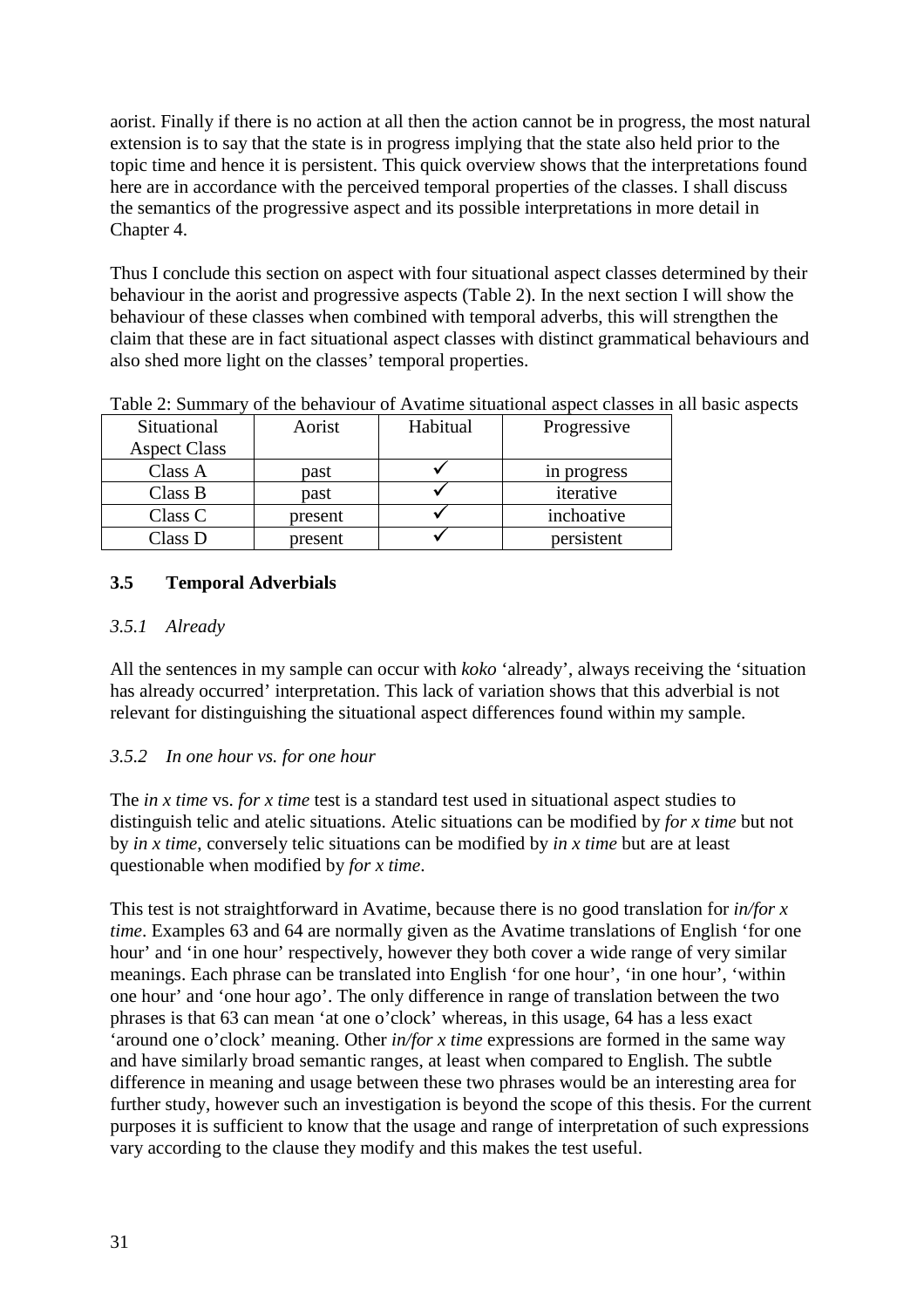aorist. Finally if there is no action at all then the action cannot be in progress, the most natural extension is to say that the state is in progress implying that the state also held prior to the topic time and hence it is persistent. This quick overview shows that the interpretations found here are in accordance with the perceived temporal properties of the classes. I shall discuss the semantics of the progressive aspect and its possible interpretations in more detail in Chapter 4.

Thus I conclude this section on aspect with four situational aspect classes determined by their behaviour in the aorist and progressive aspects (Table 2). In the next section I will show the behaviour of these classes when combined with temporal adverbs, this will strengthen the claim that these are in fact situational aspect classes with distinct grammatical behaviours and also shed more light on the classes' temporal properties.

| Situational         | Aorist  | Habitual | Progressive |
|---------------------|---------|----------|-------------|
| <b>Aspect Class</b> |         |          |             |
| Class A             | past    |          | in progress |
| Class B             | past    |          | iterative   |
| Class C             | present |          | inchoative  |
| Class D             | present |          | persistent  |

Table 2: Summary of the behaviour of Avatime situational aspect classes in all basic aspects

# **3.5 Temporal Adverbials**

### *3.5.1 Already*

All the sentences in my sample can occur with *koko* 'already', always receiving the 'situation has already occurred' interpretation. This lack of variation shows that this adverbial is not relevant for distinguishing the situational aspect differences found within my sample.

# *3.5.2 In one hour vs. for one hour*

The *in x time* vs. *for x time* test is a standard test used in situational aspect studies to distinguish telic and atelic situations. Atelic situations can be modified by *for x time* but not by *in x time*, conversely telic situations can be modified by *in x time* but are at least questionable when modified by *for x time*.

This test is not straightforward in Avatime, because there is no good translation for *in/for x time*. Examples 63 and 64 are normally given as the Avatime translations of English 'for one hour' and 'in one hour' respectively, however they both cover a wide range of very similar meanings. Each phrase can be translated into English 'for one hour', 'in one hour', 'within one hour' and 'one hour ago'. The only difference in range of translation between the two phrases is that 63 can mean 'at one o'clock' whereas, in this usage, 64 has a less exact 'around one o'clock' meaning. Other *in/for x time* expressions are formed in the same way and have similarly broad semantic ranges, at least when compared to English. The subtle difference in meaning and usage between these two phrases would be an interesting area for further study, however such an investigation is beyond the scope of this thesis. For the current purposes it is sufficient to know that the usage and range of interpretation of such expressions vary according to the clause they modify and this makes the test useful.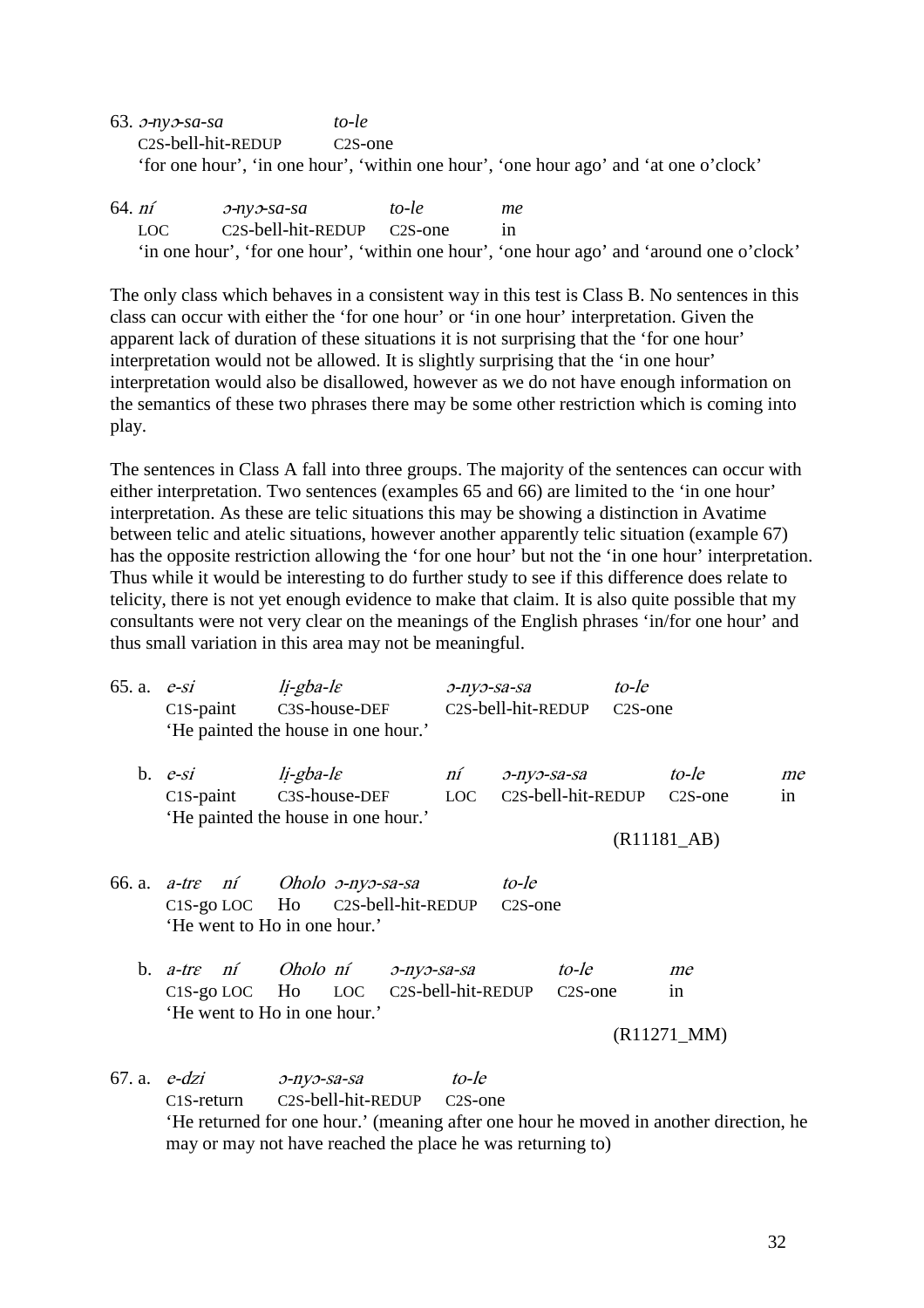- 63. ɔ-*ny*ɔ*-sa-sa to-le*  C2S-bell-hit-REDUP C2S-one 'for one hour', 'in one hour', 'within one hour', 'one hour ago' and 'at one o'clock'
- 64. ní ɔ-*ny*ɔ*-sa-sa to-le me*  LOC C2S-bell-hit-REDUP C2S-one in 'in one hour', 'for one hour', 'within one hour', 'one hour ago' and 'around one o'clock'

The only class which behaves in a consistent way in this test is Class B. No sentences in this class can occur with either the 'for one hour' or 'in one hour' interpretation. Given the apparent lack of duration of these situations it is not surprising that the 'for one hour' interpretation would not be allowed. It is slightly surprising that the 'in one hour' interpretation would also be disallowed, however as we do not have enough information on the semantics of these two phrases there may be some other restriction which is coming into play.

The sentences in Class A fall into three groups. The majority of the sentences can occur with either interpretation. Two sentences (examples 65 and 66) are limited to the 'in one hour' interpretation. As these are telic situations this may be showing a distinction in Avatime between telic and atelic situations, however another apparently telic situation (example 67) has the opposite restriction allowing the 'for one hour' but not the 'in one hour' interpretation. Thus while it would be interesting to do further study to see if this difference does relate to telicity, there is not yet enough evidence to make that claim. It is also quite possible that my consultants were not very clear on the meanings of the English phrases 'in/for one hour' and thus small variation in this area may not be meaningful.

| 65. a. $e$ -si | $C1S$ -paint                    | $li$ -gba-l $\varepsilon$<br>C3S-house-DEF<br>'He painted the house in one hour.'                        | э-пуэ-sa-sa                   | C2S-bell-hit-REDUP                | to-le<br>C <sub>2</sub> S-one |                               |          |
|----------------|---------------------------------|----------------------------------------------------------------------------------------------------------|-------------------------------|-----------------------------------|-------------------------------|-------------------------------|----------|
|                | b. $e-si$                       | li-gba-le<br>n1<br>C1S-paint C3S-house-DEF LOC                                                           |                               | э-пуэ-sa-sa<br>C2S-bell-hit-REDUP |                               | to-le<br>C <sub>2</sub> S-one | me<br>in |
|                |                                 | 'He painted the house in one hour.'                                                                      |                               |                                   |                               |                               |          |
|                |                                 |                                                                                                          |                               |                                   |                               | $(R11181$ <sub>-AB</sub> $)$  |          |
|                | $C1S$ -go LOC Ho                | 66. a. a-tre ní Oholo o-nyo-sa-sa<br>C2S-bell-hit-REDUP<br>'He went to Ho in one hour.'                  |                               | to-le<br>C <sub>2</sub> S-one     |                               |                               |          |
|                |                                 | b. a-tre ní Oholo ní p-nyp-sa-sa<br>C1S-go LOC Ho LOC C2S-bell-hit-REDUP<br>'He went to Ho in one hour.' |                               | to-le<br>C <sub>2</sub> S-one     |                               | me<br>in                      |          |
|                |                                 |                                                                                                          |                               |                                   |                               | $(R11271_MM)$                 |          |
|                | 67. a. $e$ -dzi<br>$C1S-return$ | $O$ -ny $O$ -sa-sa<br>C2S-bell-hit-REDUP                                                                 | to-le<br>C <sub>2</sub> S-one |                                   |                               |                               |          |

'He returned for one hour.' (meaning after one hour he moved in another direction, he may or may not have reached the place he was returning to)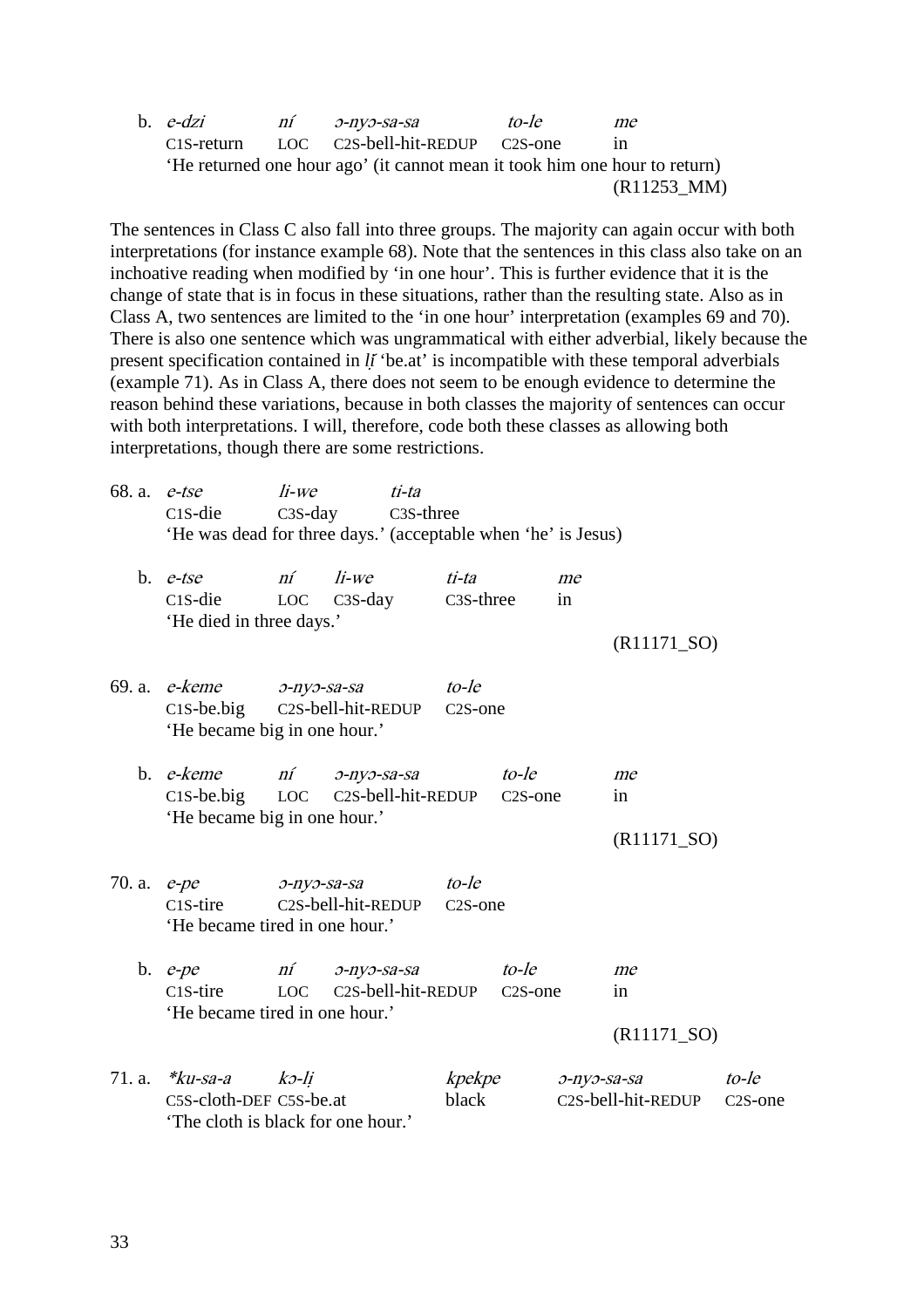b. e-dzi ní ɔ-nyɔ-sa-sa to-le me C1S-return LOC C2S-bell-hit-REDUP C2S-one in 'He returned one hour ago' (it cannot mean it took him one hour to return) (R11253\_MM)

The sentences in Class C also fall into three groups. The majority can again occur with both interpretations (for instance example 68). Note that the sentences in this class also take on an inchoative reading when modified by 'in one hour'. This is further evidence that it is the change of state that is in focus in these situations, rather than the resulting state. Also as in Class A, two sentences are limited to the 'in one hour' interpretation (examples 69 and 70). There is also one sentence which was ungrammatical with either adverbial, likely because the present specification contained in *li* 'be.at' is incompatible with these temporal adverbials (example 71). As in Class A, there does not seem to be enough evidence to determine the reason behind these variations, because in both classes the majority of sentences can occur with both interpretations. I will, therefore, code both these classes as allowing both interpretations, though there are some restrictions.

| 68. a.            | e-tse                                                       | $li$ -we           | ti-ta                                                         |                        |                      |                    |                    |                      |
|-------------------|-------------------------------------------------------------|--------------------|---------------------------------------------------------------|------------------------|----------------------|--------------------|--------------------|----------------------|
|                   | $C1S$ -die                                                  |                    | $C3S$ -day<br>C <sub>3</sub> S-three                          |                        |                      |                    |                    |                      |
|                   |                                                             |                    | 'He was dead for three days.' (acceptable when 'he' is Jesus) |                        |                      |                    |                    |                      |
|                   | b. $e$ -tse                                                 | ní                 | $li$ -we                                                      | ti-ta                  |                      | me                 |                    |                      |
|                   | $C1S$ -die                                                  | <b>LOC</b>         |                                                               | C <sub>3</sub> S-three |                      | in                 |                    |                      |
|                   |                                                             |                    | $C3S$ -day                                                    |                        |                      |                    |                    |                      |
|                   | 'He died in three days.'                                    |                    |                                                               |                        |                      |                    |                    |                      |
|                   |                                                             |                    |                                                               |                        |                      |                    | $(R11171_SO)$      |                      |
| 69. a.            | e-keme                                                      | $O$ -ny $O$ -sa-sa |                                                               | to-le                  |                      |                    |                    |                      |
|                   | C2S-bell-hit-REDUP<br>$C1S$ -be.big<br>C <sub>2</sub> S-one |                    |                                                               |                        |                      |                    |                    |                      |
|                   | 'He became big in one hour.'                                |                    |                                                               |                        |                      |                    |                    |                      |
|                   |                                                             |                    |                                                               |                        |                      |                    |                    |                      |
|                   | b. <i>e-keme</i>                                            | ní                 | $O$ -ny $O$ -sa-sa                                            |                        | to-le                |                    | me                 |                      |
|                   | $C1S$ -be.big                                               | <b>LOC</b>         | C2S-bell-hit-REDUP                                            |                        | C <sub>2</sub> S-one |                    | in                 |                      |
|                   | 'He became big in one hour.'                                |                    |                                                               |                        |                      |                    |                    |                      |
|                   |                                                             |                    |                                                               |                        |                      |                    | $(R11171_SO)$      |                      |
| 70. a. $e$ - $pe$ |                                                             | $O$ -ny $O$ -sa-sa |                                                               | to-le                  |                      |                    |                    |                      |
|                   | $C1S-time$                                                  |                    | C2S-bell-hit-REDUP                                            | C <sub>2</sub> S-one   |                      |                    |                    |                      |
|                   | 'He became tired in one hour.'                              |                    |                                                               |                        |                      |                    |                    |                      |
|                   | b. $e$ - $pe$                                               | $n\tilde{I}$       | $O$ -ny $O$ -sa-sa                                            |                        | to-le                |                    | me                 |                      |
|                   | $C1S-time$                                                  |                    | LOC C2S-bell-hit-REDUP                                        |                        | C <sub>2</sub> S-one |                    | in                 |                      |
|                   | 'He became tired in one hour.'                              |                    |                                                               |                        |                      |                    |                    |                      |
|                   |                                                             |                    |                                                               |                        |                      |                    | $(R11171_SO)$      |                      |
|                   |                                                             |                    |                                                               |                        |                      |                    |                    |                      |
| 71. a.            | *ku-sa-a                                                    | kə-li              |                                                               | kpekpe                 |                      | $O$ -ny $O$ -sa-sa |                    | to-le                |
|                   | C5S-cloth-DEF C5S-be.at                                     |                    |                                                               | black                  |                      |                    | C2S-bell-hit-REDUP | C <sub>2</sub> S-one |
|                   | The cloth is black for one hour.'                           |                    |                                                               |                        |                      |                    |                    |                      |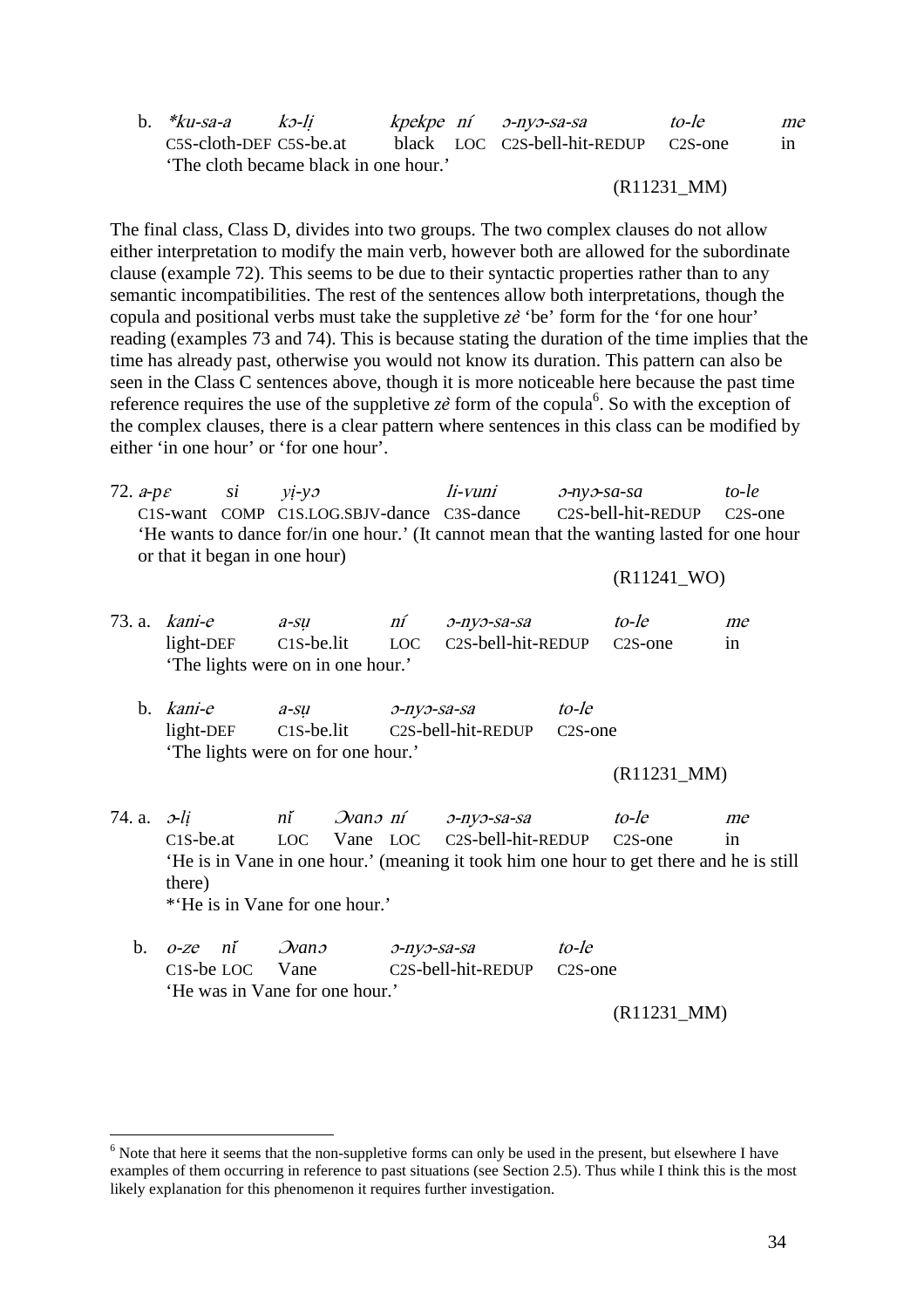|  | b. $*ku$ -sa-a                        | $k$ 2-li |  | kpekpe ní o-nyo-sa-sa                | to-le | me |
|--|---------------------------------------|----------|--|--------------------------------------|-------|----|
|  | C5S-cloth-DEF C5S-be.at               |          |  | black LOC C2S-bell-hit-REDUP C2S-one |       | in |
|  | 'The cloth became black in one hour.' |          |  |                                      |       |    |

#### (R11231\_MM)

The final class, Class D, divides into two groups. The two complex clauses do not allow either interpretation to modify the main verb, however both are allowed for the subordinate clause (example 72). This seems to be due to their syntactic properties rather than to any semantic incompatibilities. The rest of the sentences allow both interpretations, though the copula and positional verbs must take the suppletive *ze*̀ 'be' form for the 'for one hour' reading (examples 73 and 74). This is because stating the duration of the time implies that the time has already past, otherwise you would not know its duration. This pattern can also be seen in the Class C sentences above, though it is more noticeable here because the past time reference requires the use of the suppletive  $z\hat{e}$  form of the copula<sup>6</sup>. So with the exception of the complex clauses, there is a clear pattern where sentences in this class can be modified by either 'in one hour' or 'for one hour'.

| 72. $a-p\varepsilon$ si $yi-yz$ |                                            | li-vuni | э-nvэ-sa-sa                                                                               | to-le |
|---------------------------------|--------------------------------------------|---------|-------------------------------------------------------------------------------------------|-------|
|                                 | C1S-want COMP C1S.LOG.SBJV-dance C3S-dance |         | C <sub>2</sub> S-bell-hit-REDUP C <sub>2</sub> S-one                                      |       |
|                                 |                                            |         | 'He wants to dance for/in one hour.' (It cannot mean that the wanting lasted for one hour |       |
|                                 | or that it began in one hour)              |         |                                                                                           |       |

#### (R11241\_WO)

|                         | 73. a. $kani$ -e | $a$ -su                                 | ní          | 0-nyo-sa-sa                                                                             |            | to-le         | me |
|-------------------------|------------------|-----------------------------------------|-------------|-----------------------------------------------------------------------------------------|------------|---------------|----|
|                         |                  |                                         |             | light-DEF C1S-be.lit LOC C2S-bell-hit-REDUP C2S-one                                     |            |               | in |
|                         |                  | 'The lights were on in one hour.'       |             |                                                                                         |            |               |    |
|                         | b. <i>kani-e</i> | $a$ -su<br>э-пуэ-sa-sa                  |             |                                                                                         | to-le      |               |    |
|                         |                  | light-DEF C1S-be.lit C2S-bell-hit-REDUP |             |                                                                                         | $C2S$ -one |               |    |
|                         |                  | 'The lights were on for one hour.'      |             |                                                                                         |            |               |    |
|                         |                  |                                         |             |                                                                                         |            | $(R11231_MM)$ |    |
| 74. a. $\mathcal{L}$ li |                  | ní Dvanomí o-nyo-sa-sa                  |             |                                                                                         |            | to-le         | me |
|                         |                  |                                         |             | C1S-be.at LOC Vane LOC C2S-bell-hit-REDUP C2S-one                                       |            |               | in |
|                         |                  |                                         |             | 'He is in Vane in one hour.' (meaning it took him one hour to get there and he is still |            |               |    |
|                         | there)           |                                         |             |                                                                                         |            |               |    |
|                         |                  | *He is in Vane for one hour.'           |             |                                                                                         |            |               |    |
| $\mathbf{b}$ .          | ní<br>$O$ -ZC    | $\mathcal{D}$ ano                       | o-nyo-sa-sa |                                                                                         | to-le      |               |    |

| $D.$ $O-Ze$ $n1$ $Nan2$        | 0-nvo-sa-sa                                          | to-le         |
|--------------------------------|------------------------------------------------------|---------------|
| C <sub>1</sub> S-be LOC Vane   | C <sub>2</sub> S-bell-hit-REDUP C <sub>2</sub> S-one |               |
| 'He was in Vane for one hour.' |                                                      |               |
|                                |                                                      | $(R11231_MM)$ |

 $\overline{a}$ 

 $<sup>6</sup>$  Note that here it seems that the non-suppletive forms can only be used in the present, but elsewhere I have</sup> examples of them occurring in reference to past situations (see Section 2.5). Thus while I think this is the most likely explanation for this phenomenon it requires further investigation.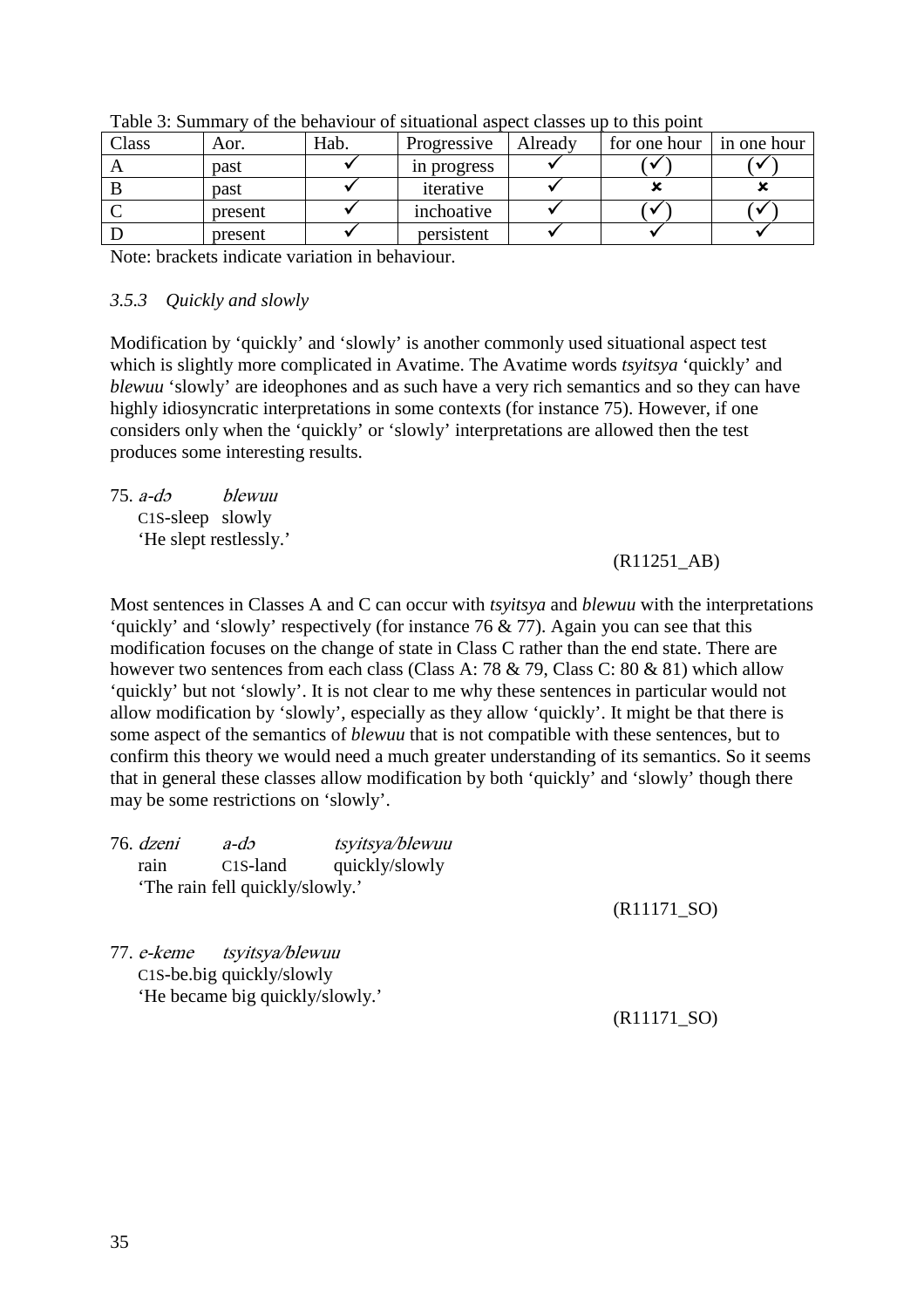| Class | Aor.    | Hab. | Progressive | Already | for one hour | in one hour |
|-------|---------|------|-------------|---------|--------------|-------------|
|       | past    |      | in progress |         |              |             |
|       | past    |      | iterative   |         |              |             |
|       | present |      | inchoative  |         |              |             |
|       | present |      | persistent  |         |              |             |

Table 3: Summary of the behaviour of situational aspect classes up to this point

Note: brackets indicate variation in behaviour.

#### *3.5.3 Quickly and slowly*

Modification by 'quickly' and 'slowly' is another commonly used situational aspect test which is slightly more complicated in Avatime. The Avatime words *tsyitsya* 'quickly' and *blewuu* 'slowly' are ideophones and as such have a very rich semantics and so they can have highly idiosyncratic interpretations in some contexts (for instance 75). However, if one considers only when the 'quickly' or 'slowly' interpretations are allowed then the test produces some interesting results.

75. a-dɔ blewuu C1S-sleep slowly 'He slept restlessly.'

#### (R11251\_AB)

Most sentences in Classes A and C can occur with *tsyitsya* and *blewuu* with the interpretations 'quickly' and 'slowly' respectively (for instance 76 & 77). Again you can see that this modification focuses on the change of state in Class C rather than the end state. There are however two sentences from each class (Class A: 78 & 79, Class C: 80 & 81) which allow 'quickly' but not 'slowly'. It is not clear to me why these sentences in particular would not allow modification by 'slowly', especially as they allow 'quickly'. It might be that there is some aspect of the semantics of *blewuu* that is not compatible with these sentences, but to confirm this theory we would need a much greater understanding of its semantics. So it seems that in general these classes allow modification by both 'quickly' and 'slowly' though there may be some restrictions on 'slowly'.

| 76. dzeni         | $a-dx$                          | tsyitsya/blewuu |  |
|-------------------|---------------------------------|-----------------|--|
| rain              | $C1S$ -land                     | quickly/slowly  |  |
|                   | 'The rain fell quickly/slowly.' |                 |  |
| 77. <i>e-keme</i> | tsyitsya/blewuu                 |                 |  |

C1S-be.big quickly/slowly 'He became big quickly/slowly.'

(R11171\_SO)

(R11171\_SO)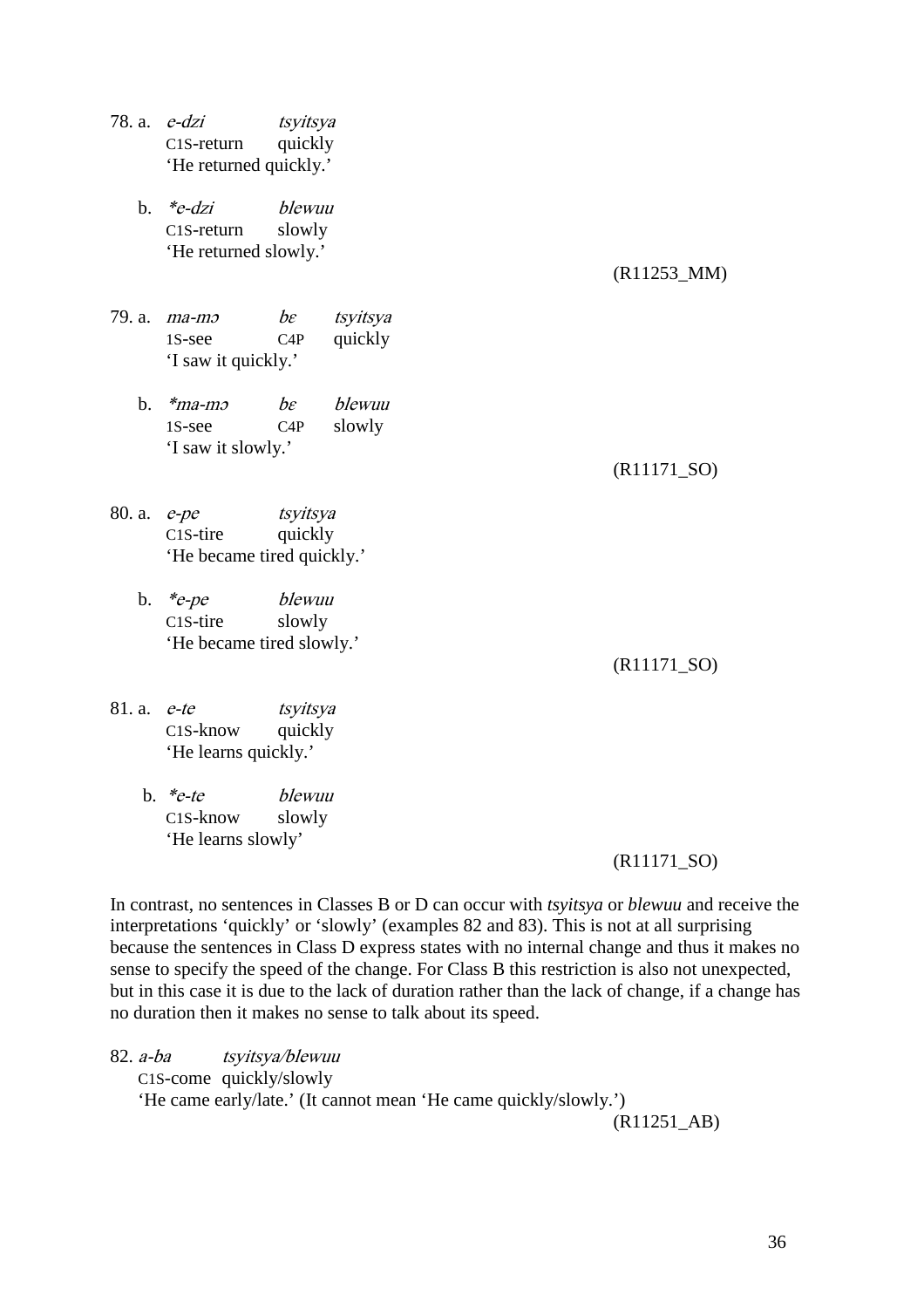- 78. a. e-dzi tsyitsya C1S-return quickly 'He returned quickly.'
	- b. \*e-dzi blewuu C1S-return slowly 'He returned slowly.'

(R11253\_MM)

- 79. a.  $ma-mo$  be tsyitsya 1S-see C4P quickly 'I saw it quickly.'
	- b.  $*$ ma-mo be blewuu 1S-see C4P slowly 'I saw it slowly.'

(R11171\_SO)

- 80. a. e-pe tsyitsya C<sub>1</sub>S-tire quickly 'He became tired quickly.'
	- b. \*e-pe blewuu C1S-tire slowly 'He became tired slowly.'

(R11171\_SO)

- 81. a. e-te tsyitsya C1S-know quickly 'He learns quickly.'
	- b. \*e-te blewuu C1S-know slowly 'He learns slowly'

#### (R11171\_SO)

In contrast, no sentences in Classes B or D can occur with *tsyitsya* or *blewuu* and receive the interpretations 'quickly' or 'slowly' (examples 82 and 83). This is not at all surprising because the sentences in Class D express states with no internal change and thus it makes no sense to specify the speed of the change. For Class B this restriction is also not unexpected, but in this case it is due to the lack of duration rather than the lack of change, if a change has no duration then it makes no sense to talk about its speed.

82. a-ba tsyitsya/blewuu C1S-come quickly/slowly 'He came early/late.' (It cannot mean 'He came quickly/slowly.')

(R11251\_AB)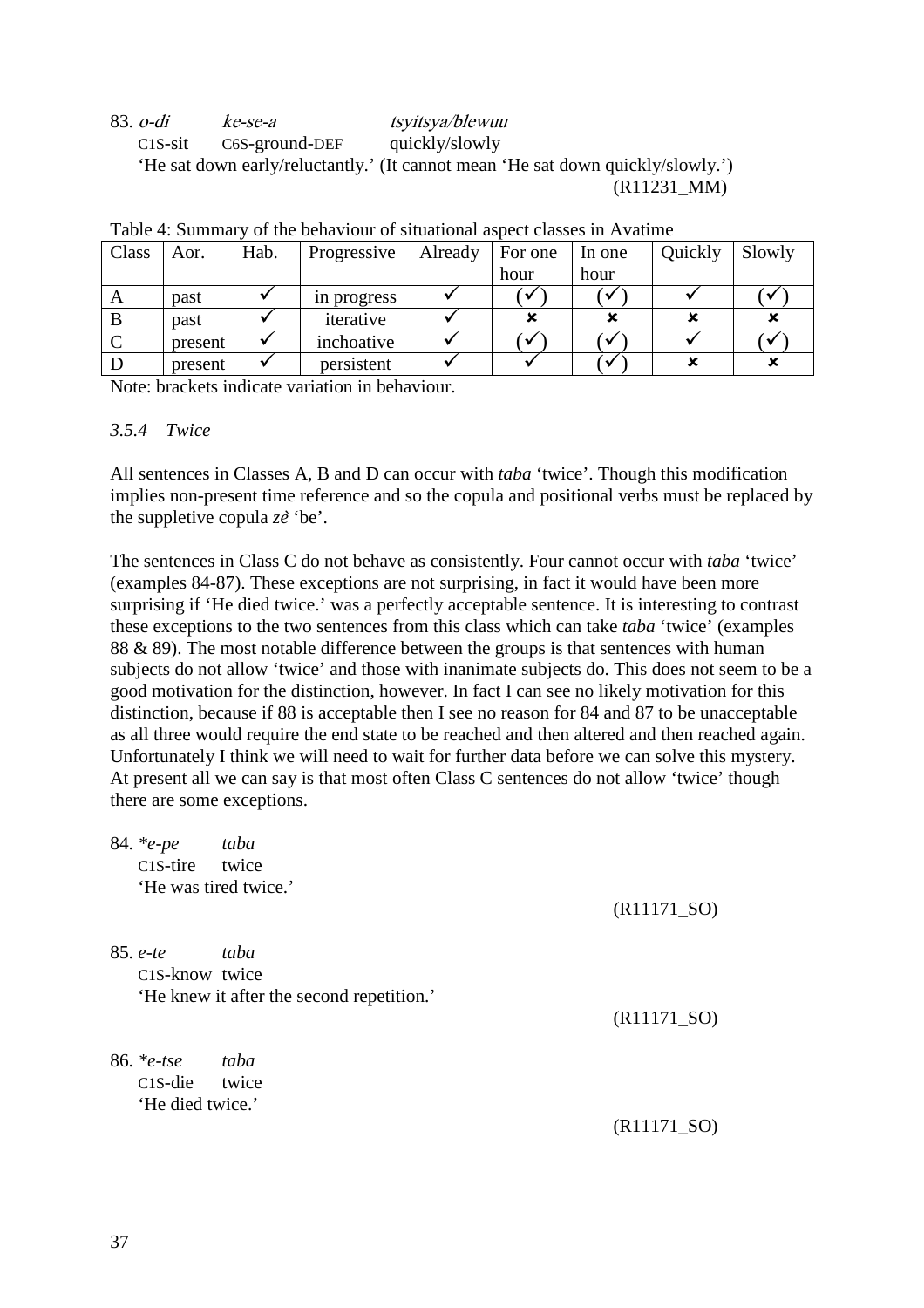83. o-di ke-se-a tsyitsya/blewuu C1S-sit C6S-ground-DEF quickly/slowly 'He sat down early/reluctantly.' (It cannot mean 'He sat down quickly/slowly.') (R11231\_MM)

|       | 1 AVIV 1. DUIIIIII<br><u>UI the behaviour of shuutional aspect chasses in Fevaluate</u> |      |             |         |         |        |         |        |  |  |  |
|-------|-----------------------------------------------------------------------------------------|------|-------------|---------|---------|--------|---------|--------|--|--|--|
| Class | Aor.                                                                                    | Hab. | Progressive | Already | For one | In one | Quickly | Slowly |  |  |  |
|       |                                                                                         |      |             |         | hour    | hour   |         |        |  |  |  |
| A     | past                                                                                    |      | in progress |         |         |        |         |        |  |  |  |
| B     | past                                                                                    |      | iterative   |         |         |        |         |        |  |  |  |
|       | present                                                                                 |      | inchoative  |         |         |        |         |        |  |  |  |
|       | present                                                                                 |      | persistent  |         |         |        |         |        |  |  |  |

Note: brackets indicate variation in behaviour.

#### *3.5.4 Twice*

All sentences in Classes A, B and D can occur with *taba* 'twice'. Though this modification implies non-present time reference and so the copula and positional verbs must be replaced by the suppletive copula *ze*̀ 'be'.

The sentences in Class C do not behave as consistently. Four cannot occur with *taba* 'twice' (examples 84-87). These exceptions are not surprising, in fact it would have been more surprising if 'He died twice.' was a perfectly acceptable sentence. It is interesting to contrast these exceptions to the two sentences from this class which can take *taba* 'twice' (examples 88 & 89). The most notable difference between the groups is that sentences with human subjects do not allow 'twice' and those with inanimate subjects do. This does not seem to be a good motivation for the distinction, however. In fact I can see no likely motivation for this distinction, because if 88 is acceptable then I see no reason for 84 and 87 to be unacceptable as all three would require the end state to be reached and then altered and then reached again. Unfortunately I think we will need to wait for further data before we can solve this mystery. At present all we can say is that most often Class C sentences do not allow 'twice' though there are some exceptions.

| 84. *e-pe                  | taba                                      |               |
|----------------------------|-------------------------------------------|---------------|
| C1S-tire twice             |                                           |               |
| 'He was tired twice.'      |                                           |               |
|                            |                                           | $(R11171_SO)$ |
| $85. e^{-t}$               | taba                                      |               |
| C1S-know twice             |                                           |               |
|                            | 'He knew it after the second repetition.' |               |
|                            |                                           | $(R11171_SO)$ |
| 86. $*_e$ -tse             | taba                                      |               |
| C <sub>1</sub> S-die twice |                                           |               |
| 'He died twice.'           |                                           |               |
|                            |                                           | $(R11171_SO)$ |
|                            |                                           |               |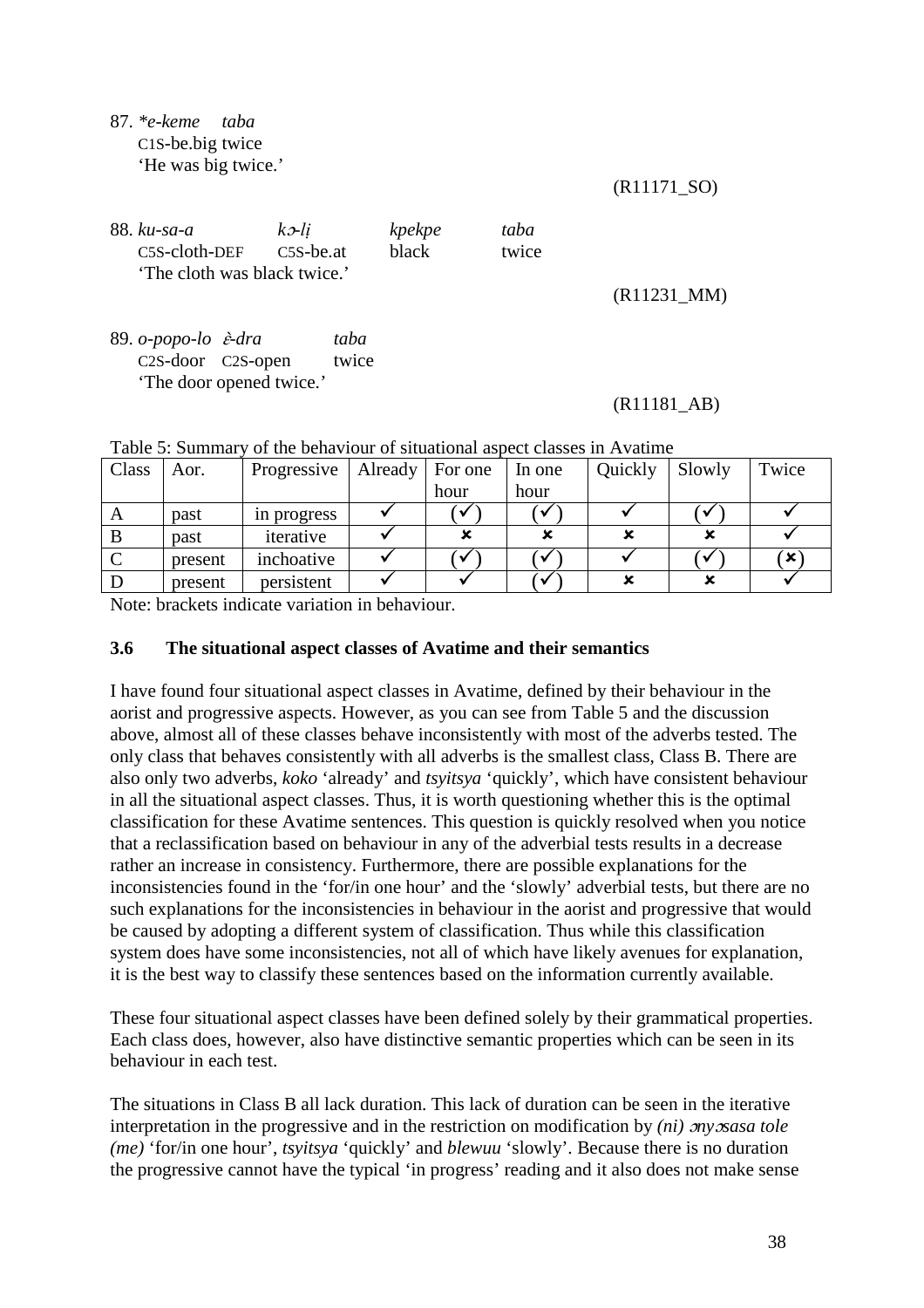#### 87. *\*e-keme taba*  C1S-be.big twice 'He was big twice.'

(R11171\_SO)

| 88. ku-sa-a                  | $k$ 2-li  | kpekpe       | taba  |
|------------------------------|-----------|--------------|-------|
| C5S-cloth-DEF                | C5S-be.at | <b>black</b> | twice |
| 'The cloth was black twice.' |           |              |       |

(R11231\_MM)

89. *o-popo-lo* ɛ̀*-dra taba*  C2S-door C2S-open twice 'The door opened twice.'

#### (R11181\_AB)

| $10010$ , Damitiqu |         | <u>of the behaviour of shumhondi assect chasses in Franchin</u> |                   |      |        |         |        |          |  |
|--------------------|---------|-----------------------------------------------------------------|-------------------|------|--------|---------|--------|----------|--|
| Class              | Aor.    | Progressive                                                     | Already   For one |      | In one | Quickly | Slowly | Twice    |  |
|                    |         |                                                                 |                   | hour | hour   |         |        |          |  |
| A                  | past    | in progress                                                     |                   |      |        |         |        |          |  |
|                    | past    | iterative                                                       |                   |      |        |         |        |          |  |
|                    | present | inchoative                                                      |                   |      |        |         |        | <b>x</b> |  |
|                    | present | persistent                                                      |                   |      |        |         |        |          |  |

Table 5: Summary of the behaviour of situational aspect classes in Avatime

Note: brackets indicate variation in behaviour.

#### **3.6 The situational aspect classes of Avatime and their semantics**

I have found four situational aspect classes in Avatime, defined by their behaviour in the aorist and progressive aspects. However, as you can see from Table 5 and the discussion above, almost all of these classes behave inconsistently with most of the adverbs tested. The only class that behaves consistently with all adverbs is the smallest class, Class B. There are also only two adverbs, *koko* 'already' and *tsyitsya* 'quickly', which have consistent behaviour in all the situational aspect classes. Thus, it is worth questioning whether this is the optimal classification for these Avatime sentences. This question is quickly resolved when you notice that a reclassification based on behaviour in any of the adverbial tests results in a decrease rather an increase in consistency. Furthermore, there are possible explanations for the inconsistencies found in the 'for/in one hour' and the 'slowly' adverbial tests, but there are no such explanations for the inconsistencies in behaviour in the aorist and progressive that would be caused by adopting a different system of classification. Thus while this classification system does have some inconsistencies, not all of which have likely avenues for explanation, it is the best way to classify these sentences based on the information currently available.

These four situational aspect classes have been defined solely by their grammatical properties. Each class does, however, also have distinctive semantic properties which can be seen in its behaviour in each test.

The situations in Class B all lack duration. This lack of duration can be seen in the iterative interpretation in the progressive and in the restriction on modification by *(ni) ony osasa tole (me)* 'for/in one hour', *tsyitsya* 'quickly' and *blewuu* 'slowly'. Because there is no duration the progressive cannot have the typical 'in progress' reading and it also does not make sense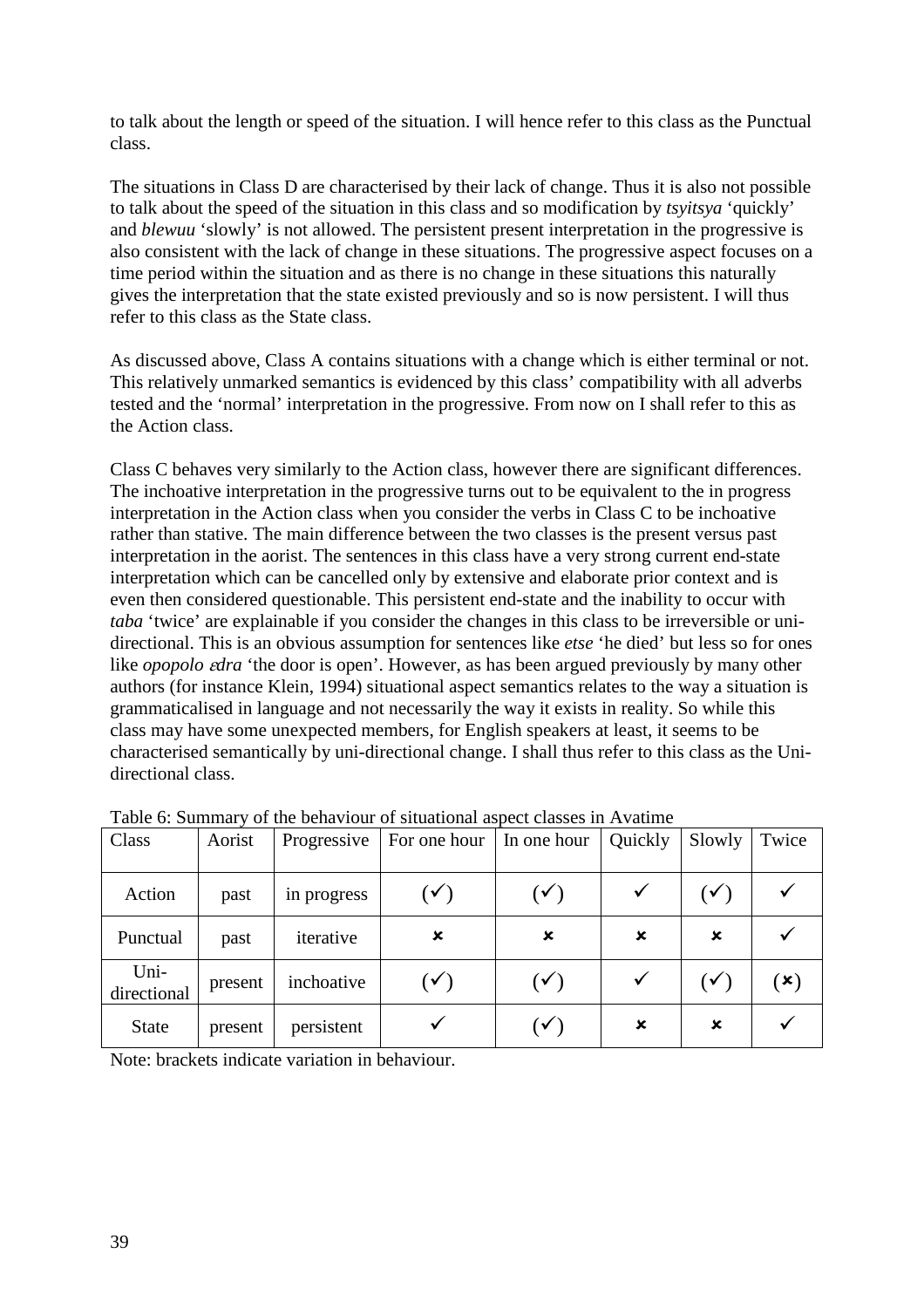to talk about the length or speed of the situation. I will hence refer to this class as the Punctual class.

The situations in Class D are characterised by their lack of change. Thus it is also not possible to talk about the speed of the situation in this class and so modification by *tsyitsya* 'quickly' and *blewuu* 'slowly' is not allowed. The persistent present interpretation in the progressive is also consistent with the lack of change in these situations. The progressive aspect focuses on a time period within the situation and as there is no change in these situations this naturally gives the interpretation that the state existed previously and so is now persistent. I will thus refer to this class as the State class.

As discussed above, Class A contains situations with a change which is either terminal or not. This relatively unmarked semantics is evidenced by this class' compatibility with all adverbs tested and the 'normal' interpretation in the progressive. From now on I shall refer to this as the Action class.

Class C behaves very similarly to the Action class, however there are significant differences. The inchoative interpretation in the progressive turns out to be equivalent to the in progress interpretation in the Action class when you consider the verbs in Class C to be inchoative rather than stative. The main difference between the two classes is the present versus past interpretation in the aorist. The sentences in this class have a very strong current end-state interpretation which can be cancelled only by extensive and elaborate prior context and is even then considered questionable. This persistent end-state and the inability to occur with *taba* 'twice' are explainable if you consider the changes in this class to be irreversible or unidirectional. This is an obvious assumption for sentences like *etse* 'he died' but less so for ones like *opopolo edra* 'the door is open'. However, as has been argued previously by many other authors (for instance Klein, 1994) situational aspect semantics relates to the way a situation is grammaticalised in language and not necessarily the way it exists in reality. So while this class may have some unexpected members, for English speakers at least, it seems to be characterised semantically by uni-directional change. I shall thus refer to this class as the Unidirectional class.

| Class               | Aorist  | Progressive | For one hour           | In one hour    | Quickly | Slowly                    | Twice |
|---------------------|---------|-------------|------------------------|----------------|---------|---------------------------|-------|
|                     |         |             |                        |                |         |                           |       |
| Action              | past    | in progress | $(\blacktriangledown)$ | $(\checkmark)$ | ✓       | $\mathcal{L}(\mathbf{v})$ |       |
| Punctual            | past    | iterative   | $\pmb{\times}$         | ×              | ×       | ×                         |       |
| Uni-<br>directional | present | inchoative  | $(\checkmark)$         | $(\checkmark)$ | ✓       | $\checkmark$              | [X]   |
| <b>State</b>        | present | persistent  | ✓                      | $(\checkmark)$ | ×       | ×                         |       |

Table 6: Summary of the behaviour of situational aspect classes in Avatime

Note: brackets indicate variation in behaviour.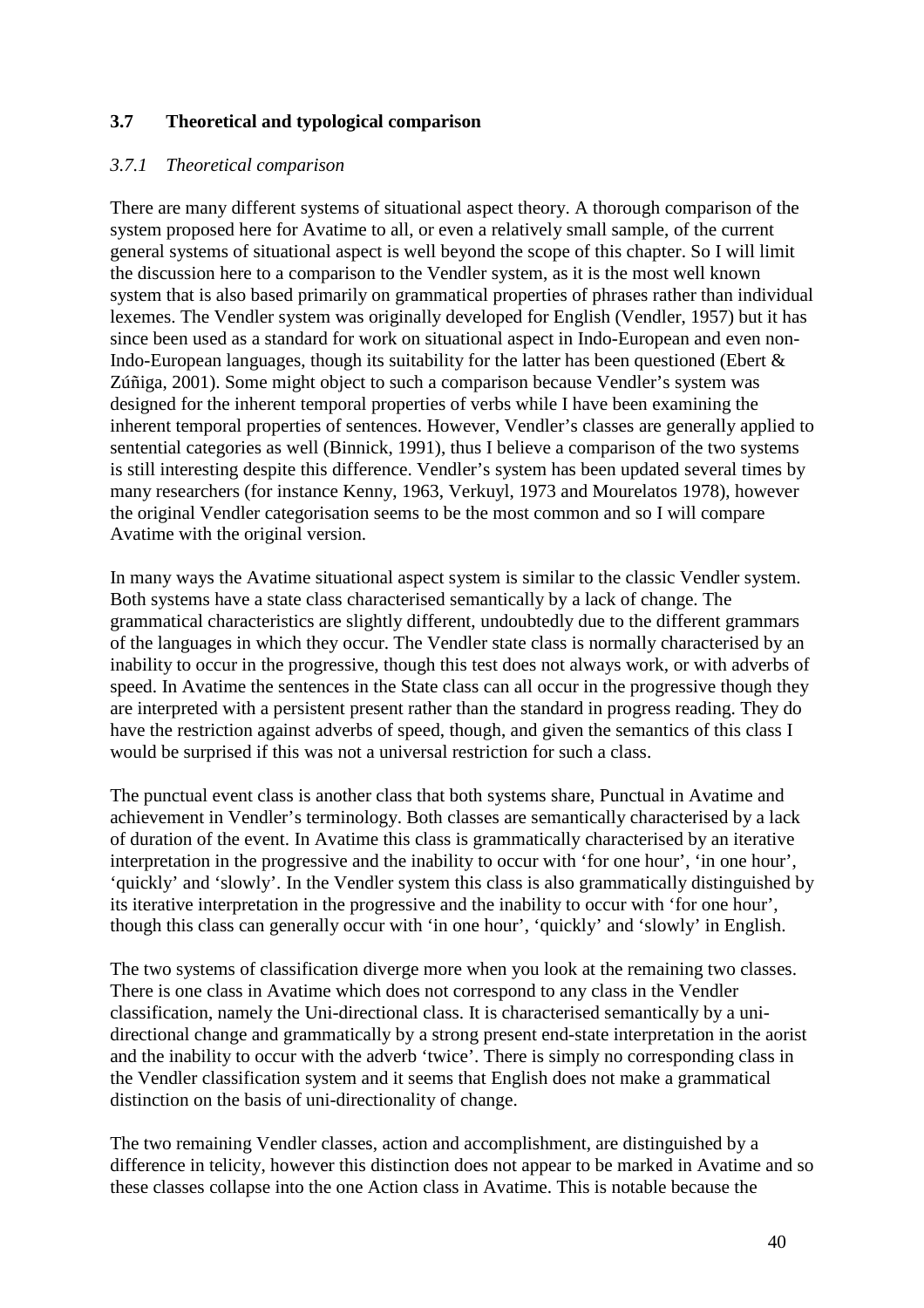### **3.7 Theoretical and typological comparison**

#### *3.7.1 Theoretical comparison*

There are many different systems of situational aspect theory. A thorough comparison of the system proposed here for Avatime to all, or even a relatively small sample, of the current general systems of situational aspect is well beyond the scope of this chapter. So I will limit the discussion here to a comparison to the Vendler system, as it is the most well known system that is also based primarily on grammatical properties of phrases rather than individual lexemes. The Vendler system was originally developed for English (Vendler, 1957) but it has since been used as a standard for work on situational aspect in Indo-European and even non-Indo-European languages, though its suitability for the latter has been questioned (Ebert & Zúñiga, 2001). Some might object to such a comparison because Vendler's system was designed for the inherent temporal properties of verbs while I have been examining the inherent temporal properties of sentences. However, Vendler's classes are generally applied to sentential categories as well (Binnick, 1991), thus I believe a comparison of the two systems is still interesting despite this difference. Vendler's system has been updated several times by many researchers (for instance Kenny, 1963, Verkuyl, 1973 and Mourelatos 1978), however the original Vendler categorisation seems to be the most common and so I will compare Avatime with the original version.

In many ways the Avatime situational aspect system is similar to the classic Vendler system. Both systems have a state class characterised semantically by a lack of change. The grammatical characteristics are slightly different, undoubtedly due to the different grammars of the languages in which they occur. The Vendler state class is normally characterised by an inability to occur in the progressive, though this test does not always work, or with adverbs of speed. In Avatime the sentences in the State class can all occur in the progressive though they are interpreted with a persistent present rather than the standard in progress reading. They do have the restriction against adverbs of speed, though, and given the semantics of this class I would be surprised if this was not a universal restriction for such a class.

The punctual event class is another class that both systems share, Punctual in Avatime and achievement in Vendler's terminology. Both classes are semantically characterised by a lack of duration of the event. In Avatime this class is grammatically characterised by an iterative interpretation in the progressive and the inability to occur with 'for one hour', 'in one hour', 'quickly' and 'slowly'. In the Vendler system this class is also grammatically distinguished by its iterative interpretation in the progressive and the inability to occur with 'for one hour', though this class can generally occur with 'in one hour', 'quickly' and 'slowly' in English.

The two systems of classification diverge more when you look at the remaining two classes. There is one class in Avatime which does not correspond to any class in the Vendler classification, namely the Uni-directional class. It is characterised semantically by a unidirectional change and grammatically by a strong present end-state interpretation in the aorist and the inability to occur with the adverb 'twice'. There is simply no corresponding class in the Vendler classification system and it seems that English does not make a grammatical distinction on the basis of uni-directionality of change.

The two remaining Vendler classes, action and accomplishment, are distinguished by a difference in telicity, however this distinction does not appear to be marked in Avatime and so these classes collapse into the one Action class in Avatime. This is notable because the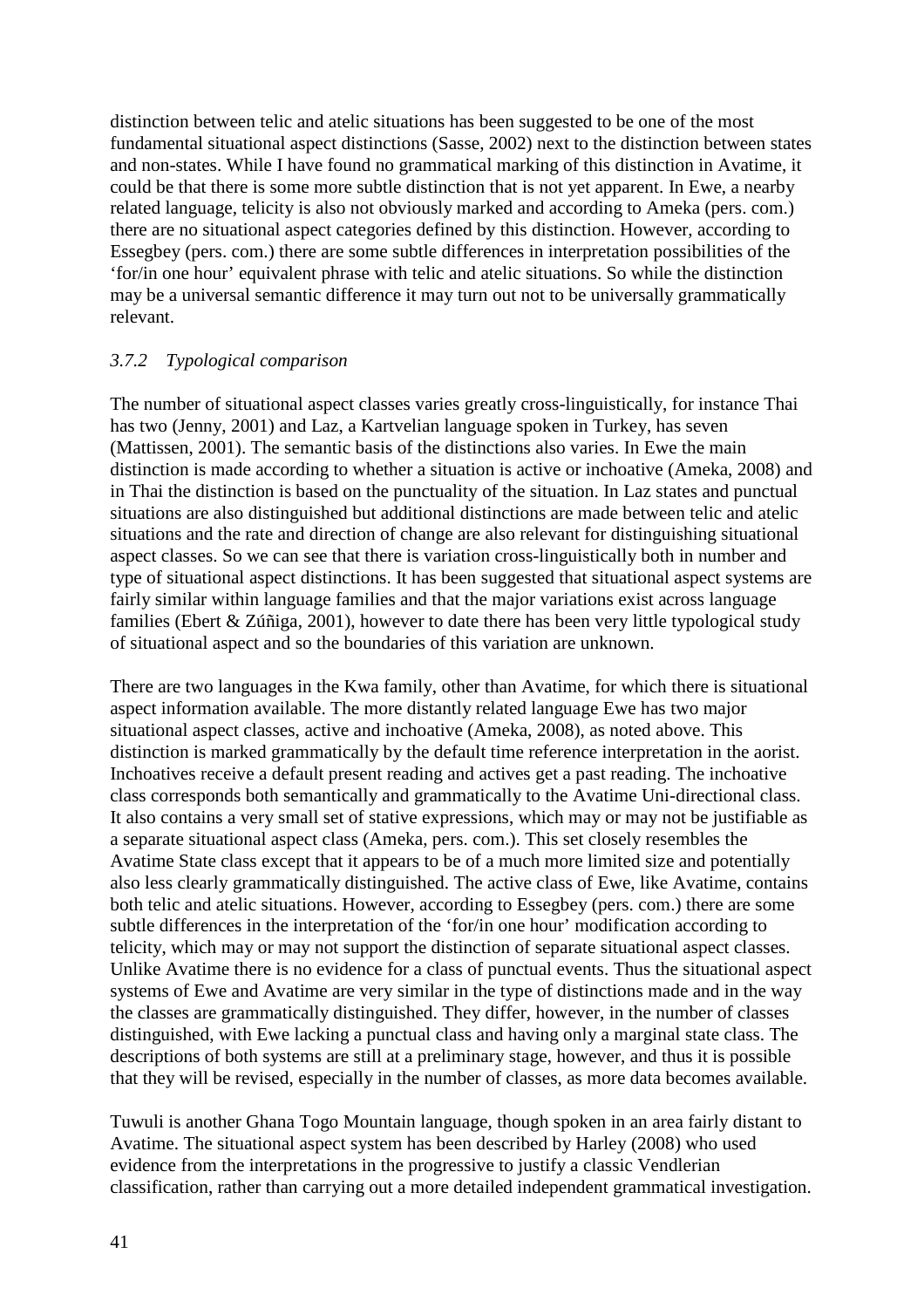distinction between telic and atelic situations has been suggested to be one of the most fundamental situational aspect distinctions (Sasse, 2002) next to the distinction between states and non-states. While I have found no grammatical marking of this distinction in Avatime, it could be that there is some more subtle distinction that is not yet apparent. In Ewe, a nearby related language, telicity is also not obviously marked and according to Ameka (pers. com.) there are no situational aspect categories defined by this distinction. However, according to Essegbey (pers. com.) there are some subtle differences in interpretation possibilities of the 'for/in one hour' equivalent phrase with telic and atelic situations. So while the distinction may be a universal semantic difference it may turn out not to be universally grammatically relevant.

#### *3.7.2 Typological comparison*

The number of situational aspect classes varies greatly cross-linguistically, for instance Thai has two (Jenny, 2001) and Laz, a Kartvelian language spoken in Turkey, has seven (Mattissen, 2001). The semantic basis of the distinctions also varies. In Ewe the main distinction is made according to whether a situation is active or inchoative (Ameka, 2008) and in Thai the distinction is based on the punctuality of the situation. In Laz states and punctual situations are also distinguished but additional distinctions are made between telic and atelic situations and the rate and direction of change are also relevant for distinguishing situational aspect classes. So we can see that there is variation cross-linguistically both in number and type of situational aspect distinctions. It has been suggested that situational aspect systems are fairly similar within language families and that the major variations exist across language families (Ebert & Zúñiga, 2001), however to date there has been very little typological study of situational aspect and so the boundaries of this variation are unknown.

There are two languages in the Kwa family, other than Avatime, for which there is situational aspect information available. The more distantly related language Ewe has two major situational aspect classes, active and inchoative (Ameka, 2008), as noted above. This distinction is marked grammatically by the default time reference interpretation in the aorist. Inchoatives receive a default present reading and actives get a past reading. The inchoative class corresponds both semantically and grammatically to the Avatime Uni-directional class. It also contains a very small set of stative expressions, which may or may not be justifiable as a separate situational aspect class (Ameka, pers. com.). This set closely resembles the Avatime State class except that it appears to be of a much more limited size and potentially also less clearly grammatically distinguished. The active class of Ewe, like Avatime, contains both telic and atelic situations. However, according to Essegbey (pers. com.) there are some subtle differences in the interpretation of the 'for/in one hour' modification according to telicity, which may or may not support the distinction of separate situational aspect classes. Unlike Avatime there is no evidence for a class of punctual events. Thus the situational aspect systems of Ewe and Avatime are very similar in the type of distinctions made and in the way the classes are grammatically distinguished. They differ, however, in the number of classes distinguished, with Ewe lacking a punctual class and having only a marginal state class. The descriptions of both systems are still at a preliminary stage, however, and thus it is possible that they will be revised, especially in the number of classes, as more data becomes available.

Tuwuli is another Ghana Togo Mountain language, though spoken in an area fairly distant to Avatime. The situational aspect system has been described by Harley (2008) who used evidence from the interpretations in the progressive to justify a classic Vendlerian classification, rather than carrying out a more detailed independent grammatical investigation.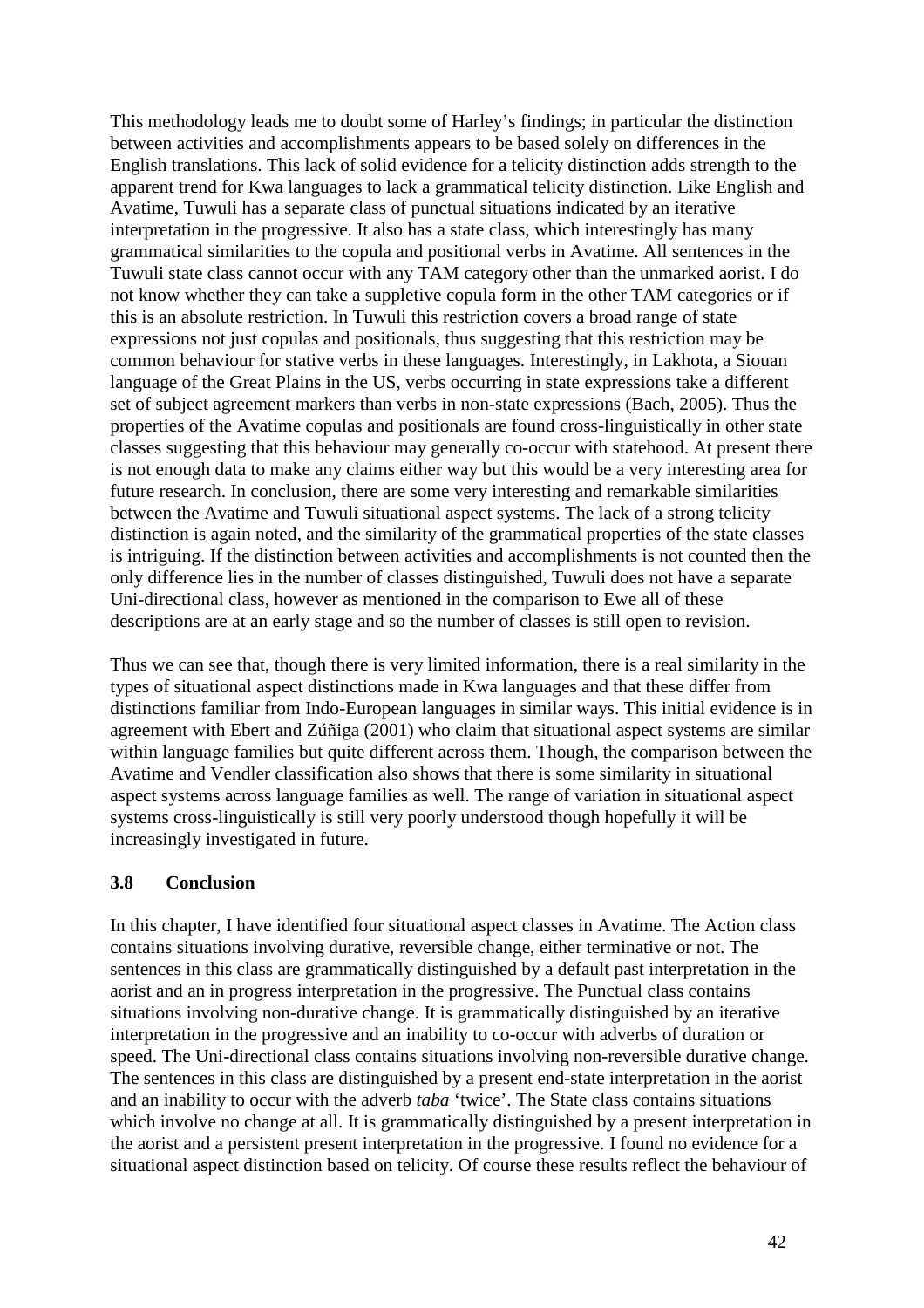This methodology leads me to doubt some of Harley's findings; in particular the distinction between activities and accomplishments appears to be based solely on differences in the English translations. This lack of solid evidence for a telicity distinction adds strength to the apparent trend for Kwa languages to lack a grammatical telicity distinction. Like English and Avatime, Tuwuli has a separate class of punctual situations indicated by an iterative interpretation in the progressive. It also has a state class, which interestingly has many grammatical similarities to the copula and positional verbs in Avatime. All sentences in the Tuwuli state class cannot occur with any TAM category other than the unmarked aorist. I do not know whether they can take a suppletive copula form in the other TAM categories or if this is an absolute restriction. In Tuwuli this restriction covers a broad range of state expressions not just copulas and positionals, thus suggesting that this restriction may be common behaviour for stative verbs in these languages. Interestingly, in Lakhota, a Siouan language of the Great Plains in the US, verbs occurring in state expressions take a different set of subject agreement markers than verbs in non-state expressions (Bach, 2005). Thus the properties of the Avatime copulas and positionals are found cross-linguistically in other state classes suggesting that this behaviour may generally co-occur with statehood. At present there is not enough data to make any claims either way but this would be a very interesting area for future research. In conclusion, there are some very interesting and remarkable similarities between the Avatime and Tuwuli situational aspect systems. The lack of a strong telicity distinction is again noted, and the similarity of the grammatical properties of the state classes is intriguing. If the distinction between activities and accomplishments is not counted then the only difference lies in the number of classes distinguished, Tuwuli does not have a separate Uni-directional class, however as mentioned in the comparison to Ewe all of these descriptions are at an early stage and so the number of classes is still open to revision.

Thus we can see that, though there is very limited information, there is a real similarity in the types of situational aspect distinctions made in Kwa languages and that these differ from distinctions familiar from Indo-European languages in similar ways. This initial evidence is in agreement with Ebert and Zúñiga (2001) who claim that situational aspect systems are similar within language families but quite different across them. Though, the comparison between the Avatime and Vendler classification also shows that there is some similarity in situational aspect systems across language families as well. The range of variation in situational aspect systems cross-linguistically is still very poorly understood though hopefully it will be increasingly investigated in future.

### **3.8 Conclusion**

In this chapter, I have identified four situational aspect classes in Avatime. The Action class contains situations involving durative, reversible change, either terminative or not. The sentences in this class are grammatically distinguished by a default past interpretation in the aorist and an in progress interpretation in the progressive. The Punctual class contains situations involving non-durative change. It is grammatically distinguished by an iterative interpretation in the progressive and an inability to co-occur with adverbs of duration or speed. The Uni-directional class contains situations involving non-reversible durative change. The sentences in this class are distinguished by a present end-state interpretation in the aorist and an inability to occur with the adverb *taba* 'twice'. The State class contains situations which involve no change at all. It is grammatically distinguished by a present interpretation in the aorist and a persistent present interpretation in the progressive. I found no evidence for a situational aspect distinction based on telicity. Of course these results reflect the behaviour of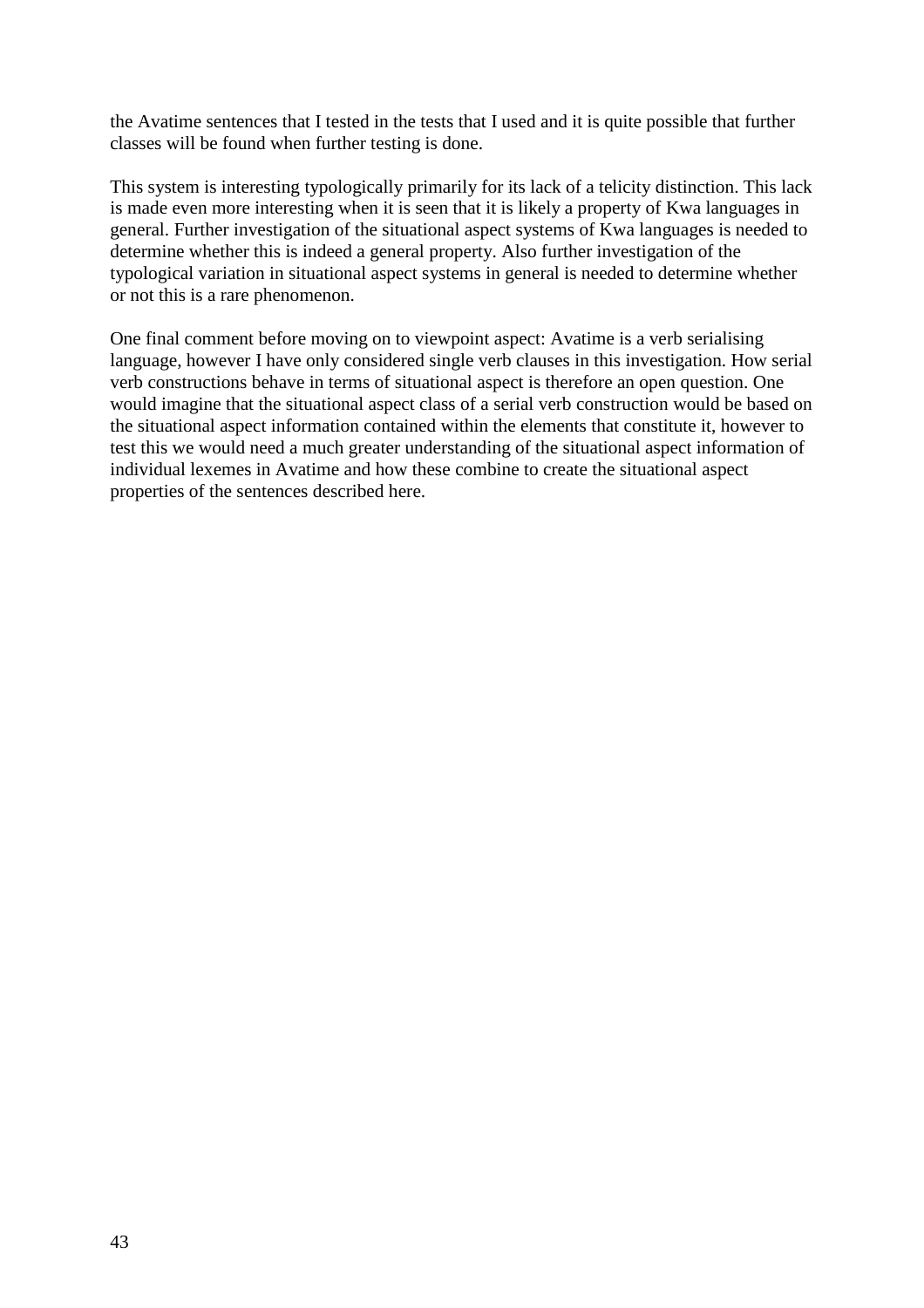the Avatime sentences that I tested in the tests that I used and it is quite possible that further classes will be found when further testing is done.

This system is interesting typologically primarily for its lack of a telicity distinction. This lack is made even more interesting when it is seen that it is likely a property of Kwa languages in general. Further investigation of the situational aspect systems of Kwa languages is needed to determine whether this is indeed a general property. Also further investigation of the typological variation in situational aspect systems in general is needed to determine whether or not this is a rare phenomenon.

One final comment before moving on to viewpoint aspect: Avatime is a verb serialising language, however I have only considered single verb clauses in this investigation. How serial verb constructions behave in terms of situational aspect is therefore an open question. One would imagine that the situational aspect class of a serial verb construction would be based on the situational aspect information contained within the elements that constitute it, however to test this we would need a much greater understanding of the situational aspect information of individual lexemes in Avatime and how these combine to create the situational aspect properties of the sentences described here.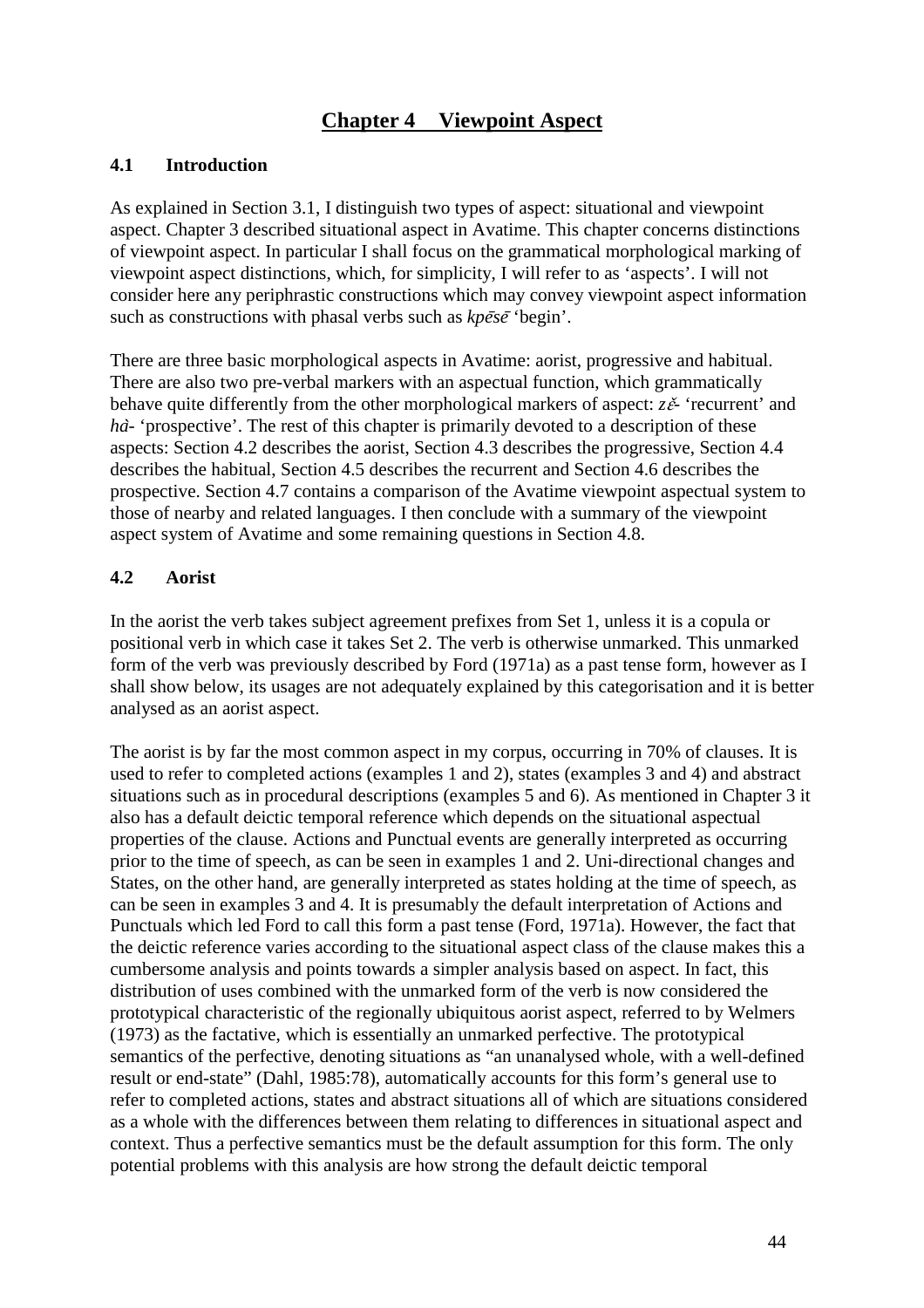# **Chapter 4 Viewpoint Aspect**

#### **4.1 Introduction**

As explained in Section 3.1, I distinguish two types of aspect: situational and viewpoint aspect. Chapter 3 described situational aspect in Avatime. This chapter concerns distinctions of viewpoint aspect. In particular I shall focus on the grammatical morphological marking of viewpoint aspect distinctions, which, for simplicity, I will refer to as 'aspects'. I will not consider here any periphrastic constructions which may convey viewpoint aspect information such as constructions with phasal verbs such as  $k \overline{p} \overline{e} s \overline{e}$  'begin'.

There are three basic morphological aspects in Avatime: aorist, progressive and habitual. There are also two pre-verbal markers with an aspectual function, which grammatically behave quite differently from the other morphological markers of aspect: *z* $\check{\epsilon}$ - 'recurrent' and *ha*<sup> $\cdot$ </sup> 'prospective'. The rest of this chapter is primarily devoted to a description of these aspects: Section 4.2 describes the aorist, Section 4.3 describes the progressive, Section 4.4 describes the habitual, Section 4.5 describes the recurrent and Section 4.6 describes the prospective. Section 4.7 contains a comparison of the Avatime viewpoint aspectual system to those of nearby and related languages. I then conclude with a summary of the viewpoint aspect system of Avatime and some remaining questions in Section 4.8.

#### **4.2 Aorist**

In the aorist the verb takes subject agreement prefixes from Set 1, unless it is a copula or positional verb in which case it takes Set 2. The verb is otherwise unmarked. This unmarked form of the verb was previously described by Ford (1971a) as a past tense form, however as I shall show below, its usages are not adequately explained by this categorisation and it is better analysed as an aorist aspect.

The aorist is by far the most common aspect in my corpus, occurring in 70% of clauses. It is used to refer to completed actions (examples 1 and 2), states (examples 3 and 4) and abstract situations such as in procedural descriptions (examples 5 and 6). As mentioned in Chapter 3 it also has a default deictic temporal reference which depends on the situational aspectual properties of the clause. Actions and Punctual events are generally interpreted as occurring prior to the time of speech, as can be seen in examples 1 and 2. Uni-directional changes and States, on the other hand, are generally interpreted as states holding at the time of speech, as can be seen in examples 3 and 4. It is presumably the default interpretation of Actions and Punctuals which led Ford to call this form a past tense (Ford, 1971a). However, the fact that the deictic reference varies according to the situational aspect class of the clause makes this a cumbersome analysis and points towards a simpler analysis based on aspect. In fact, this distribution of uses combined with the unmarked form of the verb is now considered the prototypical characteristic of the regionally ubiquitous aorist aspect, referred to by Welmers (1973) as the factative, which is essentially an unmarked perfective. The prototypical semantics of the perfective, denoting situations as "an unanalysed whole, with a well-defined result or end-state" (Dahl, 1985:78), automatically accounts for this form's general use to refer to completed actions, states and abstract situations all of which are situations considered as a whole with the differences between them relating to differences in situational aspect and context. Thus a perfective semantics must be the default assumption for this form. The only potential problems with this analysis are how strong the default deictic temporal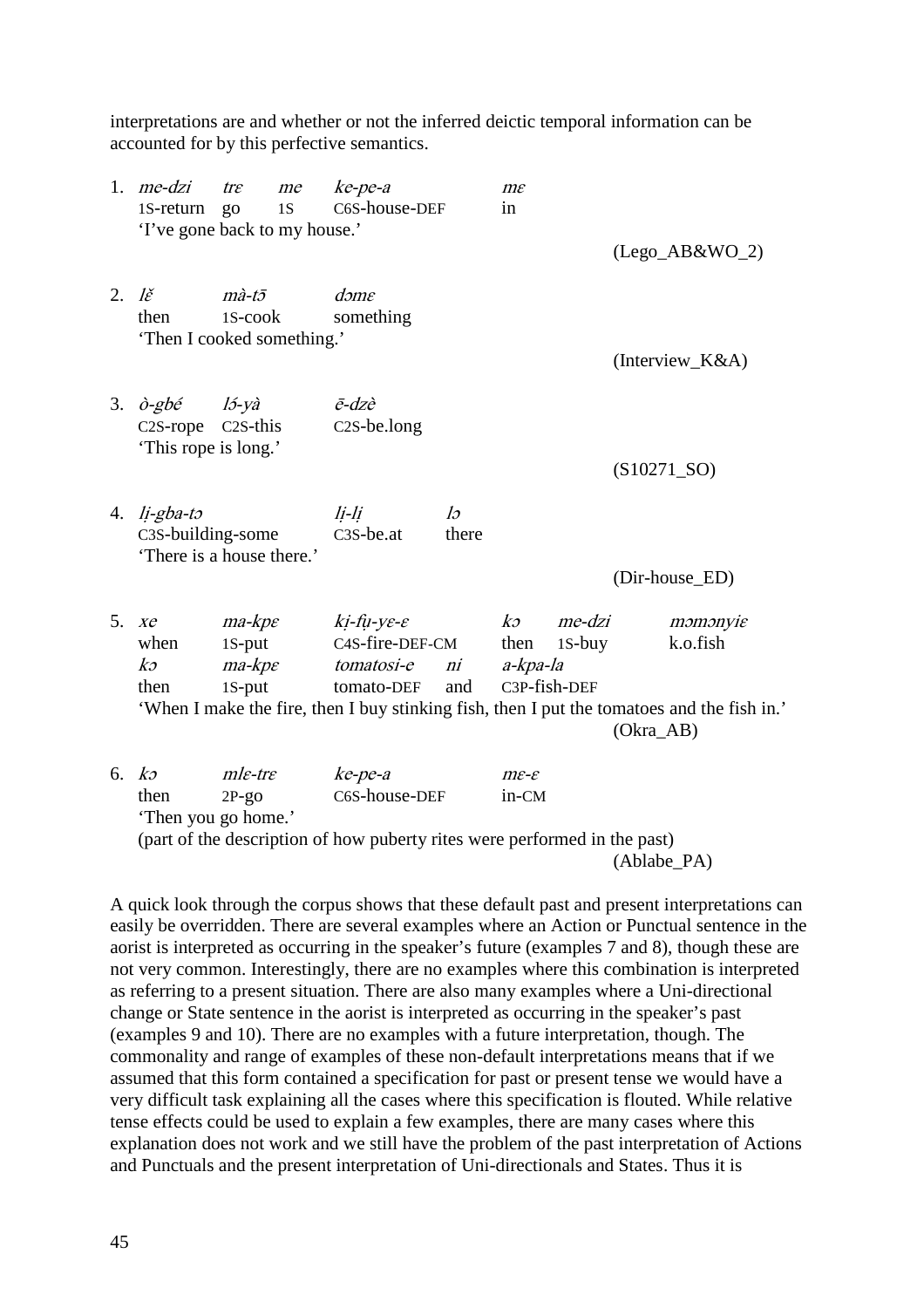interpretations are and whether or not the inferred deictic temporal information can be accounted for by this perfective semantics.

|                           | 1. $me$ -dzi<br>1S-return<br>'I've gone back to my house.'       | $tr\varepsilon$<br>go                                  | me<br>1S | $ke$ -pe-a<br>C6S-house-DEF                                                                              |             | $m\varepsilon$<br>in                  |                  |           | $(Lego_A B&WO_2)$                                                                                                  |
|---------------------------|------------------------------------------------------------------|--------------------------------------------------------|----------|----------------------------------------------------------------------------------------------------------|-------------|---------------------------------------|------------------|-----------|--------------------------------------------------------------------------------------------------------------------|
| 2. $I\check{\varepsilon}$ | then<br>'Then I cooked something.'                               | $m\grave{a}$ -t $\bar{\sigma}$<br>1S-cook              |          | $d$ <i>om<math>\varepsilon</math></i><br>something                                                       |             |                                       |                  |           | (Interview_K&A)                                                                                                    |
| 3.                        | $\partial$ -gbé<br>C <sub>2</sub> S-rope<br>'This rope is long.' | l5-yà<br>C <sub>2</sub> S-this                         |          | $\bar{e}$ -dzè<br>$C2S$ -be.long                                                                         |             |                                       |                  |           | $(S10271_SO)$                                                                                                      |
|                           | 4. $li-gba-to$<br>C3S-building-some<br>'There is a house there.' |                                                        |          | li-li<br>C <sub>3</sub> S-be.at                                                                          | lə<br>there |                                       |                  |           | (Dir-house_ED)                                                                                                     |
| 5.                        | $X\mathcal{C}$<br>when<br>$k$ 2<br>then                          | $ma$ - $kpe$<br>$1S$ -put<br>$ma$ - $kpe$<br>$1S$ -put |          | $ki$ -fu-ye-e<br>C4S-fire-DEF-CM<br>tomatosi-e<br>tomato-DEF                                             | ni<br>and   | k<br>then<br>a-kpa-la<br>C3P-fish-DEF | me-dzi<br>1S-buy | (Okra_AB) | momonyie<br>k.o.fish<br>'When I make the fire, then I buy stinking fish, then I put the tomatoes and the fish in.' |
|                           | 6. $k\sigma$<br>then<br>'Then you go home.'                      | $m$ le-tre<br>$2P-go$                                  |          | $ke$ -pe-a<br>C6S-house-DEF<br>(part of the description of how puberty rites were performed in the past) |             | $m\varepsilon-\varepsilon$<br>in-CM   |                  |           |                                                                                                                    |

(Ablabe\_PA)

A quick look through the corpus shows that these default past and present interpretations can easily be overridden. There are several examples where an Action or Punctual sentence in the aorist is interpreted as occurring in the speaker's future (examples 7 and 8), though these are not very common. Interestingly, there are no examples where this combination is interpreted as referring to a present situation. There are also many examples where a Uni-directional change or State sentence in the aorist is interpreted as occurring in the speaker's past (examples 9 and 10). There are no examples with a future interpretation, though. The commonality and range of examples of these non-default interpretations means that if we assumed that this form contained a specification for past or present tense we would have a very difficult task explaining all the cases where this specification is flouted. While relative tense effects could be used to explain a few examples, there are many cases where this explanation does not work and we still have the problem of the past interpretation of Actions and Punctuals and the present interpretation of Uni-directionals and States. Thus it is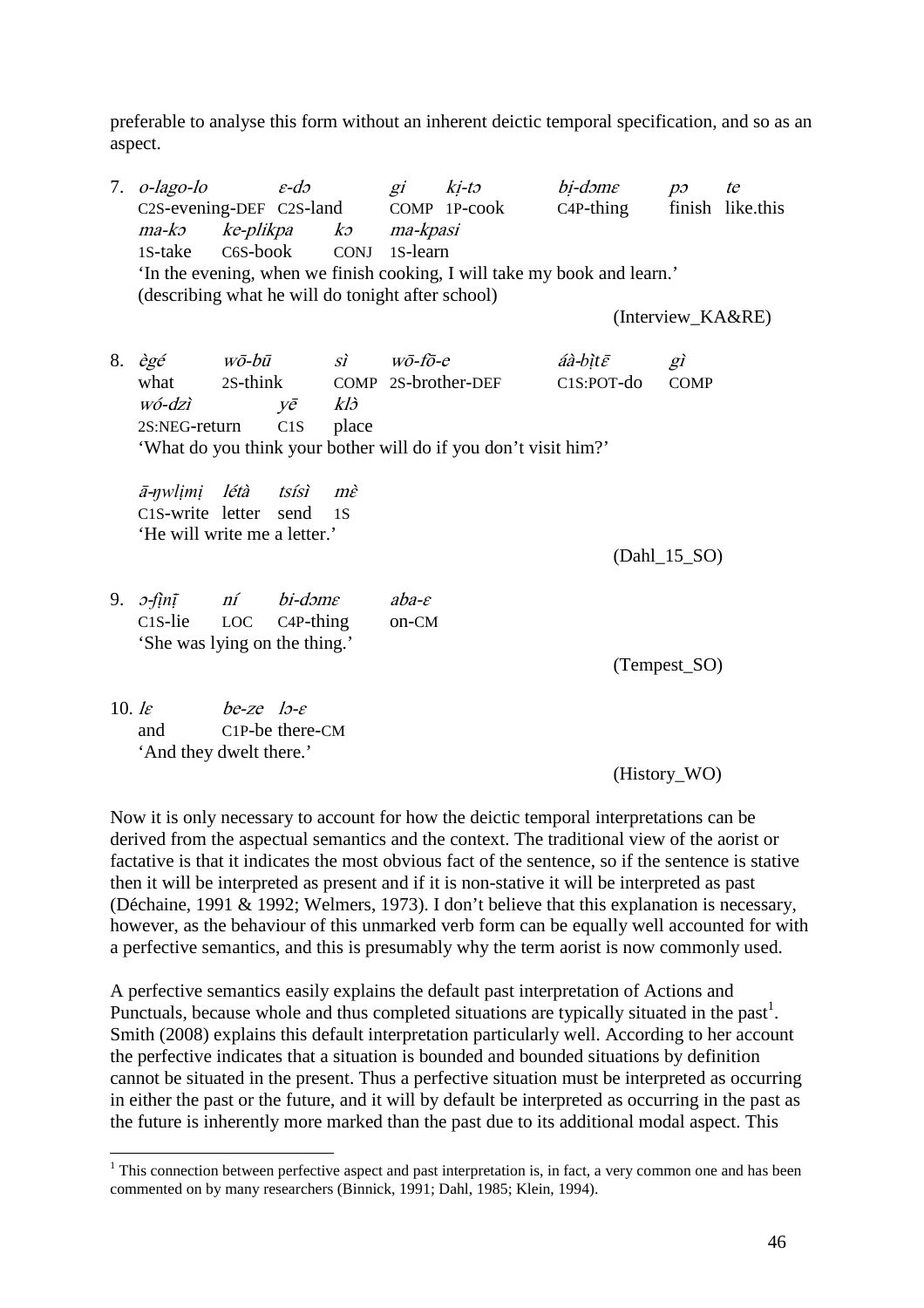preferable to analyse this form without an inherent deictic temporal specification, and so as an aspect.

|            | 7. $o$ -lago-lo                                   |               | $\varepsilon$ -do             | gi    |                       | ki-tə bi-dəme                                                            |                               | $p_{\mathcal{O}}$ | te |
|------------|---------------------------------------------------|---------------|-------------------------------|-------|-----------------------|--------------------------------------------------------------------------|-------------------------------|-------------------|----|
|            |                                                   |               |                               |       |                       | C2S-evening-DEF C2S-land COMP 1P-cook C4P-thing finish like.this         |                               |                   |    |
|            | ma-kə                                             |               |                               |       | ke-plikpa ko ma-kpasi |                                                                          |                               |                   |    |
|            | 1S-take                                           |               | C6S-book                      |       | CONJ 1S-learn         |                                                                          |                               |                   |    |
|            |                                                   |               |                               |       |                       | 'In the evening, when we finish cooking, I will take my book and learn.' |                               |                   |    |
|            | (describing what he will do tonight after school) |               |                               |       |                       |                                                                          |                               |                   |    |
|            |                                                   |               |                               |       |                       |                                                                          |                               | (Interview_KA&RE) |    |
| 8.         | ègé wō-bū sì wō-fō-e                              |               |                               |       |                       |                                                                          | $a$ à-bìt $\bar{\varepsilon}$ | gì                |    |
|            |                                                   |               |                               |       |                       | what 2S-think COMP 2S-brother-DEF                                        | C1S:POT-do                    | <b>COMP</b>       |    |
|            | wó-dzì                                            |               | $y\bar{e}$ $kl\dot{\partial}$ |       |                       |                                                                          |                               |                   |    |
|            | 2S:NEG-return                                     |               | C1S                           | place |                       |                                                                          |                               |                   |    |
|            |                                                   |               |                               |       |                       | 'What do you think your bother will do if you don't visit him?'          |                               |                   |    |
|            |                                                   |               |                               |       |                       |                                                                          |                               |                   |    |
|            | ā-nwlimi létà tsísì mè<br>C1S-write letter send   |               |                               | 1 S   |                       |                                                                          |                               |                   |    |
|            | 'He will write me a letter.'                      |               |                               |       |                       |                                                                          |                               |                   |    |
|            |                                                   |               |                               |       |                       |                                                                          |                               | $(Dahl_15_SO)$    |    |
|            |                                                   |               |                               |       |                       |                                                                          |                               |                   |    |
|            | 9. $\int$ fin $\overline{I}$ ní bi-dome           |               |                               |       | $aba - \varepsilon$   |                                                                          |                               |                   |    |
|            | $C1S$ -lie                                        | LOC C4P-thing |                               |       | on-CM                 |                                                                          |                               |                   |    |
|            | 'She was lying on the thing.'                     |               |                               |       |                       |                                                                          |                               |                   |    |
|            |                                                   |               |                               |       |                       |                                                                          |                               | (Tempest_SO)      |    |
|            |                                                   |               |                               |       |                       |                                                                          |                               |                   |    |
| 10. $\ell$ | $be$ -ze lo- $\varepsilon$                        |               |                               |       |                       |                                                                          |                               |                   |    |
|            | and                                               |               | C1P-be there-CM               |       |                       |                                                                          |                               |                   |    |
|            | 'And they dwelt there.'                           |               |                               |       |                       |                                                                          |                               |                   |    |
|            |                                                   |               |                               |       |                       |                                                                          |                               | (History_WO)      |    |

Now it is only necessary to account for how the deictic temporal interpretations can be derived from the aspectual semantics and the context. The traditional view of the aorist or factative is that it indicates the most obvious fact of the sentence, so if the sentence is stative then it will be interpreted as present and if it is non-stative it will be interpreted as past (Déchaine, 1991 & 1992; Welmers, 1973). I don't believe that this explanation is necessary, however, as the behaviour of this unmarked verb form can be equally well accounted for with a perfective semantics, and this is presumably why the term aorist is now commonly used.

A perfective semantics easily explains the default past interpretation of Actions and Punctuals, because whole and thus completed situations are typically situated in the past<sup>1</sup>. Smith (2008) explains this default interpretation particularly well. According to her account the perfective indicates that a situation is bounded and bounded situations by definition cannot be situated in the present. Thus a perfective situation must be interpreted as occurring in either the past or the future, and it will by default be interpreted as occurring in the past as the future is inherently more marked than the past due to its additional modal aspect. This

 $\overline{a}$ 

 $1$  This connection between perfective aspect and past interpretation is, in fact, a very common one and has been commented on by many researchers (Binnick, 1991; Dahl, 1985; Klein, 1994).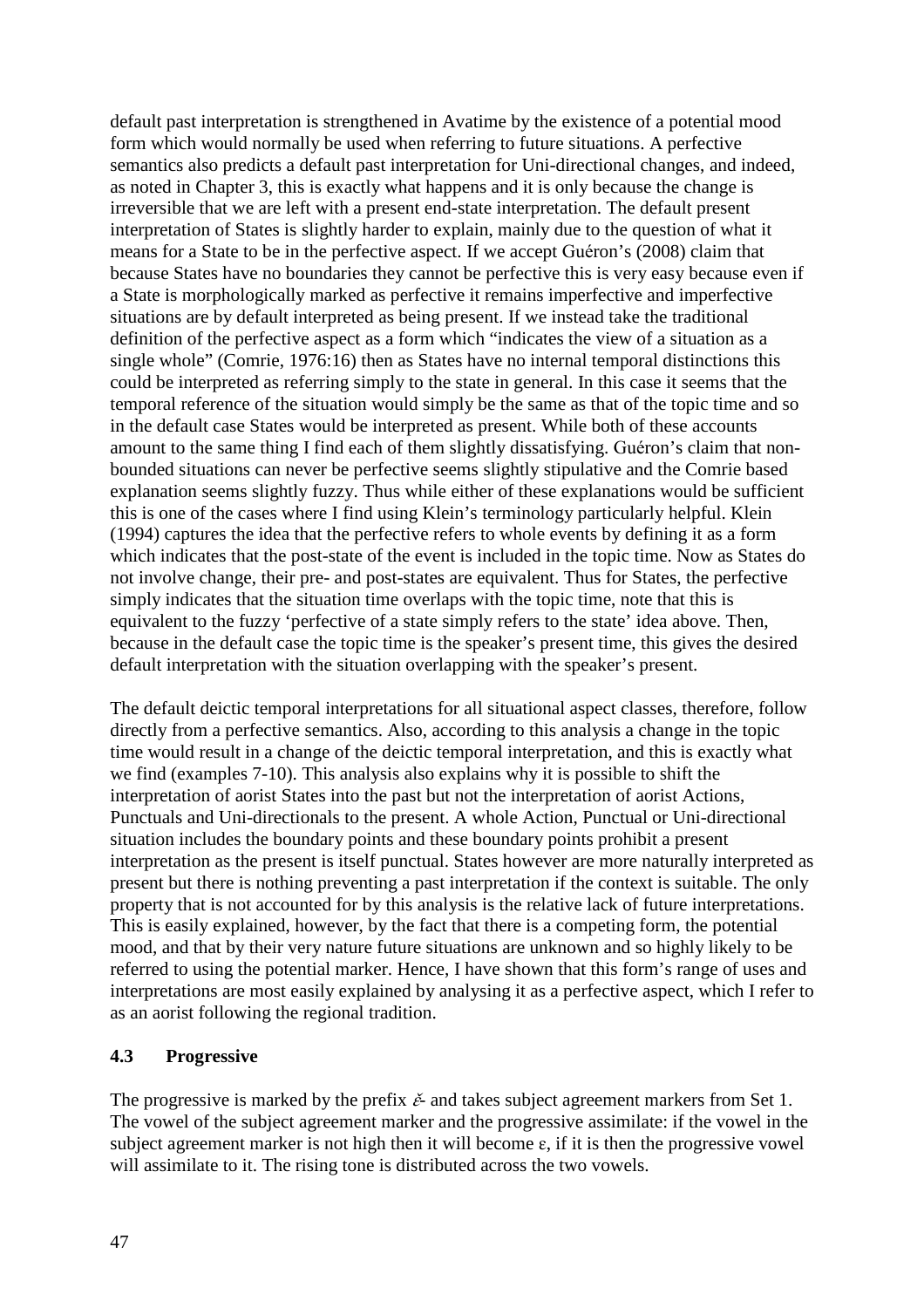default past interpretation is strengthened in Avatime by the existence of a potential mood form which would normally be used when referring to future situations. A perfective semantics also predicts a default past interpretation for Uni-directional changes, and indeed, as noted in Chapter 3, this is exactly what happens and it is only because the change is irreversible that we are left with a present end-state interpretation. The default present interpretation of States is slightly harder to explain, mainly due to the question of what it means for a State to be in the perfective aspect. If we accept Guéron's (2008) claim that because States have no boundaries they cannot be perfective this is very easy because even if a State is morphologically marked as perfective it remains imperfective and imperfective situations are by default interpreted as being present. If we instead take the traditional definition of the perfective aspect as a form which "indicates the view of a situation as a single whole" (Comrie, 1976:16) then as States have no internal temporal distinctions this could be interpreted as referring simply to the state in general. In this case it seems that the temporal reference of the situation would simply be the same as that of the topic time and so in the default case States would be interpreted as present. While both of these accounts amount to the same thing I find each of them slightly dissatisfying. Guéron's claim that nonbounded situations can never be perfective seems slightly stipulative and the Comrie based explanation seems slightly fuzzy. Thus while either of these explanations would be sufficient this is one of the cases where I find using Klein's terminology particularly helpful. Klein (1994) captures the idea that the perfective refers to whole events by defining it as a form which indicates that the post-state of the event is included in the topic time. Now as States do not involve change, their pre- and post-states are equivalent. Thus for States, the perfective simply indicates that the situation time overlaps with the topic time, note that this is equivalent to the fuzzy 'perfective of a state simply refers to the state' idea above. Then, because in the default case the topic time is the speaker's present time, this gives the desired default interpretation with the situation overlapping with the speaker's present.

The default deictic temporal interpretations for all situational aspect classes, therefore, follow directly from a perfective semantics. Also, according to this analysis a change in the topic time would result in a change of the deictic temporal interpretation, and this is exactly what we find (examples 7-10). This analysis also explains why it is possible to shift the interpretation of aorist States into the past but not the interpretation of aorist Actions, Punctuals and Uni-directionals to the present. A whole Action, Punctual or Uni-directional situation includes the boundary points and these boundary points prohibit a present interpretation as the present is itself punctual. States however are more naturally interpreted as present but there is nothing preventing a past interpretation if the context is suitable. The only property that is not accounted for by this analysis is the relative lack of future interpretations. This is easily explained, however, by the fact that there is a competing form, the potential mood, and that by their very nature future situations are unknown and so highly likely to be referred to using the potential marker. Hence, I have shown that this form's range of uses and interpretations are most easily explained by analysing it as a perfective aspect, which I refer to as an aorist following the regional tradition.

### **4.3 Progressive**

The progressive is marked by the prefix  $\check{\epsilon}$  and takes subject agreement markers from Set 1. The vowel of the subject agreement marker and the progressive assimilate: if the vowel in the subject agreement marker is not high then it will become  $\varepsilon$ , if it is then the progressive vowel will assimilate to it. The rising tone is distributed across the two vowels.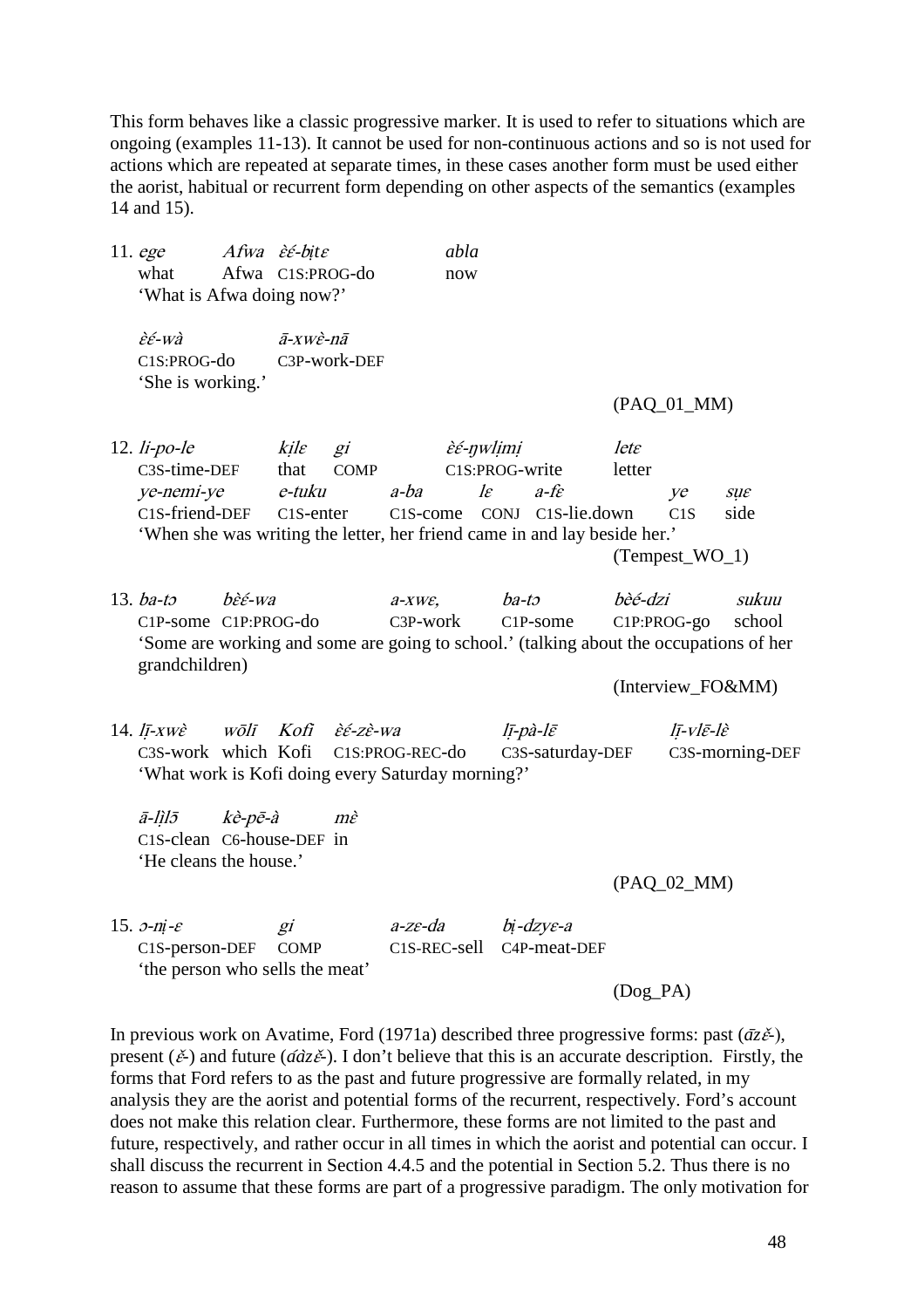This form behaves like a classic progressive marker. It is used to refer to situations which are ongoing (examples 11-13). It cannot be used for non-continuous actions and so is not used for actions which are repeated at separate times, in these cases another form must be used either the aorist, habitual or recurrent form depending on other aspects of the semantics (examples 14 and 15).

11. ege *Afwa èé-bite* abla what Afwa C1S:PROG-do now 'What is Afwa doing now?'  $\hat{\varepsilon}$  $\hat{\varepsilon}$ -wà  $\bar{a}$ -xw $\hat{\varepsilon}$ -nā C1S:PROG-do C3P-work-DEF 'She is working.' (PAQ\_01\_MM) 12. li-po-le  $kile$  gi  $\hat{\varepsilon} \in \partial$   $\partial$   $\partial$  lete C3S-time-DEF that COMP C1S:PROG-write letter ye-nemi-ye e-tuku a-ba lɛ a-fɛ ye sụɛ C1S-friend-DEF C1S-enter C1S-come CONJ C1S-lie.down C1S side 'When she was writing the letter, her friend came in and lay beside her.' (Tempest\_WO\_1) 13. ba-tɔ bɛ̀ɛ́-wa a-xwɛ, ba-tɔ bèé-dzi sukuu C1P-some C1P:PROG-do C3P-work C1P-some C1P:PROG-go school 'Some are working and some are going to school.' (talking about the occupations of her grandchildren) (Interview\_FO&MM) 14. lī-xwè wōlī Kofi  $\grave{\varepsilon} \acute{\varepsilon}$ -zè-wa lī-pà-lē lī-vlē-lè C3S-work which Kofi C1S:PROG-REC-do C3S-saturday-DEF C3S-morning-DEF 'What work is Kofi doing every Saturday morning?' ā-lị̀lɔ̄ kè-pē-à mɛ̀ C1S-clean C6-house-DEF in 'He cleans the house.' (PAQ\_02\_MM) 15. ɔ-n*ị*-ɛ gi a-zɛ-da b*ị*-dzyɛ-a C1S-person-DEF COMP C1S-REC-sell C4P-meat-DEF 'the person who sells the meat' (Dog\_PA) In previous work on Avatime, Ford (1971a) described three progressive forms: past  $(\bar{a}z\tilde{\epsilon})$ , present ( $\check{\epsilon}$ ) and future ( $\hat{\alpha}$ *a*<sup> $\check{\epsilon}$ </sup>). I don't believe that this is an accurate description. Firstly, the forms that Ford refers to as the past and future progressive are formally related, in my

analysis they are the aorist and potential forms of the recurrent, respectively. Ford's account does not make this relation clear. Furthermore, these forms are not limited to the past and future, respectively, and rather occur in all times in which the aorist and potential can occur. I shall discuss the recurrent in Section 4.4.5 and the potential in Section 5.2. Thus there is no reason to assume that these forms are part of a progressive paradigm. The only motivation for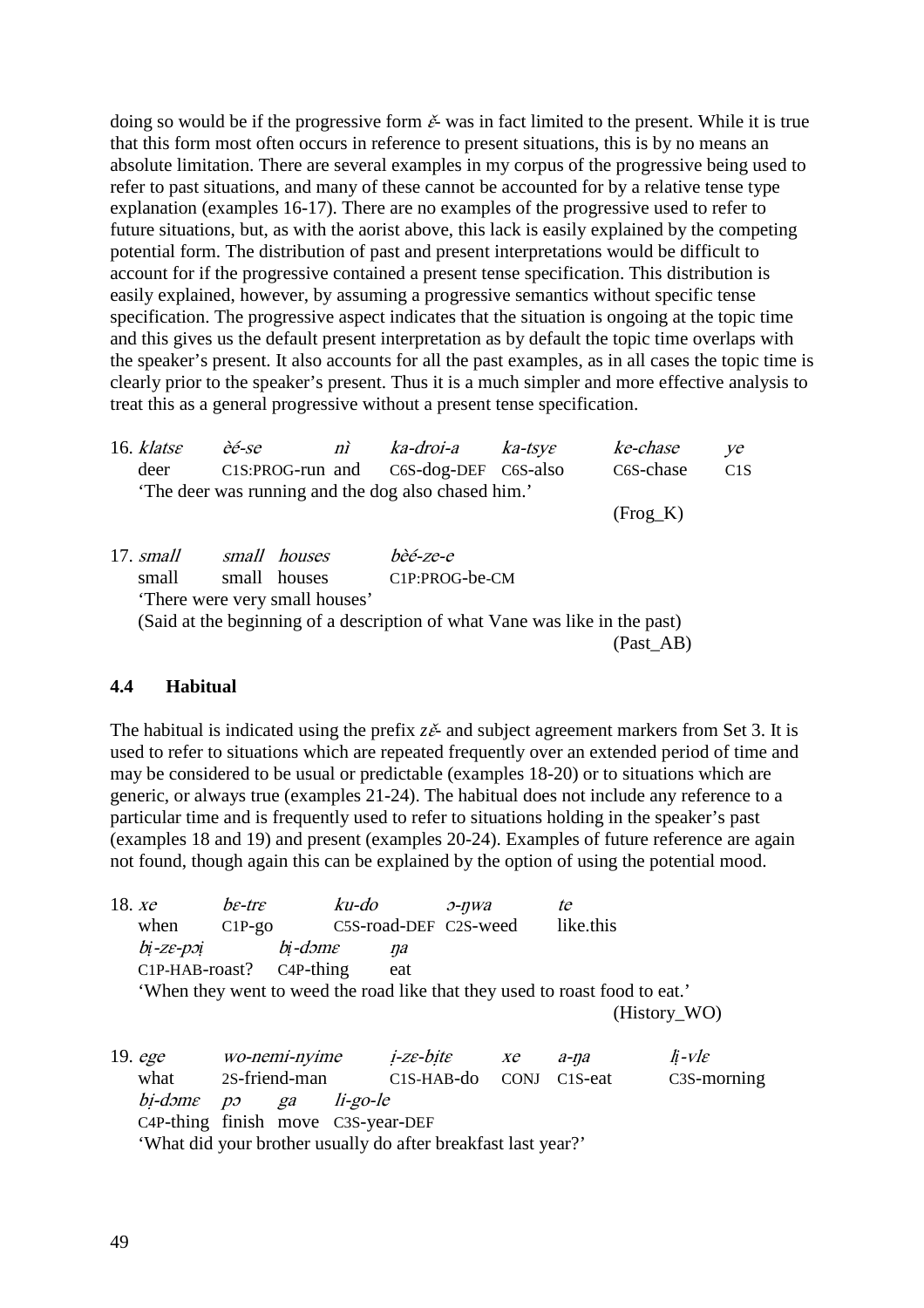doing so would be if the progressive form  $\check{\varepsilon}$ - was in fact limited to the present. While it is true that this form most often occurs in reference to present situations, this is by no means an absolute limitation. There are several examples in my corpus of the progressive being used to refer to past situations, and many of these cannot be accounted for by a relative tense type explanation (examples 16-17). There are no examples of the progressive used to refer to future situations, but, as with the aorist above, this lack is easily explained by the competing potential form. The distribution of past and present interpretations would be difficult to account for if the progressive contained a present tense specification. This distribution is easily explained, however, by assuming a progressive semantics without specific tense specification. The progressive aspect indicates that the situation is ongoing at the topic time and this gives us the default present interpretation as by default the topic time overlaps with the speaker's present. It also accounts for all the past examples, as in all cases the topic time is clearly prior to the speaker's present. Thus it is a much simpler and more effective analysis to treat this as a general progressive without a present tense specification.

| 16. $kl$ ats $\varepsilon$ | èé-se | $n\tilde{i}$                   | ka-droi-a                                                                  | $ka$ -tsy $\varepsilon$ | ke-chase   | ye  |
|----------------------------|-------|--------------------------------|----------------------------------------------------------------------------|-------------------------|------------|-----|
| deer                       |       | C1S:PROG-run and               | C6S-dog-DEF C6S-also                                                       |                         | C6S-chase  | C1S |
|                            |       |                                | 'The deer was running and the dog also chased him.'                        |                         |            |     |
|                            |       |                                |                                                                            |                         | $(Frog_K)$ |     |
|                            |       |                                |                                                                            |                         |            |     |
| 17. <i>small</i>           |       | small houses                   | bèé-ze-e                                                                   |                         |            |     |
| small                      |       | small houses                   | C1P:PROG-be-CM                                                             |                         |            |     |
|                            |       | 'There were very small houses' |                                                                            |                         |            |     |
|                            |       |                                | (Said at the beginning of a description of what Vane was like in the past) |                         |            |     |
|                            |       |                                |                                                                            |                         | (Past_AB)  |     |
|                            |       |                                |                                                                            |                         |            |     |

### **4.4 Habitual**

The habitual is indicated using the prefix  $z\tilde{e}$ - and subject agreement markers from Set 3. It is used to refer to situations which are repeated frequently over an extended period of time and may be considered to be usual or predictable (examples 18-20) or to situations which are generic, or always true (examples 21-24). The habitual does not include any reference to a particular time and is frequently used to refer to situations holding in the speaker's past (examples 18 and 19) and present (examples 20-24). Examples of future reference are again not found, though again this can be explained by the option of using the potential mood.

| 18. $xe$ |                                                                             | $be$ -tr $\varepsilon$        |                                | ku-do                 |     | $O$ -nwa |                | te                   |              |                |
|----------|-----------------------------------------------------------------------------|-------------------------------|--------------------------------|-----------------------|-----|----------|----------------|----------------------|--------------|----------------|
|          | when                                                                        | $C1P-go$                      |                                | C5S-road-DEF C2S-weed |     |          |                | like.this            |              |                |
|          | bi-ze-poi                                                                   |                               | bi-dəme                        |                       | na  |          |                |                      |              |                |
|          | $C1P-HAB-roast?$ $C4P-thing$                                                |                               |                                |                       | eat |          |                |                      |              |                |
|          | 'When they went to weed the road like that they used to roast food to eat.' |                               |                                |                       |     |          |                |                      |              |                |
|          |                                                                             |                               |                                |                       |     |          |                |                      | (History_WO) |                |
|          |                                                                             |                               |                                |                       |     |          |                |                      |              |                |
|          | 19. ege                                                                     |                               | <i>wo-nemi-nyime i-ze-bite</i> |                       |     |          | $X\mathcal{C}$ | $a$ -na              |              | $\hbar$ -vle   |
|          | what                                                                        | 2S-friend-man C1S-HAB-do CONJ |                                |                       |     |          |                | C <sub>1</sub> S-eat |              | $C3S$ -morning |
|          | $bi$ - $d$ <i>m<math>\varepsilon</math></i> $po$                            |                               | ga                             | li-go-le              |     |          |                |                      |              |                |
|          | C4P-thing finish move C3S-year-DEF                                          |                               |                                |                       |     |          |                |                      |              |                |
|          | 'What did your brother usually do after breakfast last year?'               |                               |                                |                       |     |          |                |                      |              |                |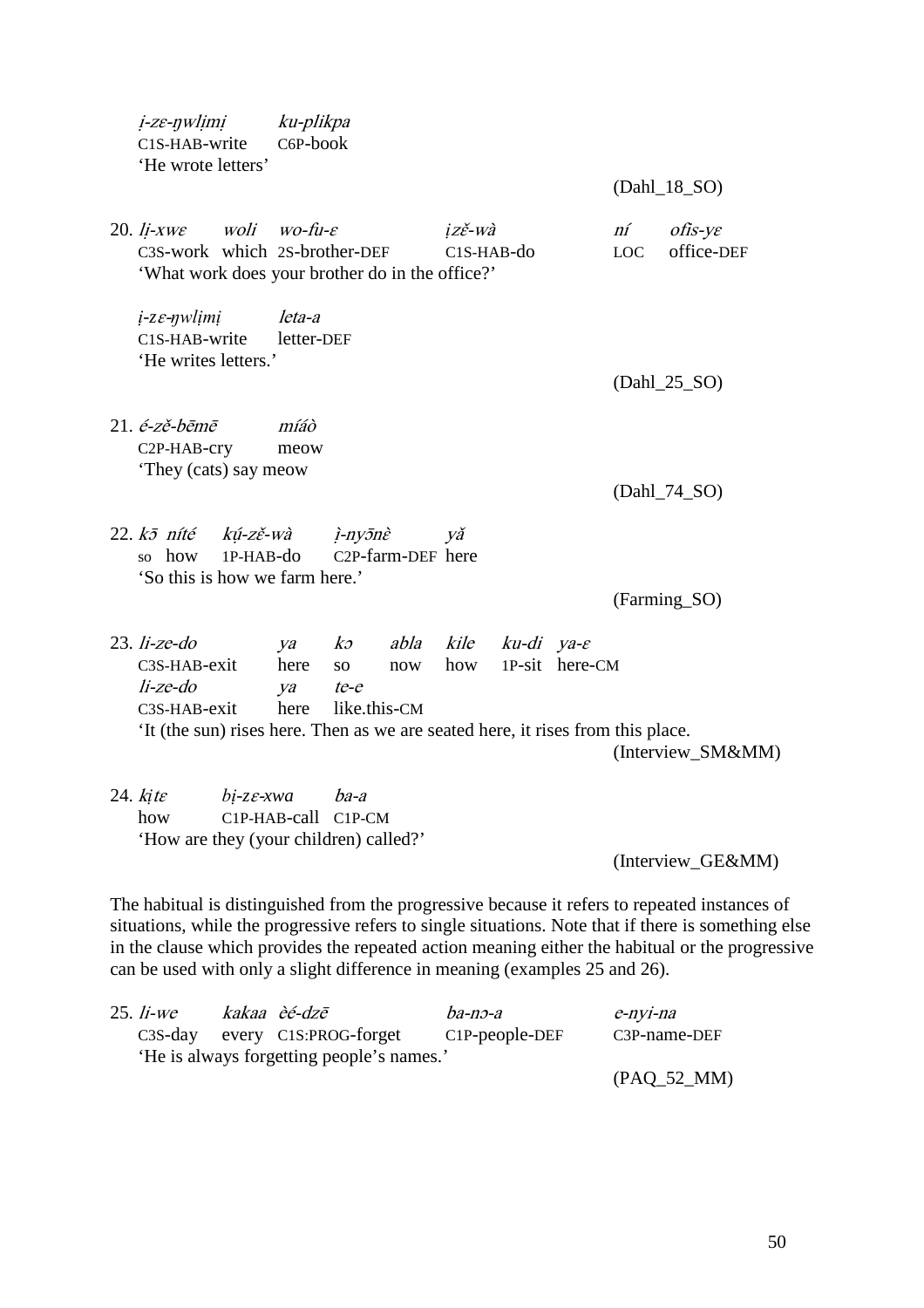| i-ze-nwlimi ku-plikpa<br>C1S-HAB-write<br>'He wrote letters'                                                                          | $C6P-book$                    |                                                    |                   |                      |                    |                    | (Dahl_18_SO)                          |
|---------------------------------------------------------------------------------------------------------------------------------------|-------------------------------|----------------------------------------------------|-------------------|----------------------|--------------------|--------------------|---------------------------------------|
| 20. li-xw $\varepsilon$ woli wo-fu- $\varepsilon$<br>C3S-work which 2S-brother-DEF<br>'What work does your brother do in the office?' |                               |                                                    |                   | izě-wà<br>C1S-HAB-do |                    | ní –<br><b>LOC</b> | $of$ is-y $\varepsilon$<br>office-DEF |
| $i$ -z $\varepsilon$ - $\eta$ wlimi<br>C1S-HAB-write<br>'He writes letters.'                                                          | leta-a<br>letter-DEF          |                                                    |                   |                      |                    |                    | $(Dahl_25_SO)$                        |
| $21. \acute{e}$ -zě-bēmē<br>C <sub>2</sub> P-HAB-cry<br>'They (cats) say meow                                                         | míáò<br>meow                  |                                                    |                   |                      |                    |                    | $(Dahl_74_SO)$                        |
| 22. kō níté kú-zě-wà <i>ì-nyōnè</i><br>$1P-HAB-do$<br>so how<br>'So this is how we farm here.'                                        |                               |                                                    | C2P-farm-DEF here | Vă                   |                    |                    | (Farming_SO)                          |
| $23.$ li-ze-do<br>$C3S-HAB-exit$<br>$li$ -ze-do<br>$C3S-HAB-exit$                                                                     | ya<br>here<br>ya te-e<br>here | $k\mathfrak{I}$<br>SO <sub>2</sub><br>like.this-CM | now               | abla kile ku-di ya-e | how 1P-sit here-CM |                    |                                       |
| It (the sun) rises here. Then as we are seated here, it rises from this place.                                                        |                               |                                                    |                   |                      |                    |                    | (Interview_SM&MM)                     |
| $24.$ kite<br>$bi$ -z $\varepsilon$ -xwa<br>how<br>'How are they (your children) called?'                                             | $C1P-HAB-call C1P-CM$         | ba-a                                               |                   |                      |                    |                    | (Interview_GE&MM)                     |

The habitual is distinguished from the progressive because it refers to repeated instances of situations, while the progressive refers to single situations. Note that if there is something else in the clause which provides the repeated action meaning either the habitual or the progressive can be used with only a slight difference in meaning (examples 25 and 26).

| $25.$ <i>li-we</i> | kakaa èé-dzē                              | ba-no-a           | e-nyi-na      |
|--------------------|-------------------------------------------|-------------------|---------------|
|                    | C3S-day every C1S:PROG-forget             | $C1P$ -people-DEF | C3P-name-DEF  |
|                    | 'He is always forgetting people's names.' |                   |               |
|                    |                                           |                   | $(PAQ_52_MM)$ |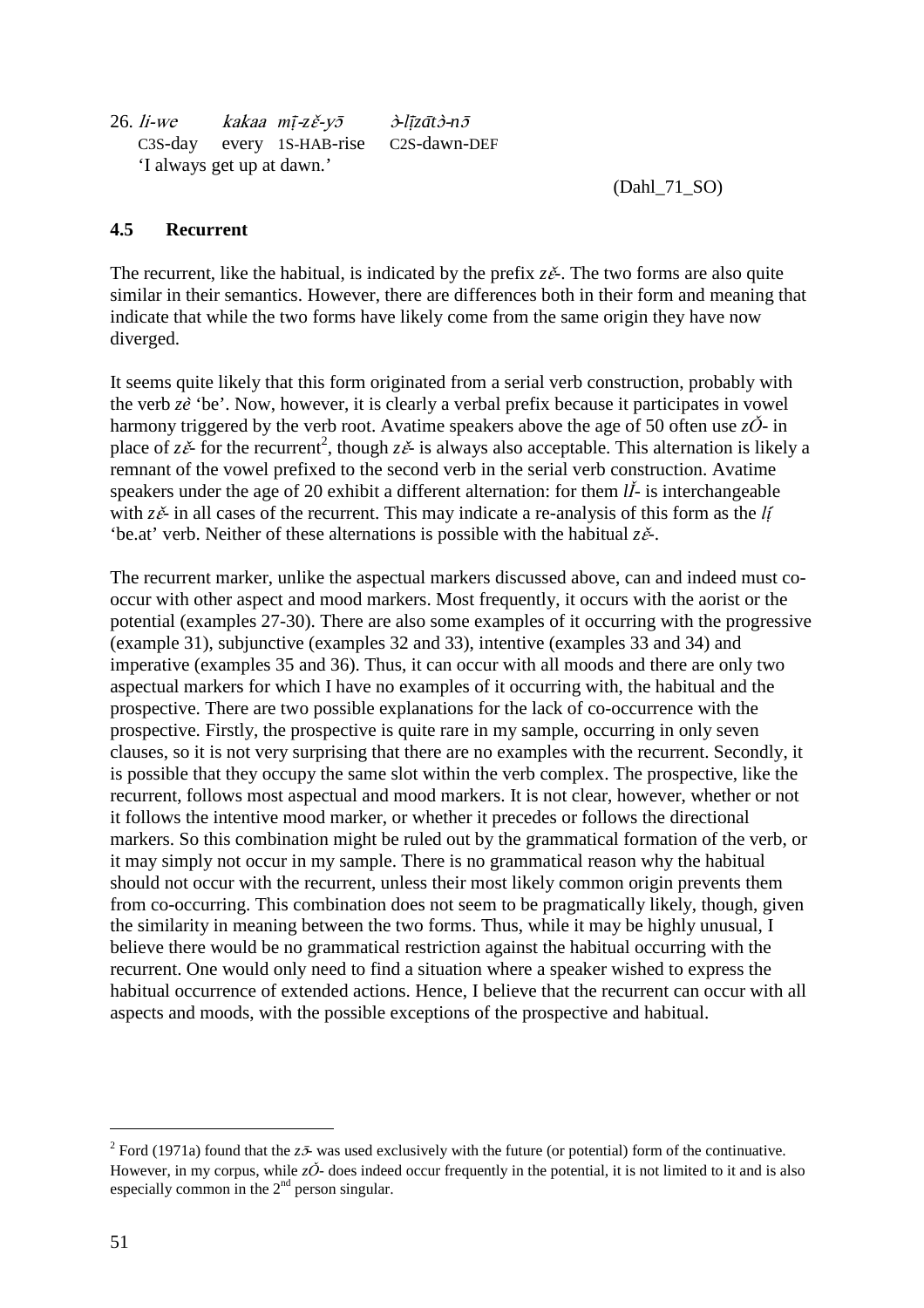| $26.$ <i>li-we</i>         | kakaa mī-zě-yō            | $\partial$ -līzāt $\partial$ -n $\bar{\partial}$ |
|----------------------------|---------------------------|--------------------------------------------------|
|                            | C3S-day every 1S-HAB-rise | C2S-dawn-DEF                                     |
| 'I always get up at dawn.' |                           |                                                  |

(Dahl\_71\_SO)

### **4.5 Recurrent**

The recurrent, like the habitual, is indicated by the prefix  $z\tilde{e}$ . The two forms are also quite similar in their semantics. However, there are differences both in their form and meaning that indicate that while the two forms have likely come from the same origin they have now diverged.

It seems quite likely that this form originated from a serial verb construction, probably with the verb *ze*̀ 'be'. Now, however, it is clearly a verbal prefix because it participates in vowel harmony triggered by the verb root. Avatime speakers above the age of 50 often use  $z\ddot{\mathrm{O}}$ - in place of  $z\tilde{\epsilon}$  for the recurrent<sup>2</sup>, though  $z\tilde{\epsilon}$  is always also acceptable. This alternation is likely a remnant of the vowel prefixed to the second verb in the serial verb construction. Avatime speakers under the age of 20 exhibit a different alternation: for them  $l\tilde{l}$ - is interchangeable with  $z\tilde{e}$ - in all cases of the recurrent. This may indicate a re-analysis of this form as the *li* 'be.at' verb. Neither of these alternations is possible with the habitual  $z\check{e}$ .

The recurrent marker, unlike the aspectual markers discussed above, can and indeed must cooccur with other aspect and mood markers. Most frequently, it occurs with the aorist or the potential (examples 27-30). There are also some examples of it occurring with the progressive (example 31), subjunctive (examples 32 and 33), intentive (examples 33 and 34) and imperative (examples 35 and 36). Thus, it can occur with all moods and there are only two aspectual markers for which I have no examples of it occurring with, the habitual and the prospective. There are two possible explanations for the lack of co-occurrence with the prospective. Firstly, the prospective is quite rare in my sample, occurring in only seven clauses, so it is not very surprising that there are no examples with the recurrent. Secondly, it is possible that they occupy the same slot within the verb complex. The prospective, like the recurrent, follows most aspectual and mood markers. It is not clear, however, whether or not it follows the intentive mood marker, or whether it precedes or follows the directional markers. So this combination might be ruled out by the grammatical formation of the verb, or it may simply not occur in my sample. There is no grammatical reason why the habitual should not occur with the recurrent, unless their most likely common origin prevents them from co-occurring. This combination does not seem to be pragmatically likely, though, given the similarity in meaning between the two forms. Thus, while it may be highly unusual, I believe there would be no grammatical restriction against the habitual occurring with the recurrent. One would only need to find a situation where a speaker wished to express the habitual occurrence of extended actions. Hence, I believe that the recurrent can occur with all aspects and moods, with the possible exceptions of the prospective and habitual.

 $\overline{a}$ 

<sup>&</sup>lt;sup>2</sup> Ford (1971a) found that the  $z\bar{z}$ - was used exclusively with the future (or potential) form of the continuative. However, in my corpus, while  $z\check{O}$ - does indeed occur frequently in the potential, it is not limited to it and is also especially common in the  $2<sup>nd</sup>$  person singular.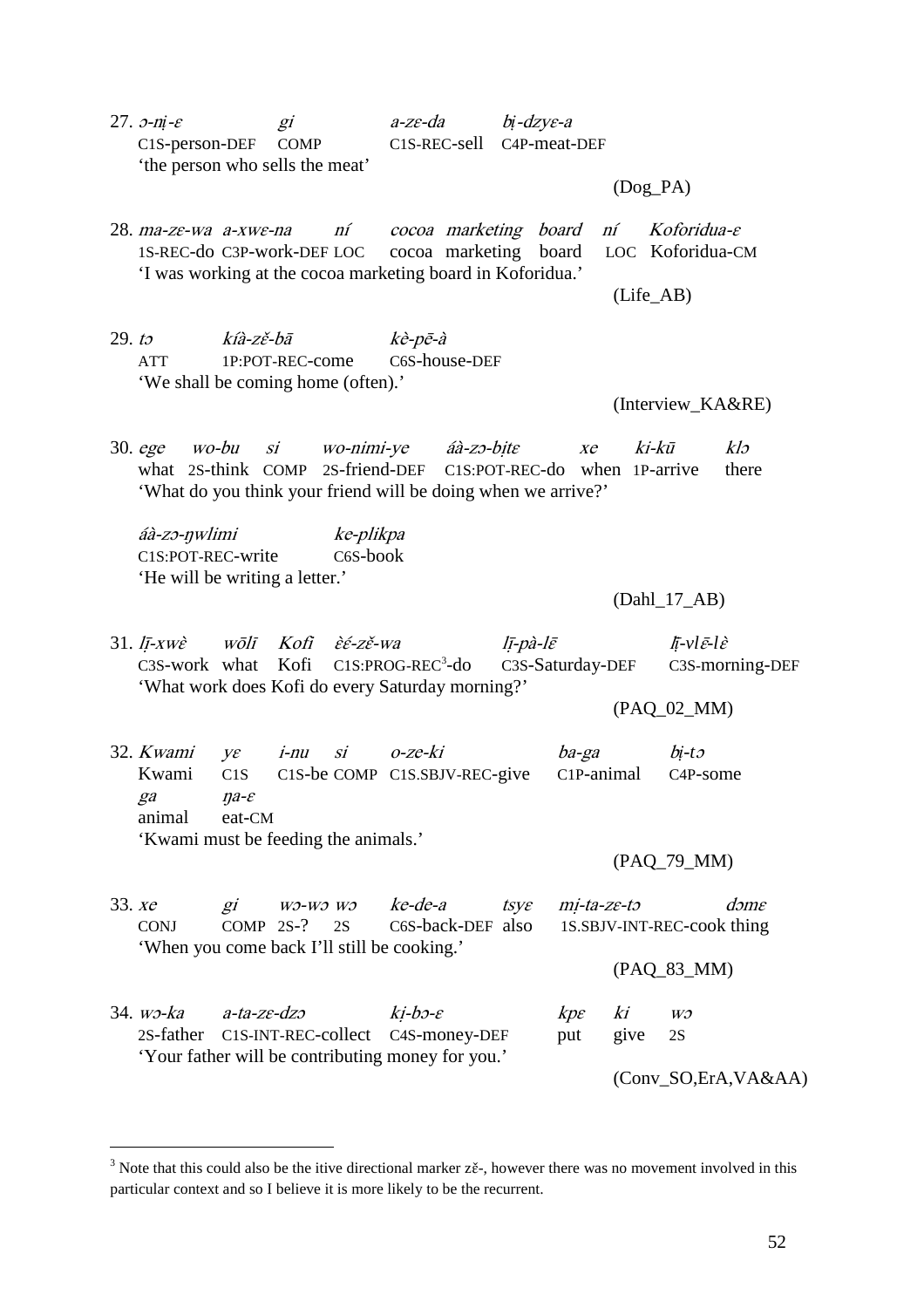27. ɔ-n*ị*-ɛ gi a-zɛ-da b*ị*-dzyɛ-a C1S-person-DEF COMP C1S-REC-sell C4P-meat-DEF 'the person who sells the meat'

(Dog\_PA)

28. ma-zɛ-wa a-xwɛ-na ní cocoa marketing board ní Koforidua-ɛ 1S-REC-do C3P-work-DEF LOC cocoa marketing board LOC Koforidua-CM 'I was working at the cocoa marketing board in Koforidua.'

(Life\_AB)

29. to  $k \hat{i}$ a-zě-bā  $k \hat{e}$ -pē-à ATT 1P:POT-REC-come C6S-house-DEF 'We shall be coming home (often).'

(Interview\_KA&RE)

30. ege wo-bu si wo-nimi-ye áà-zɔ-bịtɛ xe ki-kū klɔ what 2S-think COMP 2S-friend-DEF C1S:POT-REC-do when 1P-arrive there 'What do you think your friend will be doing when we arrive?'

áà-zɔ-ŋwlimi ke-plikpa C1S:POT-REC-write C6S-book 'He will be writing a letter.'

 $\overline{a}$ 

(Dahl\_17\_AB)

31. lị̄-xwɛ̀ wōlī Kofi ɛ̀ɛ́-zɛ̌-wa lị̄-pà-lɛ̄ l*ị*̄*-vl*ɛ̄*-l*ɛ̀ C3S-work what Kofi C1S:PROG-REC<sup>3</sup>-do C3S-Saturday-DEF C3S-morning-DEF 'What work does Kofi do every Saturday morning?'

(PAQ\_02\_MM)

32. Kwami yɛ i-nu si o-ze-ki ba-ga b*ị-t*<sup>ɔ</sup> Kwami C1S C1S-be COMP C1S.SBJV-REC-give C1P-animal C4P-some ga ŋa-ɛ animal eat-CM 'Kwami must be feeding the animals.'

(PAQ\_79\_MM)

33. xe gi wɔ-wɔ wɔ ke-de-a tsye mi-ta-ze-tɔ dɔme CONJ COMP 2S-? 2S C6S-back-DEF also 1S.SBJV-INT-REC-cook thing 'When you come back I'll still be cooking.' (PAQ\_83\_MM) 34. wɔ-ka a-ta-ze-dzo  $ki-b$ - $\varepsilon$  kpe ki wɔ 2S-father C1S-INT-REC-collect C4S-money-DEF put give 2S 'Your father will be contributing money for you.' (Conv\_SO,ErA,VA&AA)

<sup>&</sup>lt;sup>3</sup> Note that this could also be the itive directional marker  $z\tilde{\epsilon}$ , however there was no movement involved in this particular context and so I believe it is more likely to be the recurrent.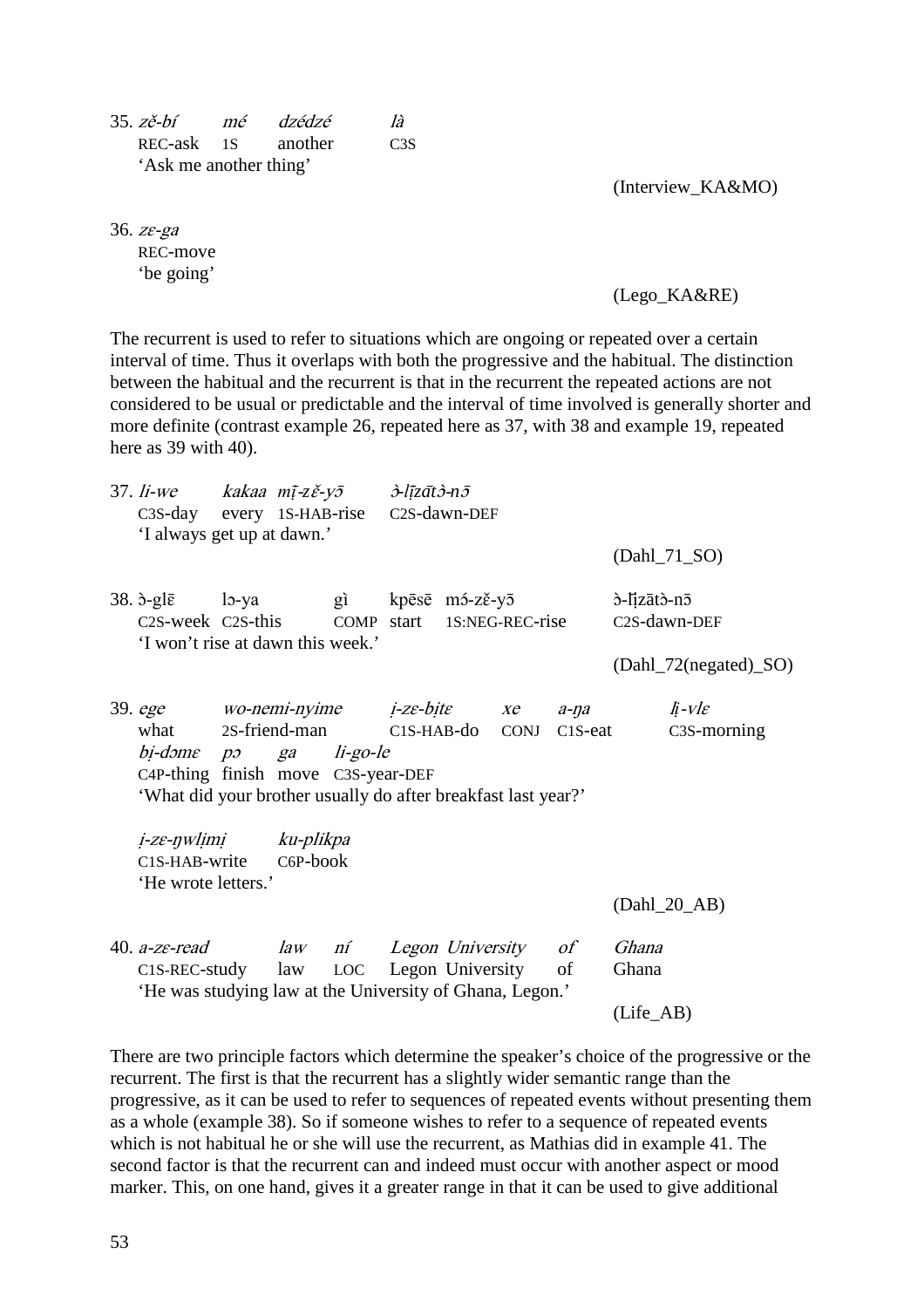| 35. zě-bí              | mé dzédzé          | Ià               |
|------------------------|--------------------|------------------|
|                        | REC-ask 1S another | C <sub>3</sub> S |
| 'Ask me another thing' |                    |                  |

(Interview\_KA&MO)

36. zɛ-ga REC-move 'be going'

(Lego\_KA&RE)

The recurrent is used to refer to situations which are ongoing or repeated over a certain interval of time. Thus it overlaps with both the progressive and the habitual. The distinction between the habitual and the recurrent is that in the recurrent the repeated actions are not considered to be usual or predictable and the interval of time involved is generally shorter and more definite (contrast example 26, repeated here as 37, with 38 and example 19, repeated here as 39 with 40).

|  | 37. li-we kakaa m $\bar{i}$ -zě-y $\bar{j}$ $\qquad \lambda$ -līzāt $\dot{\lambda}$ -n $\bar{j}$<br>C3S-day every 1S-HAB-rise C2S-dawn-DEF<br>'I always get up at dawn.' |  |  |  |                                       |                                              |       | (Dahl_71_SO)          |                          |                                                   |  |
|--|--------------------------------------------------------------------------------------------------------------------------------------------------------------------------|--|--|--|---------------------------------------|----------------------------------------------|-------|-----------------------|--------------------------|---------------------------------------------------|--|
|  |                                                                                                                                                                          |  |  |  |                                       |                                              |       |                       |                          |                                                   |  |
|  | 38. b-glē lo-ya gì kpēsē mó-zě-yō                                                                                                                                        |  |  |  |                                       |                                              |       |                       | ò-lizātò-nō              |                                                   |  |
|  |                                                                                                                                                                          |  |  |  |                                       | C2S-week C2S-this COMP start 1S:NEG-REC-rise |       |                       |                          | C2S-dawn-DEF                                      |  |
|  | 'I won't rise at dawn this week.'                                                                                                                                        |  |  |  |                                       |                                              |       | (Dahl_72(negated)_SO) |                          |                                                   |  |
|  | 39. ege wo-nemi-nyime <i>i-ze-bite xe a-na</i>                                                                                                                           |  |  |  |                                       |                                              |       |                       |                          | $\ddot{\mathit{h}}$ - $V$ $\mathit{l}\varepsilon$ |  |
|  | what                                                                                                                                                                     |  |  |  | 2S-friend-man C1S-HAB-do CONJ C1S-eat |                                              |       |                       | C <sub>3</sub> S-morning |                                                   |  |
|  | bi-dome po ga li-go-le<br>C4P-thing finish move C3S-year-DEF<br>'What did your brother usually do after breakfast last year?'                                            |  |  |  |                                       |                                              |       |                       |                          |                                                   |  |
|  | <i>i-ze-nwlimi ku-plikpa</i>                                                                                                                                             |  |  |  |                                       |                                              |       |                       |                          |                                                   |  |
|  | C <sub>1</sub> S-H <sub>A</sub> B-write                                                                                                                                  |  |  |  |                                       |                                              |       |                       |                          |                                                   |  |
|  | 'He wrote letters.'                                                                                                                                                      |  |  |  |                                       |                                              |       |                       |                          |                                                   |  |
|  |                                                                                                                                                                          |  |  |  |                                       |                                              |       |                       |                          | $(Dahl_20_AB)$                                    |  |
|  | 40. a-ze-read law ní Legon University of                                                                                                                                 |  |  |  |                                       |                                              |       |                       | Ghana                    |                                                   |  |
|  | C1S-REC-study law LOC Legon University of<br>'He was studying law at the University of Ghana, Legon.'                                                                    |  |  |  |                                       |                                              | Ghana |                       |                          |                                                   |  |
|  |                                                                                                                                                                          |  |  |  |                                       | (Life <sub>AB</sub> )                        |       |                       |                          |                                                   |  |

There are two principle factors which determine the speaker's choice of the progressive or the recurrent. The first is that the recurrent has a slightly wider semantic range than the progressive, as it can be used to refer to sequences of repeated events without presenting them as a whole (example 38). So if someone wishes to refer to a sequence of repeated events which is not habitual he or she will use the recurrent, as Mathias did in example 41. The second factor is that the recurrent can and indeed must occur with another aspect or mood marker. This, on one hand, gives it a greater range in that it can be used to give additional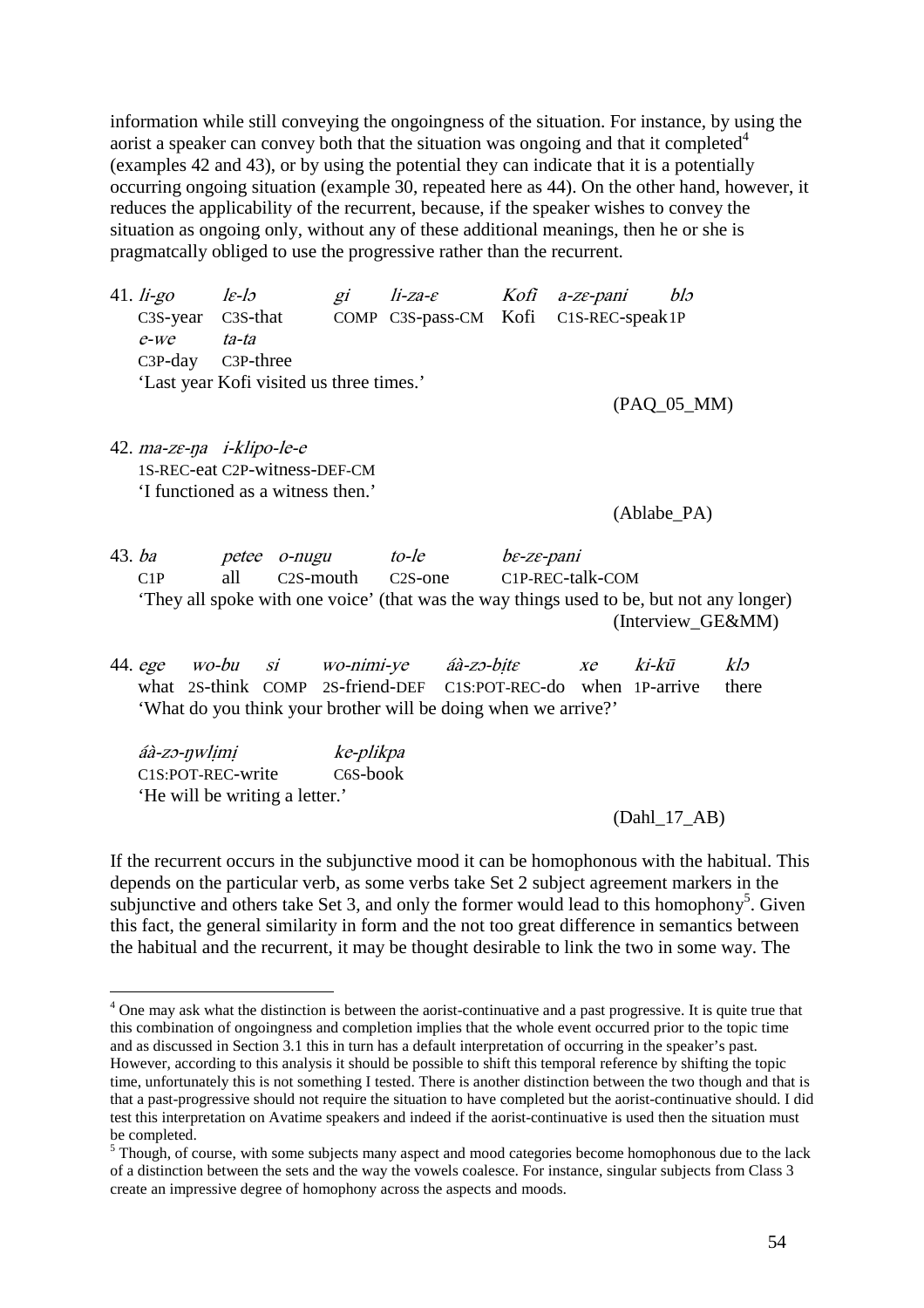information while still conveying the ongoingness of the situation. For instance, by using the aorist a speaker can convey both that the situation was ongoing and that it completed  $4$ (examples 42 and 43), or by using the potential they can indicate that it is a potentially occurring ongoing situation (example 30, repeated here as 44). On the other hand, however, it reduces the applicability of the recurrent, because, if the speaker wishes to convey the situation as ongoing only, without any of these additional meanings, then he or she is pragmatcally obliged to use the progressive rather than the recurrent.

| 41. li-go $l\epsilon$ -lo |                                          | gi li-za-e Kofi a-ze-pani blo         |  |  |
|---------------------------|------------------------------------------|---------------------------------------|--|--|
| $C3S-year$ $C3S-that$     |                                          | COMP C3S-pass-CM Kofi C1S-REC-speak1P |  |  |
| e-we ta-ta                |                                          |                                       |  |  |
|                           | C3P-day C3P-three                        |                                       |  |  |
|                           | 'Last year Kofi visited us three times.' |                                       |  |  |
|                           |                                          |                                       |  |  |

(PAQ\_05\_MM)

42. ma-zɛ-ŋa i-klipo-le-e 1S-REC-eat C2P-witness-DEF-CM 'I functioned as a witness then.'

(Ablabe\_PA)

43. ba petee o-nugu to-le bɛ-zɛ-pani C1P all C2S-mouth C2S-one C1P-REC-talk-COM 'They all spoke with one voice' (that was the way things used to be, but not any longer) (Interview\_GE&MM)

44. ege wo-bu si wo-nimi-ye áà-zo-bite xe ki-kū klo what 2S-think COMP 2S-friend-DEF C1S:POT-REC-do when 1P-arrive there 'What do you think your brother will be doing when we arrive?'

áà-zɔ-ŋwlịmị ke-plikpa C1S:POT-REC-write C6S-book 'He will be writing a letter.'

(Dahl\_17\_AB)

If the recurrent occurs in the subjunctive mood it can be homophonous with the habitual. This depends on the particular verb, as some verbs take Set 2 subject agreement markers in the subjunctive and others take Set 3, and only the former would lead to this homophony<sup>5</sup>. Given this fact, the general similarity in form and the not too great difference in semantics between the habitual and the recurrent, it may be thought desirable to link the two in some way. The

 $\overline{a}$ <sup>4</sup> One may ask what the distinction is between the aorist-continuative and a past progressive. It is quite true that this combination of ongoingness and completion implies that the whole event occurred prior to the topic time and as discussed in Section 3.1 this in turn has a default interpretation of occurring in the speaker's past. However, according to this analysis it should be possible to shift this temporal reference by shifting the topic time, unfortunately this is not something I tested. There is another distinction between the two though and that is that a past-progressive should not require the situation to have completed but the aorist-continuative should. I did test this interpretation on Avatime speakers and indeed if the aorist-continuative is used then the situation must be completed.

 $<sup>5</sup>$  Though, of course, with some subjects many aspect and mood categories become homophonous due to the lack</sup> of a distinction between the sets and the way the vowels coalesce. For instance, singular subjects from Class 3 create an impressive degree of homophony across the aspects and moods.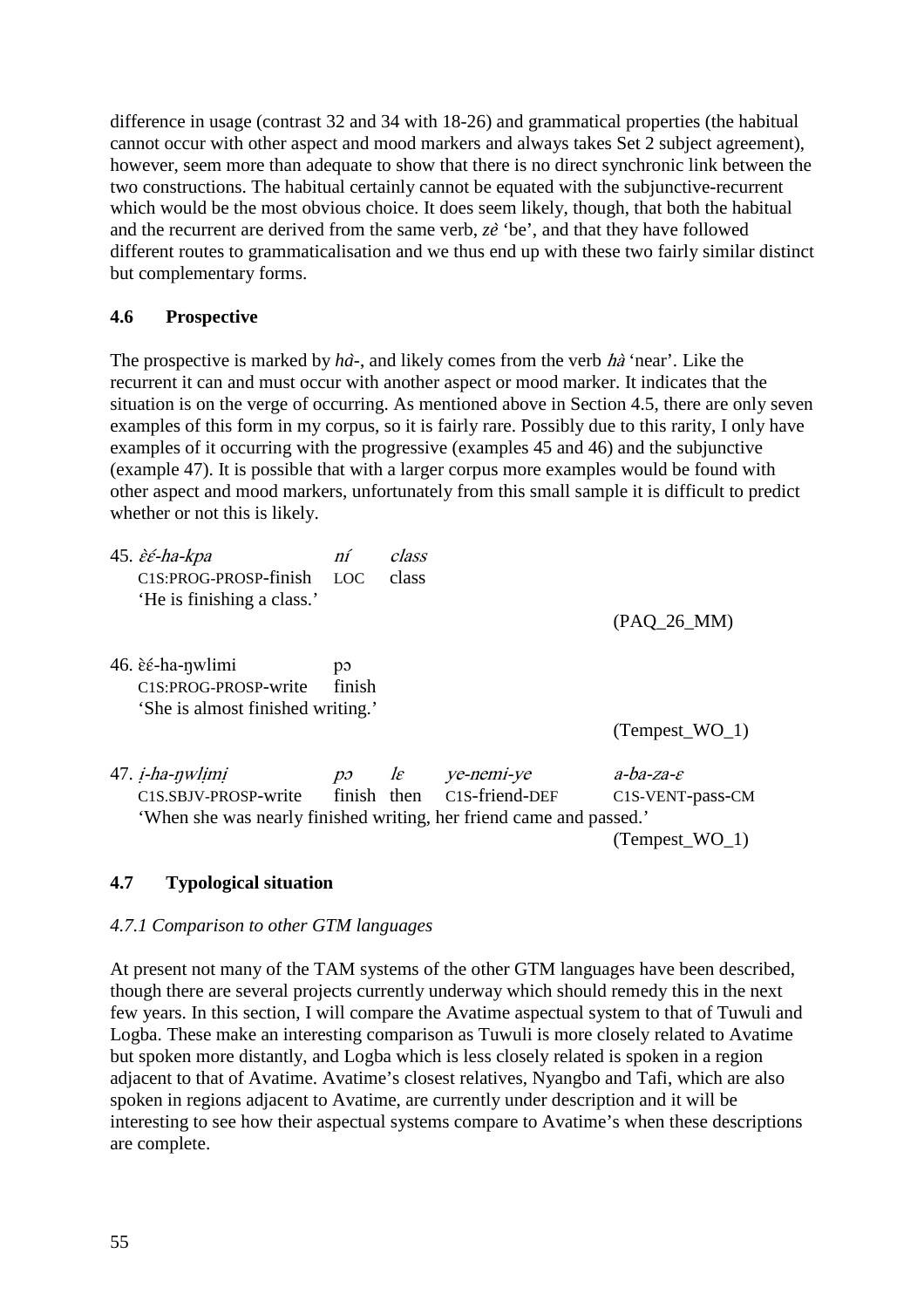difference in usage (contrast 32 and 34 with 18-26) and grammatical properties (the habitual cannot occur with other aspect and mood markers and always takes Set 2 subject agreement), however, seem more than adequate to show that there is no direct synchronic link between the two constructions. The habitual certainly cannot be equated with the subjunctive-recurrent which would be the most obvious choice. It does seem likely, though, that both the habitual and the recurrent are derived from the same verb, *ze*̀ 'be', and that they have followed different routes to grammaticalisation and we thus end up with these two fairly similar distinct but complementary forms.

### **4.6 Prospective**

The prospective is marked by *ha*̀*-*, and likely comes from the verb hà 'near'. Like the recurrent it can and must occur with another aspect or mood marker. It indicates that the situation is on the verge of occurring. As mentioned above in Section 4.5, there are only seven examples of this form in my corpus, so it is fairly rare. Possibly due to this rarity, I only have examples of it occurring with the progressive (examples 45 and 46) and the subjunctive (example 47). It is possible that with a larger corpus more examples would be found with other aspect and mood markers, unfortunately from this small sample it is difficult to predict whether or not this is likely.

| 45. <i>èé-ha-kpa</i><br>C <sub>1</sub> S:PROG-PROSP-finish<br>'He is finishing a class.'                              | ní<br>LOC                                          | class<br>class |                                          | $(PAQ_26_MM)$                                                   |
|-----------------------------------------------------------------------------------------------------------------------|----------------------------------------------------|----------------|------------------------------------------|-----------------------------------------------------------------|
| 46. è <i>é</i> -ha-nwlimi<br>C1S:PROG-PROSP-write<br>'She is almost finished writing.'                                | p<br>finish                                        |                |                                          | $(Tempest_WO_1)$                                                |
| 47. <i>i-ha-nwlimi</i><br>C1S.SBJV-PROSP-write<br>'When she was nearly finished writing, her friend came and passed.' | $p\mathfrak{I}$ $\qquad$ $\mathfrak{l}\varepsilon$ |                | ye-nemi-ye<br>finish then C1S-friend-DEF | $a-ba$ -za- $\varepsilon$<br>C1S-VENT-pass-CM<br>(Tempest WO 1) |

# **4.7 Typological situation**

### *4.7.1 Comparison to other GTM languages*

At present not many of the TAM systems of the other GTM languages have been described, though there are several projects currently underway which should remedy this in the next few years. In this section, I will compare the Avatime aspectual system to that of Tuwuli and Logba. These make an interesting comparison as Tuwuli is more closely related to Avatime but spoken more distantly, and Logba which is less closely related is spoken in a region adjacent to that of Avatime. Avatime's closest relatives, Nyangbo and Tafi, which are also spoken in regions adjacent to Avatime, are currently under description and it will be interesting to see how their aspectual systems compare to Avatime's when these descriptions are complete.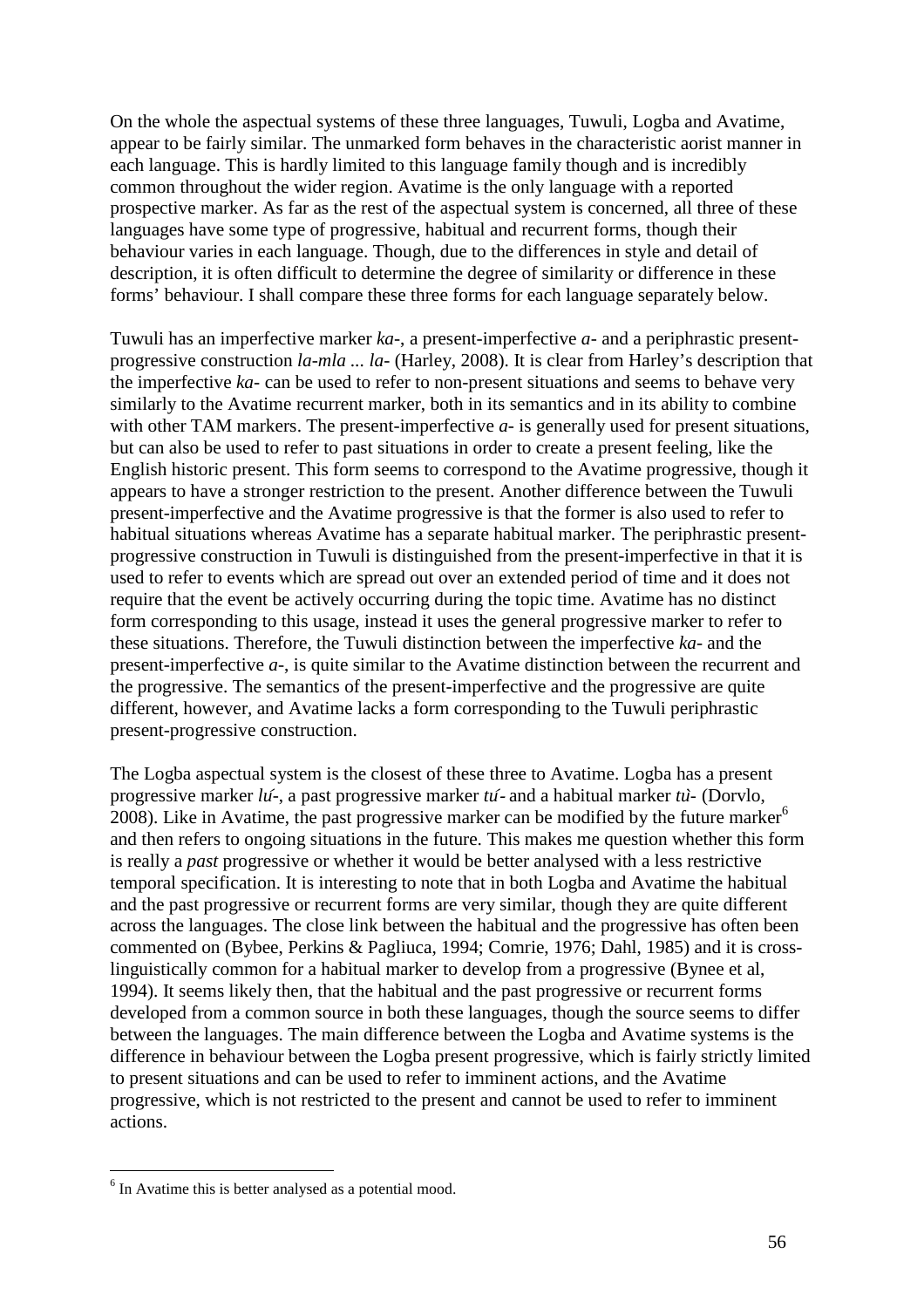On the whole the aspectual systems of these three languages, Tuwuli, Logba and Avatime, appear to be fairly similar. The unmarked form behaves in the characteristic aorist manner in each language. This is hardly limited to this language family though and is incredibly common throughout the wider region. Avatime is the only language with a reported prospective marker. As far as the rest of the aspectual system is concerned, all three of these languages have some type of progressive, habitual and recurrent forms, though their behaviour varies in each language. Though, due to the differences in style and detail of description, it is often difficult to determine the degree of similarity or difference in these forms' behaviour. I shall compare these three forms for each language separately below.

Tuwuli has an imperfective marker *ka-*, a present-imperfective *a-* and a periphrastic presentprogressive construction *la-mla ... la-* (Harley, 2008). It is clear from Harley's description that the imperfective *ka-* can be used to refer to non-present situations and seems to behave very similarly to the Avatime recurrent marker, both in its semantics and in its ability to combine with other TAM markers. The present-imperfective *a*- is generally used for present situations, but can also be used to refer to past situations in order to create a present feeling, like the English historic present. This form seems to correspond to the Avatime progressive, though it appears to have a stronger restriction to the present. Another difference between the Tuwuli present-imperfective and the Avatime progressive is that the former is also used to refer to habitual situations whereas Avatime has a separate habitual marker. The periphrastic presentprogressive construction in Tuwuli is distinguished from the present-imperfective in that it is used to refer to events which are spread out over an extended period of time and it does not require that the event be actively occurring during the topic time. Avatime has no distinct form corresponding to this usage, instead it uses the general progressive marker to refer to these situations. Therefore, the Tuwuli distinction between the imperfective *ka-* and the present-imperfective *a-*, is quite similar to the Avatime distinction between the recurrent and the progressive. The semantics of the present-imperfective and the progressive are quite different, however, and Avatime lacks a form corresponding to the Tuwuli periphrastic present-progressive construction.

The Logba aspectual system is the closest of these three to Avatime. Logba has a present progressive marker *lu*́-, a past progressive marker *tu*́- and a habitual marker *tu*̀- (Dorvlo, 2008). Like in Avatime, the past progressive marker can be modified by the future marker<sup>6</sup> and then refers to ongoing situations in the future. This makes me question whether this form is really a *past* progressive or whether it would be better analysed with a less restrictive temporal specification. It is interesting to note that in both Logba and Avatime the habitual and the past progressive or recurrent forms are very similar, though they are quite different across the languages. The close link between the habitual and the progressive has often been commented on (Bybee, Perkins & Pagliuca, 1994; Comrie, 1976; Dahl, 1985) and it is crosslinguistically common for a habitual marker to develop from a progressive (Bynee et al, 1994). It seems likely then, that the habitual and the past progressive or recurrent forms developed from a common source in both these languages, though the source seems to differ between the languages. The main difference between the Logba and Avatime systems is the difference in behaviour between the Logba present progressive, which is fairly strictly limited to present situations and can be used to refer to imminent actions, and the Avatime progressive, which is not restricted to the present and cannot be used to refer to imminent actions.

 $\overline{a}$ 

<sup>&</sup>lt;sup>6</sup> In Avatime this is better analysed as a potential mood.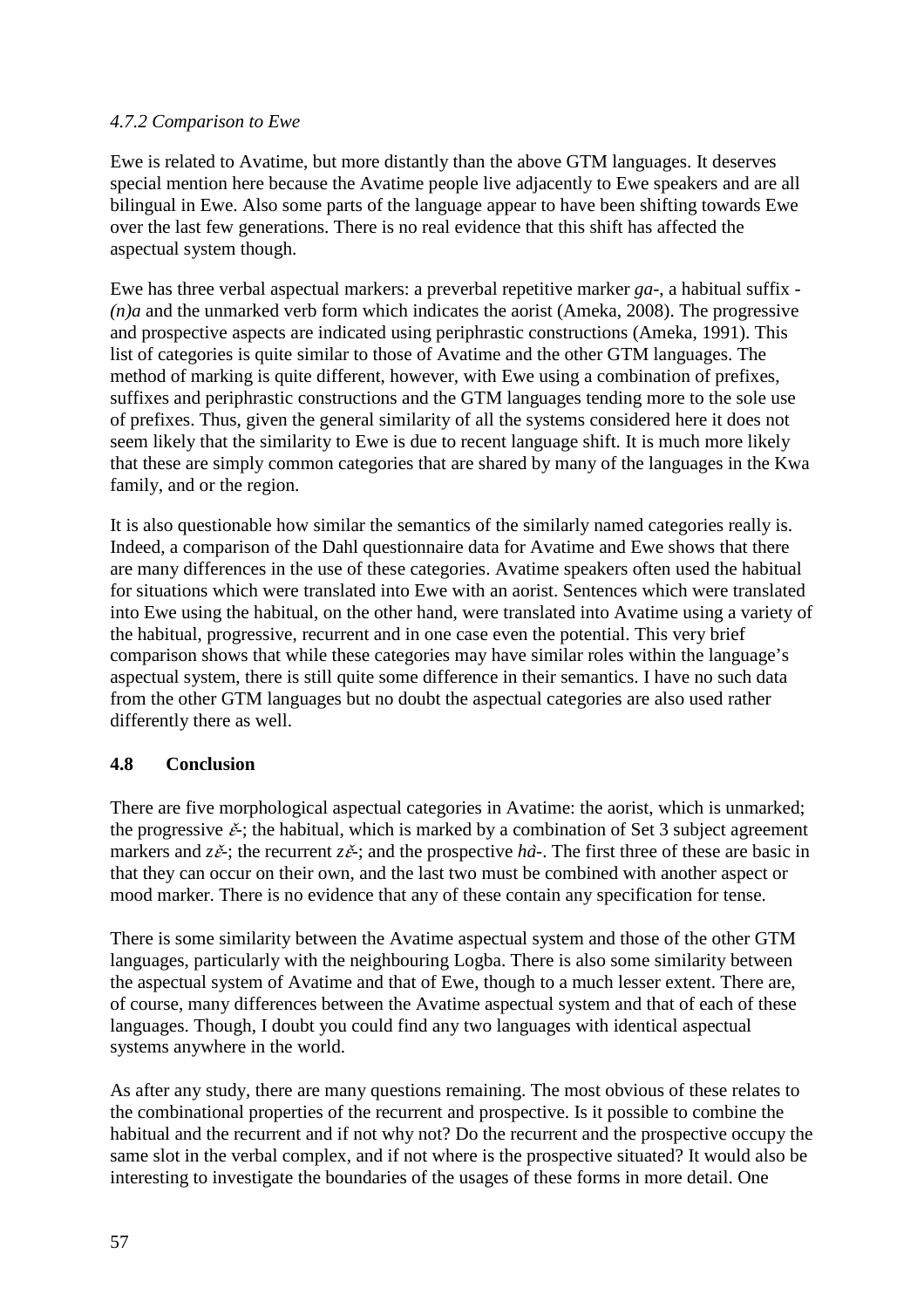### *4.7.2 Comparison to Ewe*

Ewe is related to Avatime, but more distantly than the above GTM languages. It deserves special mention here because the Avatime people live adjacently to Ewe speakers and are all bilingual in Ewe. Also some parts of the language appear to have been shifting towards Ewe over the last few generations. There is no real evidence that this shift has affected the aspectual system though.

Ewe has three verbal aspectual markers: a preverbal repetitive marker *ga-*, a habitual suffix *- (n)a* and the unmarked verb form which indicates the aorist (Ameka, 2008). The progressive and prospective aspects are indicated using periphrastic constructions (Ameka, 1991). This list of categories is quite similar to those of Avatime and the other GTM languages. The method of marking is quite different, however, with Ewe using a combination of prefixes, suffixes and periphrastic constructions and the GTM languages tending more to the sole use of prefixes. Thus, given the general similarity of all the systems considered here it does not seem likely that the similarity to Ewe is due to recent language shift. It is much more likely that these are simply common categories that are shared by many of the languages in the Kwa family, and or the region.

It is also questionable how similar the semantics of the similarly named categories really is. Indeed, a comparison of the Dahl questionnaire data for Avatime and Ewe shows that there are many differences in the use of these categories. Avatime speakers often used the habitual for situations which were translated into Ewe with an aorist. Sentences which were translated into Ewe using the habitual, on the other hand, were translated into Avatime using a variety of the habitual, progressive, recurrent and in one case even the potential. This very brief comparison shows that while these categories may have similar roles within the language's aspectual system, there is still quite some difference in their semantics. I have no such data from the other GTM languages but no doubt the aspectual categories are also used rather differently there as well.

### **4.8 Conclusion**

There are five morphological aspectual categories in Avatime: the aorist, which is unmarked; the progressive  $\check{\epsilon}$ ; the habitual, which is marked by a combination of Set 3 subject agreement markers and  $z\check{\epsilon}$ ; the recurrent  $z\check{\epsilon}$ ; and the prospective *ha*<sup> $\check{\epsilon}$ </sup>. The first three of these are basic in that they can occur on their own, and the last two must be combined with another aspect or mood marker. There is no evidence that any of these contain any specification for tense.

There is some similarity between the Avatime aspectual system and those of the other GTM languages, particularly with the neighbouring Logba. There is also some similarity between the aspectual system of Avatime and that of Ewe, though to a much lesser extent. There are, of course, many differences between the Avatime aspectual system and that of each of these languages. Though, I doubt you could find any two languages with identical aspectual systems anywhere in the world.

As after any study, there are many questions remaining. The most obvious of these relates to the combinational properties of the recurrent and prospective. Is it possible to combine the habitual and the recurrent and if not why not? Do the recurrent and the prospective occupy the same slot in the verbal complex, and if not where is the prospective situated? It would also be interesting to investigate the boundaries of the usages of these forms in more detail. One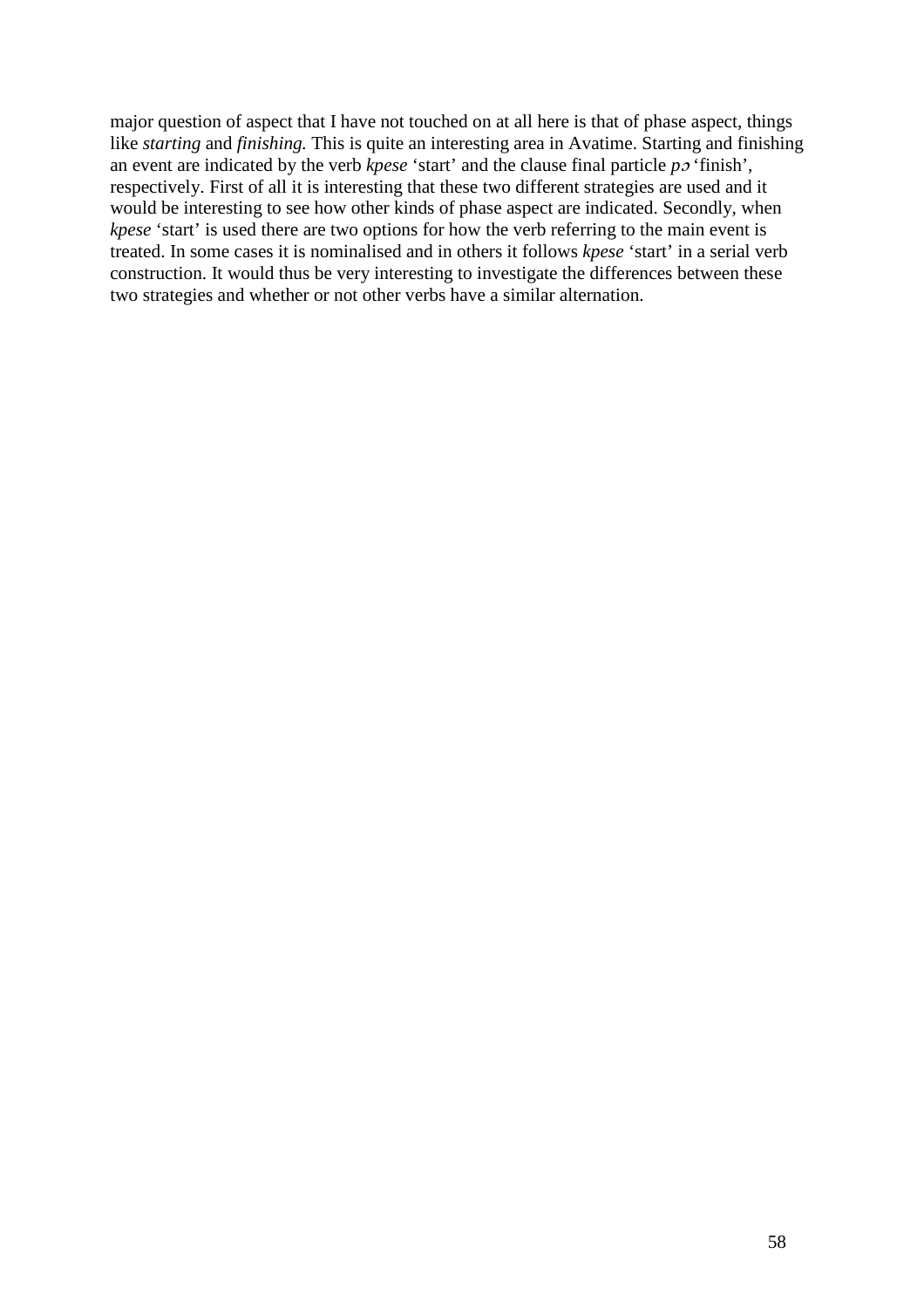major question of aspect that I have not touched on at all here is that of phase aspect, things like *starting* and *finishing.* This is quite an interesting area in Avatime. Starting and finishing an event are indicated by the verb *kpese* 'start' and the clause final particle *p*ɔ 'finish', respectively. First of all it is interesting that these two different strategies are used and it would be interesting to see how other kinds of phase aspect are indicated. Secondly, when *kpese* 'start' is used there are two options for how the verb referring to the main event is treated. In some cases it is nominalised and in others it follows *kpese* 'start' in a serial verb construction. It would thus be very interesting to investigate the differences between these two strategies and whether or not other verbs have a similar alternation.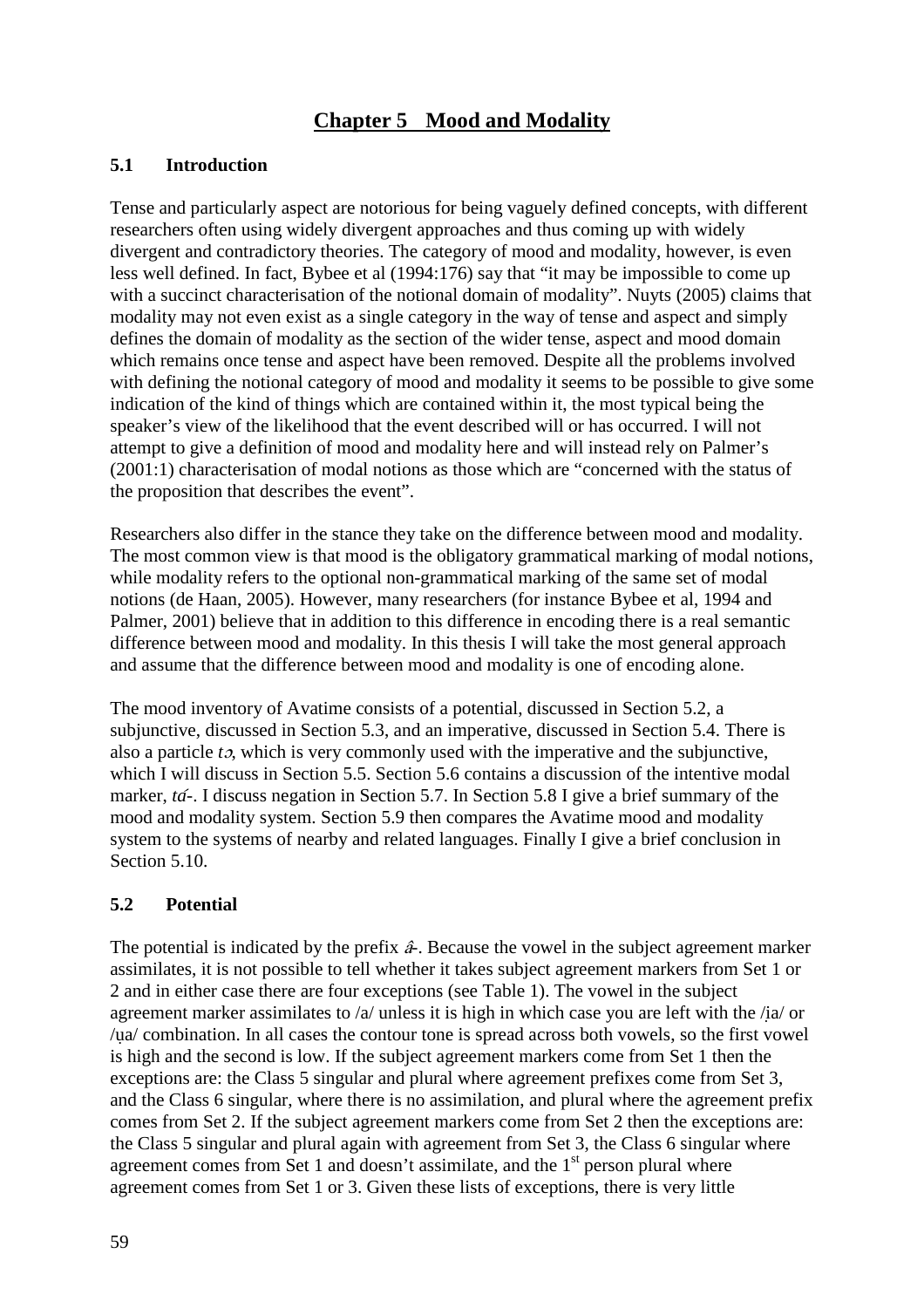# **Chapter 5 Mood and Modality**

## **5.1 Introduction**

Tense and particularly aspect are notorious for being vaguely defined concepts, with different researchers often using widely divergent approaches and thus coming up with widely divergent and contradictory theories. The category of mood and modality, however, is even less well defined. In fact, Bybee et al (1994:176) say that "it may be impossible to come up with a succinct characterisation of the notional domain of modality". Nuyts (2005) claims that modality may not even exist as a single category in the way of tense and aspect and simply defines the domain of modality as the section of the wider tense, aspect and mood domain which remains once tense and aspect have been removed. Despite all the problems involved with defining the notional category of mood and modality it seems to be possible to give some indication of the kind of things which are contained within it, the most typical being the speaker's view of the likelihood that the event described will or has occurred. I will not attempt to give a definition of mood and modality here and will instead rely on Palmer's (2001:1) characterisation of modal notions as those which are "concerned with the status of the proposition that describes the event".

Researchers also differ in the stance they take on the difference between mood and modality. The most common view is that mood is the obligatory grammatical marking of modal notions, while modality refers to the optional non-grammatical marking of the same set of modal notions (de Haan, 2005). However, many researchers (for instance Bybee et al, 1994 and Palmer, 2001) believe that in addition to this difference in encoding there is a real semantic difference between mood and modality. In this thesis I will take the most general approach and assume that the difference between mood and modality is one of encoding alone.

The mood inventory of Avatime consists of a potential, discussed in Section 5.2, a subjunctive, discussed in Section 5.3, and an imperative, discussed in Section 5.4. There is also a particle *t*ɔ, which is very commonly used with the imperative and the subjunctive, which I will discuss in Section 5.5. Section 5.6 contains a discussion of the intentive modal marker, *ta*́*-*. I discuss negation in Section 5.7. In Section 5.8 I give a brief summary of the mood and modality system. Section 5.9 then compares the Avatime mood and modality system to the systems of nearby and related languages. Finally I give a brief conclusion in Section 5.10.

# **5.2 Potential**

The potential is indicated by the prefix â*-*. Because the vowel in the subject agreement marker assimilates, it is not possible to tell whether it takes subject agreement markers from Set 1 or 2 and in either case there are four exceptions (see Table 1). The vowel in the subject agreement marker assimilates to  $\alpha$  unless it is high in which case you are left with the  $\alpha$  or /ụa/ combination. In all cases the contour tone is spread across both vowels, so the first vowel is high and the second is low. If the subject agreement markers come from Set 1 then the exceptions are: the Class 5 singular and plural where agreement prefixes come from Set 3, and the Class 6 singular, where there is no assimilation, and plural where the agreement prefix comes from Set 2. If the subject agreement markers come from Set 2 then the exceptions are: the Class 5 singular and plural again with agreement from Set 3, the Class 6 singular where agreement comes from Set 1 and doesn't assimilate, and the  $1<sup>st</sup>$  person plural where agreement comes from Set 1 or 3. Given these lists of exceptions, there is very little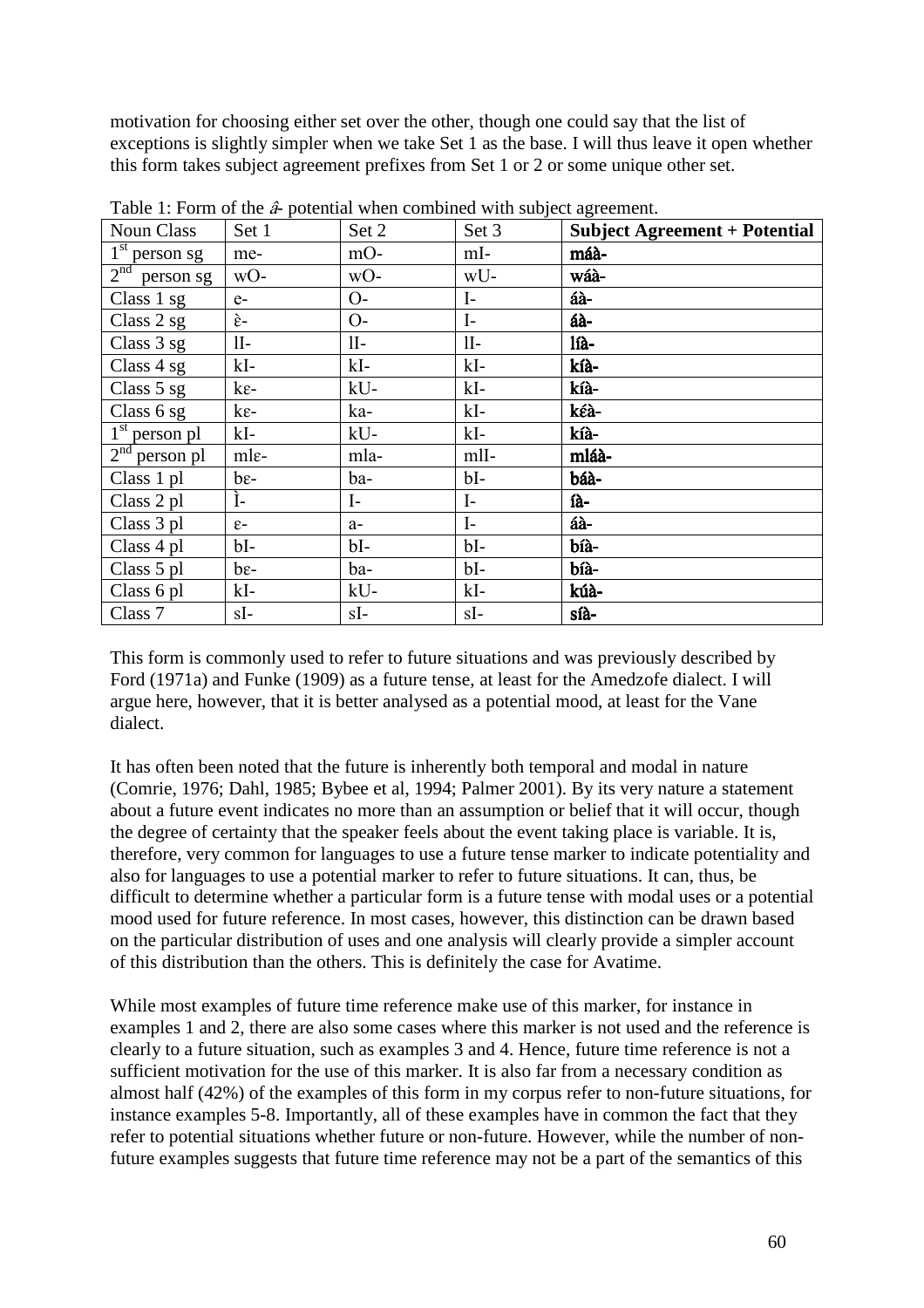motivation for choosing either set over the other, though one could say that the list of exceptions is slightly simpler when we take Set 1 as the base. I will thus leave it open whether this form takes subject agreement prefixes from Set 1 or 2 or some unique other set.

| <b>Noun Class</b> | Set 1                | Set 2        | Set 3        | <b>Subject Agreement + Potential</b> |
|-------------------|----------------------|--------------|--------------|--------------------------------------|
| $1st$ person sg   | me-                  | mO-          | mI-          | máà-                                 |
| $2nd$ person sg   | wO-                  | wO-          | wU-          | wáà-                                 |
| Class $1$ sg      | $e-$                 | $O-$         | $\mathbf{I}$ | áà-                                  |
| Class 2 sg        | $\grave{\epsilon}$ - | $O-$         | $\mathbf{I}$ | áà-                                  |
| Class 3 sg        | $II-$                | 1I-          | $II-$        | líà-                                 |
| Class $4$ sg      | $kI-$                | kI-          | $kI-$        | kíà-                                 |
| Class 5 sg        | $k\varepsilon$ -     | kU-          | $kI-$        | kíà-                                 |
| Class 6 sg        | $k\varepsilon$ -     | ka-          | $kI-$        | kéà-                                 |
| $1st$ person pl   | $kI-$                | $kU-$        | $kI-$        | kíà-                                 |
| $2nd$ person pl   | mle-                 | mla-         | mlI-         | mláà-                                |
| Class 1 pl        | $be-$                | ba-          | $bI-$        | báà-                                 |
| Class 2 pl        | Ì-                   | $\mathbf{I}$ | $\mathbf{I}$ | íà-                                  |
| Class 3 pl        | $\varepsilon$ -      | $a-$         | $I-$         | áà-                                  |
| Class 4 pl        | $bI-$                | $bl-$        | $bI-$        | bíà-                                 |
| Class 5 pl        | $be-$                | ba-          | bI-          | bíà-                                 |
| Class 6 pl        | $kI-$                | kU-          | $kI-$        | kúà-                                 |
| Class 7           | sI-                  | $sI-$        | $sI-$        | síà-                                 |

Table 1: Form of the â*-* potential when combined with subject agreement.

This form is commonly used to refer to future situations and was previously described by Ford (1971a) and Funke (1909) as a future tense, at least for the Amedzofe dialect. I will argue here, however, that it is better analysed as a potential mood, at least for the Vane dialect.

It has often been noted that the future is inherently both temporal and modal in nature (Comrie, 1976; Dahl, 1985; Bybee et al, 1994; Palmer 2001). By its very nature a statement about a future event indicates no more than an assumption or belief that it will occur, though the degree of certainty that the speaker feels about the event taking place is variable. It is, therefore, very common for languages to use a future tense marker to indicate potentiality and also for languages to use a potential marker to refer to future situations. It can, thus, be difficult to determine whether a particular form is a future tense with modal uses or a potential mood used for future reference. In most cases, however, this distinction can be drawn based on the particular distribution of uses and one analysis will clearly provide a simpler account of this distribution than the others. This is definitely the case for Avatime.

While most examples of future time reference make use of this marker, for instance in examples 1 and 2, there are also some cases where this marker is not used and the reference is clearly to a future situation, such as examples 3 and 4. Hence, future time reference is not a sufficient motivation for the use of this marker. It is also far from a necessary condition as almost half (42%) of the examples of this form in my corpus refer to non-future situations, for instance examples 5-8. Importantly, all of these examples have in common the fact that they refer to potential situations whether future or non-future. However, while the number of nonfuture examples suggests that future time reference may not be a part of the semantics of this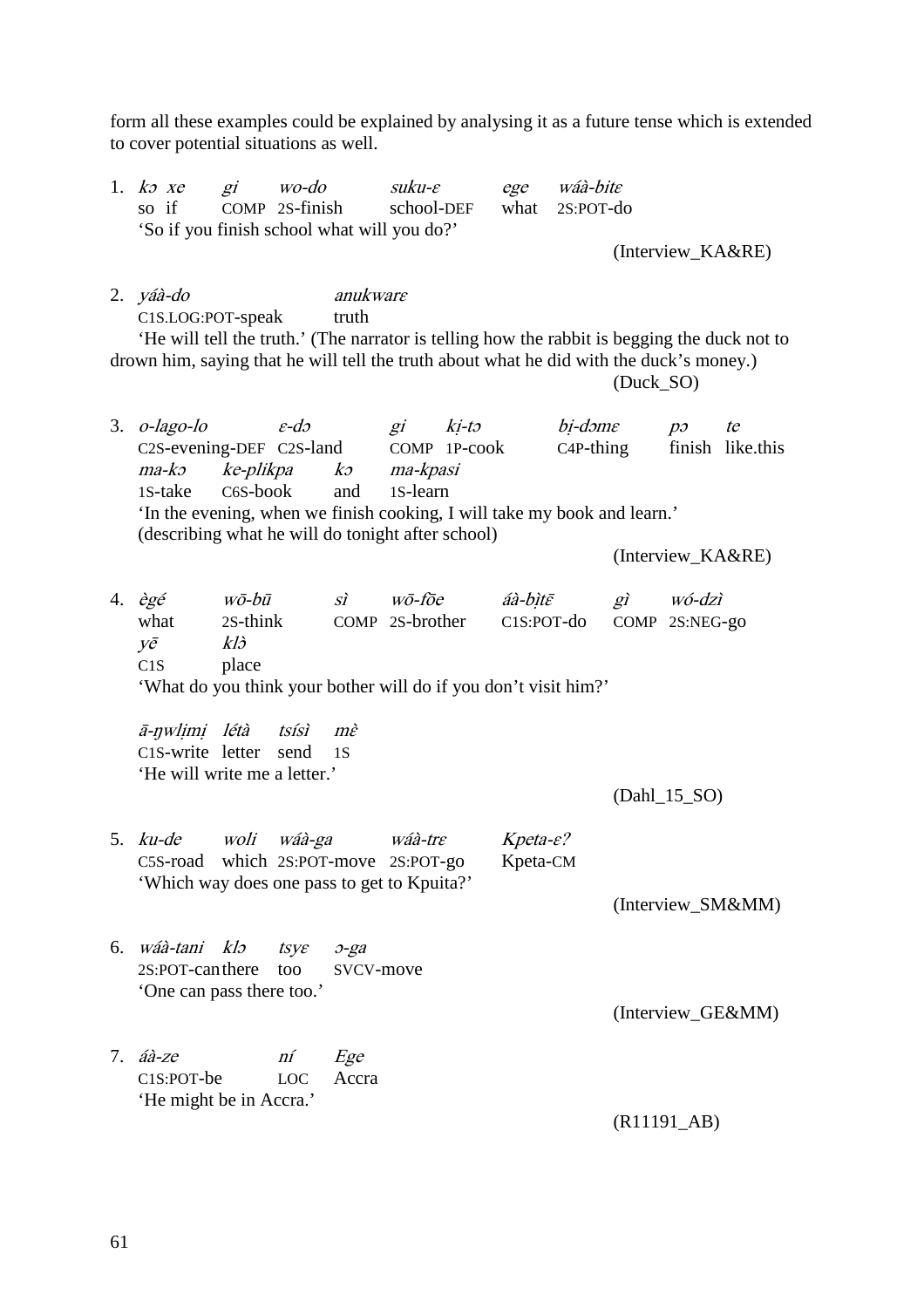form all these examples could be explained by analysing it as a future tense which is extended to cover potential situations as well.

|    | 1. $k \in \mathbb{Z}$<br>so if<br>'So if you finish school what will you do?'                                                                                                                                               |                                                | $gi$ $wo$ -do<br>COMP 2S-finish |                            | suku- $\varepsilon$<br>school-DEF             |                                   | ege wáà-bite<br>what 2S:POT-do |              | (Interview_KA&RE)                      |                        |
|----|-----------------------------------------------------------------------------------------------------------------------------------------------------------------------------------------------------------------------------|------------------------------------------------|---------------------------------|----------------------------|-----------------------------------------------|-----------------------------------|--------------------------------|--------------|----------------------------------------|------------------------|
|    | $2. yáà-do$<br>C1S.LOG:POT-speak<br>'He will tell the truth.' (The narrator is telling how the rabbit is begging the duck not to<br>drown him, saying that he will tell the truth about what he did with the duck's money.) |                                                |                                 | anukware<br>truth          |                                               |                                   |                                | (Duck_SO)    |                                        |                        |
| 3. | o-lago-lo<br>C2S-evening-DEF C2S-land COMP 1P-cook<br>$ma-k$<br>1S-take<br>'In the evening, when we finish cooking, I will take my book and learn.'<br>(describing what he will do tonight after school)                    | $\varepsilon$ -do<br>ke-plikpa<br>C6S-book     |                                 | and                        | gi ki-to<br>ko ma-kpasi<br>1S-learn           |                                   | bi-dəme<br>$C4P$ -thing        |              | $p_{\mathcal{O}}$<br>(Interview_KA&RE) | te<br>finish like.this |
|    | 4. $\partial g \acute{e}$<br>what<br>yē<br>C1S<br>'What do you think your bother will do if you don't visit him?'                                                                                                           | wō-bū<br>2S-think<br>$kl\mathfrak{z}$<br>place |                                 | $\vec{si}$                 | wō-fōe<br>COMP 2S-brother                     | áà-bìtē<br>C1S:POT-do             |                                | $g\tilde{l}$ | wó-dzì<br>COMP 2S:NEG-go               |                        |
|    | ā-ŋwlimi létà<br>C1S-write letter<br>'He will write me a letter.'                                                                                                                                                           |                                                | tsísì<br>send                   | $m\hat{\varepsilon}$<br>1S |                                               |                                   |                                |              | $(Dahl_15_SO)$                         |                        |
|    | 5. ku-de woli<br>C5S-road<br>'Which way does one pass to get to Kpuita?'                                                                                                                                                    |                                                |                                 |                            | wáà-ga wáà-tre<br>which 2S:POT-move 2S:POT-go | $Kpeta-\varepsilon$ ?<br>Kpeta-CM |                                |              |                                        | (Interview_SM&MM)      |
| 6. | wáà-tani klo<br>2S:POT-can there<br>'One can pass there too.'                                                                                                                                                               |                                                | tsye<br>too                     | $O-ga$<br>SVCV-move        |                                               |                                   |                                |              |                                        | (Interview_GE&MM)      |
| 7. | áà-ze<br>C <sub>1</sub> S:POT-be<br>'He might be in Accra.'                                                                                                                                                                 |                                                | ní<br>LOC                       | Ege<br>Accra               |                                               |                                   |                                |              | $(R11191$ <sub><i>AB</i></sub> $)$     |                        |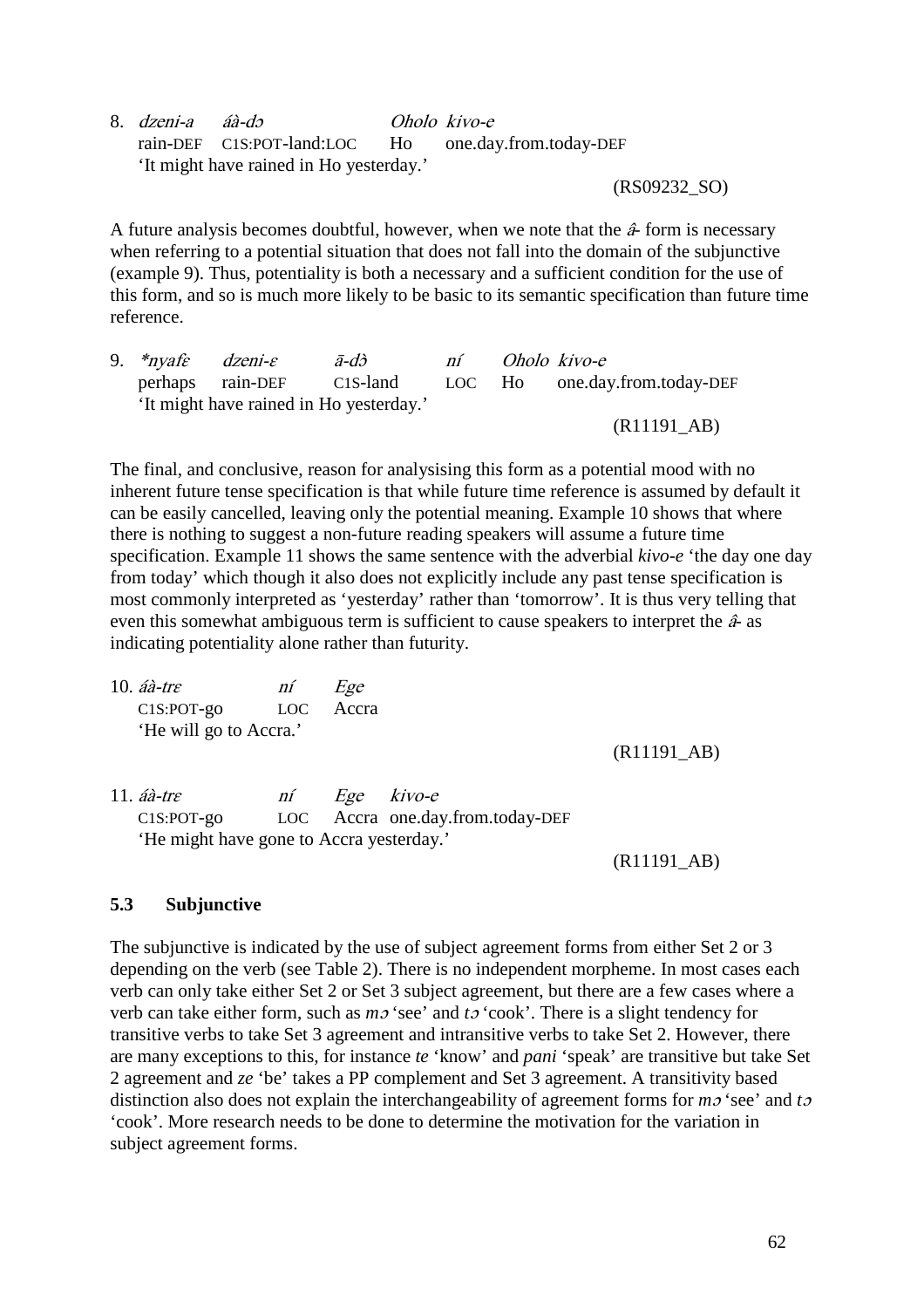8. dzeni-a áà-dɔ Oholo kivo-e rain-DEF C1S:POT-land:LOC Ho one.day.from.today-DEF 'It might have rained in Ho yesterday.'

(RS09232\_SO)

A future analysis becomes doubtful, however, when we note that the  $\hat{\mathbf{\alpha}}$  form is necessary when referring to a potential situation that does not fall into the domain of the subjunctive (example 9). Thus, potentiality is both a necessary and a sufficient condition for the use of this form, and so is much more likely to be basic to its semantic specification than future time reference.

|  | 9. $*nyaf \varepsilon$ dzeni- $\varepsilon$ | $\bar{a}$ -dò                           | ní | Oholo kivo-e |                                                         |
|--|---------------------------------------------|-----------------------------------------|----|--------------|---------------------------------------------------------|
|  |                                             |                                         |    |              | perhaps rain-DEF C1S-land LOC Ho one.day.from.today-DEF |
|  |                                             | 'It might have rained in Ho yesterday.' |    |              |                                                         |
|  |                                             |                                         |    |              | $(R11191$ <sub><i>AB</i></sub> $)$                      |

The final, and conclusive, reason for analysising this form as a potential mood with no inherent future tense specification is that while future time reference is assumed by default it can be easily cancelled, leaving only the potential meaning. Example 10 shows that where there is nothing to suggest a non-future reading speakers will assume a future time specification. Example 11 shows the same sentence with the adverbial *kivo-e* 'the day one day from today' which though it also does not explicitly include any past tense specification is most commonly interpreted as 'yesterday' rather than 'tomorrow'. It is thus very telling that even this somewhat ambiguous term is sufficient to cause speakers to interpret the  $\hat{a}$ - as indicating potentiality alone rather than futurity.

| 10. $\hat{a}a$ -tre    | ní                                       | Ege           |                                  |                              |  |  |  |  |
|------------------------|------------------------------------------|---------------|----------------------------------|------------------------------|--|--|--|--|
| $C1S: POT-go$          | <b>LOC</b>                               | Accra         |                                  |                              |  |  |  |  |
| 'He will go to Accra.' |                                          |               |                                  |                              |  |  |  |  |
|                        |                                          |               |                                  | $(R11191$ <sub>-AB</sub> $)$ |  |  |  |  |
|                        |                                          |               |                                  |                              |  |  |  |  |
| 11. $\hat{a}a$ -tre    | ní                                       | Ege<br>kivo-e |                                  |                              |  |  |  |  |
| $C1S: POT-go$          |                                          |               | LOC Accra one.day.from.today-DEF |                              |  |  |  |  |
|                        | 'He might have gone to Accra yesterday.' |               |                                  |                              |  |  |  |  |
|                        |                                          |               |                                  | (R11191 AB)                  |  |  |  |  |

#### **5.3 Subjunctive**

The subjunctive is indicated by the use of subject agreement forms from either Set 2 or 3 depending on the verb (see Table 2). There is no independent morpheme. In most cases each verb can only take either Set 2 or Set 3 subject agreement, but there are a few cases where a verb can take either form, such as *m*ɔ 'see' and *t*ɔ 'cook'. There is a slight tendency for transitive verbs to take Set 3 agreement and intransitive verbs to take Set 2. However, there are many exceptions to this, for instance *te* 'know' and *pani* 'speak' are transitive but take Set 2 agreement and *ze* 'be' takes a PP complement and Set 3 agreement. A transitivity based distinction also does not explain the interchangeability of agreement forms for *m*ɔ 'see' and *t*<sup>ɔ</sup> 'cook'. More research needs to be done to determine the motivation for the variation in subject agreement forms.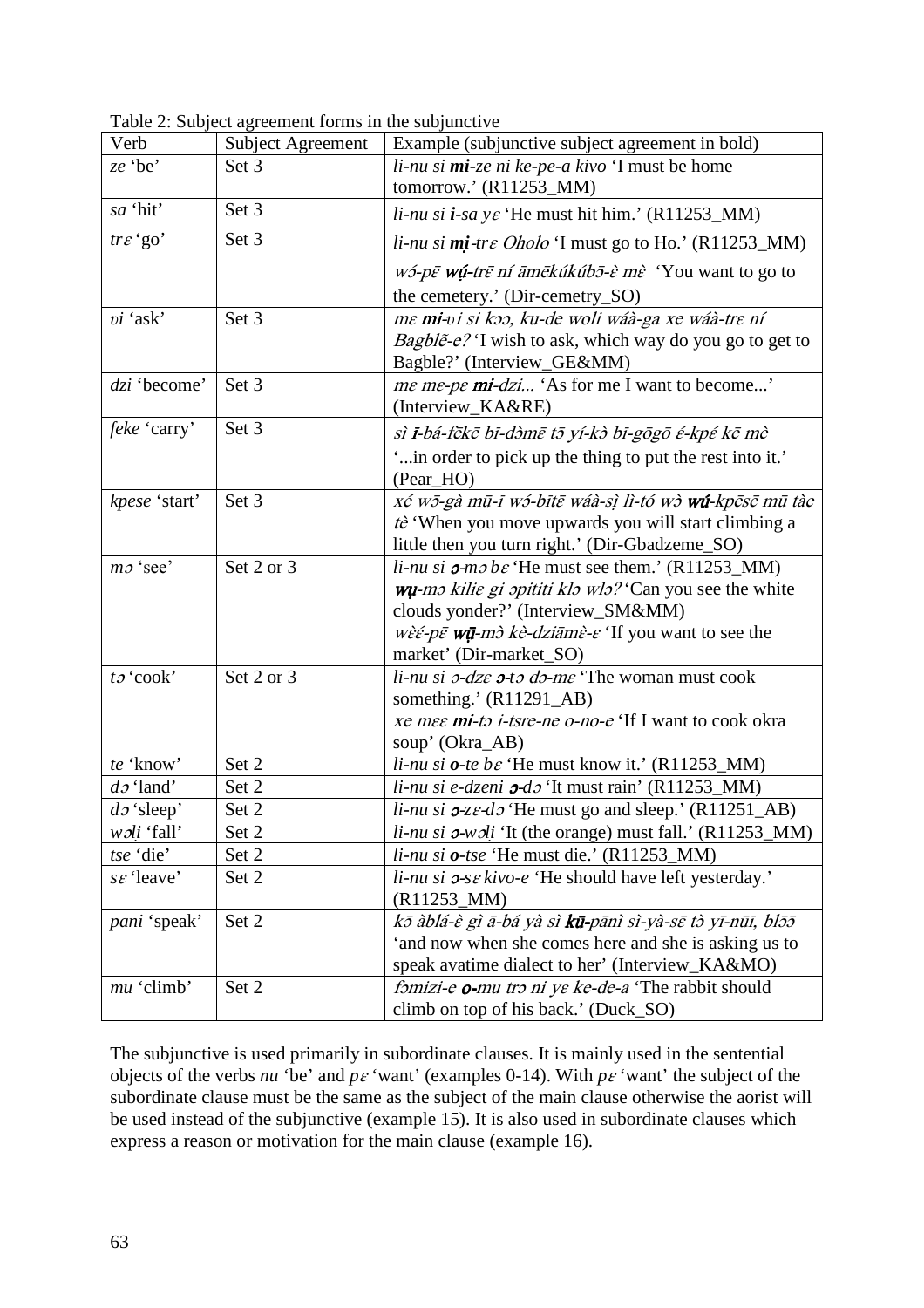| Verb                  | <b>Subject Agreement</b> | Example (subjunctive subject agreement in bold)                                                             |
|-----------------------|--------------------------|-------------------------------------------------------------------------------------------------------------|
| ze 'be'               | Set 3                    | li-nu si mi-ze ni ke-pe-a kivo 'I must be home                                                              |
|                       |                          | tomorrow.' $(R11253 \text{ M})$                                                                             |
| sa 'hit'              | Set 3                    | $\lim_{h \to 0} \sin i$ -sa y $\varepsilon$ 'He must hit him.' (R11253_MM)                                  |
| $tr \varepsilon$ 'go' | Set 3                    | <i>li-nu si mi-tre Oholo</i> 'I must go to Ho.' $(R11253_MM)$                                               |
|                       |                          | <i>wó-pē <b>wú-</b>trē ní āmēkúkúbō-è mè</i> 'You want to go to                                             |
|                       |                          | the cemetery.' (Dir-cemetry_SO)                                                                             |
| vi 'ask'              | Set 3                    | me mi-vi si koo, ku-de woli wáà-ga xe wáà-tre ní                                                            |
|                       |                          | Bagble - e? 'I wish to ask, which way do you go to get to                                                   |
|                       |                          | Bagble?' (Interview_GE&MM)                                                                                  |
| $dzi$ 'become'        | Set 3                    | <i>me me-pe mi-dzi</i> 'As for me I want to become'                                                         |
|                       |                          | (Interview_KA&RE)                                                                                           |
| feke 'carry'          | Set 3                    | sì i-bá-fēkē bī-dòmē tō yí-kò bī-gōgō é-kpé kē mè                                                           |
|                       |                          | " in order to pick up the thing to put the rest into it."                                                   |
|                       |                          | (Pear_HO)                                                                                                   |
| kpese 'start'         | Set 3                    | xé wō-gà mū-ī wó-bītē wáà-sì lì-tó wò wú-kpēsē mū tàe                                                       |
|                       |                          | tè 'When you move upwards you will start climbing a                                                         |
|                       |                          | little then you turn right.' (Dir-Gbadzeme_SO)                                                              |
| $m\sigma$ 'see'       | Set 2 or 3               | li-nu si $\sigma$ -mo be 'He must see them.' (R11253_MM)                                                    |
|                       |                          | wu-mo kilie gi opititi klo wlo? 'Can you see the white                                                      |
|                       |                          | clouds yonder?' (Interview_SM&MM)                                                                           |
|                       |                          | $w\hat{\epsilon} \in \rho \bar{\epsilon}$ wū-m $\hat{\delta}$ kè-dziāmè- $\epsilon$ 'If you want to see the |
|                       |                          | market' (Dir-market_SO)                                                                                     |
| $t_0$ 'cook'          | Set 2 or 3               | $li$ -nu si $\partial$ -dze $\partial$ -t $\partial$ d $\partial$ -me 'The woman must cook                  |
|                       |                          | something.' (R11291_AB)                                                                                     |
|                       |                          | xe mee mi-to i-tsre-ne o-no-e 'If I want to cook okra                                                       |
|                       |                          | soup' (Okra_AB)                                                                                             |
| te 'know'             | Set 2                    | $\lim_{h \to 0}$ is <i>o-te b &amp;</i> 'He must know it.' (R11253_MM)                                      |
| $d\sigma$ 'land'      | Set 2                    | $li$ -nu si e-dzeni $\sigma$ -d $\sigma$ 'It must rain' (R11253_MM)                                         |
| $d\sigma$ 'sleep'     | Set 2                    | li-nu si $\sigma$ -ze-do 'He must go and sleep.' (R11251_AB)                                                |
| woli 'fall'           | Set 2                    | li-nu si $\sigma$ -woli 'It (the orange) must fall.' (R11253_MM)                                            |
| tse 'die'             | Set 2                    | $li$ <i>-nu si o-tse</i> 'He must die.' (R11253_MM)                                                         |
| $s\epsilon$ 'leave'   | Set 2                    | <i>li-nu si</i> $\sigma$ - <i>sε kivo-e</i> 'He should have left yesterday.'                                |
|                       |                          | $(R11253_MM)$                                                                                               |
| <i>pani</i> 'speak'   | Set 2                    | kō àblá-è gì ā-bá yà sì kū-pānì sì-yà-sē tò yī-nūī, blōō                                                    |
|                       |                          | 'and now when she comes here and she is asking us to                                                        |
|                       |                          | speak avatime dialect to her' (Interview_KA&MO)                                                             |
| mu 'climb'            | Set 2                    | fomizi-e o-mu tro ni ye ke-de-a 'The rabbit should                                                          |
|                       |                          | climb on top of his back.' (Duck_SO)                                                                        |

Table 2: Subject agreement forms in the subjunctive

The subjunctive is used primarily in subordinate clauses. It is mainly used in the sentential objects of the verbs *nu* 'be' and *p*ɛ 'want' (examples 0-14). With *p*ɛ 'want' the subject of the subordinate clause must be the same as the subject of the main clause otherwise the aorist will be used instead of the subjunctive (example 15). It is also used in subordinate clauses which express a reason or motivation for the main clause (example 16).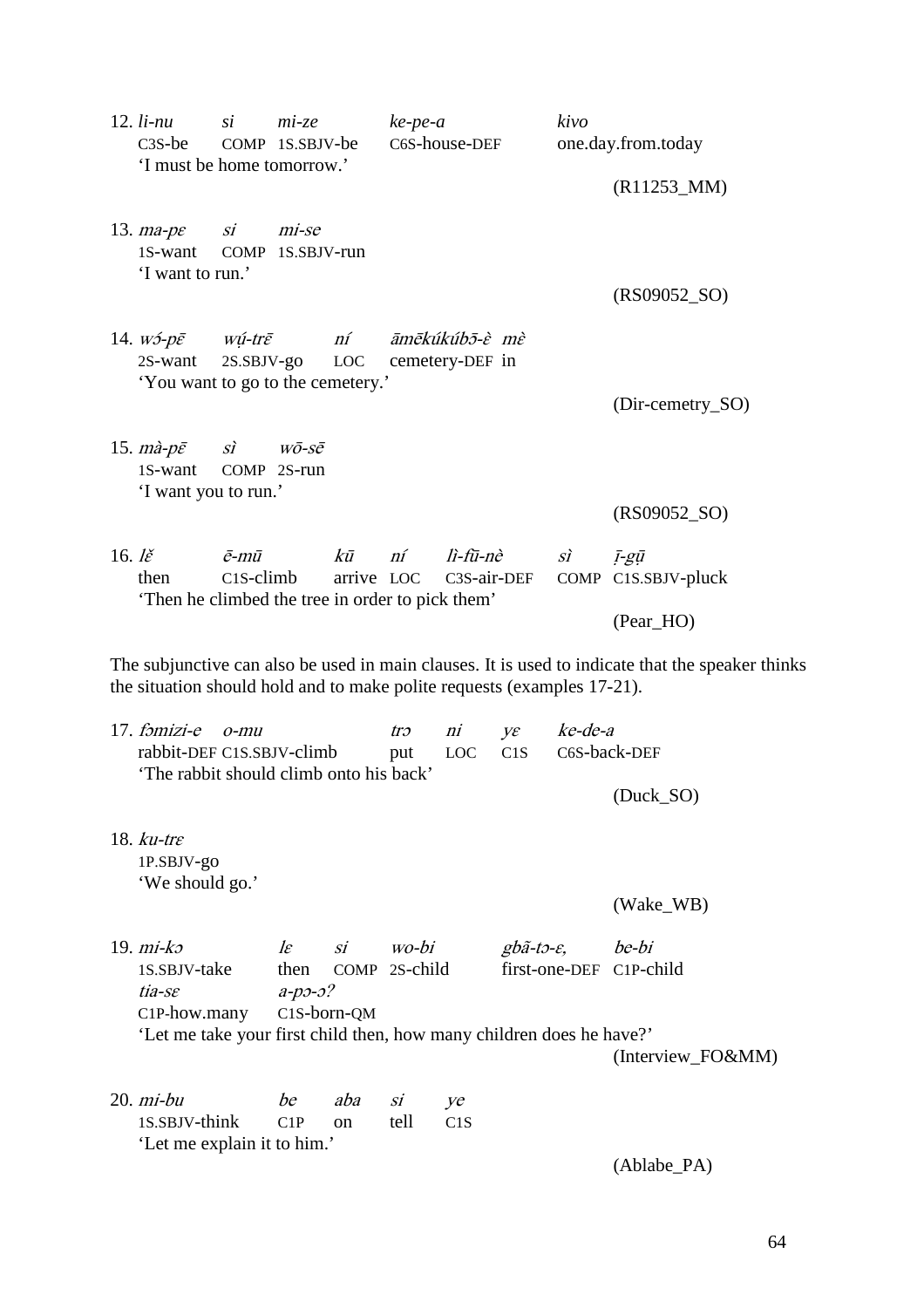|                                     | $12.$ $li$ - $nu$<br>$\mathfrak{si}$<br>$mi$ -ze<br>$C3S$ -be<br>COMP 1S.SBJV-be<br>'I must be home tomorrow.'                                                              |                                                |                                                    |            | $ke$ -pe-a<br>C6S-house-DEF                 |                                   |                                    | kivo<br>one.day.from.today |                                  |
|-------------------------------------|-----------------------------------------------------------------------------------------------------------------------------------------------------------------------------|------------------------------------------------|----------------------------------------------------|------------|---------------------------------------------|-----------------------------------|------------------------------------|----------------------------|----------------------------------|
|                                     |                                                                                                                                                                             |                                                |                                                    |            |                                             |                                   |                                    |                            | $(R11253_MM)$                    |
|                                     | 13. $ma$ - $pe$<br>1S-want<br>'I want to run.'                                                                                                                              | $\mathcal{S}i$<br>COMP 1S.SBJV-run             | mi-se                                              |            |                                             |                                   |                                    |                            | $(RS09052_SO)$                   |
|                                     | 14. $W5$ - $p\bar{\varepsilon}$<br>2S-want<br>'You want to go to the cemetery.'                                                                                             | wú-tr $\bar{\varepsilon}$<br>$2S.$ SBJV- $g$ O |                                                    | ní<br>LOC  |                                             | āmēkúkúb5-è mè<br>cemetery-DEF in |                                    |                            |                                  |
|                                     | 15. $m\hat{a}-p\bar{\varepsilon}$<br>1S-want                                                                                                                                | $\overrightarrow{SI}$<br>COMP 2S-run           | $W\bar{O}$ -S $\bar{\mathcal{C}}$                  |            |                                             |                                   |                                    |                            | (Dir-cemetry_SO)                 |
|                                     | 'I want you to run.'                                                                                                                                                        |                                                |                                                    |            |                                             |                                   |                                    |                            | $(RS09052_SO)$                   |
| 16. $\mathbf{l}\check{\varepsilon}$ | then<br>Then he climbed the tree in order to pick them'                                                                                                                     | $\bar{e}$ -mū<br>$C1S$ -climb                  |                                                    | $k\bar{u}$ | ní<br>arrive LOC                            | lì-fū-nè<br>C3S-air-DEF           |                                    | $\overrightarrow{SI}$      | ī-gū<br>COMP C1S.SBJV-pluck      |
|                                     |                                                                                                                                                                             |                                                |                                                    |            |                                             |                                   |                                    |                            | (Pear_HO)                        |
|                                     | The subjunctive can also be used in main clauses. It is used to indicate that the speaker thinks<br>the situation should hold and to make polite requests (examples 17-21). |                                                |                                                    |            |                                             |                                   |                                    |                            |                                  |
|                                     | $17. f3 mizi-e$<br>rabbit-DEF C1S.SBJV-climb                                                                                                                                | $O$ - $m$ u                                    |                                                    |            | ni<br>tro<br>yε<br>put<br><b>LOC</b><br>C1S |                                   | ke-de-a                            | C6S-back-DEF               |                                  |
|                                     | 'The rabbit should climb onto his back'                                                                                                                                     |                                                |                                                    |            |                                             |                                   |                                    |                            | (Duck_SO)                        |
|                                     | 18. $ku$ -tr $\varepsilon$<br>1P.SBJV-go<br>'We should go.'                                                                                                                 |                                                |                                                    |            |                                             |                                   |                                    |                            |                                  |
|                                     |                                                                                                                                                                             |                                                |                                                    |            |                                             |                                   |                                    |                            | (Wake_WB)                        |
|                                     | 19. $mi-k$<br>1S.SBJV-take<br>tia-se<br>C <sub>1</sub> P-how.many                                                                                                           |                                                | $l\varepsilon$<br>then<br>$a-p3-3?$<br>C1S-born-QM | Si         | wo-bi<br>COMP 2S-child                      |                                   | $gb\tilde{a}$ -to- $\varepsilon$ , |                            | be-bi<br>first-one-DEF C1P-child |
|                                     | 'Let me take your first child then, how many children does he have?'                                                                                                        |                                                |                                                    |            |                                             |                                   |                                    |                            | (Interview_FO&MM)                |
|                                     | $20. mi-bu$<br>1S.SBJV-think<br>'Let me explain it to him.'                                                                                                                 |                                                | be<br>C1P                                          | aba<br>on  | si<br>tell                                  | ye<br>C1S                         |                                    |                            |                                  |
|                                     |                                                                                                                                                                             |                                                |                                                    |            |                                             |                                   |                                    |                            | (Ablabe_PA)                      |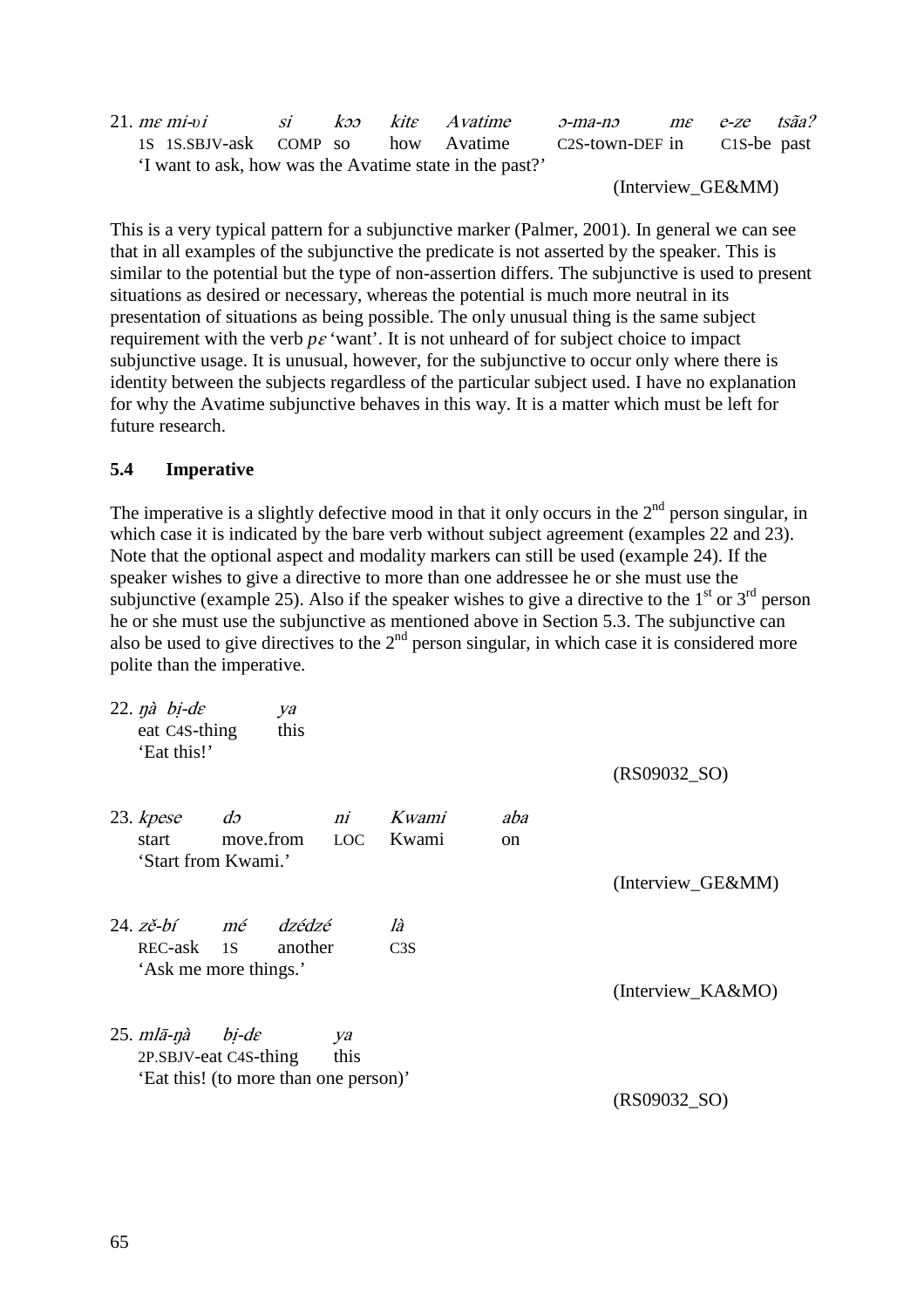| $21.$ me mi-vi                                          | SI | $k$ contract $k$ | kite Avatime | <i>э-та-пэ</i>              | me e-ze tsãa? |  |
|---------------------------------------------------------|----|------------------|--------------|-----------------------------|---------------|--|
| 1S 1S.SBJV-ask COMP so how Avatime                      |    |                  |              | C2S-town-DEF in C1S-be past |               |  |
| 'I want to ask, how was the Avatime state in the past?' |    |                  |              |                             |               |  |

(Interview\_GE&MM)

This is a very typical pattern for a subjunctive marker (Palmer, 2001). In general we can see that in all examples of the subjunctive the predicate is not asserted by the speaker. This is similar to the potential but the type of non-assertion differs. The subjunctive is used to present situations as desired or necessary, whereas the potential is much more neutral in its presentation of situations as being possible. The only unusual thing is the same subject requirement with the verb  $p\epsilon$  'want'. It is not unheard of for subject choice to impact subjunctive usage. It is unusual, however, for the subjunctive to occur only where there is identity between the subjects regardless of the particular subject used. I have no explanation for why the Avatime subjunctive behaves in this way. It is a matter which must be left for future research.

### **5.4 Imperative**

The imperative is a slightly defective mood in that it only occurs in the  $2<sup>nd</sup>$  person singular, in which case it is indicated by the bare verb without subject agreement (examples 22 and 23). Note that the optional aspect and modality markers can still be used (example 24). If the speaker wishes to give a directive to more than one addressee he or she must use the subjunctive (example 25). Also if the speaker wishes to give a directive to the  $1<sup>st</sup>$  or  $3<sup>rd</sup>$  person he or she must use the subjunctive as mentioned above in Section 5.3. The subjunctive can also be used to give directives to the  $2<sup>nd</sup>$  person singular, in which case it is considered more polite than the imperative.

| $22.$ $\eta \dot{a}$ $\dot{b}$ <i>i</i> -de<br>eat C <sub>4</sub> S-thing<br>'Eat this!' | ya<br>this                                                                              |            |                |                      | $(RS09032_SO)$    |
|------------------------------------------------------------------------------------------|-----------------------------------------------------------------------------------------|------------|----------------|----------------------|-------------------|
| 23. kpese<br>start                                                                       | $d\sigma$<br>move.from LOC<br>'Start from Kwami.'                                       | ni         | Kwami<br>Kwami | aba<br><sub>on</sub> |                   |
|                                                                                          |                                                                                         |            |                |                      | (Interview_GE&MM) |
| REC-ask 1S                                                                               | 24. zě-bí mé dzédzé<br>'Ask me more things.'                                            | another    | là<br>C3S      |                      |                   |
|                                                                                          |                                                                                         |            |                |                      | (Interview_KA&MO) |
| $25. \, m l \bar{a}$ -nà                                                                 | $bi$ -d $\varepsilon$<br>2P.SBJV-eat C4S-thing<br>'Eat this! (to more than one person)' | ya<br>this |                |                      | $(RS09032_SO)$    |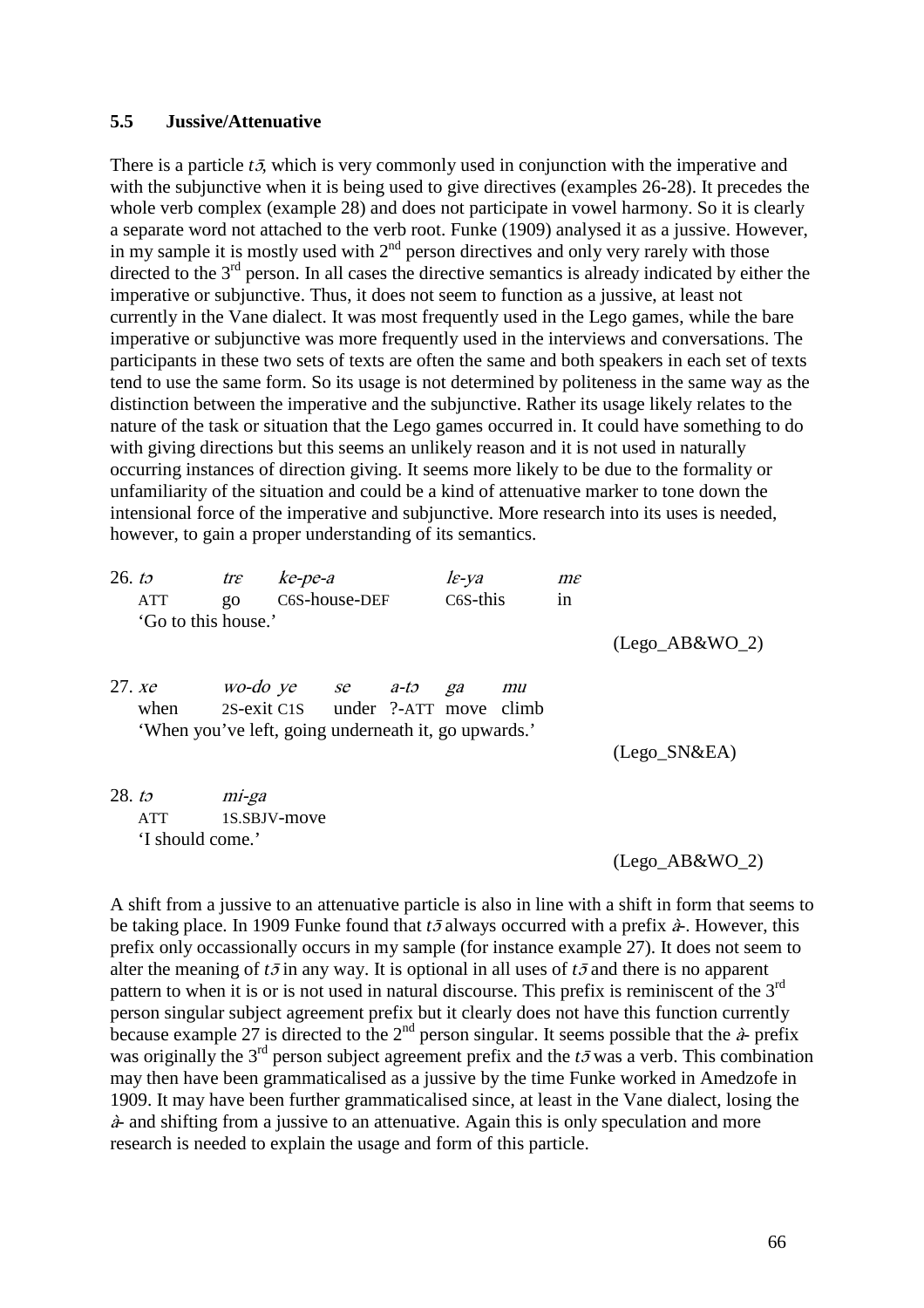#### **5.5 Jussive/Attenuative**

There is a particle  $t\bar{z}$ , which is very commonly used in conjunction with the imperative and with the subjunctive when it is being used to give directives (examples 26-28). It precedes the whole verb complex (example 28) and does not participate in vowel harmony. So it is clearly a separate word not attached to the verb root. Funke (1909) analysed it as a jussive. However, in my sample it is mostly used with  $2<sup>nd</sup>$  person directives and only very rarely with those directed to the  $3<sup>rd</sup>$  person. In all cases the directive semantics is already indicated by either the imperative or subjunctive. Thus, it does not seem to function as a jussive, at least not currently in the Vane dialect. It was most frequently used in the Lego games, while the bare imperative or subjunctive was more frequently used in the interviews and conversations. The participants in these two sets of texts are often the same and both speakers in each set of texts tend to use the same form. So its usage is not determined by politeness in the same way as the distinction between the imperative and the subjunctive. Rather its usage likely relates to the nature of the task or situation that the Lego games occurred in. It could have something to do with giving directions but this seems an unlikely reason and it is not used in naturally occurring instances of direction giving. It seems more likely to be due to the formality or unfamiliarity of the situation and could be a kind of attenuative marker to tone down the intensional force of the imperative and subjunctive. More research into its uses is needed, however, to gain a proper understanding of its semantics.

| 26. to             | ATT<br>'Go to this house.'                                                    | $tr \varepsilon$<br>$g_{0}$ | ke-pe-a<br>C6S-house-DEF                                  |  | $l\varepsilon$ -ya<br>C <sub>6</sub> S-this |    | $m\varepsilon$<br>in |                   |
|--------------------|-------------------------------------------------------------------------------|-----------------------------|-----------------------------------------------------------|--|---------------------------------------------|----|----------------------|-------------------|
|                    |                                                                               |                             |                                                           |  |                                             |    |                      | $(Lego_A B&WO_2)$ |
|                    | 27. <i>xe</i><br>when<br>'When you've left, going underneath it, go upwards.' |                             | wo-do ye se a-to ga<br>2S-exit C1S under ?-ATT move climb |  |                                             | mu |                      | $(Lego_SN&EA)$    |
| 28. t <sub>2</sub> | <b>ATT</b><br>'I should come.'                                                | mi-ga                       | 1S.SBJV-move                                              |  |                                             |    |                      | (Lego AB&WO 2)    |

A shift from a jussive to an attenuative particle is also in line with a shift in form that seems to be taking place. In 1909 Funke found that  $t\bar{\sigma}$  always occurred with a prefix  $\dot{a}$ . However, this prefix only occassionally occurs in my sample (for instance example 27). It does not seem to alter the meaning of  $t\bar{\sigma}$  in any way. It is optional in all uses of  $t\bar{\sigma}$  and there is no apparent pattern to when it is or is not used in natural discourse. This prefix is reminiscent of the 3<sup>rd</sup> person singular subject agreement prefix but it clearly does not have this function currently because example 27 is directed to the  $2<sup>nd</sup>$  person singular. It seems possible that the  $\hat{a}$ - prefix was originally the  $3<sup>rd</sup>$  person subject agreement prefix and the  $t\bar{\sigma}$  was a verb. This combination may then have been grammaticalised as a jussive by the time Funke worked in Amedzofe in 1909. It may have been further grammaticalised since, at least in the Vane dialect, losing the <sup>à</sup>- and shifting from a jussive to an attenuative. Again this is only speculation and more research is needed to explain the usage and form of this particle.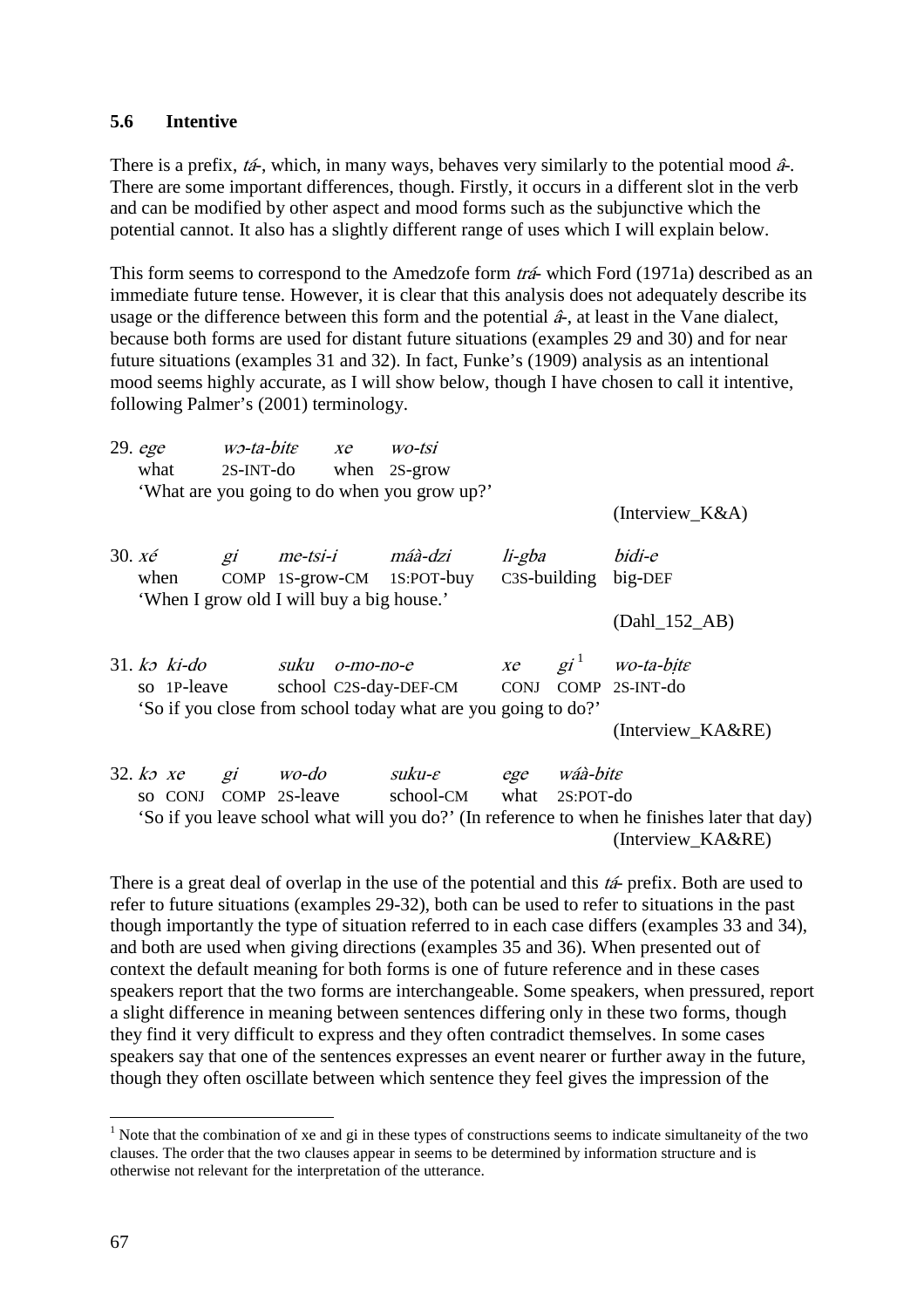### **5.6 Intentive**

There is a prefix, tá-, which, in many ways, behaves very similarly to the potential mood â*-.*  There are some important differences, though. Firstly, it occurs in a different slot in the verb and can be modified by other aspect and mood forms such as the subjunctive which the potential cannot. It also has a slightly different range of uses which I will explain below.

This form seems to correspond to the Amedzofe form *trá*- which Ford (1971a) described as an immediate future tense. However, it is clear that this analysis does not adequately describe its usage or the difference between this form and the potential  $\hat{a}$ -, at least in the Vane dialect, because both forms are used for distant future situations (examples 29 and 30) and for near future situations (examples 31 and 32). In fact, Funke's (1909) analysis as an intentional mood seems highly accurate, as I will show below, though I have chosen to call it intentive, following Palmer's (2001) terminology.

|                           | 29. ege<br>what      |       | $w$ -ta-bite xe<br>$2S-INT-do$ when $2S-grow$                           | WO-tsi                                                        |        |          |                                                                                                                   |
|---------------------------|----------------------|-------|-------------------------------------------------------------------------|---------------------------------------------------------------|--------|----------|-------------------------------------------------------------------------------------------------------------------|
|                           |                      |       |                                                                         | 'What are you going to do when you grow up?'                  |        |          | $(Interview_K&A)$                                                                                                 |
|                           |                      |       |                                                                         |                                                               |        |          |                                                                                                                   |
| 30. $x \notin \mathbb{R}$ |                      | $g_i$ | me-tsi-i máà-dzi                                                        |                                                               | li-gba |          | bidi-e                                                                                                            |
|                           | when                 |       | COMP 1S-grow-CM 1S:POT-buy<br>'When I grow old I will buy a big house.' |                                                               |        |          | C3S-building big-DEF                                                                                              |
|                           |                      |       |                                                                         |                                                               |        |          | $(Dahl_152_AB)$                                                                                                   |
|                           | $31. k3$ ki-do       |       | suku<br>0-то-по-е                                                       |                                                               |        |          | $xe$ gi <sup>1</sup> wo-ta-bite                                                                                   |
|                           | so 1P-leave          |       |                                                                         | school C2S-day-DEF-CM CONJ COMP 2S-INT-do                     |        |          |                                                                                                                   |
|                           |                      |       |                                                                         | 'So if you close from school today what are you going to do?' |        |          |                                                                                                                   |
|                           |                      |       |                                                                         |                                                               |        |          | (Interview_KA&RE)                                                                                                 |
|                           | 32. $k \circ x e$ gi |       | wo-do                                                                   | suku-e ege                                                    |        | wáà-bite |                                                                                                                   |
|                           |                      |       |                                                                         | so CONJ COMP 2S-leave school-CM what 2S:POT-do                |        |          |                                                                                                                   |
|                           |                      |       |                                                                         |                                                               |        |          | 'So if you leave school what will you do?' (In reference to when he finishes later that day)<br>(Interview_KA&RE) |

There is a great deal of overlap in the use of the potential and this  $t\hat{a}$ - prefix. Both are used to refer to future situations (examples 29-32), both can be used to refer to situations in the past though importantly the type of situation referred to in each case differs (examples 33 and 34), and both are used when giving directions (examples 35 and 36). When presented out of context the default meaning for both forms is one of future reference and in these cases speakers report that the two forms are interchangeable. Some speakers, when pressured, report a slight difference in meaning between sentences differing only in these two forms, though they find it very difficult to express and they often contradict themselves. In some cases speakers say that one of the sentences expresses an event nearer or further away in the future, though they often oscillate between which sentence they feel gives the impression of the

 $\overline{a}$ 

 $<sup>1</sup>$  Note that the combination of xe and gi in these types of constructions seems to indicate simultaneity of the two</sup> clauses. The order that the two clauses appear in seems to be determined by information structure and is otherwise not relevant for the interpretation of the utterance.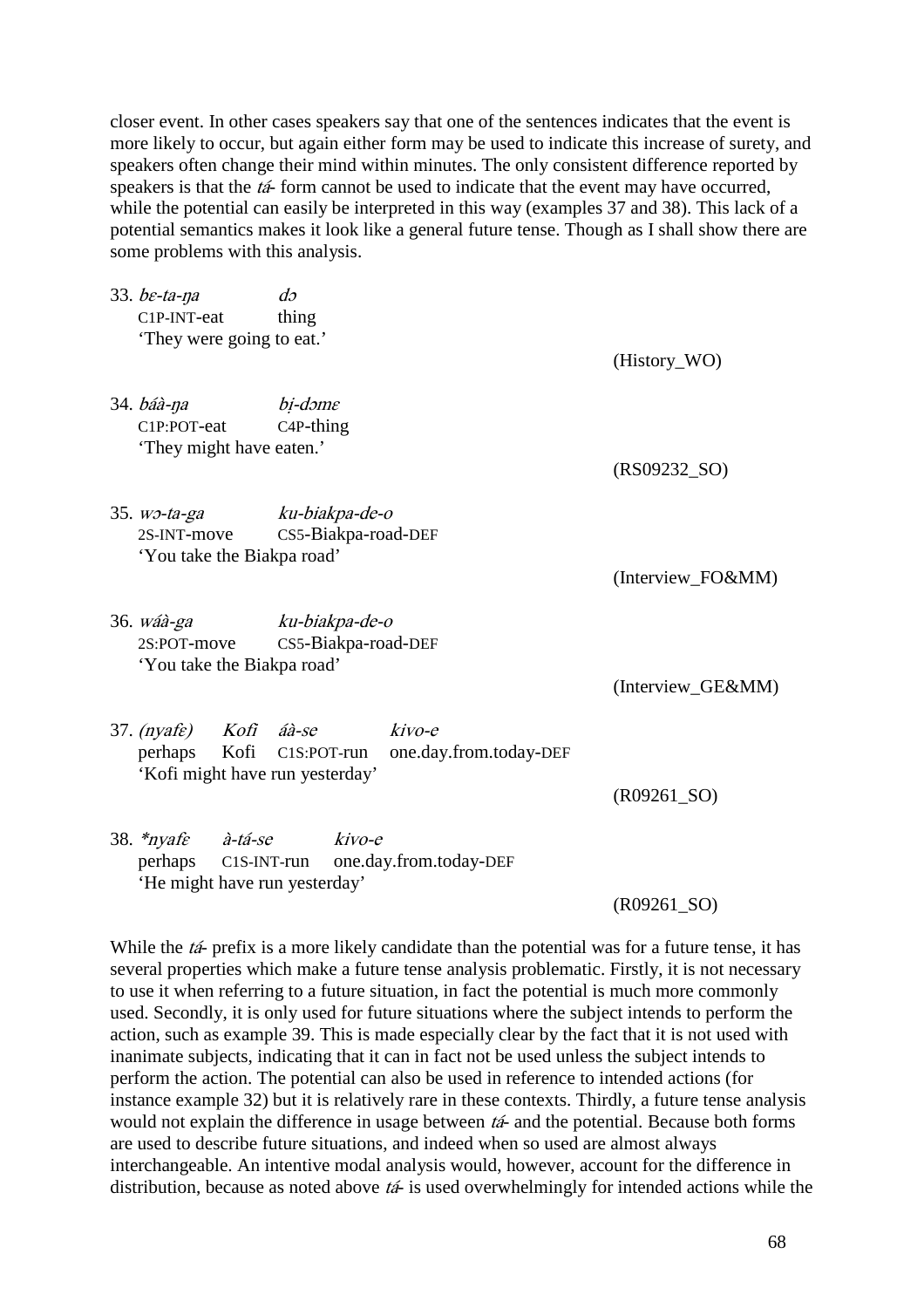closer event. In other cases speakers say that one of the sentences indicates that the event is more likely to occur, but again either form may be used to indicate this increase of surety, and speakers often change their mind within minutes. The only consistent difference reported by speakers is that the  $t\acute{a}$ - form cannot be used to indicate that the event may have occurred, while the potential can easily be interpreted in this way (examples 37 and 38). This lack of a potential semantics makes it look like a general future tense. Though as I shall show there are some problems with this analysis.

| 33. $be$ -ta-na<br>$C1P-INT-eat$<br>They were going to eat.'                 | $d\sigma$<br>thing                                   |                   |
|------------------------------------------------------------------------------|------------------------------------------------------|-------------------|
|                                                                              |                                                      | (History_WO)      |
| 34. báà-na<br>C1P:POT-eat<br>'They might have eaten.'                        | bi-dəme<br>$C4P-thing$                               | $(RS09232_SO)$    |
| 35. wo-ta-ga ku-biakpa-de-o<br>2S-INT-move<br>'You take the Biakpa road'     | CS5-Biakpa-road-DEF                                  | (Interview_FO&MM) |
| 36. <i>wáà-ga</i><br>2S:POT-move<br>'You take the Biakpa road'               | ku-biakpa-de-o<br>CS5-Biakpa-road-DEF                | (Interview_GE&MM) |
| 37. (nyafe) Kofi áà-se<br>Kofi<br>perhaps<br>'Kofi might have run yesterday' | kivo-e<br>C1S:POT-run one.day.from.today-DEF         | $(R09261_SO)$     |
| à-tá-se<br>38. $*ny$ afe<br>'He might have run yesterday'                    | kivo-e<br>perhaps C1S-INT-run one.day.from.today-DEF | $(R09261_SO)$     |

While the tá- prefix is a more likely candidate than the potential was for a future tense, it has several properties which make a future tense analysis problematic. Firstly, it is not necessary to use it when referring to a future situation, in fact the potential is much more commonly used. Secondly, it is only used for future situations where the subject intends to perform the action, such as example 39. This is made especially clear by the fact that it is not used with inanimate subjects, indicating that it can in fact not be used unless the subject intends to perform the action. The potential can also be used in reference to intended actions (for instance example 32) but it is relatively rare in these contexts. Thirdly, a future tense analysis would not explain the difference in usage between tá- and the potential. Because both forms are used to describe future situations, and indeed when so used are almost always interchangeable. An intentive modal analysis would, however, account for the difference in distribution, because as noted above  $t\acute{a}$ - is used overwhelmingly for intended actions while the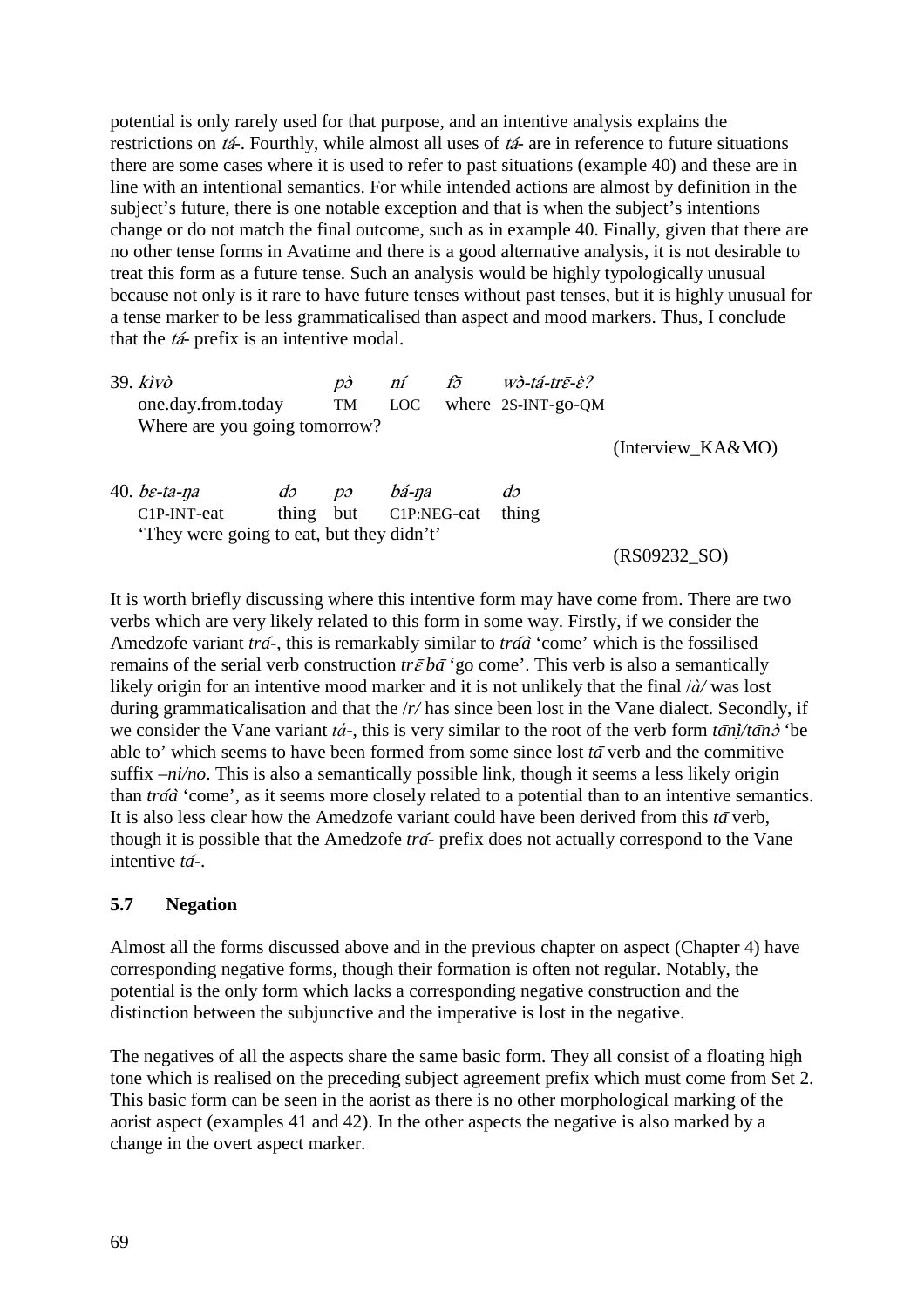potential is only rarely used for that purpose, and an intentive analysis explains the restrictions on tá*-*. Fourthly, while almost all uses of tá- are in reference to future situations there are some cases where it is used to refer to past situations (example 40) and these are in line with an intentional semantics. For while intended actions are almost by definition in the subject's future, there is one notable exception and that is when the subject's intentions change or do not match the final outcome, such as in example 40. Finally, given that there are no other tense forms in Avatime and there is a good alternative analysis, it is not desirable to treat this form as a future tense. Such an analysis would be highly typologically unusual because not only is it rare to have future tenses without past tenses, but it is highly unusual for a tense marker to be less grammaticalised than aspect and mood markers. Thus, I conclude that the tá- prefix is an intentive modal.

| $39.$ kivò<br>one.day.from.today                                            | f5<br>$w$ <sub>2</sub> -tá-trē-è?<br>ní<br>$\overrightarrow{D}$<br>where 2S-INT-go-QM<br>LOC<br>TM |                                             |       |  |                          |                   |
|-----------------------------------------------------------------------------|----------------------------------------------------------------------------------------------------|---------------------------------------------|-------|--|--------------------------|-------------------|
| Where are you going tomorrow?                                               |                                                                                                    |                                             |       |  |                          | (Interview KA&MO) |
| 40. $be$ -ta-na<br>C1P-INT-eat<br>'They were going to eat, but they didn't' | $d\sigma$<br>thing                                                                                 | $\mathcal{D}\mathcal{D}$<br>but C1P:NEG-eat | bá-na |  | $d\mathfrak{I}$<br>thing | (RS09232 SO)      |

It is worth briefly discussing where this intentive form may have come from. There are two verbs which are very likely related to this form in some way. Firstly, if we consider the Amedzofe variant *tra*́*-*, this is remarkably similar to *tra*́*a*̀ 'come' which is the fossilised remains of the serial verb construction  $tr\bar{\varepsilon} b\bar{a}$  'go come'. This verb is also a semantically likely origin for an intentive mood marker and it is not unlikely that the final /*à/* was lost during grammaticalisation and that the /*r/* has since been lost in the Vane dialect. Secondly, if we consider the Vane variant *tá*<sup>-</sup>, this is very similar to the root of the verb form  $t\bar{a}n\bar{i}/t\bar{a}n\bar{j}$  'be able to' which seems to have been formed from some since lost *ta*̄ verb and the commitive suffix *–ni/no*. This is also a semantically possible link, though it seems a less likely origin than *tra*́*a*̀ 'come', as it seems more closely related to a potential than to an intentive semantics. It is also less clear how the Amedzofe variant could have been derived from this *ta*̄ verb, though it is possible that the Amedzofe *tra*́*-* prefix does not actually correspond to the Vane intentive *ta*́*-*.

### **5.7 Negation**

Almost all the forms discussed above and in the previous chapter on aspect (Chapter 4) have corresponding negative forms, though their formation is often not regular. Notably, the potential is the only form which lacks a corresponding negative construction and the distinction between the subjunctive and the imperative is lost in the negative.

The negatives of all the aspects share the same basic form. They all consist of a floating high tone which is realised on the preceding subject agreement prefix which must come from Set 2. This basic form can be seen in the aorist as there is no other morphological marking of the aorist aspect (examples 41 and 42). In the other aspects the negative is also marked by a change in the overt aspect marker.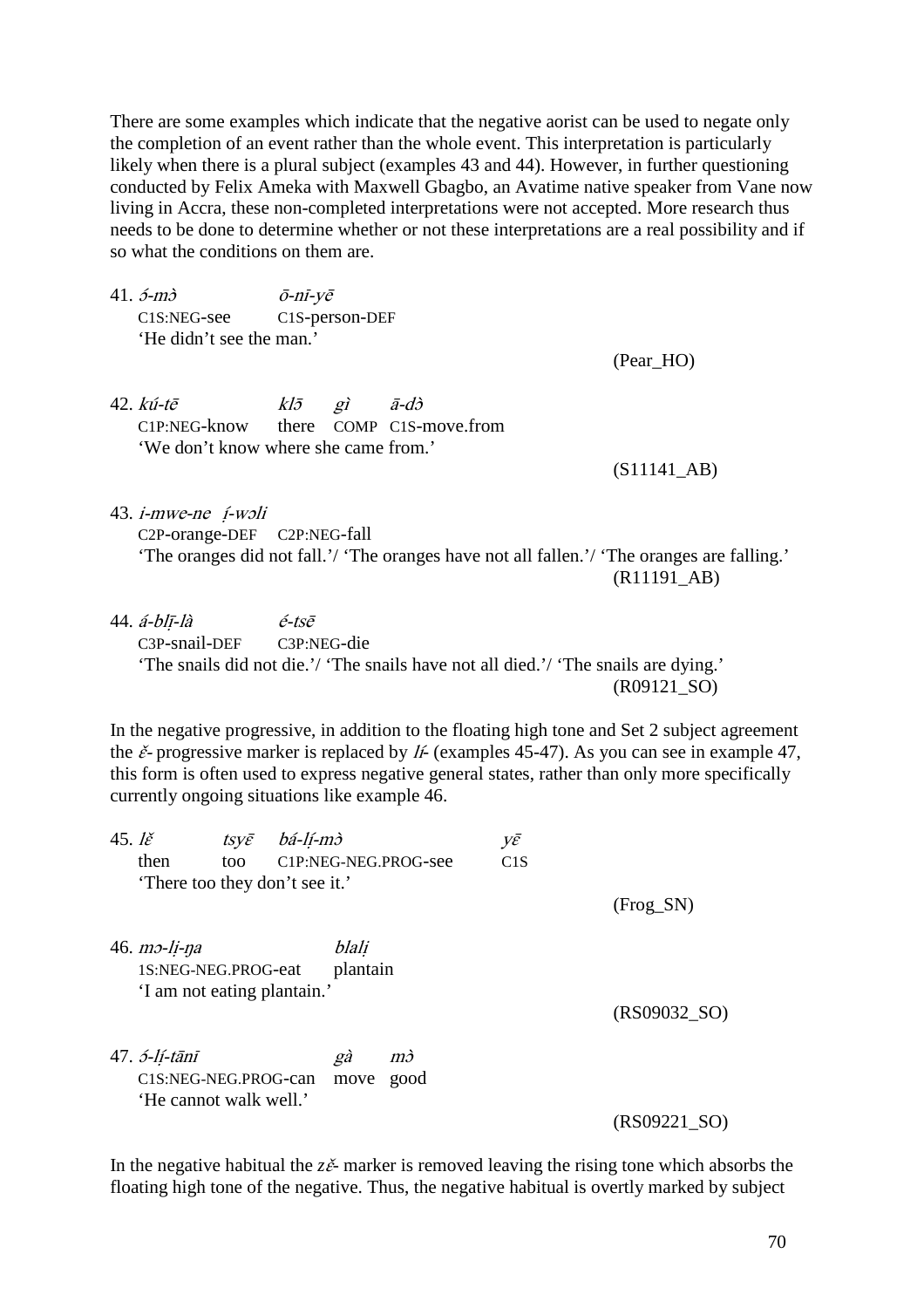There are some examples which indicate that the negative aorist can be used to negate only the completion of an event rather than the whole event. This interpretation is particularly likely when there is a plural subject (examples 43 and 44). However, in further questioning conducted by Felix Ameka with Maxwell Gbagbo, an Avatime native speaker from Vane now living in Accra, these non-completed interpretations were not accepted. More research thus needs to be done to determine whether or not these interpretations are a real possibility and if so what the conditions on them are.

41.  $\acute{o}$ - $m\grave{o}$   $\bar{o}$ - $n\bar{i}$ - $y\bar{e}$ C1S:NEG-see C1S-person-DEF 'He didn't see the man.'

(Pear\_HO)

42.  $k\omega$ -tē  $k l\bar{z}$  gì  $\bar{a}$ -dò C1P:NEG-know there COMP C1S-move.from 'We don't know where she came from.'

(S11141\_AB)

- 43. i-mwe-ne ị́-wɔli C2P-orange-DEF C2P:NEG-fall 'The oranges did not fall.'/ 'The oranges have not all fallen.'/ 'The oranges are falling.' (R11191\_AB)
- $44. \acute{a}$ -blī-là é-tsē C3P-snail-DEF C3P:NEG-die 'The snails did not die.'/ 'The snails have not all died.'/ 'The snails are dying.' (R09121\_SO)

In the negative progressive, in addition to the floating high tone and Set 2 subject agreement the  $\check{\epsilon}$ - progressive marker is replaced by *li*- (examples 45-47). As you can see in example 47, this form is often used to express negative general states, rather than only more specifically currently ongoing situations like example 46.

| 45. $\mathbf{l}\check{\varepsilon}$ |                                                                                    | $tsv\bar{\varepsilon}$ | bá-lí-mò |                   |                                   | γē  |                |
|-------------------------------------|------------------------------------------------------------------------------------|------------------------|----------|-------------------|-----------------------------------|-----|----------------|
|                                     | then                                                                               | too                    |          |                   | C <sub>1</sub> P:NEG-NEG.PROG-see | C1S |                |
|                                     | There too they don't see it.'                                                      |                        |          |                   |                                   |     |                |
|                                     |                                                                                    |                        |          |                   |                                   |     | $(Frog_SN)$    |
|                                     | $46.$ $m$ $-1$ $i$ - $n$ $a$<br>1S:NEG-NEG.PROG-eat<br>'I am not eating plantain.' |                        |          | blali<br>plantain |                                   |     |                |
|                                     |                                                                                    |                        |          |                   |                                   |     | (RS09032 SO)   |
|                                     | 47. <i>5-lí-tānī</i><br>C1S:NEG-NEG.PROG-can<br>'He cannot walk well.'             |                        |          | gà<br>move        | mð<br>good                        |     |                |
|                                     |                                                                                    |                        |          |                   |                                   |     | $(RS09221_SO)$ |

In the negative habitual the  $z\tilde{e}$ - marker is removed leaving the rising tone which absorbs the floating high tone of the negative. Thus, the negative habitual is overtly marked by subject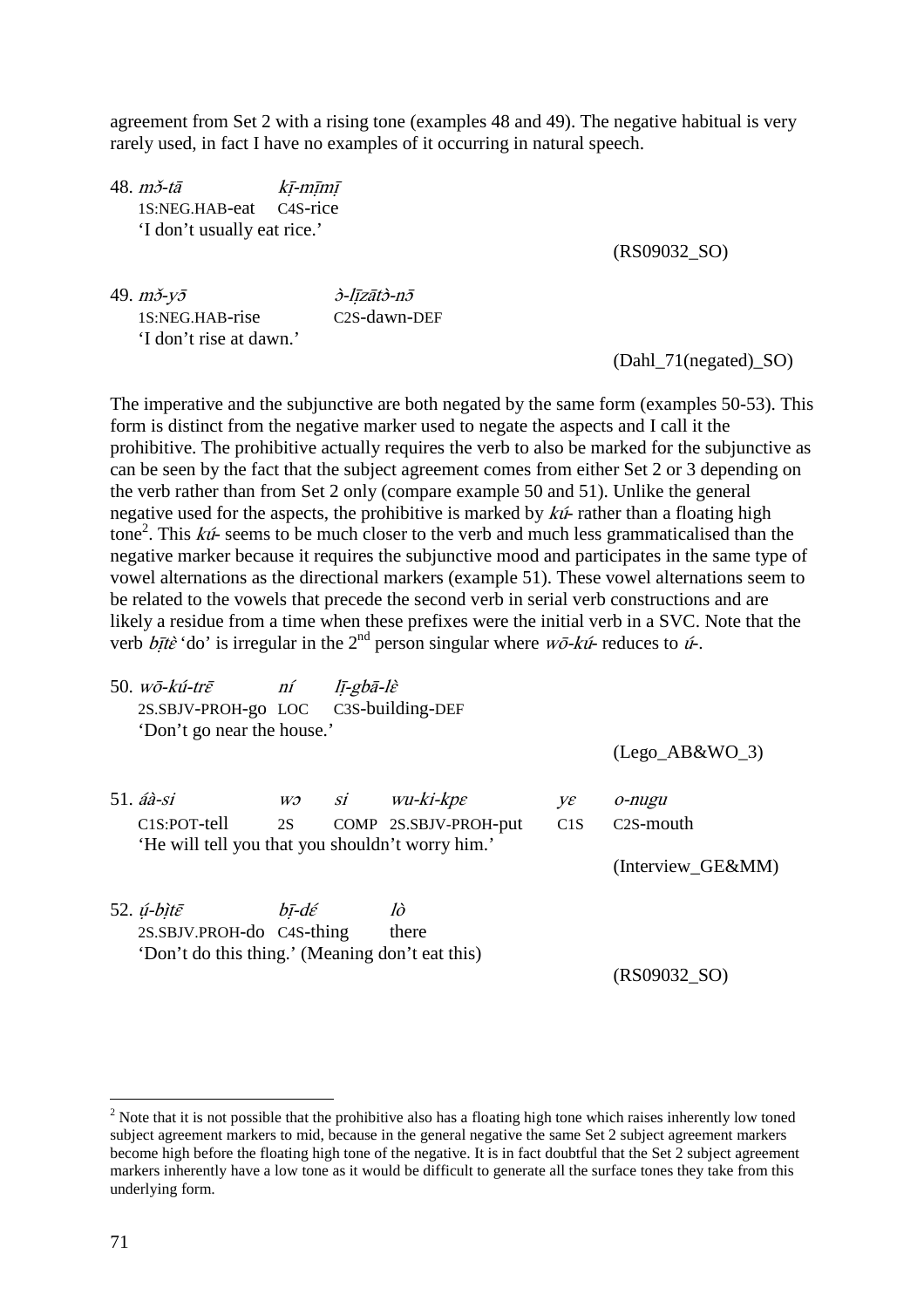agreement from Set 2 with a rising tone (examples 48 and 49). The negative habitual is very rarely used, in fact I have no examples of it occurring in natural speech.

 $48. m\check{\sigma}$ -tā kī-mīmī 1S:NEG.HAB-eat C4S-rice 'I don't usually eat rice.'

(RS09032\_SO)

49.  $m\check{\sigma}$ - $v\bar{\sigma}$   $\hat{\sigma}$ -līzāt $\hat{\sigma}$ -n $\bar{\sigma}$ 1S:NEG.HAB-rise C2S-dawn-DEF 'I don't rise at dawn.'

(Dahl\_71(negated)\_SO)

The imperative and the subjunctive are both negated by the same form (examples 50-53). This form is distinct from the negative marker used to negate the aspects and I call it the prohibitive. The prohibitive actually requires the verb to also be marked for the subjunctive as can be seen by the fact that the subject agreement comes from either Set 2 or 3 depending on the verb rather than from Set 2 only (compare example 50 and 51). Unlike the general negative used for the aspects, the prohibitive is marked by  $k\acute{u}$ -rather than a floating high tone<sup>2</sup>. This  $k\acute{u}$ - seems to be much closer to the verb and much less grammaticalised than the negative marker because it requires the subjunctive mood and participates in the same type of vowel alternations as the directional markers (example 51). These vowel alternations seem to be related to the vowels that precede the second verb in serial verb constructions and are likely a residue from a time when these prefixes were the initial verb in a SVC. Note that the verb  $b\bar{t}$ *i*te<sup>3</sup> the integral in the 2<sup>nd</sup> person singular where  $w\bar{o}$ -kú- reduces to ú<sup>-</sup>.

| 50. wō-kú-trē<br>2S.SBJV-PROH-go LOC C3S-building-DEF | ní    | lī-gbā-lè |                           |     |                        |
|-------------------------------------------------------|-------|-----------|---------------------------|-----|------------------------|
| 'Don't go near the house.'                            |       |           |                           |     |                        |
|                                                       |       |           |                           |     | $(Lego_A B&WO_3)$      |
| $51. a\hat{a}$ -si                                    | W)    | SÍ        | $wu$ -ki-kp $\varepsilon$ | Vε  | o-nugu                 |
| C1S:POT-tell                                          | 2S    |           | COMP 2S.SBJV-PROH-put     | C1S | C <sub>2</sub> S-mouth |
| 'He will tell you that you shouldn't worry him.'      |       |           |                           |     |                        |
|                                                       |       |           |                           |     | (Interview_GE&MM)      |
|                                                       |       |           |                           |     |                        |
| 52. <i>ú-bìtē</i>                                     | bī-dé |           | lò                        |     |                        |

2S.SBJV.PROH-do C4S-thing there 'Don't do this thing.' (Meaning don't eat this)

(RS09032\_SO)

 $\overline{a}$ 

 $2$  Note that it is not possible that the prohibitive also has a floating high tone which raises inherently low toned subject agreement markers to mid, because in the general negative the same Set 2 subject agreement markers become high before the floating high tone of the negative. It is in fact doubtful that the Set 2 subject agreement markers inherently have a low tone as it would be difficult to generate all the surface tones they take from this underlying form.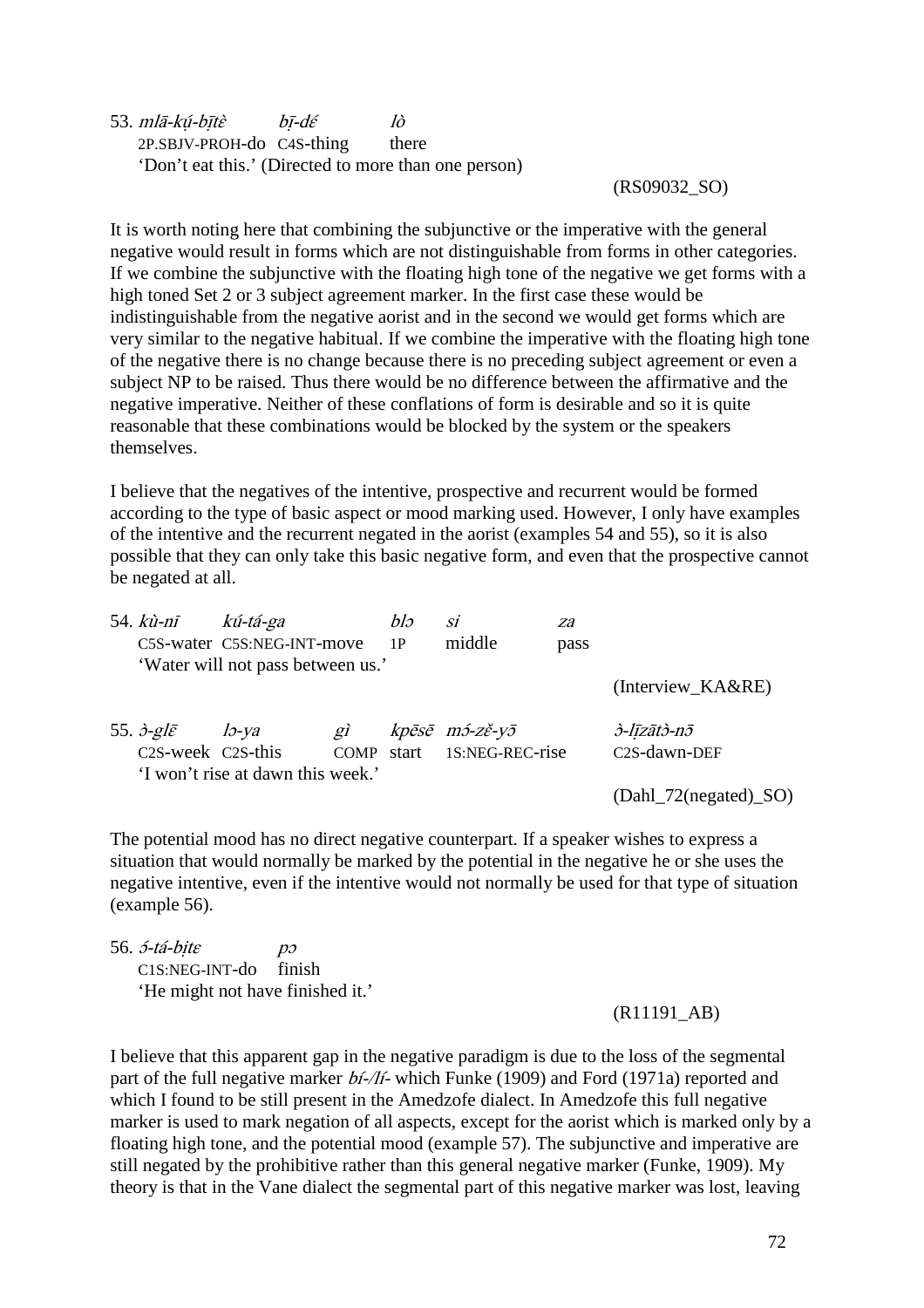53. mlā-kú-bītè bī-dé lò 2P.SBJV-PROH-do C4S-thing there 'Don't eat this.' (Directed to more than one person)

#### (RS09032\_SO)

It is worth noting here that combining the subjunctive or the imperative with the general negative would result in forms which are not distinguishable from forms in other categories. If we combine the subjunctive with the floating high tone of the negative we get forms with a high toned Set 2 or 3 subject agreement marker. In the first case these would be indistinguishable from the negative aorist and in the second we would get forms which are very similar to the negative habitual. If we combine the imperative with the floating high tone of the negative there is no change because there is no preceding subject agreement or even a subject NP to be raised. Thus there would be no difference between the affirmative and the negative imperative. Neither of these conflations of form is desirable and so it is quite reasonable that these combinations would be blocked by the system or the speakers themselves.

I believe that the negatives of the intentive, prospective and recurrent would be formed according to the type of basic aspect or mood marking used. However, I only have examples of the intentive and the recurrent negated in the aorist (examples 54 and 55), so it is also possible that they can only take this basic negative form, and even that the prospective cannot be negated at all.

| 54. <i>kù-nī</i>                            | kú-tá-ga                          |            | blə | Si                         | za   |                         |
|---------------------------------------------|-----------------------------------|------------|-----|----------------------------|------|-------------------------|
|                                             | C5S-water C5S:NEG-INT-move        |            | 1P  | middle                     | pass |                         |
|                                             | 'Water will not pass between us.' |            |     |                            |      |                         |
|                                             |                                   |            |     |                            |      | (Interview_KA&RE)       |
| 55. $\partial$ -gle                         | $15$ -va                          | $g\hat{i}$ |     | kpēsē m3-zě-y5             |      | <i>d-līzātd-nā</i>      |
| C <sub>2</sub> S-week C <sub>2</sub> S-this |                                   |            |     | COMP start 1S:NEG-REC-rise |      | C2S-dawn-DEF            |
|                                             | 'I won't rise at dawn this week.' |            |     |                            |      |                         |
|                                             |                                   |            |     |                            |      | $(Dahl_72(negated)_SO)$ |

The potential mood has no direct negative counterpart. If a speaker wishes to express a situation that would normally be marked by the potential in the negative he or she uses the negative intentive, even if the intentive would not normally be used for that type of situation (example 56).

 $56. 5-tá-bite$  po C1S:NEG-INT-do finish 'He might not have finished it.'

(R11191\_AB)

I believe that this apparent gap in the negative paradigm is due to the loss of the segmental part of the full negative marker  $b\hat{i}$ -/ $\hat{k}$ - which Funke (1909) and Ford (1971a) reported and which I found to be still present in the Amedzofe dialect. In Amedzofe this full negative marker is used to mark negation of all aspects, except for the aorist which is marked only by a floating high tone, and the potential mood (example 57). The subjunctive and imperative are still negated by the prohibitive rather than this general negative marker (Funke, 1909). My theory is that in the Vane dialect the segmental part of this negative marker was lost, leaving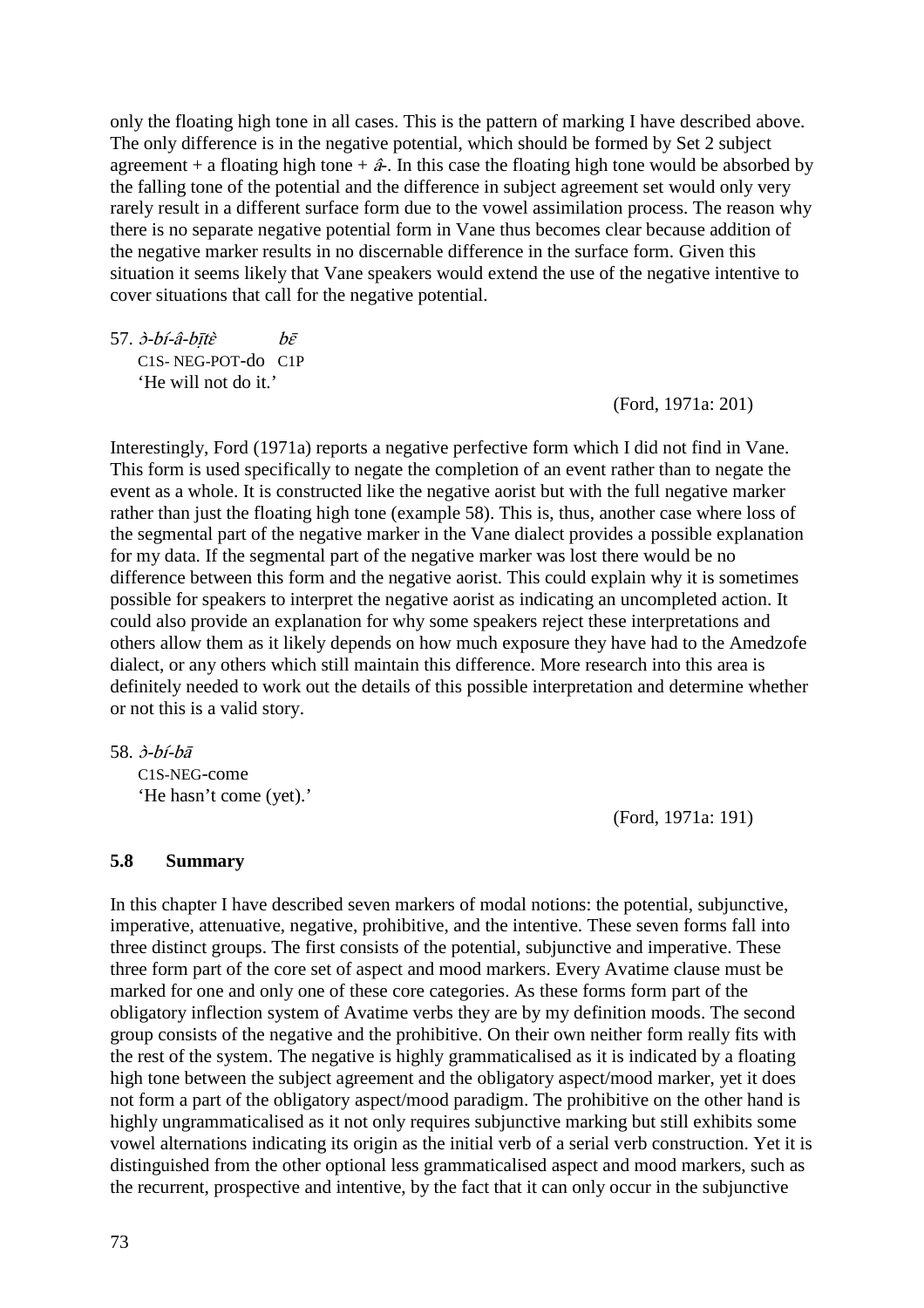only the floating high tone in all cases. This is the pattern of marking I have described above. The only difference is in the negative potential, which should be formed by Set 2 subject agreement + a floating high tone +  $\hat{a}$ . In this case the floating high tone would be absorbed by the falling tone of the potential and the difference in subject agreement set would only very rarely result in a different surface form due to the vowel assimilation process. The reason why there is no separate negative potential form in Vane thus becomes clear because addition of the negative marker results in no discernable difference in the surface form. Given this situation it seems likely that Vane speakers would extend the use of the negative intentive to cover situations that call for the negative potential.

 $57.$   $\dot{\partial}$ - $\dot{\partial}$ - $\dot{\partial}$ - $\dot{\partial}$ - $\dot{\partial}$  $\vec{\epsilon}$  be C1S- NEG-POT-do C1P 'He will not do it.'

(Ford, 1971a: 201)

Interestingly, Ford (1971a) reports a negative perfective form which I did not find in Vane. This form is used specifically to negate the completion of an event rather than to negate the event as a whole. It is constructed like the negative aorist but with the full negative marker rather than just the floating high tone (example 58). This is, thus, another case where loss of the segmental part of the negative marker in the Vane dialect provides a possible explanation for my data. If the segmental part of the negative marker was lost there would be no difference between this form and the negative aorist. This could explain why it is sometimes possible for speakers to interpret the negative aorist as indicating an uncompleted action. It could also provide an explanation for why some speakers reject these interpretations and others allow them as it likely depends on how much exposure they have had to the Amedzofe dialect, or any others which still maintain this difference. More research into this area is definitely needed to work out the details of this possible interpretation and determine whether or not this is a valid story.

58. ɔ̀-bí-bā

C1S-NEG-come 'He hasn't come (yet).'

(Ford, 1971a: 191)

#### **5.8 Summary**

In this chapter I have described seven markers of modal notions: the potential, subjunctive, imperative, attenuative, negative, prohibitive, and the intentive. These seven forms fall into three distinct groups. The first consists of the potential, subjunctive and imperative. These three form part of the core set of aspect and mood markers. Every Avatime clause must be marked for one and only one of these core categories. As these forms form part of the obligatory inflection system of Avatime verbs they are by my definition moods. The second group consists of the negative and the prohibitive. On their own neither form really fits with the rest of the system. The negative is highly grammaticalised as it is indicated by a floating high tone between the subject agreement and the obligatory aspect/mood marker, yet it does not form a part of the obligatory aspect/mood paradigm. The prohibitive on the other hand is highly ungrammaticalised as it not only requires subjunctive marking but still exhibits some vowel alternations indicating its origin as the initial verb of a serial verb construction. Yet it is distinguished from the other optional less grammaticalised aspect and mood markers, such as the recurrent, prospective and intentive, by the fact that it can only occur in the subjunctive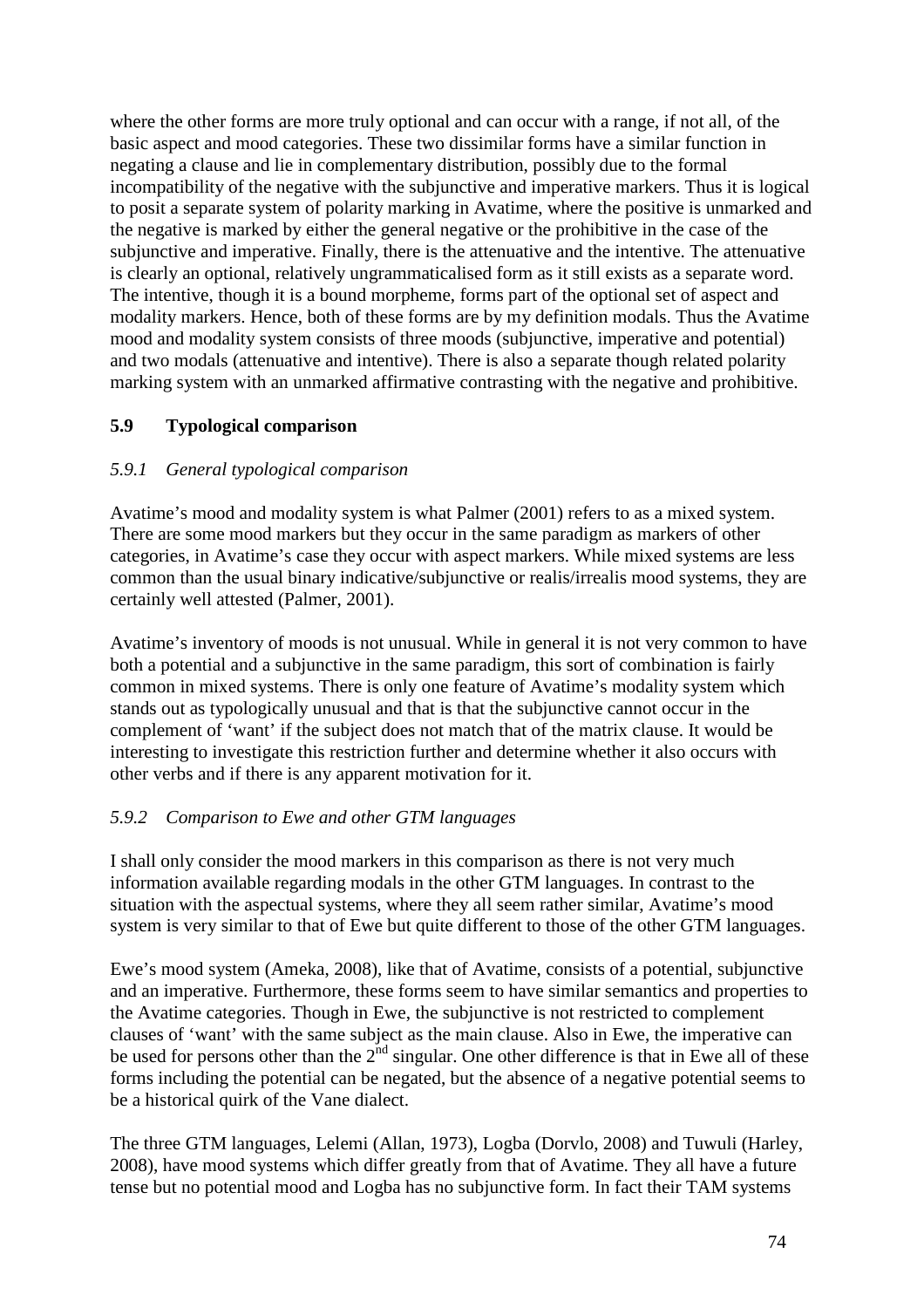where the other forms are more truly optional and can occur with a range, if not all, of the basic aspect and mood categories. These two dissimilar forms have a similar function in negating a clause and lie in complementary distribution, possibly due to the formal incompatibility of the negative with the subjunctive and imperative markers. Thus it is logical to posit a separate system of polarity marking in Avatime, where the positive is unmarked and the negative is marked by either the general negative or the prohibitive in the case of the subjunctive and imperative. Finally, there is the attenuative and the intentive. The attenuative is clearly an optional, relatively ungrammaticalised form as it still exists as a separate word. The intentive, though it is a bound morpheme, forms part of the optional set of aspect and modality markers. Hence, both of these forms are by my definition modals. Thus the Avatime mood and modality system consists of three moods (subjunctive, imperative and potential) and two modals (attenuative and intentive). There is also a separate though related polarity marking system with an unmarked affirmative contrasting with the negative and prohibitive.

### **5.9 Typological comparison**

# *5.9.1 General typological comparison*

Avatime's mood and modality system is what Palmer (2001) refers to as a mixed system. There are some mood markers but they occur in the same paradigm as markers of other categories, in Avatime's case they occur with aspect markers. While mixed systems are less common than the usual binary indicative/subjunctive or realis/irrealis mood systems, they are certainly well attested (Palmer, 2001).

Avatime's inventory of moods is not unusual. While in general it is not very common to have both a potential and a subjunctive in the same paradigm, this sort of combination is fairly common in mixed systems. There is only one feature of Avatime's modality system which stands out as typologically unusual and that is that the subjunctive cannot occur in the complement of 'want' if the subject does not match that of the matrix clause. It would be interesting to investigate this restriction further and determine whether it also occurs with other verbs and if there is any apparent motivation for it.

### *5.9.2 Comparison to Ewe and other GTM languages*

I shall only consider the mood markers in this comparison as there is not very much information available regarding modals in the other GTM languages. In contrast to the situation with the aspectual systems, where they all seem rather similar, Avatime's mood system is very similar to that of Ewe but quite different to those of the other GTM languages.

Ewe's mood system (Ameka, 2008), like that of Avatime, consists of a potential, subjunctive and an imperative. Furthermore, these forms seem to have similar semantics and properties to the Avatime categories. Though in Ewe, the subjunctive is not restricted to complement clauses of 'want' with the same subject as the main clause. Also in Ewe, the imperative can be used for persons other than the  $2<sup>nd</sup>$  singular. One other difference is that in Ewe all of these forms including the potential can be negated, but the absence of a negative potential seems to be a historical quirk of the Vane dialect.

The three GTM languages, Lelemi (Allan, 1973), Logba (Dorvlo, 2008) and Tuwuli (Harley, 2008), have mood systems which differ greatly from that of Avatime. They all have a future tense but no potential mood and Logba has no subjunctive form. In fact their TAM systems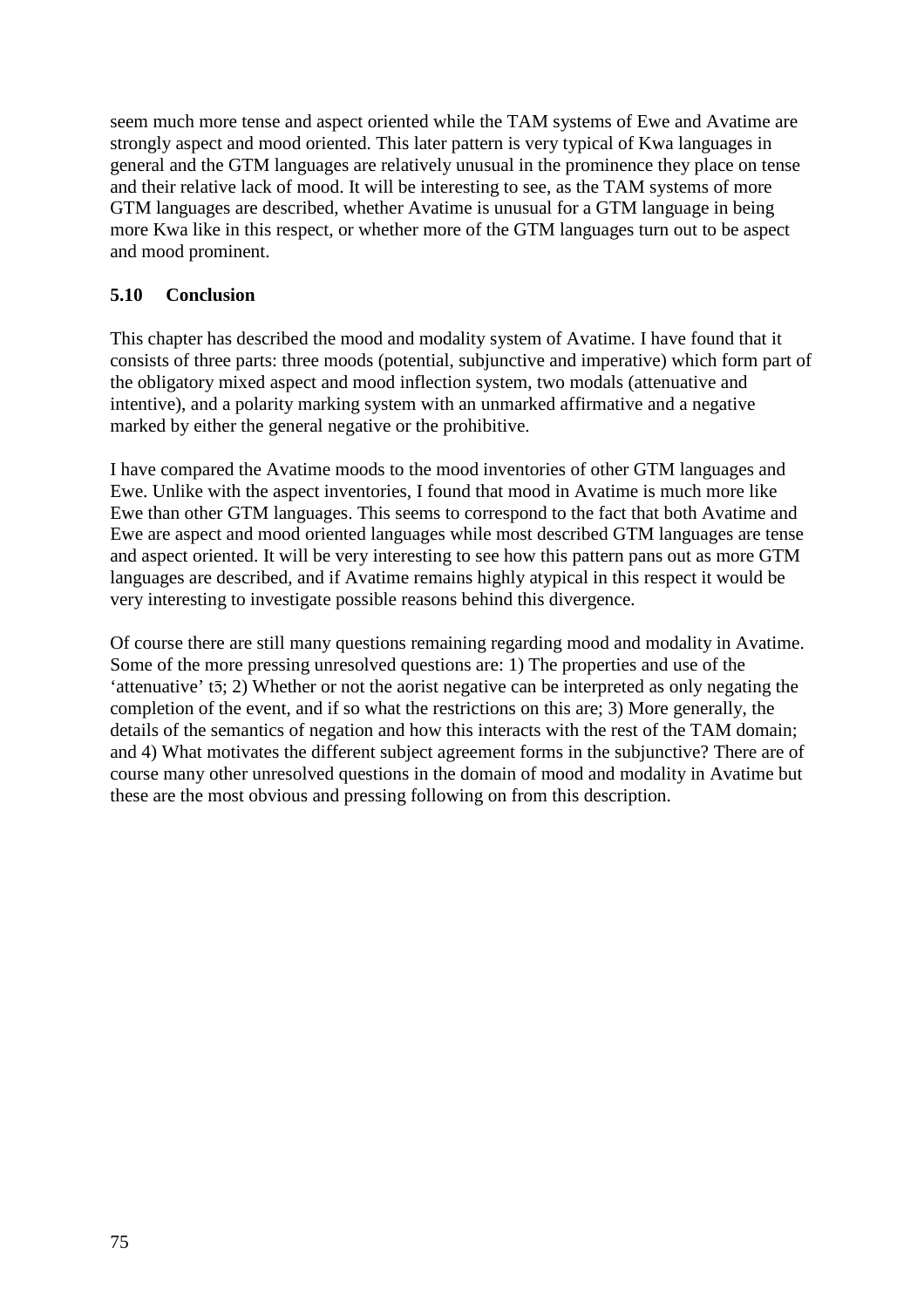seem much more tense and aspect oriented while the TAM systems of Ewe and Avatime are strongly aspect and mood oriented. This later pattern is very typical of Kwa languages in general and the GTM languages are relatively unusual in the prominence they place on tense and their relative lack of mood. It will be interesting to see, as the TAM systems of more GTM languages are described, whether Avatime is unusual for a GTM language in being more Kwa like in this respect, or whether more of the GTM languages turn out to be aspect and mood prominent.

### **5.10 Conclusion**

This chapter has described the mood and modality system of Avatime. I have found that it consists of three parts: three moods (potential, subjunctive and imperative) which form part of the obligatory mixed aspect and mood inflection system, two modals (attenuative and intentive), and a polarity marking system with an unmarked affirmative and a negative marked by either the general negative or the prohibitive.

I have compared the Avatime moods to the mood inventories of other GTM languages and Ewe. Unlike with the aspect inventories, I found that mood in Avatime is much more like Ewe than other GTM languages. This seems to correspond to the fact that both Avatime and Ewe are aspect and mood oriented languages while most described GTM languages are tense and aspect oriented. It will be very interesting to see how this pattern pans out as more GTM languages are described, and if Avatime remains highly atypical in this respect it would be very interesting to investigate possible reasons behind this divergence.

Of course there are still many questions remaining regarding mood and modality in Avatime. Some of the more pressing unresolved questions are: 1) The properties and use of the 'attenuative' tō; 2) Whether or not the aorist negative can be interpreted as only negating the completion of the event, and if so what the restrictions on this are; 3) More generally, the details of the semantics of negation and how this interacts with the rest of the TAM domain; and 4) What motivates the different subject agreement forms in the subjunctive? There are of course many other unresolved questions in the domain of mood and modality in Avatime but these are the most obvious and pressing following on from this description.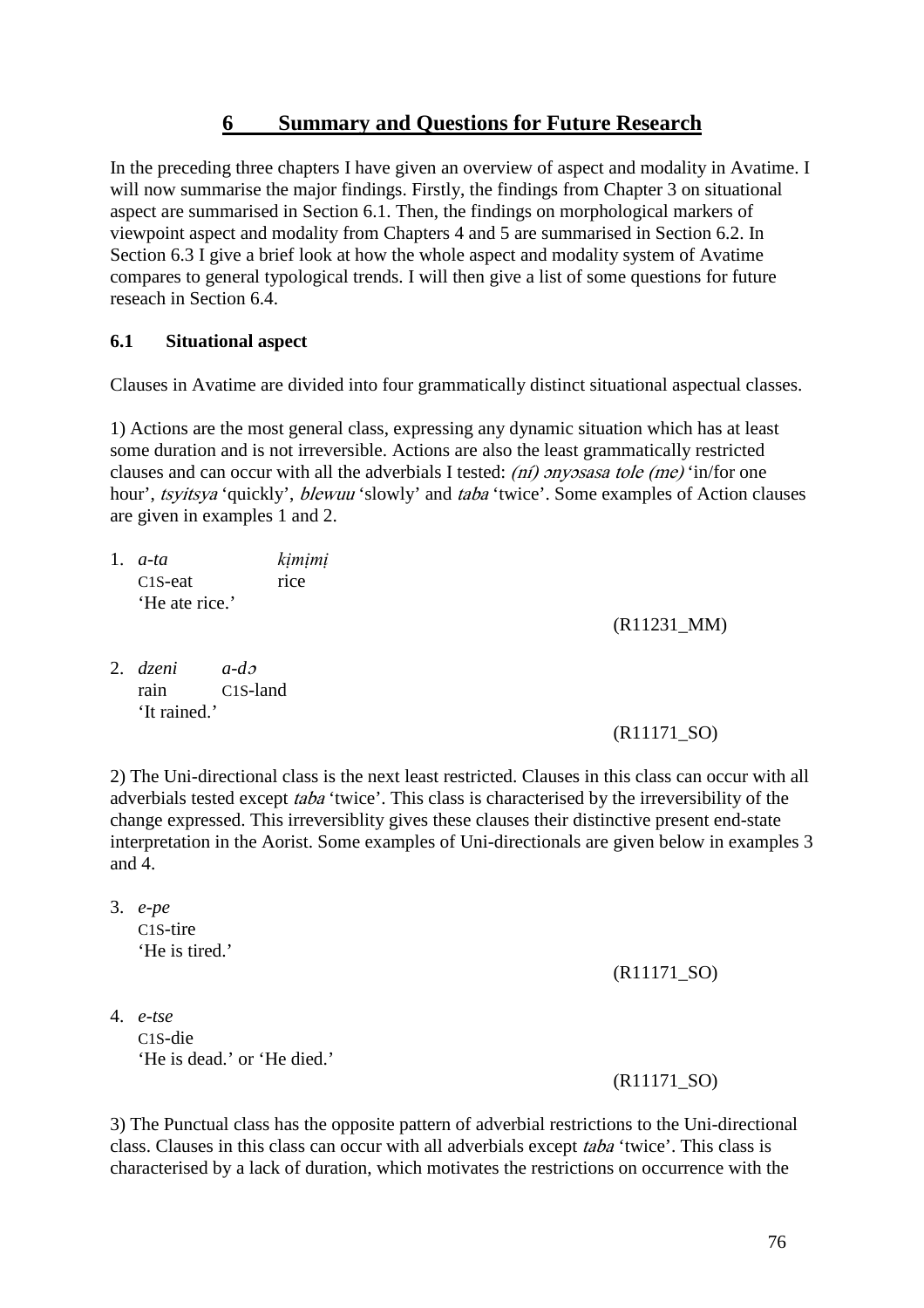# **6 Summary and Questions for Future Research**

In the preceding three chapters I have given an overview of aspect and modality in Avatime. I will now summarise the major findings. Firstly, the findings from Chapter 3 on situational aspect are summarised in Section 6.1. Then, the findings on morphological markers of viewpoint aspect and modality from Chapters 4 and 5 are summarised in Section 6.2. In Section 6.3 I give a brief look at how the whole aspect and modality system of Avatime compares to general typological trends. I will then give a list of some questions for future reseach in Section 6.4.

### **6.1 Situational aspect**

Clauses in Avatime are divided into four grammatically distinct situational aspectual classes.

1) Actions are the most general class, expressing any dynamic situation which has at least some duration and is not irreversible. Actions are also the least grammatically restricted clauses and can occur with all the adverbials I tested: (ni) onyosasa tole (me) 'in/for one hour', *tsyitsya* 'quickly', *blewuu* 'slowly' and *taba* 'twice'. Some examples of Action clauses are given in examples 1 and 2.

- 1. *a-ta kịmịmị* C<sub>1</sub>S-eat rice 'He ate rice.'
- 2. *dzeni a-d*<sup>ɔ</sup> rain C1S-land 'It rained.'

(R11171\_SO)

(R11231\_MM)

2) The Uni-directional class is the next least restricted. Clauses in this class can occur with all adverbials tested except taba 'twice'. This class is characterised by the irreversibility of the change expressed. This irreversiblity gives these clauses their distinctive present end-state interpretation in the Aorist. Some examples of Uni-directionals are given below in examples 3 and 4.

3. *e-pe*  C1S-tire 'He is tired.'

(R11171\_SO)

4. *e-tse*  C1S-die 'He is dead.' or 'He died.'

(R11171\_SO)

3) The Punctual class has the opposite pattern of adverbial restrictions to the Uni-directional class. Clauses in this class can occur with all adverbials except taba 'twice'. This class is characterised by a lack of duration, which motivates the restrictions on occurrence with the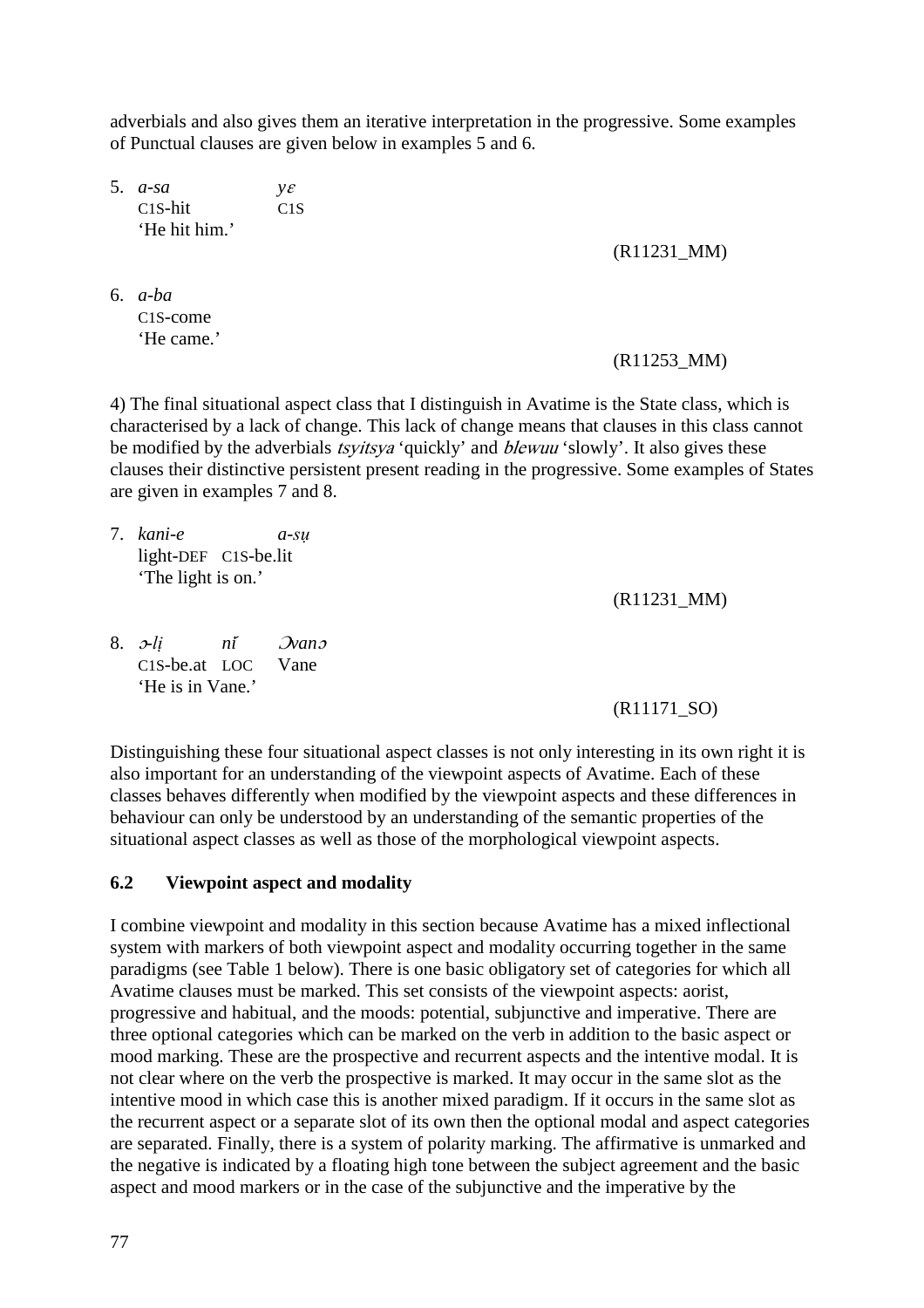adverbials and also gives them an iterative interpretation in the progressive. Some examples of Punctual clauses are given below in examples 5 and 6.

5. *a-sa y*<sup>ɛ</sup> C1S-hit C1S 'He hit him.'

(R11231\_MM)

6. *a-ba*  C1S-come 'He came.'

#### (R11253\_MM)

4) The final situational aspect class that I distinguish in Avatime is the State class, which is characterised by a lack of change. This lack of change means that clauses in this class cannot be modified by the adverbials *tsyitsya* 'quickly' and *blewuu* 'slowly'. It also gives these clauses their distinctive persistent present reading in the progressive. Some examples of States are given in examples 7 and 8.

7. *kani-e a-sụ*  light-DEF C1S-be.lit 'The light is on.'

(R11231\_MM)

8. <sup>ɔ</sup>*-lị ni*́ <sup>Ɔ</sup>*van*<sup>ɔ</sup> C1S-be.at LOC Vane 'He is in Vane.'

#### (R11171\_SO)

Distinguishing these four situational aspect classes is not only interesting in its own right it is also important for an understanding of the viewpoint aspects of Avatime. Each of these classes behaves differently when modified by the viewpoint aspects and these differences in behaviour can only be understood by an understanding of the semantic properties of the situational aspect classes as well as those of the morphological viewpoint aspects.

#### **6.2 Viewpoint aspect and modality**

I combine viewpoint and modality in this section because Avatime has a mixed inflectional system with markers of both viewpoint aspect and modality occurring together in the same paradigms (see Table 1 below). There is one basic obligatory set of categories for which all Avatime clauses must be marked. This set consists of the viewpoint aspects: aorist, progressive and habitual, and the moods: potential, subjunctive and imperative. There are three optional categories which can be marked on the verb in addition to the basic aspect or mood marking. These are the prospective and recurrent aspects and the intentive modal. It is not clear where on the verb the prospective is marked. It may occur in the same slot as the intentive mood in which case this is another mixed paradigm. If it occurs in the same slot as the recurrent aspect or a separate slot of its own then the optional modal and aspect categories are separated. Finally, there is a system of polarity marking. The affirmative is unmarked and the negative is indicated by a floating high tone between the subject agreement and the basic aspect and mood markers or in the case of the subjunctive and the imperative by the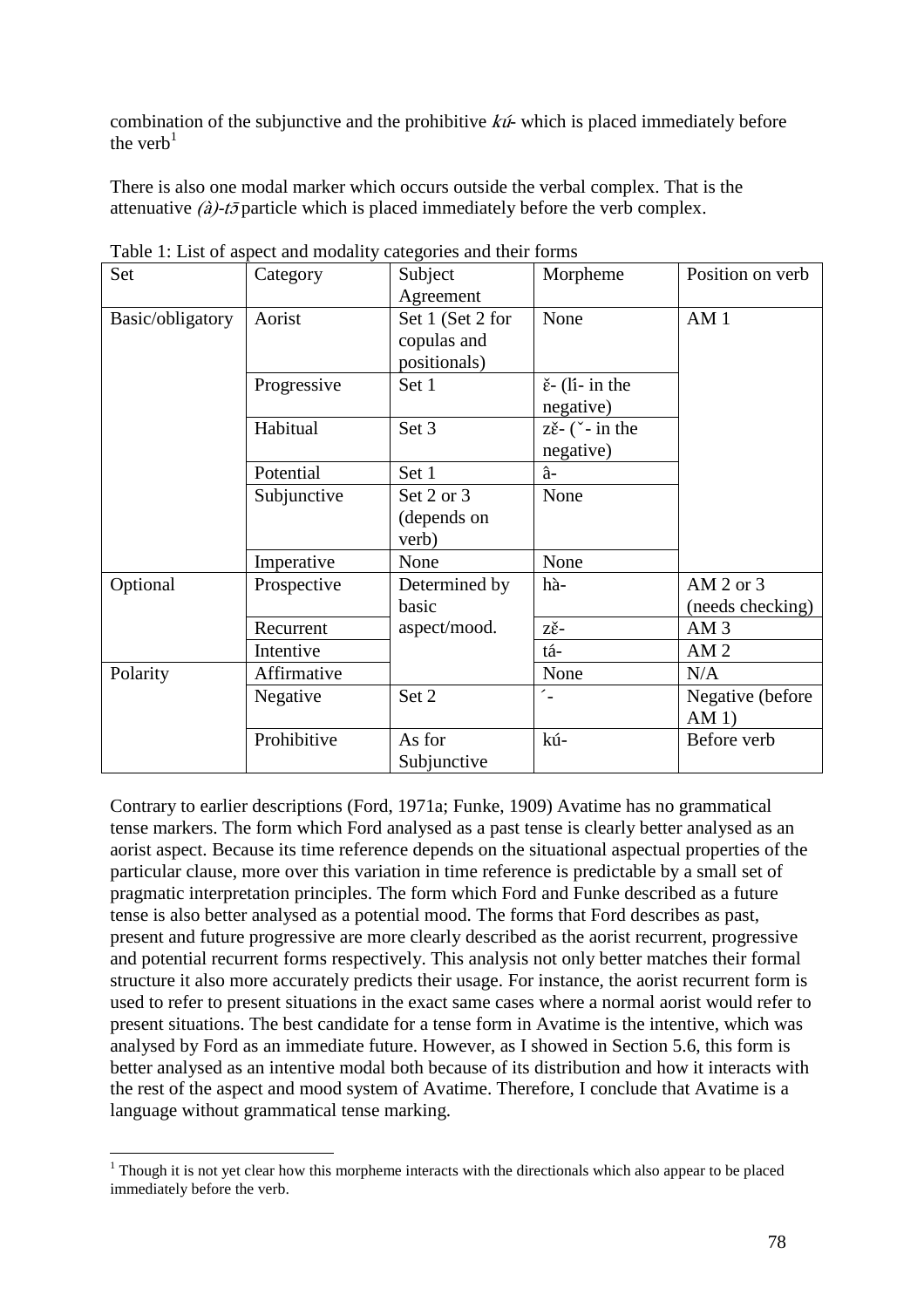combination of the subjunctive and the prohibitive  $k\hat{u}$ - which is placed immediately before the verb $<sup>1</sup>$ </sup>

There is also one modal marker which occurs outside the verbal complex. That is the attenuative  $(\hat{a})$ -t $\bar{\sigma}$  particle which is placed immediately before the verb complex.

| Set              | Category    | Subject                                                      | Morpheme                                                            | Position on verb                  |
|------------------|-------------|--------------------------------------------------------------|---------------------------------------------------------------------|-----------------------------------|
| Basic/obligatory | Aorist      | Agreement<br>Set 1 (Set 2 for<br>copulas and<br>positionals) | None                                                                | AM1                               |
|                  | Progressive | Set 1                                                        | $\check{\epsilon}$ - (li- in the<br>negative)                       |                                   |
|                  | Habitual    | Set 3                                                        | $z\check{\epsilon}$ - ( $\check{\phantom{a}}$ - in the<br>negative) |                                   |
|                  | Potential   | Set 1                                                        | â-                                                                  |                                   |
|                  | Subjunctive | Set 2 or 3<br>(depends on<br>verb)                           | None                                                                |                                   |
|                  | Imperative  | None                                                         | None                                                                |                                   |
| Optional         | Prospective | Determined by<br>basic                                       | hà-                                                                 | AM $2$ or $3$<br>(needs checking) |
|                  | Recurrent   | aspect/mood.                                                 | zě-                                                                 | AM <sub>3</sub>                   |
|                  | Intentive   |                                                              | tá-                                                                 | AM <sub>2</sub>                   |
| Polarity         | Affirmative |                                                              | None                                                                | N/A                               |
|                  | Negative    | Set 2                                                        |                                                                     | Negative (before<br>$AM1$ )       |
|                  | Prohibitive | As for<br>Subjunctive                                        | kú-                                                                 | Before verb                       |

Table 1: List of aspect and modality categories and their forms

Contrary to earlier descriptions (Ford, 1971a; Funke, 1909) Avatime has no grammatical tense markers. The form which Ford analysed as a past tense is clearly better analysed as an aorist aspect. Because its time reference depends on the situational aspectual properties of the particular clause, more over this variation in time reference is predictable by a small set of pragmatic interpretation principles. The form which Ford and Funke described as a future tense is also better analysed as a potential mood. The forms that Ford describes as past, present and future progressive are more clearly described as the aorist recurrent, progressive and potential recurrent forms respectively. This analysis not only better matches their formal structure it also more accurately predicts their usage. For instance, the aorist recurrent form is used to refer to present situations in the exact same cases where a normal aorist would refer to present situations. The best candidate for a tense form in Avatime is the intentive, which was analysed by Ford as an immediate future. However, as I showed in Section 5.6, this form is better analysed as an intentive modal both because of its distribution and how it interacts with the rest of the aspect and mood system of Avatime. Therefore, I conclude that Avatime is a language without grammatical tense marking.

<sup>&</sup>lt;sup>1</sup> Though it is not yet clear how this morpheme interacts with the directionals which also appear to be placed immediately before the verb.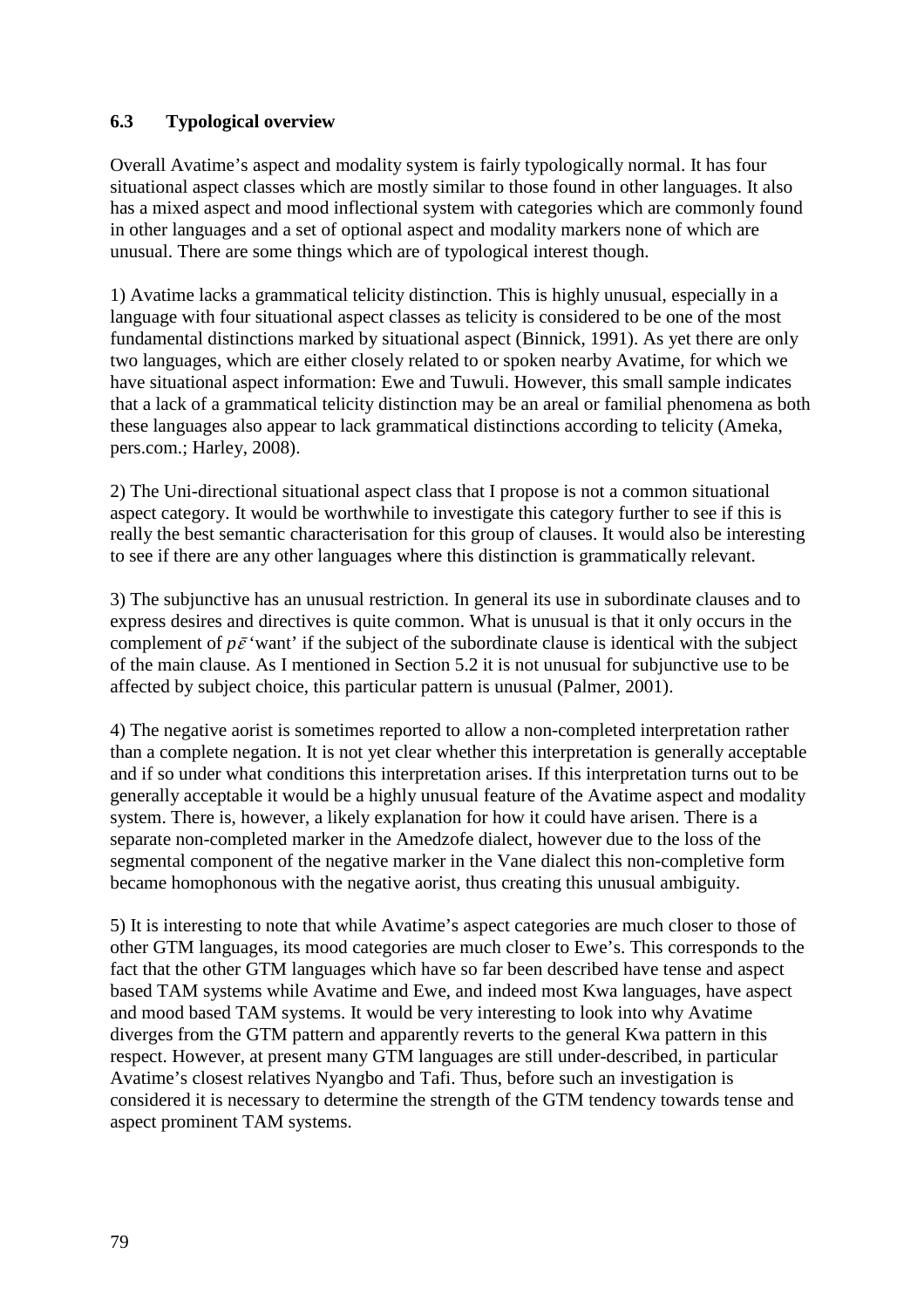# **6.3 Typological overview**

Overall Avatime's aspect and modality system is fairly typologically normal. It has four situational aspect classes which are mostly similar to those found in other languages. It also has a mixed aspect and mood inflectional system with categories which are commonly found in other languages and a set of optional aspect and modality markers none of which are unusual. There are some things which are of typological interest though.

1) Avatime lacks a grammatical telicity distinction. This is highly unusual, especially in a language with four situational aspect classes as telicity is considered to be one of the most fundamental distinctions marked by situational aspect (Binnick, 1991). As yet there are only two languages, which are either closely related to or spoken nearby Avatime, for which we have situational aspect information: Ewe and Tuwuli. However, this small sample indicates that a lack of a grammatical telicity distinction may be an areal or familial phenomena as both these languages also appear to lack grammatical distinctions according to telicity (Ameka, pers.com.; Harley, 2008).

2) The Uni-directional situational aspect class that I propose is not a common situational aspect category. It would be worthwhile to investigate this category further to see if this is really the best semantic characterisation for this group of clauses. It would also be interesting to see if there are any other languages where this distinction is grammatically relevant.

3) The subjunctive has an unusual restriction. In general its use in subordinate clauses and to express desires and directives is quite common. What is unusual is that it only occurs in the complement of  $p\bar{\varepsilon}$  'want' if the subject of the subordinate clause is identical with the subject of the main clause. As I mentioned in Section 5.2 it is not unusual for subjunctive use to be affected by subject choice, this particular pattern is unusual (Palmer, 2001).

4) The negative aorist is sometimes reported to allow a non-completed interpretation rather than a complete negation. It is not yet clear whether this interpretation is generally acceptable and if so under what conditions this interpretation arises. If this interpretation turns out to be generally acceptable it would be a highly unusual feature of the Avatime aspect and modality system. There is, however, a likely explanation for how it could have arisen. There is a separate non-completed marker in the Amedzofe dialect, however due to the loss of the segmental component of the negative marker in the Vane dialect this non-completive form became homophonous with the negative aorist, thus creating this unusual ambiguity.

5) It is interesting to note that while Avatime's aspect categories are much closer to those of other GTM languages, its mood categories are much closer to Ewe's. This corresponds to the fact that the other GTM languages which have so far been described have tense and aspect based TAM systems while Avatime and Ewe, and indeed most Kwa languages, have aspect and mood based TAM systems. It would be very interesting to look into why Avatime diverges from the GTM pattern and apparently reverts to the general Kwa pattern in this respect. However, at present many GTM languages are still under-described, in particular Avatime's closest relatives Nyangbo and Tafi. Thus, before such an investigation is considered it is necessary to determine the strength of the GTM tendency towards tense and aspect prominent TAM systems.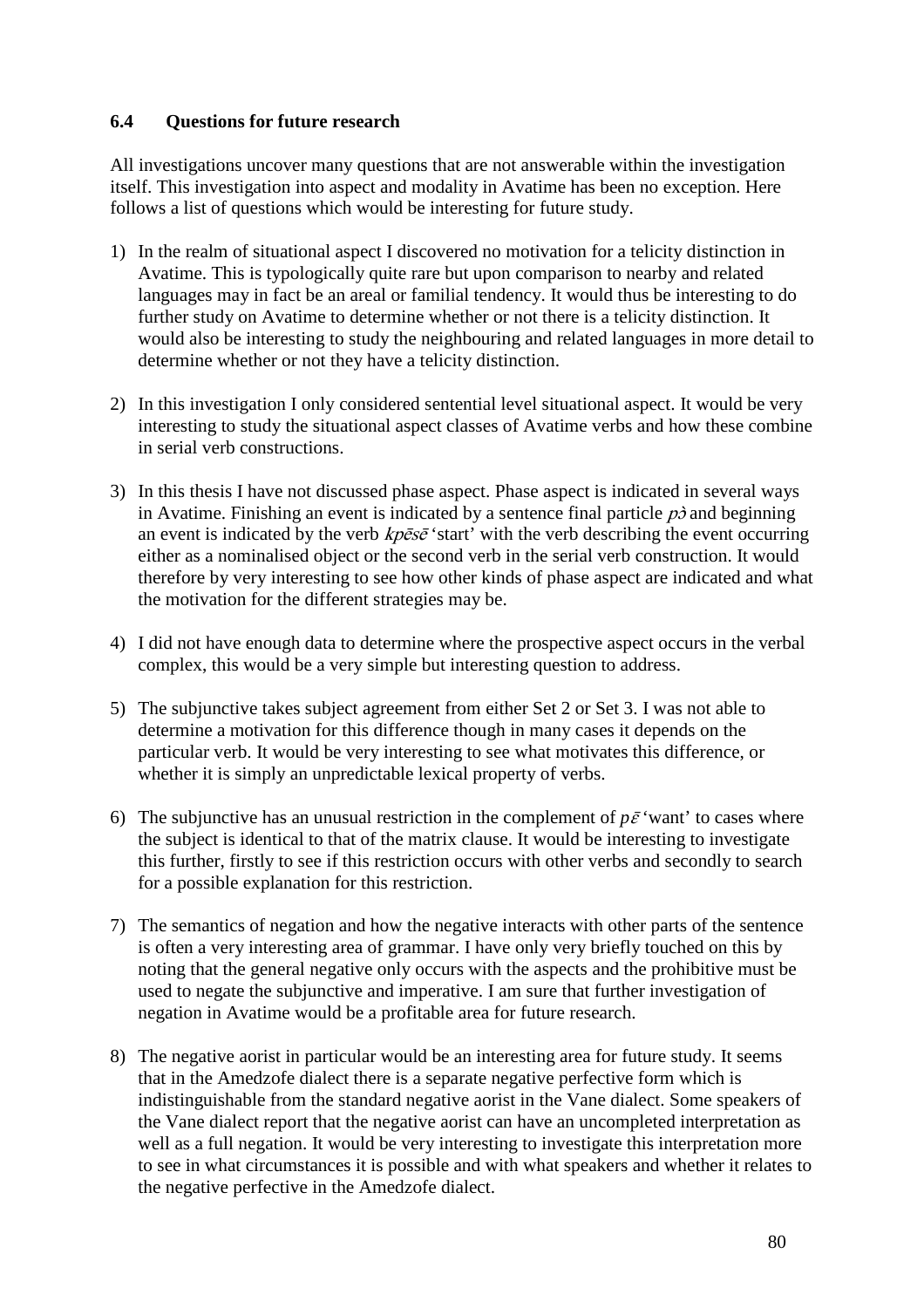### **6.4 Questions for future research**

All investigations uncover many questions that are not answerable within the investigation itself. This investigation into aspect and modality in Avatime has been no exception. Here follows a list of questions which would be interesting for future study.

- 1) In the realm of situational aspect I discovered no motivation for a telicity distinction in Avatime. This is typologically quite rare but upon comparison to nearby and related languages may in fact be an areal or familial tendency. It would thus be interesting to do further study on Avatime to determine whether or not there is a telicity distinction. It would also be interesting to study the neighbouring and related languages in more detail to determine whether or not they have a telicity distinction.
- 2) In this investigation I only considered sentential level situational aspect. It would be very interesting to study the situational aspect classes of Avatime verbs and how these combine in serial verb constructions.
- 3) In this thesis I have not discussed phase aspect. Phase aspect is indicated in several ways in Avatime. Finishing an event is indicated by a sentence final particle  $p\dot{\phi}$  and beginning an event is indicated by the verb  $kp\bar{e}s\bar{e}$  'start' with the verb describing the event occurring either as a nominalised object or the second verb in the serial verb construction. It would therefore by very interesting to see how other kinds of phase aspect are indicated and what the motivation for the different strategies may be.
- 4) I did not have enough data to determine where the prospective aspect occurs in the verbal complex, this would be a very simple but interesting question to address.
- 5) The subjunctive takes subject agreement from either Set 2 or Set 3. I was not able to determine a motivation for this difference though in many cases it depends on the particular verb. It would be very interesting to see what motivates this difference, or whether it is simply an unpredictable lexical property of verbs.
- 6) The subjunctive has an unusual restriction in the complement of  $p\bar{\varepsilon}$  'want' to cases where the subject is identical to that of the matrix clause. It would be interesting to investigate this further, firstly to see if this restriction occurs with other verbs and secondly to search for a possible explanation for this restriction.
- 7) The semantics of negation and how the negative interacts with other parts of the sentence is often a very interesting area of grammar. I have only very briefly touched on this by noting that the general negative only occurs with the aspects and the prohibitive must be used to negate the subjunctive and imperative. I am sure that further investigation of negation in Avatime would be a profitable area for future research.
- 8) The negative aorist in particular would be an interesting area for future study. It seems that in the Amedzofe dialect there is a separate negative perfective form which is indistinguishable from the standard negative aorist in the Vane dialect. Some speakers of the Vane dialect report that the negative aorist can have an uncompleted interpretation as well as a full negation. It would be very interesting to investigate this interpretation more to see in what circumstances it is possible and with what speakers and whether it relates to the negative perfective in the Amedzofe dialect.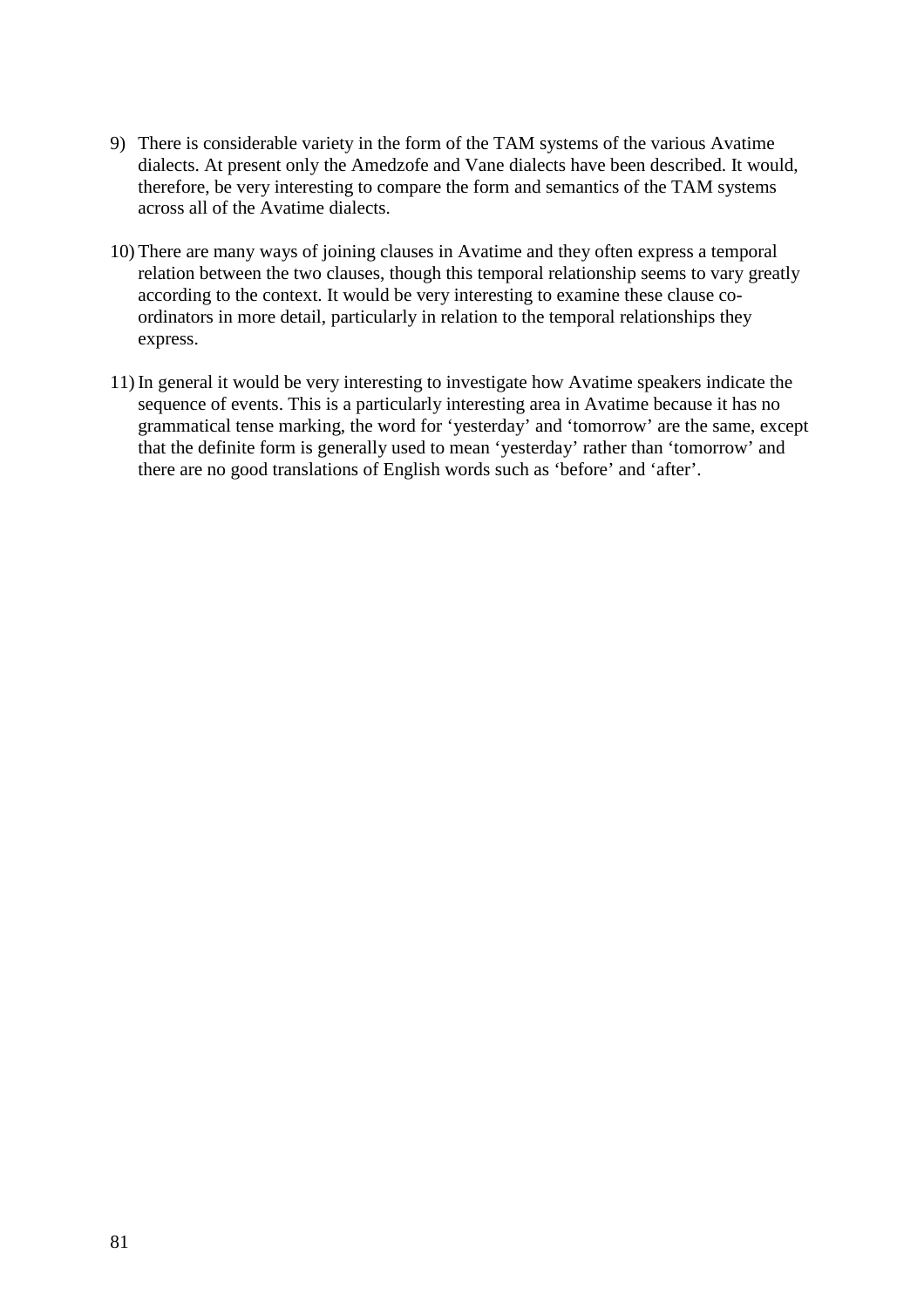- 9) There is considerable variety in the form of the TAM systems of the various Avatime dialects. At present only the Amedzofe and Vane dialects have been described. It would, therefore, be very interesting to compare the form and semantics of the TAM systems across all of the Avatime dialects.
- 10) There are many ways of joining clauses in Avatime and they often express a temporal relation between the two clauses, though this temporal relationship seems to vary greatly according to the context. It would be very interesting to examine these clause coordinators in more detail, particularly in relation to the temporal relationships they express.
- 11) In general it would be very interesting to investigate how Avatime speakers indicate the sequence of events. This is a particularly interesting area in Avatime because it has no grammatical tense marking, the word for 'yesterday' and 'tomorrow' are the same, except that the definite form is generally used to mean 'yesterday' rather than 'tomorrow' and there are no good translations of English words such as 'before' and 'after'.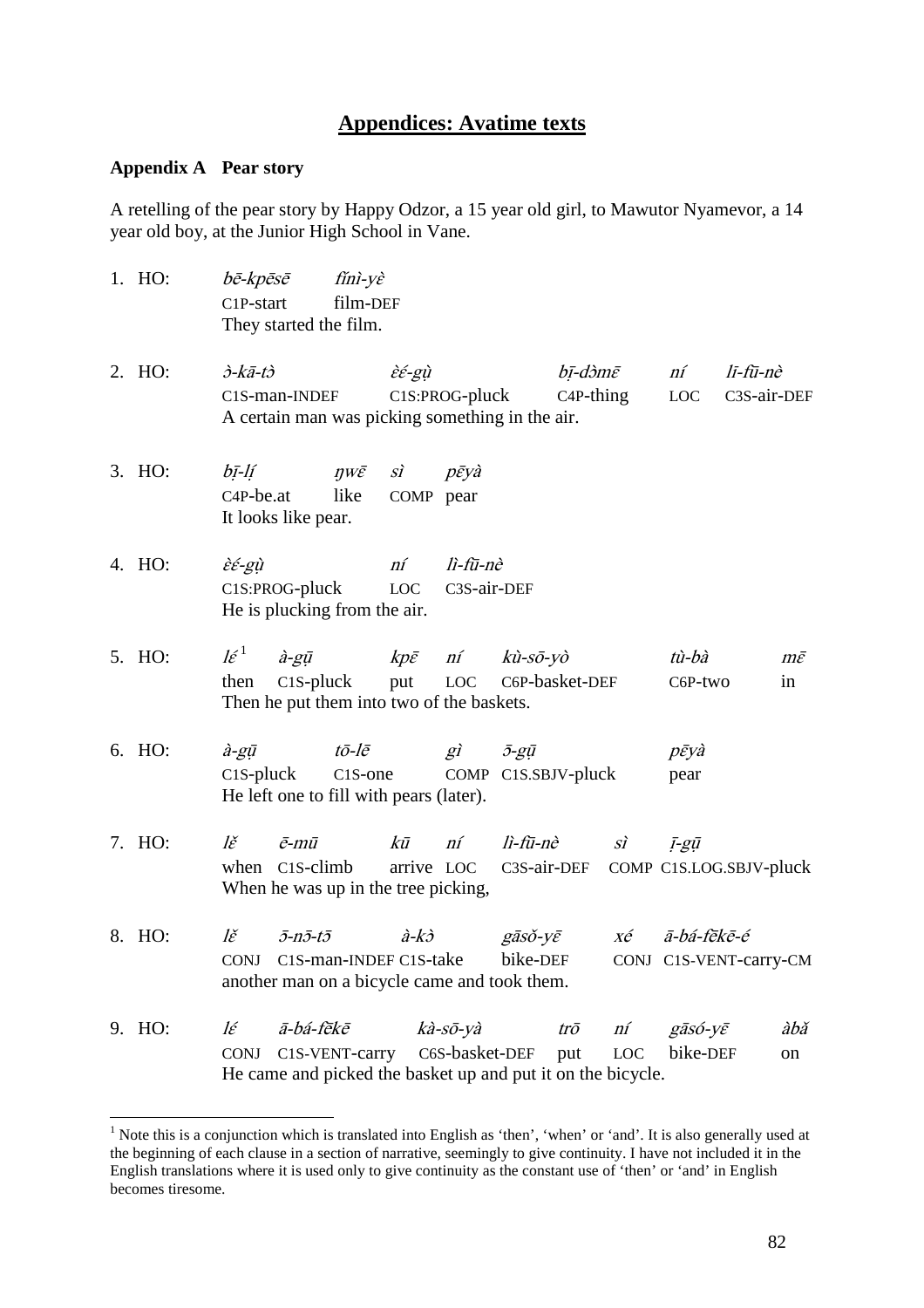# **Appendices: Avatime texts**

#### **Appendix A Pear story**

 $\overline{a}$ 

A retelling of the pear story by Happy Odzor, a 15 year old girl, to Mawutor Nyamevor, a 14 year old boy, at the Junior High School in Vane.

| 1. HO: | bē-kpēsē<br>C1P-start                         |                                     | fíni-yè<br>film-DEF<br>They started the film.             |                                               |                                                                                           |                                          |                    |              |                                       |                         |                            |
|--------|-----------------------------------------------|-------------------------------------|-----------------------------------------------------------|-----------------------------------------------|-------------------------------------------------------------------------------------------|------------------------------------------|--------------------|--------------|---------------------------------------|-------------------------|----------------------------|
| 2. HO: | $\dot{\partial}$ -kā-t $\dot{\partial}$       | C1S-man-INDEF                       |                                                           | $\grave{\varepsilon} \acute{\varepsilon}$ -gù | C1S:PROG-pluck<br>A certain man was picking something in the air.                         |                                          | bī-dòmē            | $C4P$ -thing | ní<br><b>LOC</b>                      | lī-fū-nè<br>C3S-air-DEF |                            |
| 3. HO: | bī-lí<br>C <sub>4</sub> P-be.at               | It looks like pear.                 | $\eta W \bar{\mathcal{E}}$<br>like                        | $\overrightarrow{SI}$<br>COMP pear            | pēyà                                                                                      |                                          |                    |              |                                       |                         |                            |
| 4. HO: | $\grave{\varepsilon} \acute{\varepsilon}$ -gù | C1S:PROG-pluck                      | He is plucking from the air.                              | ní<br>LOC                                     | lì-fū-nè<br>C3S-air-DEF                                                                   |                                          |                    |              |                                       |                         |                            |
| 5. HO: | $l \varepsilon^1$<br>then                     | $\hat{a}$ -gū<br>$C1S$ -pluck       |                                                           | put                                           | kpē ní<br>LOC<br>Then he put them into two of the baskets.                                | $k\hat{u}$ -sō-yò<br>C6P-basket-DEF      |                    |              | tù-bà<br>C6P-two                      |                         | $m\bar{\varepsilon}$<br>in |
| 6. HO: | $\hat{a}$ -g $\bar{u}$<br>$C1S$ -pluck        |                                     | $t\bar{o}$ -lē<br>He left one to fill with pears (later). | C <sub>1</sub> S-one                          | gì                                                                                        | $\bar{J}g\bar{u}$<br>COMP C1S.SBJV-pluck |                    |              | pēyà<br>pear                          |                         |                            |
| 7. HO: | lě                                            | $\bar{e}$ -mū<br>when C1S-climb     | When he was up in the tree picking,                       | kū                                            | ní<br>arrive LOC C3S-air-DEF                                                              | lì-fū-nè                                 |                    | $S_I$        | ī-gū<br>COMP C1S.LOG.SBJV-pluck       |                         |                            |
| 8. HO: | lě<br><b>CONJ</b>                             | $\bar{j}$ -n $\bar{j}$ -t $\bar{j}$ | C1S-man-INDEF C1S-take                                    | $\hat{a}-k\hat{c}$                            | another man on a bicycle came and took them.                                              | gāsŏ-yē<br>bike-DEF                      |                    | $X\acute{e}$ | ā-bá-fēkē-é<br>CONJ C1S-VENT-carry-CM |                         |                            |
| 9. HO: | lέ<br><b>CONJ</b>                             | ā-bá-fēkē                           | C1S-VENT-carry                                            |                                               | kà-sō-yà<br>C6S-basket-DEF<br>He came and picked the basket up and put it on the bicycle. |                                          | $tr\bar{o}$<br>put | ní<br>LOC    | gāsó-yē<br>bike-DEF                   |                         | àbǎ<br>on                  |

<sup>&</sup>lt;sup>1</sup> Note this is a conjunction which is translated into English as 'then', 'when' or 'and'. It is also generally used at the beginning of each clause in a section of narrative, seemingly to give continuity. I have not included it in the English translations where it is used only to give continuity as the constant use of 'then' or 'and' in English becomes tiresome.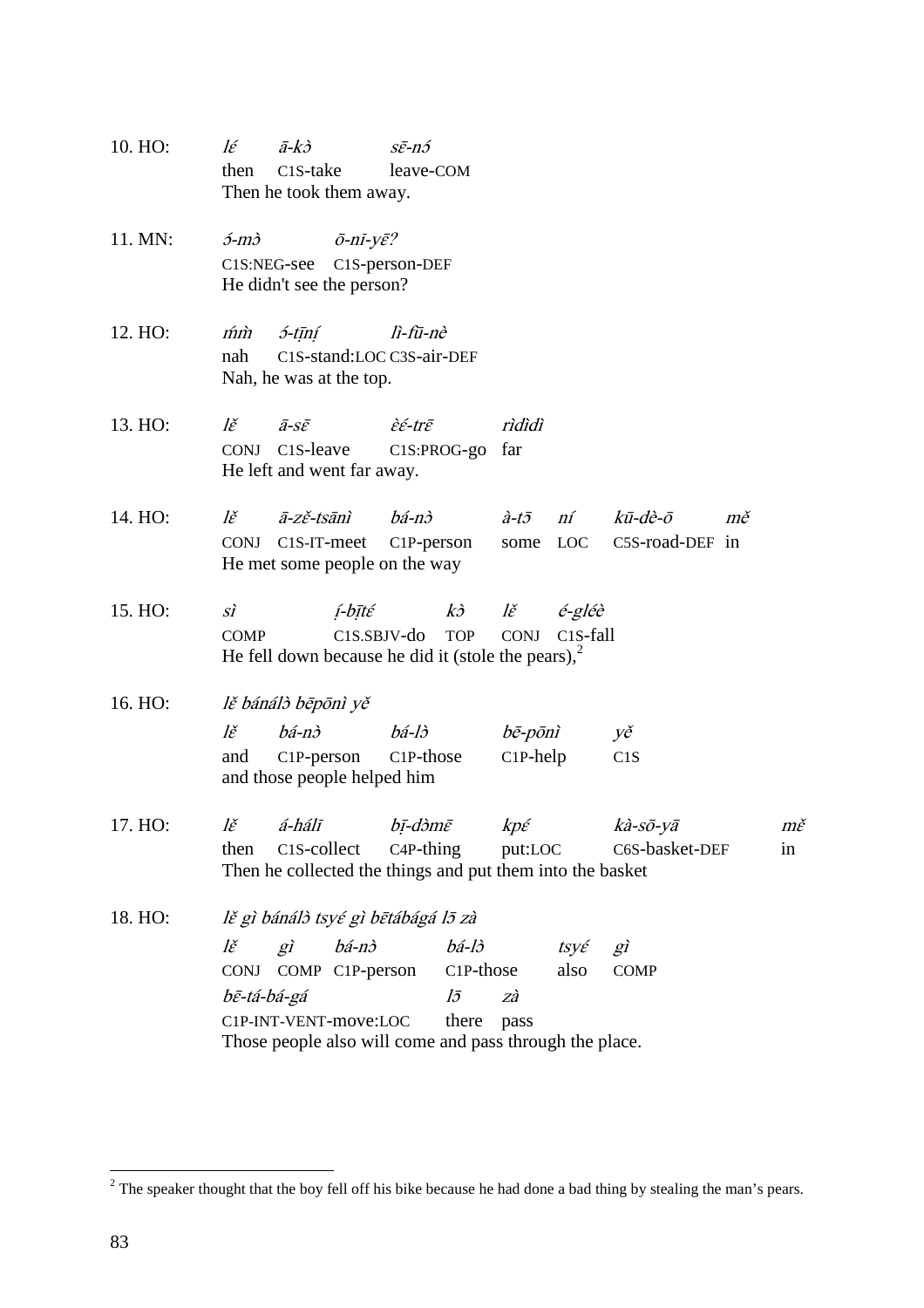- 10. HO:  $l\acute{\epsilon}$   $\bar{a}-k\grave{c}$   $s\bar{\epsilon}-n\acute{c}$ then C1S-take leave-COM Then he took them away.
- 11. MN:  $\acute{o}$ -m $\grave{o}$   $\bar{o}$ -n $\acute{o}$ -n $\acute{o}$ -n $\acute{o}$ - $\gamma \bar{\epsilon}$ ? C1S:NEG-see C1S-person-DEF He didn't see the person?
- 12. HO:  $\hat{m}\hat{m}$  5-tīní lì-fū-nè nah C1S-stand:LOC C3S-air-DEF Nah, he was at the top.
- 13. HO:  $l\check{\epsilon}$   $\bar{a}$ -s $\bar{\epsilon}$   $\dot{\epsilon}$   $\dot{\epsilon}$   $\epsilon$   $\bar{\epsilon}$   $\epsilon$   $\bar{\epsilon}$   $\epsilon$   $\bar{\epsilon}$   $\epsilon$ CONJ C1S-leave C1S:PROG-go far He left and went far away.
- 14. HO:  $l\check{\epsilon}$   $\bar{a}$ -z $\check{\epsilon}$ -tsānì bá-n $\dot{\delta}$  à-t $\bar{\delta}$  ní kū-dè- $\bar{\delta}$  mě CONJ C1S-IT-meet C1P-person some LOC C5S-road-DEF in He met some people on the way
- 15. HO: sì  $i$ -bīté kò lě é-gléè COMP C1S.SBJV-do TOP CONJ C1S-fall He fell down because he did it (stole the pears), $<sup>2</sup>$ </sup>
- 16. HO: lě bánálò bēpōnì yě

| lě | bá-nò                       | bá-lò | bē-pōnì     | yě               |
|----|-----------------------------|-------|-------------|------------------|
|    | and C1P-person C1P-those    |       | $C1P$ -help | C <sub>1</sub> S |
|    | and those people helped him |       |             |                  |

- 17. HO: l $\check{\epsilon}$  á-hálī bị-dòm $\bar{\epsilon}$  kp $\acute{\epsilon}$  kà-sō-yā m $\check{\epsilon}$ then C1S-collect C4P-thing put:LOC C6S-basket-DEF in Then he collected the things and put them into the basket
- 18. HO: lě gì bánálò tsyé gì bētábágá lō zà lě gì bá-nò bá-lò tsyé gì CONJ COMP C1P-person C1P-those also COMP bē-tá-bá-gá lō zà C1P-INT-VENT-move:LOC there pass Those people also will come and pass through the place.

 $\overline{a}$ 

<sup>&</sup>lt;sup>2</sup> The speaker thought that the boy fell off his bike because he had done a bad thing by stealing the man's pears.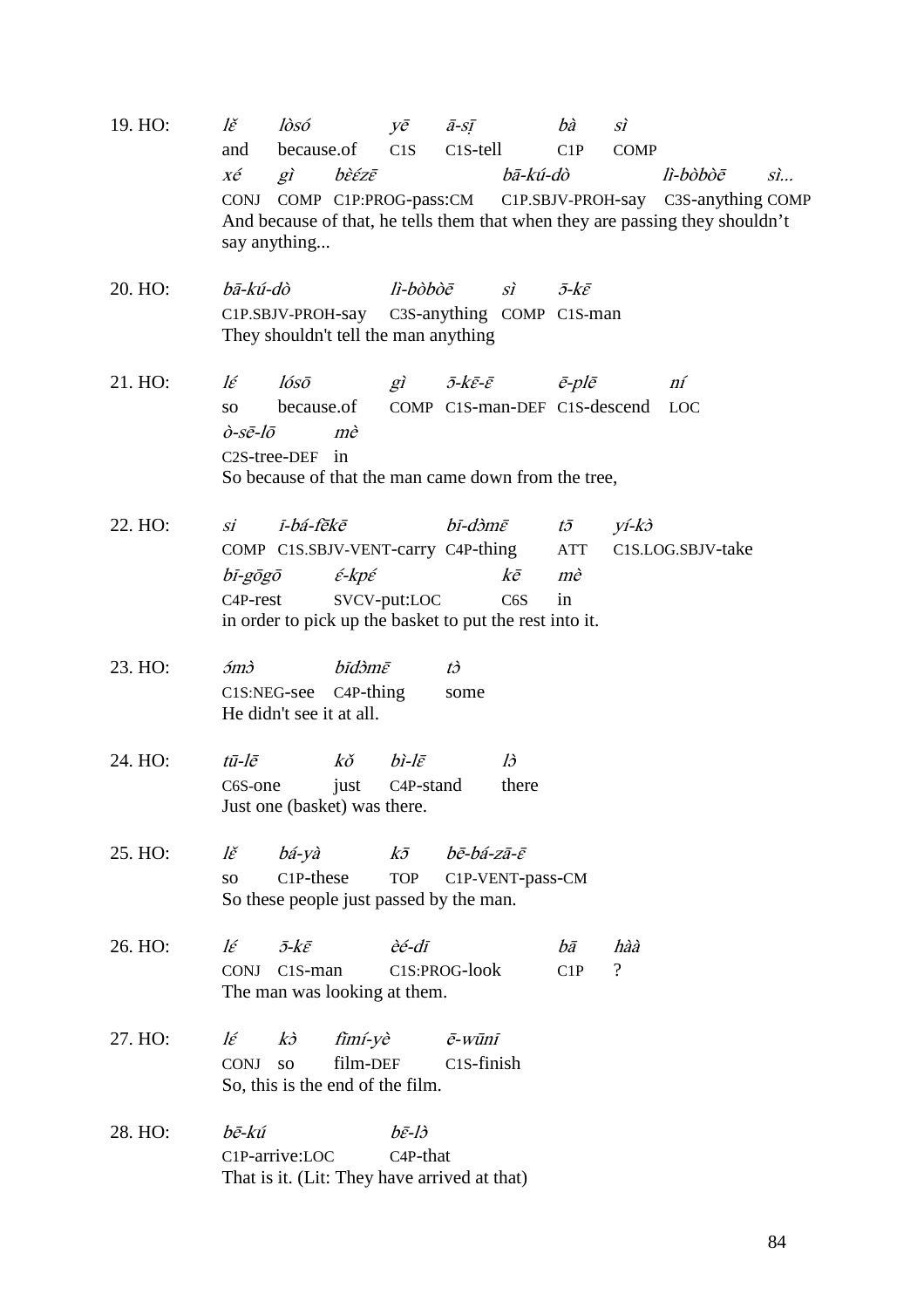| 19. HO: | lě                                                                                                                                | lòsó                                                                                | $V\bar{e}$                  | $\bar{a}$ -sī                | bà                                      | sì          |                   |  |  |  |
|---------|-----------------------------------------------------------------------------------------------------------------------------------|-------------------------------------------------------------------------------------|-----------------------------|------------------------------|-----------------------------------------|-------------|-------------------|--|--|--|
|         | and                                                                                                                               | because.of                                                                          | C1S                         | $C1S$ -tell                  | C1P                                     | <b>COMP</b> |                   |  |  |  |
|         | xé<br>$g\hat{i}$<br>bā-kú-dò<br>bèézē<br>lì-bòbòē<br>$\vec{sl}$<br>CONJ COMP C1P:PROG-pass:CM C1P.SBJV-PROH-say C3S-anything COMP |                                                                                     |                             |                              |                                         |             |                   |  |  |  |
|         | say anything                                                                                                                      | And because of that, he tells them that when they are passing they shouldn't        |                             |                              |                                         |             |                   |  |  |  |
| 20. HO: | bā-kú-dò                                                                                                                          |                                                                                     | lì-bòbòē                    | $\overrightarrow{SI}$        | $\bar{\partial}$ - $k\bar{\varepsilon}$ |             |                   |  |  |  |
|         |                                                                                                                                   | C1P.SBJV-PROH-say C3S-anything COMP C1S-man<br>They shouldn't tell the man anything |                             |                              |                                         |             |                   |  |  |  |
| 21. HO: | lέ                                                                                                                                | lósō                                                                                | $g\hat{i}$                  | $\bar{\partial}$ -kē-ē       | $\bar{e}$ -pl $\bar{e}$                 |             | ní                |  |  |  |
|         | SO <sub>1</sub>                                                                                                                   | because.of                                                                          |                             | COMP C1S-man-DEF C1S-descend |                                         |             | <b>LOC</b>        |  |  |  |
|         | $\partial$ -sē-lō<br>mè<br>C <sub>2</sub> S-tree-DEF in                                                                           |                                                                                     |                             |                              |                                         |             |                   |  |  |  |
|         |                                                                                                                                   | So because of that the man came down from the tree,                                 |                             |                              |                                         |             |                   |  |  |  |
| 22. HO: | si                                                                                                                                | ī-bá-fēkē                                                                           |                             | bī-dòmē                      | $t\bar{\sigma}$                         | yí-kð       |                   |  |  |  |
|         |                                                                                                                                   | COMP C1S.SBJV-VENT-carry C4P-thing                                                  |                             |                              | <b>ATT</b>                              |             | C1S.LOG.SBJV-take |  |  |  |
|         | bī-gōgō                                                                                                                           | $\acute{\varepsilon}\text{-}kp\acute{\varepsilon}$                                  |                             | $k\bar{e}$                   | mè                                      |             |                   |  |  |  |
|         | C <sub>4</sub> P-rest                                                                                                             | in order to pick up the basket to put the rest into it.                             | SVCV-put:LOC                | C <sub>6</sub> S             | in                                      |             |                   |  |  |  |
|         |                                                                                                                                   |                                                                                     |                             |                              |                                         |             |                   |  |  |  |
| 23. HO: | $\delta$ m $\delta$                                                                                                               | bīdэ̀mē                                                                             |                             | $t\dot{\partial}$            |                                         |             |                   |  |  |  |
|         | C1S:NEG-see                                                                                                                       | $C4P-thing$<br>He didn't see it at all.                                             |                             | some                         |                                         |             |                   |  |  |  |
| 24. HO: | tū-lē                                                                                                                             | $k\check{o}$                                                                        | $bi$ -l $\bar{\varepsilon}$ | $l\mathfrak{d}$              |                                         |             |                   |  |  |  |
|         | C6S-one                                                                                                                           | just                                                                                | C <sub>4</sub> P-stand      | there                        |                                         |             |                   |  |  |  |
|         |                                                                                                                                   | Just one (basket) was there.                                                        |                             |                              |                                         |             |                   |  |  |  |
| 25. HO: | $l\check{\varepsilon}$                                                                                                            | bá-yà                                                                               |                             | kō bē-bá-zā-ē                |                                         |             |                   |  |  |  |
|         | SO <sub>1</sub>                                                                                                                   | C <sub>1</sub> P-these<br>So these people just passed by the man.                   | <b>TOP</b>                  | C1P-VENT-pass-CM             |                                         |             |                   |  |  |  |
|         |                                                                                                                                   |                                                                                     |                             |                              |                                         |             |                   |  |  |  |
| 26. HO: | $l \varepsilon$                                                                                                                   | $\bar{\partial}$ -kē                                                                | èé-dī                       |                              | bā                                      | hàà         |                   |  |  |  |
|         | <b>CONJ</b>                                                                                                                       | C <sub>1</sub> S-man<br>The man was looking at them.                                |                             | C1S:PROG-look                | C1P                                     | $\gamma$    |                   |  |  |  |
| 27. HO: | $l \varepsilon$                                                                                                                   | fimí-yè<br>$k\dot{\partial}$                                                        |                             | ē-wūnī                       |                                         |             |                   |  |  |  |
|         | CONJ                                                                                                                              | film-DEF<br>SO <sub>2</sub><br>So, this is the end of the film.                     |                             | C <sub>1</sub> S-finish      |                                         |             |                   |  |  |  |
| 28. HO: | bē-kú                                                                                                                             |                                                                                     | $b\bar{\varepsilon}$ -lò    |                              |                                         |             |                   |  |  |  |
|         | C1P-arrive:LOC                                                                                                                    |                                                                                     | C <sub>4</sub> P-that       |                              |                                         |             |                   |  |  |  |

That is it. (Lit: They have arrived at that)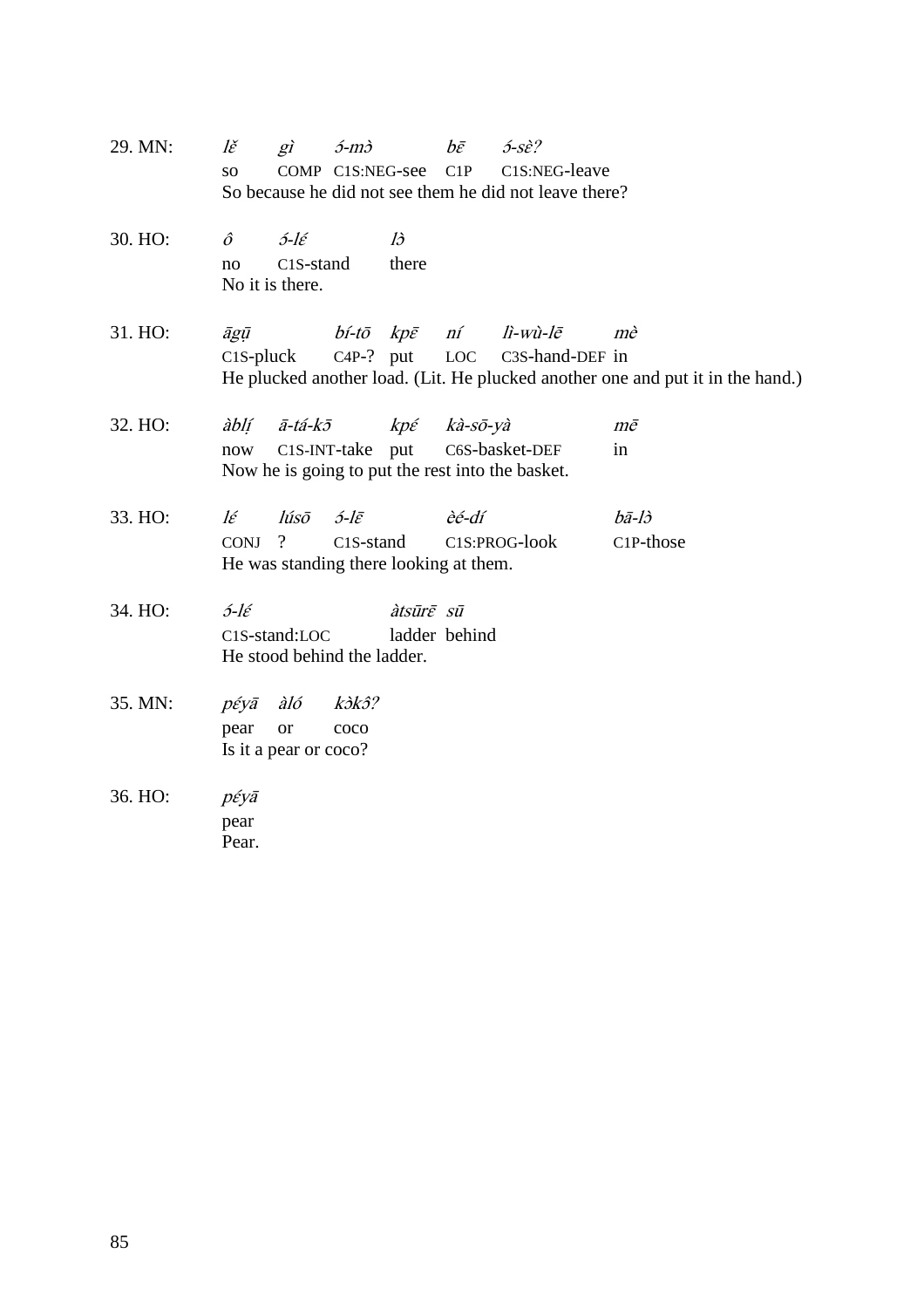29. MN:  $l\check{\epsilon}$  gì  $\delta$ -m $\delta$  bē  $\delta$ -sè? so COMP C1S:NEG-see C1P C1S:NEG-leave So because he did not see them he did not leave there? 30. HO:  $\hat{o}$   $\hat{c}$ -lé là no C1S-stand there No it is there. 31. HO:  $\bar{a}g\bar{u}$   $\qquad b\acute{i}$ -tō  $kp\bar{\varepsilon}$  ní lì-wù-lē mè C1S-pluck C4P-? put LOC C3S-hand-DEF in He plucked another load. (Lit. He plucked another one and put it in the hand.) 32. HO:  $\hat{a}b\hat{i}$   $\tilde{a}-t\hat{a}-k\tilde{b}$   $\hat{b}$   $\hat{c}$   $k\hat{a}-s\tilde{b}-y\hat{a}$   $m\tilde{c}$ now C1S-INT-take put C6S-basket-DEF in Now he is going to put the rest into the basket. 33. HO:  $l\acute{\epsilon}$   $l\acute{u}s\bar{o}$   $\acute{o}$ -l $\bar{\epsilon}$   $\acute{e}$ -dí  $b\bar{a}$ -l $\grave{o}$ CONJ ? C1S-stand C1S:PROG-look C1P-those He was standing there looking at them. 34. HO:  $5-\ell\epsilon$  *àtsūr* $\bar{\varepsilon}$  *sū* C1S-stand:LOC ladder behind He stood behind the ladder. 35. MN:  $p \acute{\epsilon} y \bar{a}$  àló k $\partial k \partial \Omega$ pear or coco Is it a pear or coco? 36. HO: pɛ́yā pear Pear.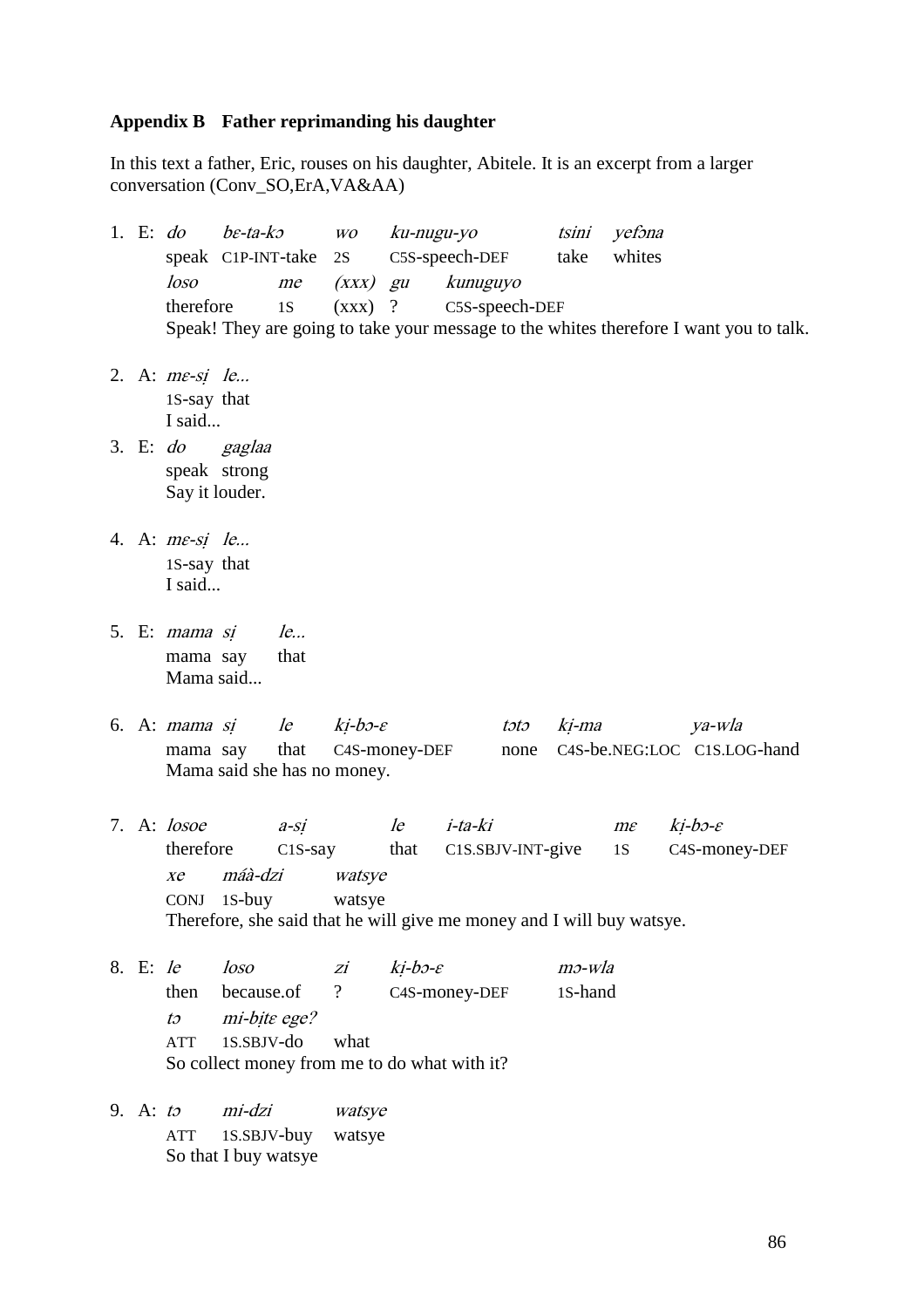# **Appendix B Father reprimanding his daughter**

In this text a father, Eric, rouses on his daughter, Abitele. It is an excerpt from a larger conversation (Conv\_SO,ErA,VA&AA)

| 1. E: $do$      |                             | $b \varepsilon$ -ta-k $\circ$        |        |                          |                     | wo ku-nugu-yo                                |      |         | tsini yefona                                                          |                                                                                        |
|-----------------|-----------------------------|--------------------------------------|--------|--------------------------|---------------------|----------------------------------------------|------|---------|-----------------------------------------------------------------------|----------------------------------------------------------------------------------------|
|                 |                             | speak C1P-INT-take 2S                |        |                          |                     | C5S-speech-DEF take                          |      |         | whites                                                                |                                                                                        |
|                 | loso                        |                                      | me     |                          |                     | (xxx) gu kunuguyo                            |      |         |                                                                       |                                                                                        |
|                 | therefore                   |                                      | 1S     |                          |                     | $(xxx)$ ? C5S-speech-DEF                     |      |         |                                                                       |                                                                                        |
|                 |                             |                                      |        |                          |                     |                                              |      |         |                                                                       | Speak! They are going to take your message to the whites therefore I want you to talk. |
|                 | 2. A: $me-si$ le            |                                      |        |                          |                     |                                              |      |         |                                                                       |                                                                                        |
|                 | 1S-say that                 |                                      |        |                          |                     |                                              |      |         |                                                                       |                                                                                        |
|                 | I said                      |                                      |        |                          |                     |                                              |      |         |                                                                       |                                                                                        |
|                 |                             | 3. E: do gaglaa                      |        |                          |                     |                                              |      |         |                                                                       |                                                                                        |
|                 |                             | speak strong                         |        |                          |                     |                                              |      |         |                                                                       |                                                                                        |
|                 | Say it louder.              |                                      |        |                          |                     |                                              |      |         |                                                                       |                                                                                        |
|                 |                             |                                      |        |                          |                     |                                              |      |         |                                                                       |                                                                                        |
|                 | 4. A: me-si le              |                                      |        |                          |                     |                                              |      |         |                                                                       |                                                                                        |
|                 | 1S-say that                 |                                      |        |                          |                     |                                              |      |         |                                                                       |                                                                                        |
|                 | I said                      |                                      |        |                          |                     |                                              |      |         |                                                                       |                                                                                        |
|                 |                             | 5. E: <i>mama si</i>                 | le     |                          |                     |                                              |      |         |                                                                       |                                                                                        |
|                 |                             | mama say                             | that   |                          |                     |                                              |      |         |                                                                       |                                                                                        |
|                 | Mama said                   |                                      |        |                          |                     |                                              |      |         |                                                                       |                                                                                        |
|                 |                             |                                      |        |                          |                     |                                              |      |         |                                                                       |                                                                                        |
|                 |                             | 6. A: mama si le $ki-b3-\varepsilon$ |        |                          |                     |                                              | tətə |         | ki-ma                                                                 | ya-wla                                                                                 |
|                 |                             | mama say that C4S-money-DEF          |        |                          |                     |                                              |      |         |                                                                       | none C4S-be.NEG:LOC C1S.LOG-hand                                                       |
|                 | Mama said she has no money. |                                      |        |                          |                     |                                              |      |         |                                                                       |                                                                                        |
|                 |                             |                                      |        |                          |                     |                                              |      |         |                                                                       |                                                                                        |
|                 | 7. A: losoe                 |                                      | $a-si$ |                          |                     | le i-ta-ki                                   |      |         | $m\varepsilon$                                                        | $ki-b3-\varepsilon$                                                                    |
|                 | therefore                   |                                      |        |                          |                     | C1S-say that C1S.SBJV-INT-give 1S            |      |         |                                                                       | C4S-money-DEF                                                                          |
|                 | $X\mathcal{C}$              | máà-dzi                              |        | watsye                   |                     |                                              |      |         |                                                                       |                                                                                        |
|                 |                             | CONJ 1S-buy                          |        | watsye                   |                     |                                              |      |         |                                                                       |                                                                                        |
|                 |                             |                                      |        |                          |                     |                                              |      |         | Therefore, she said that he will give me money and I will buy watsye. |                                                                                        |
| 8. E: le        |                             | loso                                 |        | Ζİ                       | $ki-b3-\varepsilon$ |                                              |      | mo-wla  |                                                                       |                                                                                        |
|                 | then                        | because.of                           |        | $\overline{\mathcal{L}}$ |                     | C4S-money-DEF                                |      | 1S-hand |                                                                       |                                                                                        |
|                 | $t\mathfrak{I}$             | mi-bite ege?                         |        |                          |                     |                                              |      |         |                                                                       |                                                                                        |
|                 | <b>ATT</b>                  | 1S.SBJV-do                           |        | what                     |                     |                                              |      |         |                                                                       |                                                                                        |
|                 |                             |                                      |        |                          |                     | So collect money from me to do what with it? |      |         |                                                                       |                                                                                        |
|                 |                             |                                      |        |                          |                     |                                              |      |         |                                                                       |                                                                                        |
| 9. A: $t\sigma$ |                             | mi-dzi                               |        | watsye                   |                     |                                              |      |         |                                                                       |                                                                                        |

ATT 1S.SBJV-buy watsye So that I buy watsye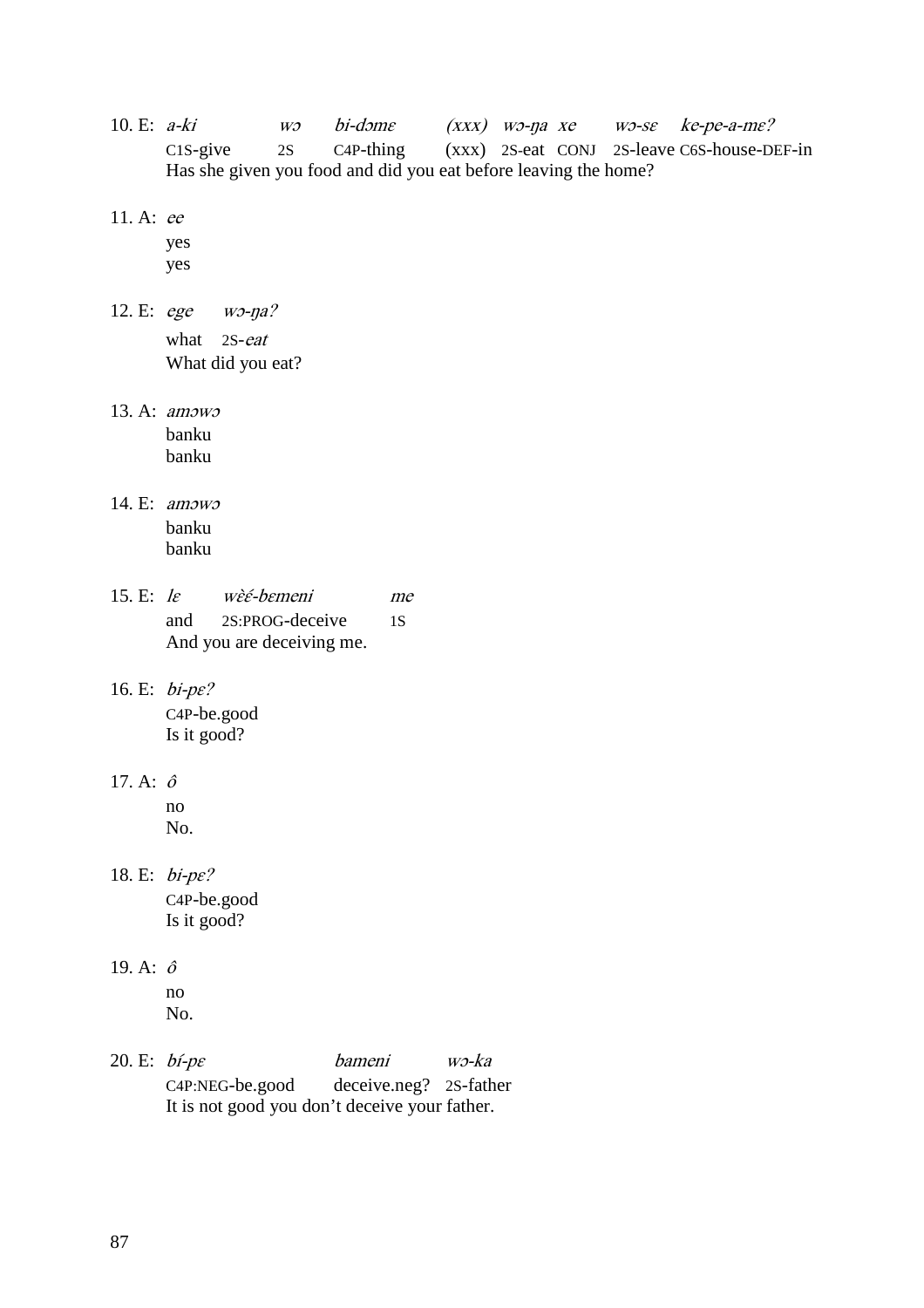- 10. E: a-ki wo bi-dome (xxx) wo-na xe wo-se ke-pe-a-me? C1S-give 2S C4P-thing (xxx) 2S-eat CONJ 2S-leave C6S-house-DEF-in Has she given you food and did you eat before leaving the home?
- 11. A: ee

yes yes

- 12. E: ege wɔ-ŋa? what 2S-eat What did you eat?
- 13. A: amɔwɔ banku banku
- 14. E: amɔwɔ banku banku
- 15. E:  $le$  we`e bemeni me and 2S:PROG-deceive 1S And you are deceiving me.
- 16. E: bi-pɛ? C4P-be.good Is it good?
- 17. A: <sup>ô</sup>
	- no No.
- 18. E: bi-pɛ? C4P-be.good Is it good?
- 19. A:  $\hat{o}$ no
	- No.
- 20. E: bí-pɛ bameni wɔ-ka C4P:NEG-be.good deceive.neg? 2S-father It is not good you don't deceive your father.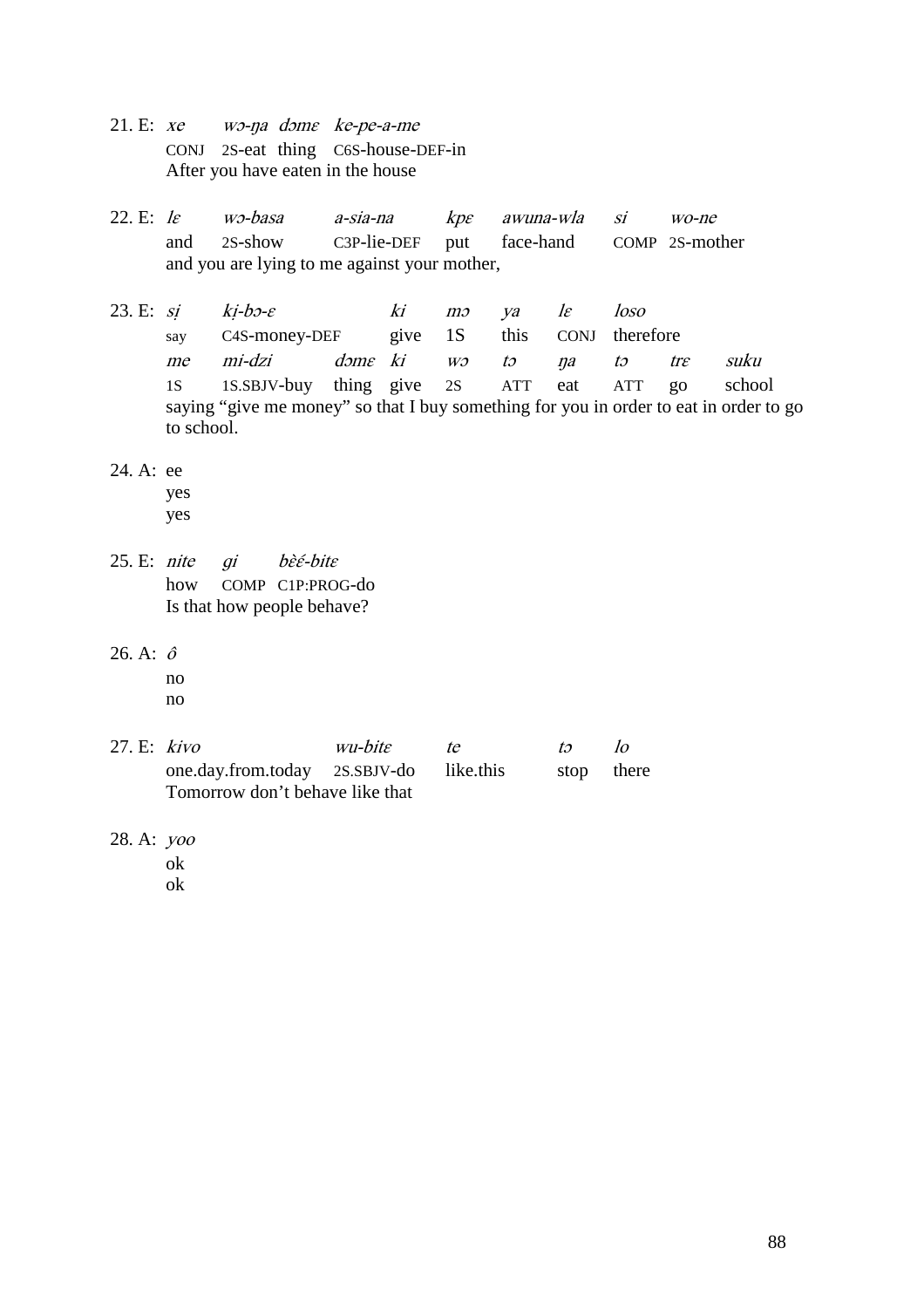- 21. E: xe wɔ-ŋa dɔmɛ ke-pe-a-me CONJ 2S-eat thing C6S-house-DEF-in After you have eaten in the house
- 22. E: lɛ wɔ-basa a-sia-na kpɛ awuna-wla si wo-ne and 2S-show C3P-lie-DEF put face-hand COMP 2S-mother and you are lying to me against your mother,
- 23. E: si  $ki-b3-\varepsilon$  ki m $\infty$  ya le loso say C4S-money-DEF give 1S this CONJ therefore me mi-dzi dɔmɛ ki wɔ tɔ ŋa tɔ trɛ suku 1S 1S.SBJV-buy thing give 2S ATT eat ATT go school saying "give me money" so that I buy something for you in order to eat in order to go to school.
- 24. A: ee

yes

- yes
- 25. E: nite qi bèé-bite how COMP C1P:PROG-do Is that how people behave?
- 26. A: <sup>ô</sup>
	- no

no

- 27. E:  $kiv\rho$  wu-bite te to lo one.day.from.today 2S.SBJV-do like.this stop there Tomorrow don't behave like that
- 28. A: yoo
	- ok

ok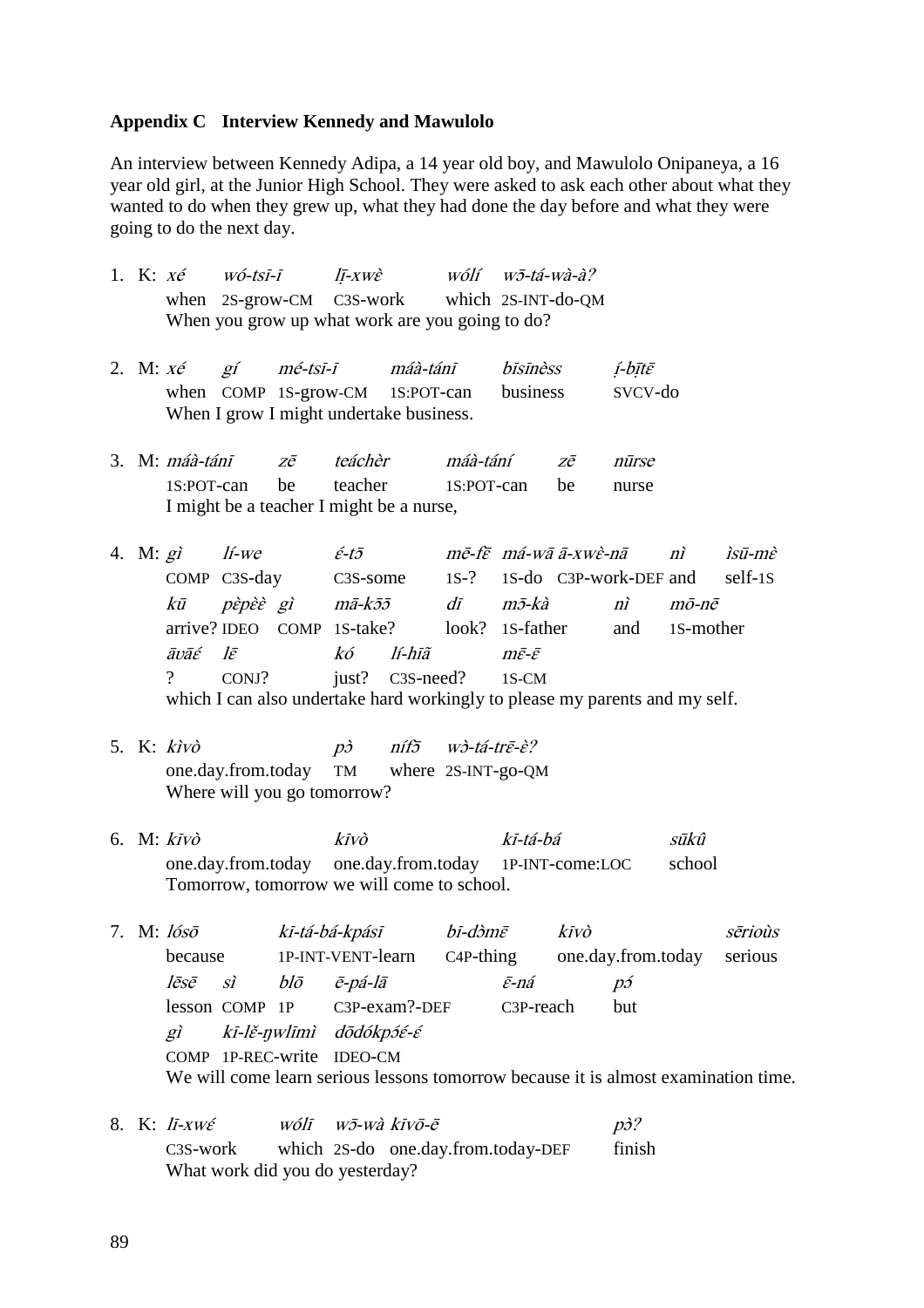### **Appendix C Interview Kennedy and Mawulolo**

An interview between Kennedy Adipa, a 14 year old boy, and Mawulolo Onipaneya, a 16 year old girl, at the Junior High School. They were asked to ask each other about what they wanted to do when they grew up, what they had done the day before and what they were going to do the next day.

|  |                                                            |       |    |                   | 1. K: $x \notin W$ ó-tsī-ī lī-xwè wólí wō-tá-wà-à?                                                                            |          |                                               |                                                                                                                                          |                               |                       |        |
|--|------------------------------------------------------------|-------|----|-------------------|-------------------------------------------------------------------------------------------------------------------------------|----------|-----------------------------------------------|------------------------------------------------------------------------------------------------------------------------------------------|-------------------------------|-----------------------|--------|
|  |                                                            |       |    |                   | when 2S-grow-CM C3S-work which 2S-INT-do-QM<br>When you grow up what work are you going to do?                                |          |                                               |                                                                                                                                          |                               |                       |        |
|  |                                                            |       |    |                   | 2. M: xé gí mé-tsī-ī máà-tánī bīsīnèss<br>when COMP 1S-grow-CM 1S:POT-can business<br>When I grow I might undertake business. |          |                                               |                                                                                                                                          | $i$ -bītē<br>svcv-do          |                       |        |
|  | $1S: POT-can$                                              |       | be |                   | 3. M: máà-táni zē teáchèr<br>teacher 1S:POT-can<br>I might be a teacher I might be a nurse,                                   | máà-tání |                                               | zē<br>be                                                                                                                                 | nūrse<br>nurse                |                       |        |
|  | 4. M: $gi$ <i>li-we</i><br>kū<br>āvāé lē<br>$\overline{?}$ | CONJ? |    |                   | arrive? IDEO COMP 1S-take? look? 1S-father<br>kó lí-hīã<br>just? C3S-need? 1S-CM                                              |          | $m\bar{\varepsilon}\text{-}\bar{\varepsilon}$ | COMP C3S-day C3S-some 1S-? 1S-do C3P-work-DEF and self-1S<br>which I can also undertake hard workingly to please my parents and my self. | $n\tilde{i}$<br>and 1S-mother | $n\tilde{i}$<br>mō-nē | ìsū-mè |
|  | 5. K: kìvò                                                 |       |    | $p\dot{\partial}$ | níf5 wò-tá-trē-è?<br>one.day.from.today TM where 2S-INT-go-QM                                                                 |          |                                               |                                                                                                                                          |                               |                       |        |

Where will you go tomorrow?

6. M: kīvò kīvò kī-tá-bá sūkû one.day.from.today one.day.from.today 1P-INT-come:LOC school Tomorrow, tomorrow we will come to school.

7. M: lósō kī-tá-bá-kpásī bī-dòmē kīvò sērioùs because 1P-INT-VENT-learn C4P-thing one.day.from.today serious lēsē sì blō ē-pá-lā ɛ̄-ná pɔ́ lesson COMP 1P C3P-exam?-DEF C3P-reach but gì kī-lɛ̌-ŋwlīmì dōdókpɔ́ɛ́-ɛ́ COMP 1P-REC-write IDEO-CM We will come learn serious lessons tomorrow because it is almost examination time.

8. K:  $l\bar{i}-xw\acute{\epsilon}$  wólī w $\bar{j}-w\grave{a}$  kīv $\bar{o}-\bar{e}$  p>? C3S-work which 2S-do one.day.from.today-DEF finish What work did you do yesterday?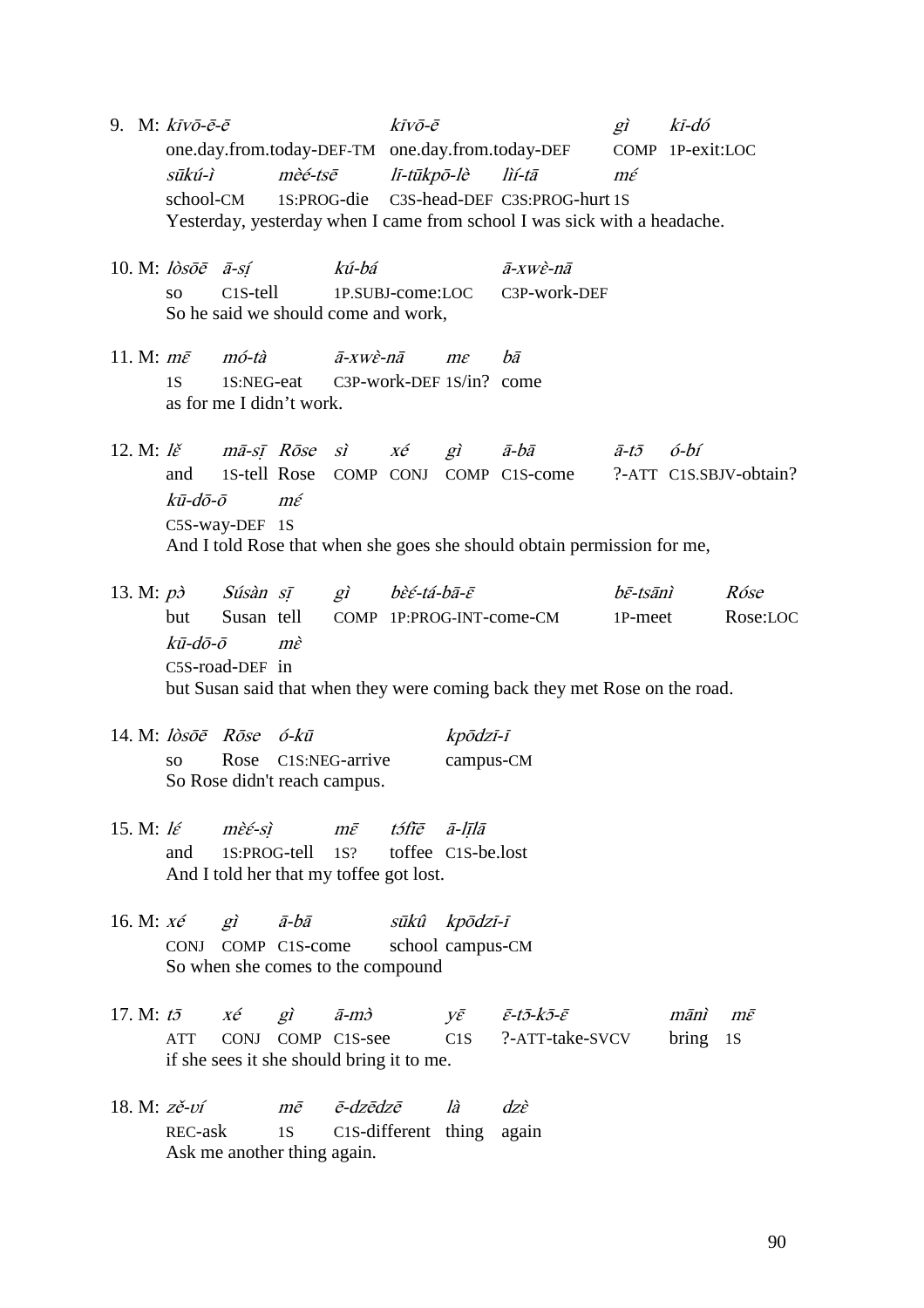- 9. M:  $k\bar{i}v\bar{o}\text{-}\bar{e}\text{-}\bar{e}$  kīv $\bar{o}\text{-}\bar{e}\text{-}\bar{e}$  kīv $\bar{o}\text{-}\bar{e}\text{-}\bar{e}$  gì kī-dó one.day.from.today-DEF-TM one.day.from.today-DEF COMP 1P-exit:LOC sūkú-ì mèé-tsē lī-tūkpō-lè lìí-tā mɛ́ school-CM 1S:PROG-die C3S-head-DEF C3S:PROG-hurt 1S Yesterday, yesterday when I came from school I was sick with a headache.
- 10. M:  $\frac{\partial s}{\partial \bar{e}}$   $\bar{a}$ -sí kú-bá  $\frac{\partial s}{\partial \bar{e}}$   $\frac{\partial s}{\partial \bar{e}}$ so C1S-tell 1P.SUBJ-come:LOC C3P-work-DEF So he said we should come and work,
- 11. M:  $m\bar{\varepsilon}$  mó-tà  $\bar{a}$ -xwè-n $\bar{a}$  me  $b\bar{a}$ 1S 1S:NEG-eat C3P-work-DEF 1S/in? come as for me I didn't work.
- 12. M:  $l\check{\varepsilon}$  mā-sī Rōse sì  $x\acute{e}$  gì ā-bā  $\bar{a}$ -tō ó-bí and 1S-tell Rose COMP CONJ COMP C1S-come ?-ATT C1S.SBJV-obtain? kū-dō-ō mɛ́ C5S-way-DEF 1S And I told Rose that when she goes she should obtain permission for me,
- 13. M:  $p\dot{\sigma}$  Súsàn sĩ gì bèé-tá-bā-ē $b\bar{s}$ -tē $\dot{\sigma}$  bē-tsānì Róse but Susan tell COMP 1P:PROG-INT-come-CM 1P-meet Rose:LOC  $k\bar{\mathbf{u}}$ -dō-ō mè C5S-road-DEF in but Susan said that when they were coming back they met Rose on the road.
- 14. M:  $l\dot{o}s\bar{o}\bar{e}$   $R\bar{o}s\bar{e}$   $\acute{o}$ - $k\bar{u}$   $k\bar{o}\bar{d}z\bar{i}$ - $\bar{i}$ so Rose C1S:NEG-arrive campus-CM So Rose didn't reach campus.
- 15. M:  $l\acute{\epsilon}$  mè $\acute{\epsilon}$ -sì m $\bar{\epsilon}$  tófiē ā-līlā and 1S:PROG-tell 1S? toffee C1S-be.lost And I told her that my toffee got lost.
- 16. M: xé gì ā-bā sūkû kpōdzī-ī CONJ COMP C1S-come school campus-CM So when she comes to the compound
- 17. M: t $\bar{z}$  xé gì  $\bar{a}$ -m $\bar{z}$  y $\bar{\varepsilon}$   $\bar{\varepsilon}$ -t $\bar{\varepsilon}$ -k $\bar{\varepsilon}$ - $\bar{\varepsilon}$  mānì m $\bar{\varepsilon}$ ATT CONJ COMP C1S-see C1S ?-ATT-take-SVCV bring 1S if she sees it she should bring it to me.
- 18. M:  $z\check{e}$ -ví mē ē-dzēdzē là dzè REC-ask 1S C1S-different thing again Ask me another thing again.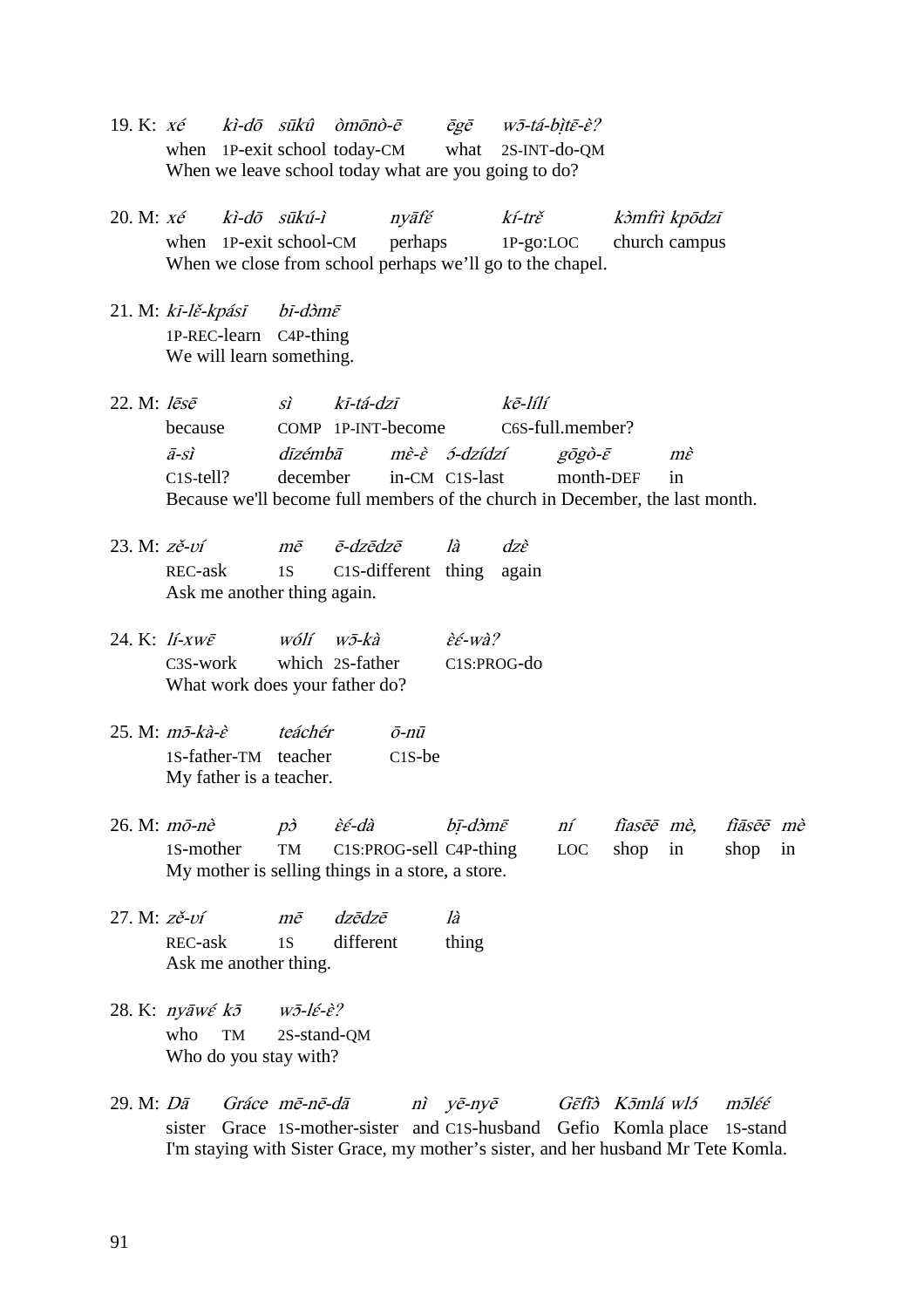- 19. K:  $x \notin$  kì-dō sūkû òmōnò- $\bar{e}$  ēgē wō-tá-bìtē-è? when 1P-exit school today-CM what 2S-INT-do-OM When we leave school today what are you going to do?
- 20. M: xé kì-dō sūkú-ì nyāfɛ́ kí-trɛ̌ kɔ̀mfrì kpōdzī when 1P-exit school-CM perhaps 1P-go:LOC church campus When we close from school perhaps we'll go to the chapel.
- 21. M: kī-lě-kpásī bī-dòmē 1P-REC-learn C4P-thing We will learn something.
- 22. M: lēsē sì kī-tá-dzī kē-lílí because COMP 1P-INT-become C6S-full.member? ā-sì dīzémbā mɛ̀-ɛ̀ ɔ́-dzídzí gōgò-ɛ̄ mɛ̀ C1S-tell? december in-CM C1S-last month-DEF in Because we'll become full members of the church in December, the last month.
- 23. M:  $z \succeq$ - $v$ í mē ē-dzēdzē là dzè REC-ask 1S C1S-different thing again Ask me another thing again.
- 24. K:  $11 XW\bar{\varepsilon}$  wólí wō-kà  $\hat{\varepsilon} \in W\hat{a}$ ? C3S-work which 2S-father C1S:PROG-do What work does your father do?
- 25. M:  $m\bar{c}$ -kà-è teáchér  $\bar{c}$ -nū 1S-father-TM teacher C1S-be My father is a teacher.
- $26.$  M:  $m\bar{o}$ -nè  $p\dot{o}$  è $\acute{\epsilon}$ -dà bī-d $\dot{o}m\bar{\epsilon}$  ní fīasē $\bar{e}$  mè, fīāsē $\bar{e}$  mè 1S-mother TM C1S:PROG-sell C4P-thing LOC shop in shop in My mother is selling things in a store, a store.
- 27. M: zě-ʋí mē dzēdzē là REC-ask 1S different thing Ask me another thing.
- 28. K:  $ny\overline{a}w\acute{\epsilon}k\overline{b}$  w $\overline{v}$ -l $\acute{\epsilon}$ -è? who TM 2S-stand-QM Who do you stay with?
- 29. M: Dā Gráce mē-nē-dā nì yē-nyē Gɛ̄fīɔ̀ Kɔ̄mlá wlɔ́ mɔ̄lɛ́ɛ́ sister Grace 1S-mother-sister and C1S-husband Gefio Komla place 1S-stand I'm staying with Sister Grace, my mother's sister, and her husband Mr Tete Komla.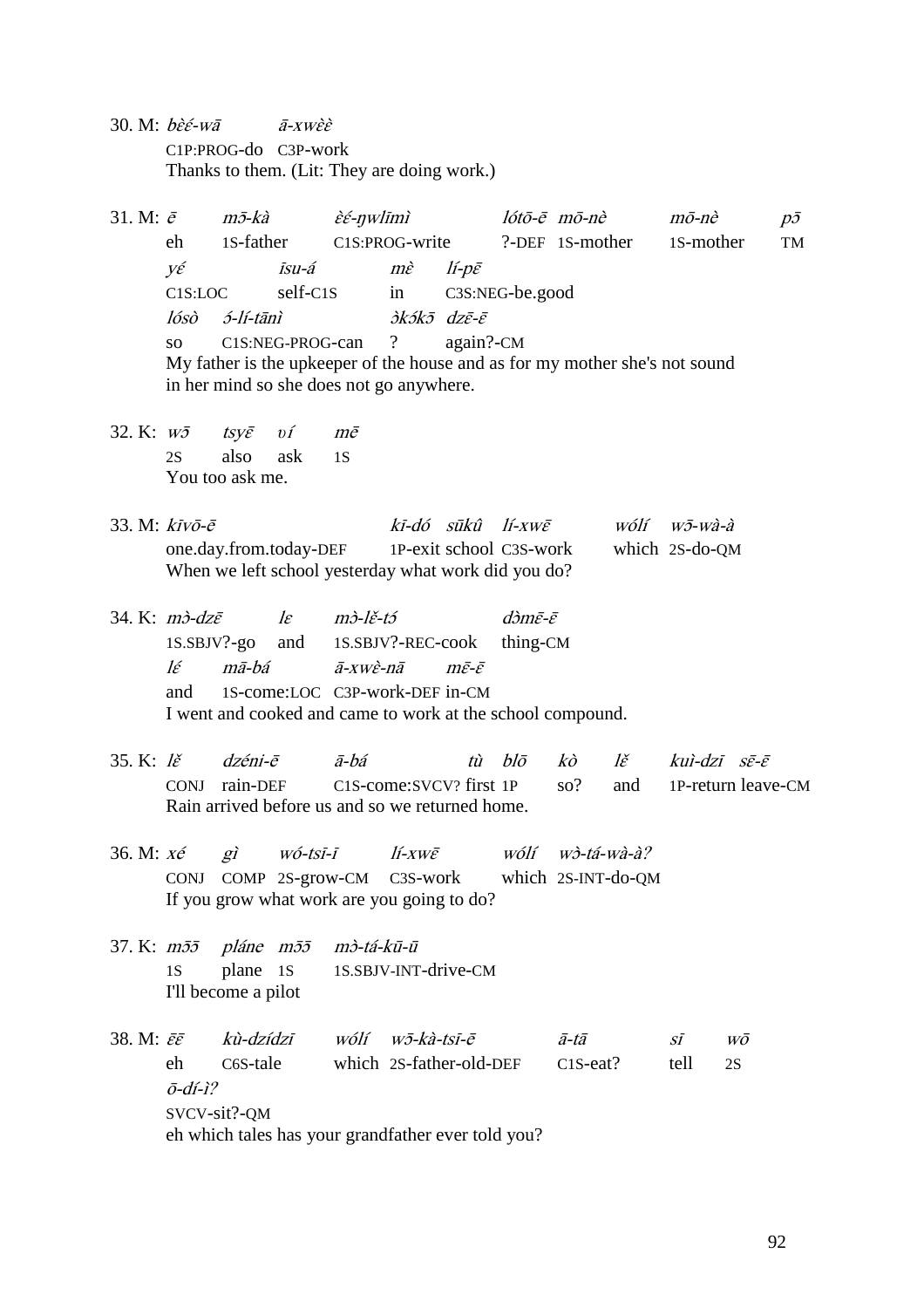30. M:  $b\hat{\varepsilon} \hat{\varepsilon}$ -wā  $\qquad \bar{a}$ -xw $\hat{\varepsilon} \hat{\varepsilon}$ C1P:PROG-do C3P-work Thanks to them. (Lit: They are doing work.)

31. M:  $\bar{e}$  m $\bar{v}$ -kà  $\hat{e}$  $\hat{\epsilon}$ -nwlīmì lótō- $\bar{e}$  mō-nè mō-nè p $\bar{v}$ eh 1S-father C1S:PROG-write ?-DEF 1S-mother 1S-mother TM yɛ́ īsu-á mɛ̀ lí-pɛ̄ C1S:LOC self-C1S in C3S:NEG-be.good  $l$ ósò 2-lí-tānì  $\partial k$ 2 $\bar{\partial} k$  dzē- $\bar{\partial}$ so C1S:NEG-PROG-can ? again?-CM My father is the upkeeper of the house and as for my mother she's not sound in her mind so she does not go anywhere.

32. K: wɔ̄ tsyɛ̄ *υ*í mē 2S also ask 1S You too ask me.

| 33. M: $k\overline{i}v\overline{o}$ - $\overline{e}$ |  | ki-dó sūkû lí-xwē       | wólí wō-wà-à   |
|------------------------------------------------------|--|-------------------------|----------------|
| one.day.from.today-DEF                               |  | 1P-exit school C3S-work | which 2S-do-QM |
| When we left school yesterday what work did you do?  |  |                         |                |

- 34. K:  $m\dot{\delta}$ -dz $\bar{\varepsilon}$  le  $m\dot{\delta}$ -lě-tó dòm $\bar{\varepsilon}$ - $\bar{\varepsilon}$ 1S.SBJV?-go and 1S.SBJV?-REC-cook thing-CM lɛ́ mā-bá ā-xwɛ̀-nā mɛ̄-ɛ̄ and 1S-come:LOC C3P-work-DEF in-CM I went and cooked and came to work at the school compound.
- 35. K: lě $\vec{z}$  dzéni-ē  $\vec{a}$ -bá tù blō kò lě kuì-dzī sē-ē CONJ rain-DEF C1S-come:SVCV? first 1P so? and 1P-return leave-CM Rain arrived before us and so we returned home.
- 36. M:  $x \notin$  gì wó-tsī-ī lí-xwē wólí wò-tá-wà-à? CONJ COMP 2S-grow-CM C3S-work which 2S-INT-do-QM If you grow what work are you going to do?
- 37. K: mɔ̄ɔ̄ pláne mɔ̄ɔ̄ mɔ̀-tá-kū-ū 1S plane 1S 1S.SBJV-INT-drive-CM I'll become a pilot

38. M:  $\bar{\varepsilon} \bar{\varepsilon}$  kù-dzídzī wólí w $\bar{\varepsilon}$ -kà-tsī-ē ā-tā sī wō eh C6S-tale which 2S-father-old-DEF C1S-eat? tell 2S  $\bar{o}$ -dí-ì? SVCV-sit?-QM eh which tales has your grandfather ever told you?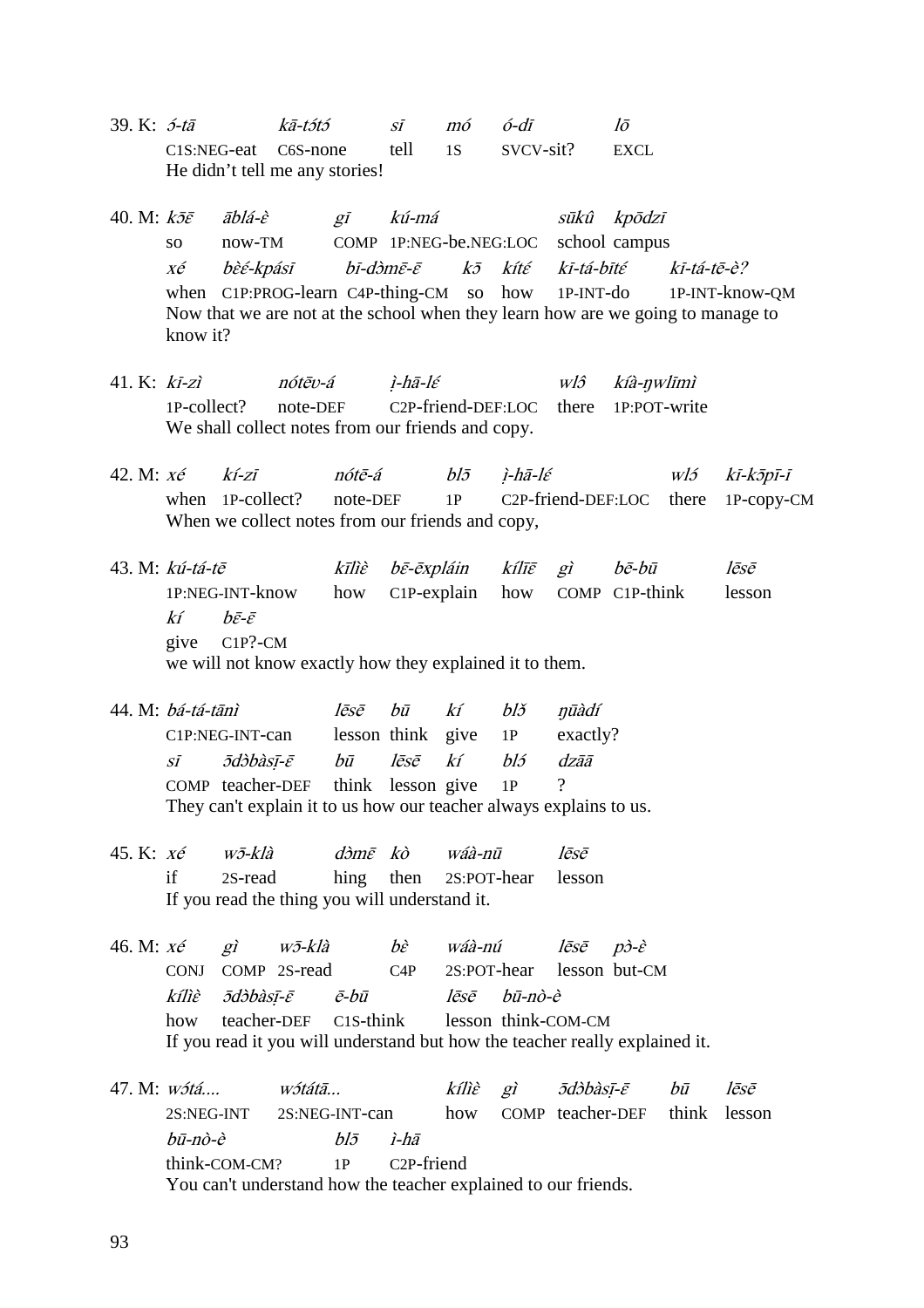- 39. K: 5-tā  $k\bar{a}$ -tɔ́tɔ́ sī mó  $\acute{o}$ -dī lō C1S:NEG-eat C6S-none tell 1S SVCV-sit? EXCL He didn't tell me any stories!
- 40. M: kɔ̄ɛ̄ āblá-ɛ̀ gī kú-má sūkû kpōdzī so now-TM COMP 1P:NEG-be.NEG:LOC school campus xé bɛ̀ɛ́-kpásī bī-dɔ̀mɛ̄-ɛ̄ kɔ̄ kítɛ́ kī-tá-bītɛ́ kī-tá-tē-è? when C1P:PROG-learn C4P-thing-CM so how 1P-INT-do 1P-INT-know-QM Now that we are not at the school when they learn how are we going to manage to know it?
- 41. K:  $k\overline{i}$ -zì nótēv-á  $i$ -hā-lé wlô kíà-nwlīmì 1P-collect? note-DEF C2P-friend-DEF:LOC there 1P:POT-write We shall collect notes from our friends and copy.
- 42. M: *xé kí-zī nótē-á blō ì-hā-lé wló kī-kōpī-ī* when 1P-collect? note-DEF 1P C2P-friend-DEF:LOC there 1P-copy-CM When we collect notes from our friends and copy,
- 43. M: kú-tá-tē kīlìɛ̀ bɛ̄-ēxpláin kílīɛ̄ gì bē-bū lēsē 1P:NEG-INT-know how C1P-explain how COMP C1P-think lesson  $k$ í  $b\bar{\varepsilon}\text{-}\bar{\varepsilon}$ give C1P?-CM we will not know exactly how they explained it to them.
- 44. M: bá-tá-tānì lēsē bū kí blž nūàdí C1P:NEG-INT-can lesson think give 1P exactly? sī *ād*òbàsī-ē bū lēsē kí bló dzāā COMP teacher-DEF think lesson give 1P They can't explain it to us how our teacher always explains to us.
- 45. K:  $x \acute{e}$   $w \bar{z}$ -klà dòm $\bar{e}$  kò wáà-nū lēsē if 2S-read hing then 2S:POT-hear lesson If you read the thing you will understand it.
- 46. M:  $x \acute{e}$  gì wɔ̄-klà bè wáà-nú lēsē pò-è CONJ COMP 2S-read C4P 2S:POT-hear lesson but-CM kílìɛ̀ ɔ̄dɔ̀bàsị̄-ɛ̄ ē-bū lēsē bū-nò-è how teacher-DEF C1S-think lesson think-COM-CM If you read it you will understand but how the teacher really explained it.
- 47. M: wɔ́tá.... wɔ́tátā... kílìè gì ɔ̄dɔ̀bàsī-ē bū lēsē 2S:NEG-INT 2S:NEG-INT-can how COMP teacher-DEF think lesson  $b\bar{u}$ -nò-è  $b\bar{b}$   $\bar{c}$   $\bar{d}$ think-COM-CM? 1P C2P-friend You can't understand how the teacher explained to our friends.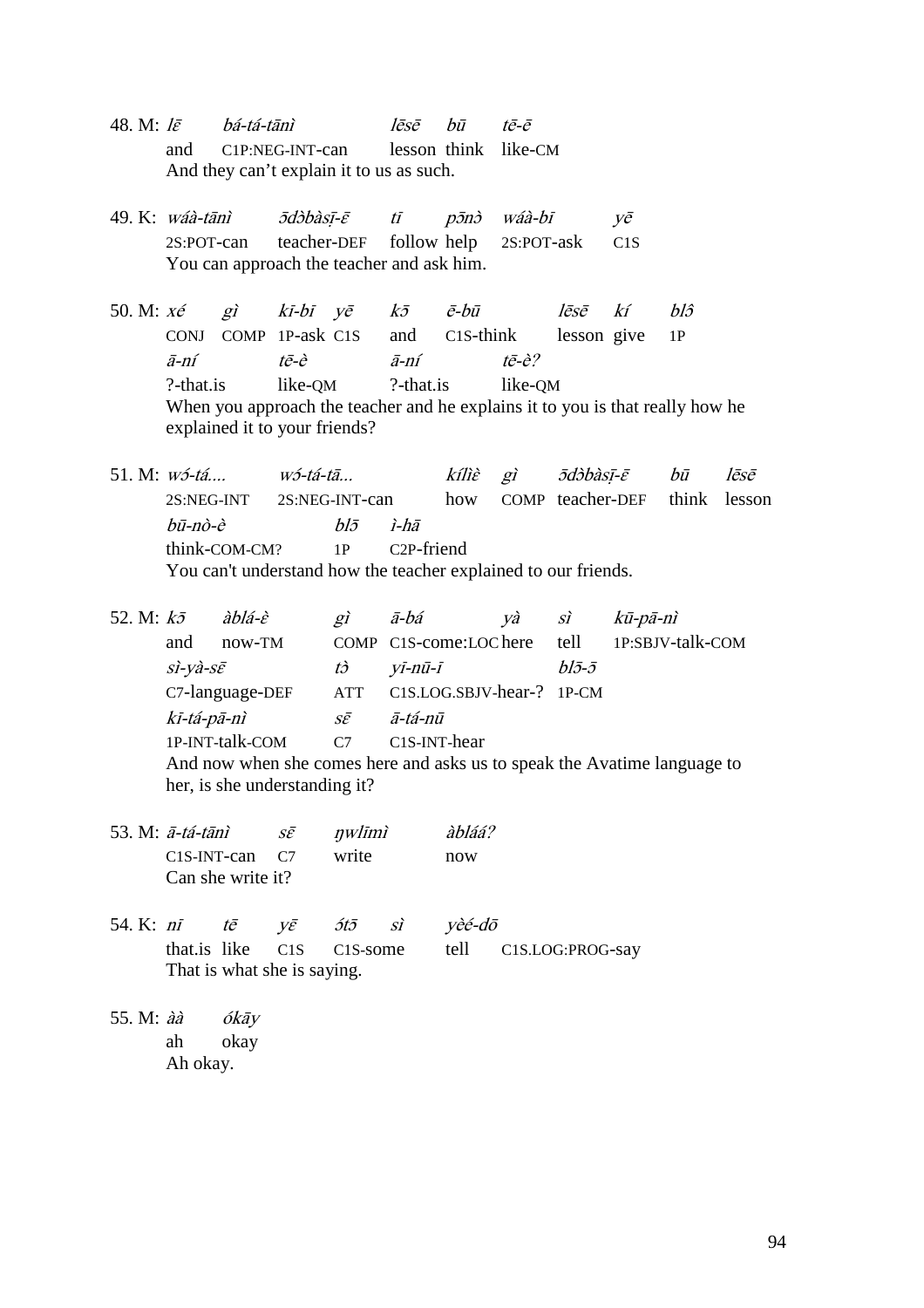- 48. M:  $l\bar{\varepsilon}$  bá-tá-tānì  $l\bar{\varepsilon}$ sē bū tē-ē and C1P:NEG-INT-can lesson think like-CM And they can't explain it to us as such.
- 49. K: wáà-tānì  $\bar{c}$   $\bar{c}$  tī p $\bar{c}$  wáà-bī vē 2S:POT-can teacher-DEF follow help 2S:POT-ask C1S You can approach the teacher and ask him.
- 50. M:  $x \acute{e}$  gì kī-bī yē k $\bar{\partial}$   $\bar{e}$ -bū lēsē kí bl $\hat{\partial}$ CONJ COMP 1P-ask C1S and C1S-think lesson give 1P ā-ní tē-è ā-ní tē-è? ?-that.is like-QM ?-that.is like-QM When you approach the teacher and he explains it to you is that really how he explained it to your friends?

51. M: wɔ́-tá.... wɔ́-tá-tā...  $\qquad$  kílìè gì  $\bar{c}$   $\bar{d}$  $\bar{c}$   $\qquad$   $\bar{b}$   $\bar{u}$  lēsē 2S:NEG-INT 2S:NEG-INT-can how COMP teacher-DEF think lesson  $b\bar{u}$ -nò-è  $bl\bar{\sigma}$  ì-hā think-COM-CM? 1P C2P-friend You can't understand how the teacher explained to our friends.

- 52. M:  $k\bar{z}$   $\dot{a}b\acute{a}$   $\dot{e}$   $\dot{g}$   $\ddot{a}$   $\dot{b}\acute{a}$   $\dot{y}\dot{a}$   $\dot{s}$   $\dot{x}$   $k\bar{u}$ -p $\bar{a}$ -nì and now-TM COMP C1S-come:LOC here tell 1P:SBJV-talk-COM  $si$ -yà-s $\bar{\varepsilon}$  tò yī-nū-ī bl $\bar{\varepsilon}$ - $\bar{\varepsilon}$ C7-language-DEF ATT C1S.LOG.SBJV-hear-? 1P-CM kī-tá-pā-nì sɛ̄ ā-tá-nū 1P-INT-talk-COM C7 C1S-INT-hear And now when she comes here and asks us to speak the Avatime language to her, is she understanding it?
- 53. M:  $\bar{a}$ -tá-tānì s $\bar{\varepsilon}$  nwlīmì àbláá? C1S-INT-can C7 write now Can she write it?
- 54. K:  $n\bar{i}$   $t\bar{e}$   $v\bar{e}$   $5t\bar{5}$   $s\bar{i}$   $v\dot{e}\dot{\epsilon}$ - $d\bar{o}$ that.is like C1S C1S-some tell C1S.LOG:PROG-say That is what she is saying.
- 55. M: àà ókāy ah okay Ah okay.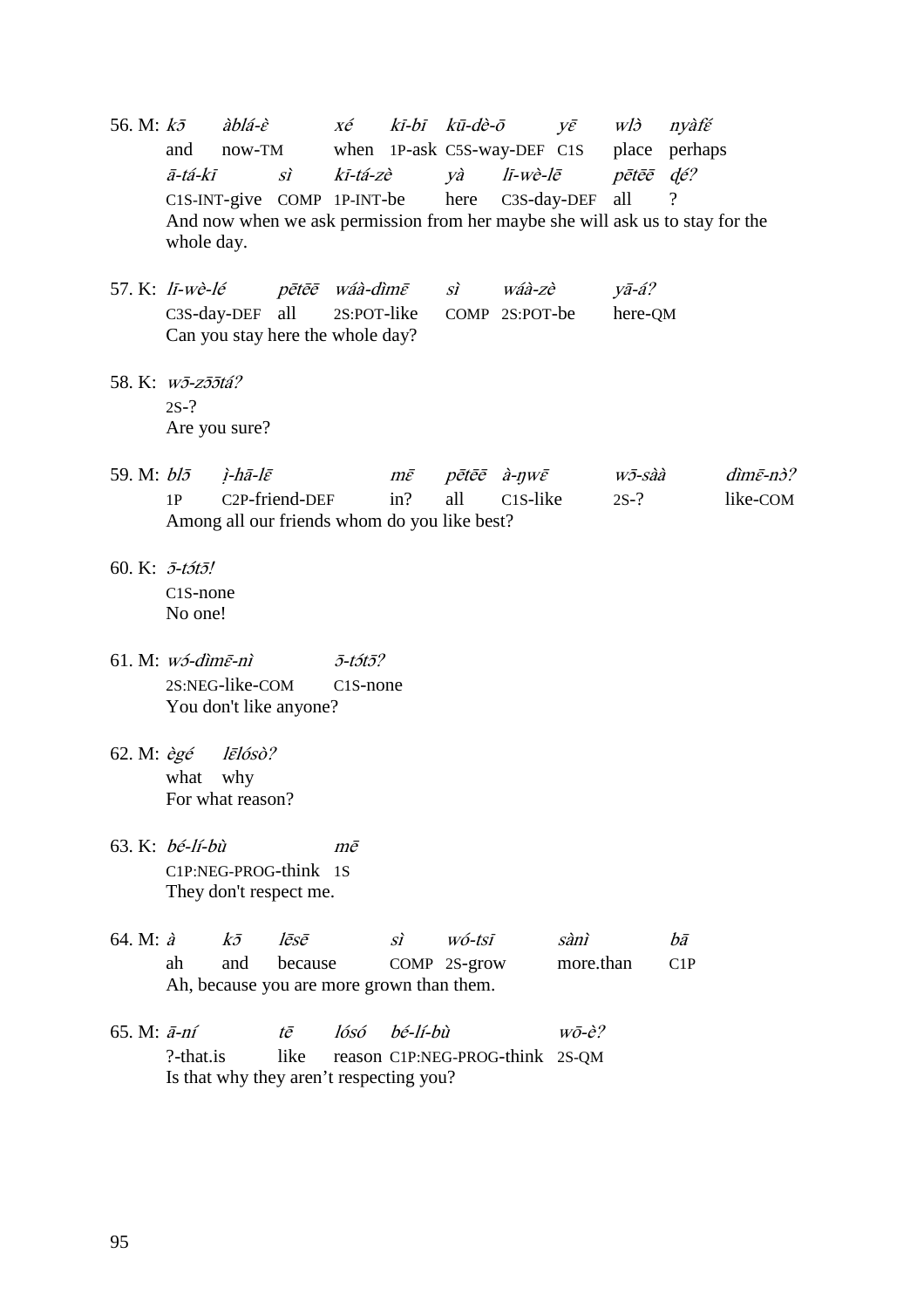- 56. M:  $k\bar{z}$  àblá-è  $x\acute{e}$   $k\bar{i}$ -bī  $k\bar{u}$ -dè- $\bar{o}$   $y\bar{\varepsilon}$  wl $\dot{o}$  nyàfé and now-TM when 1P-ask C5S-way-DEF C1S place perhaps ā-tá-kī sì kī-tá-zè yà lī-wè-lē pētēē ɖé? C1S-INT-give COMP 1P-INT-be here C3S-day-DEF all ? And now when we ask permission from her maybe she will ask us to stay for the whole day.
- 57. K: lī-wè-lé pētēē wáà-dìmɛ̄ sì wáà-zè yā-á? C3S-day-DEF all 2S:POT-like COMP 2S:POT-be here-QM Can you stay here the whole day?
- 58. K: wɔ̄-zɔ̄ɔ̄tá? 2S-? Are you sure?

|  | 59. M: $bl\bar{z}$ <i>i-hā-l</i> $\bar{\varepsilon}$ |  |  | $m\bar{\varepsilon}$ pētēc à-nwē | wō-sàà | $dim\bar{\varepsilon}$ -n $\dot{\beta}$ ? |  |  |  |  |
|--|------------------------------------------------------|--|--|----------------------------------|--------|-------------------------------------------|--|--|--|--|
|  | 1P C2P-friend-DEF in? all C1S-like                   |  |  |                                  | $2S-?$ | like-COM                                  |  |  |  |  |
|  | Among all our friends whom do you like best?         |  |  |                                  |        |                                           |  |  |  |  |

- 60. K: ɔ̄-tɔ́tɔ̄! C1S-none No one!
- 61. M:  $w$ ɔ́-dìmɛ̄-nì  $\bar{5}$ -tɔ́tɔ̄? 2S:NEG-like-COM C1S-none You don't like anyone?
- 62. M: ègé lɛ̄lósò? what why For what reason?
- 63. K: bé-lí-bù mē C1P:NEG-PROG-think 1S They don't respect me.

| 64. M: $\dot{a}$ $k\bar{z}$               |  | lēsē        | SÌ | wó-tsī       | sànì          | bā |  |  |
|-------------------------------------------|--|-------------|----|--------------|---------------|----|--|--|
|                                           |  | and because |    | COMP 2S-grow | more.than C1P |    |  |  |
| Ah, because you are more grown than them. |  |             |    |              |               |    |  |  |

65. M:  $\bar{a}$ -ní tē lósó bé-lí-bù  $w\bar{o}$ -è? ?-that.is like reason C1P:NEG-PROG-think 2S-QM Is that why they aren't respecting you?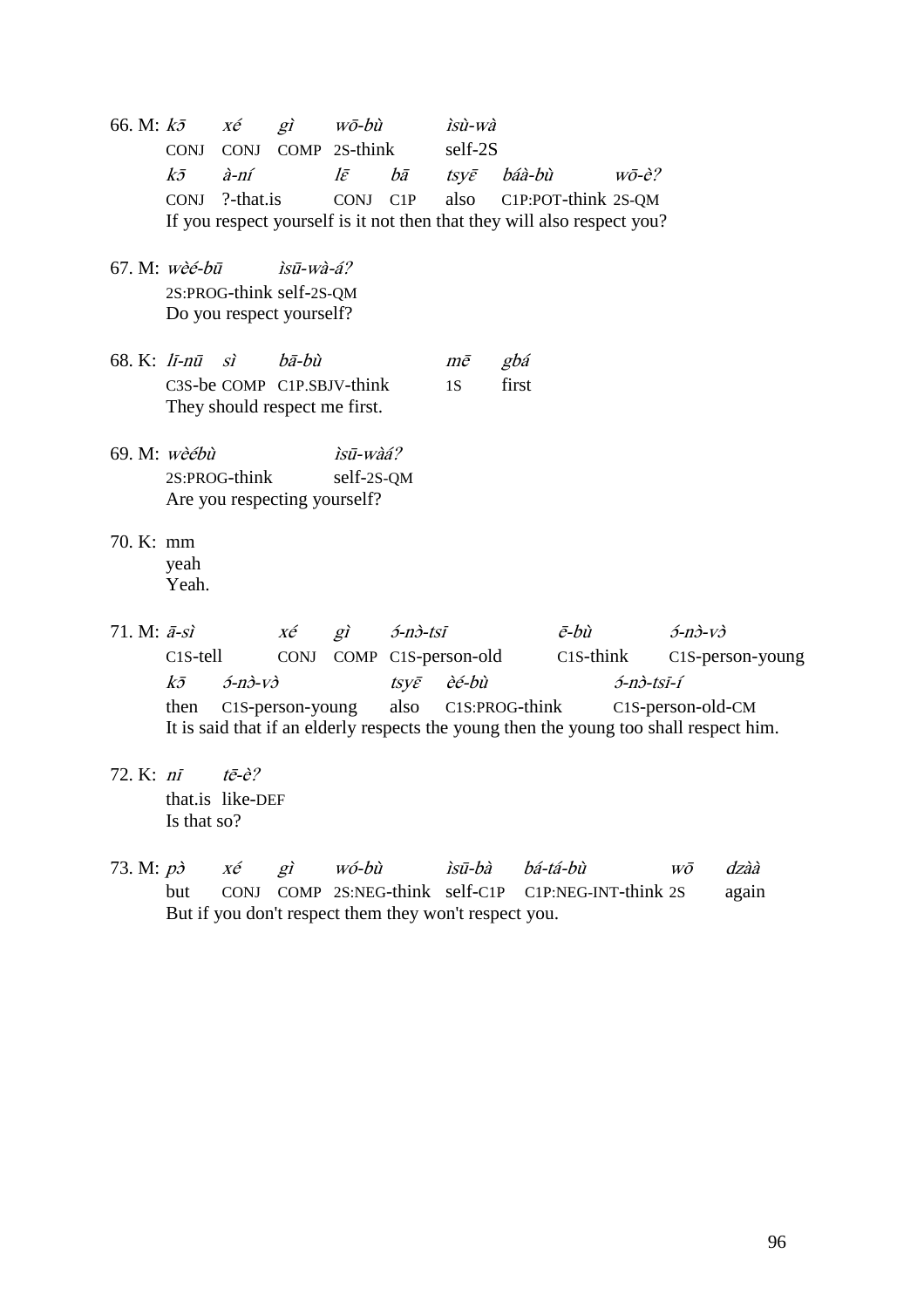66. M:  $k\bar{z}$   $x\acute{e}$   $g\grave{i}$   $w\bar{o}$ -bù *ìsù-wà* CONJ CONJ COMP 2S-think self-2S kɔ̄ à-ní lɛ̄ bā tsyɛ̄ báà-bù wō-è? CONJ ?-that.is CONJ C1P also C1P:POT-think 2S-QM If you respect yourself is it not then that they will also respect you? 67. M:  $w\hat{e}\hat{e}$ - $h\bar{u}$  *isū*- $w\hat{a}$ - $\hat{a}$ ? 2S:PROG-think self-2S-QM Do you respect yourself? 68. K: lī-nū sì bā-bù mē gbá C3S-be COMP C1P.SBJV-think 1S first They should respect me first. 69. M:  $w\hat{e}$ ébù  $\hat{i} s\overline{u}$ -wàá? 2S:PROG-think self-2S-QM Are you respecting yourself? 70. K: mm yeah Yeah. 71. M:  $\bar{a}$ -sì  $x\acute{e}$  gì  $\acute{o}$ -nò-tsī  $\bar{e}$ -bù  $\acute{o}$ -nò-vò C1S-tell CONJ COMP C1S-person-old C1S-think C1S-person-young  $k\bar{z}$  5-nò-vò tsy $\bar{\varepsilon}$  èé-bù 5-nò-tsī-í then C1S-person-young also C1S:PROG-think C1S-person-old-CM It is said that if an elderly respects the young then the young too shall respect him. 72. K: nī tē-è? that is like-DEF Is that so? 73. M: pò xé gì wó-bù ìsū-bà bá-tá-bù wō dzàà but CONJ COMP 2S:NEG-think self-C1P C1P:NEG-INT-think 2S again But if you don't respect them they won't respect you.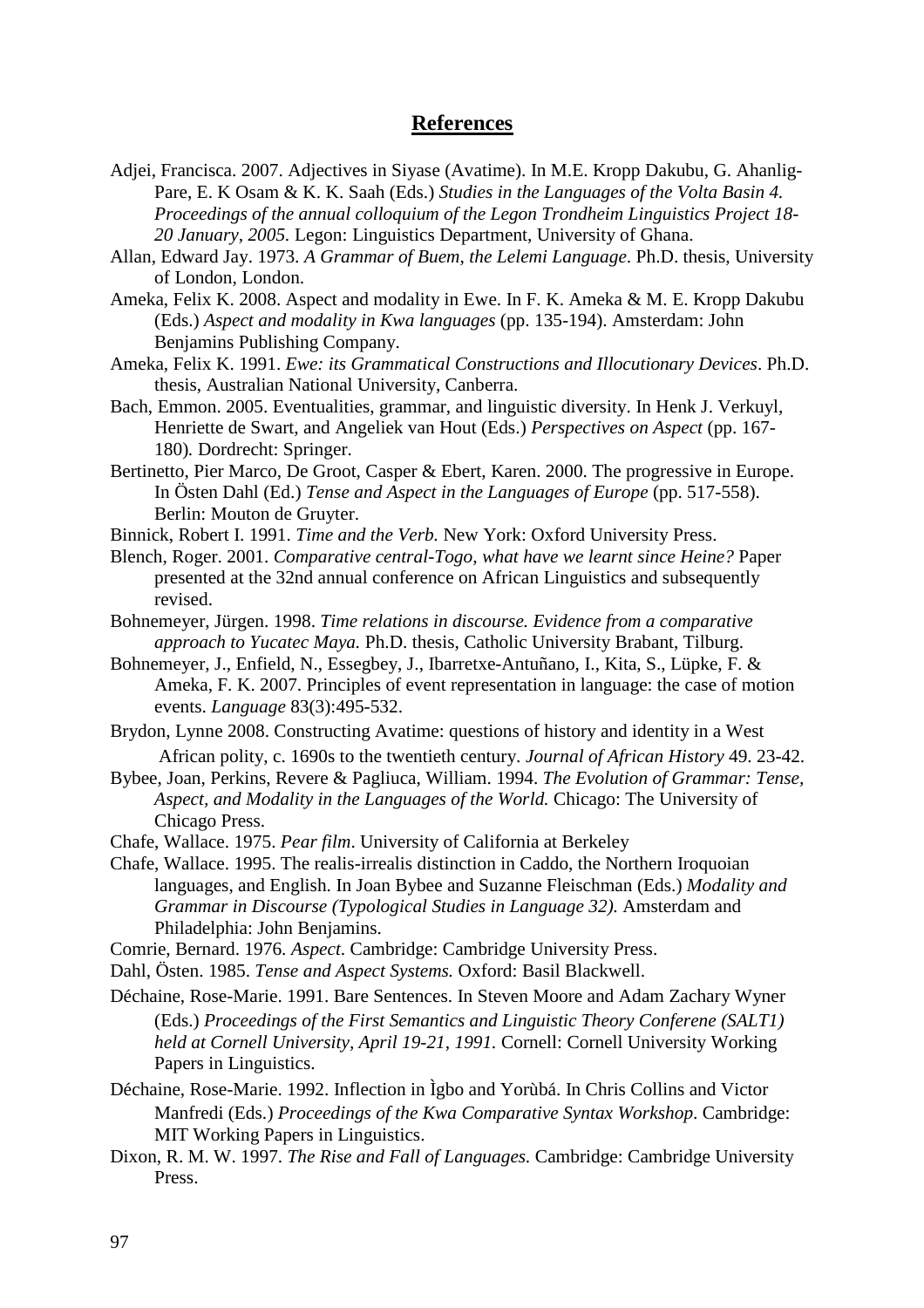### **References**

- Adjei, Francisca. 2007. Adjectives in Siyase (Avatime). In M.E. Kropp Dakubu, G. Ahanlig-Pare, E. K Osam & K. K. Saah (Eds.) *Studies in the Languages of the Volta Basin 4. Proceedings of the annual colloquium of the Legon Trondheim Linguistics Project 18- 20 January, 2005.* Legon: Linguistics Department, University of Ghana.
- Allan, Edward Jay. 1973. *A Grammar of Buem, the Lelemi Language*. Ph.D. thesis, University of London, London.
- Ameka, Felix K. 2008. Aspect and modality in Ewe. In F. K. Ameka & M. E. Kropp Dakubu (Eds.) *Aspect and modality in Kwa languages* (pp. 135-194). Amsterdam: John Benjamins Publishing Company.
- Ameka, Felix K. 1991. *Ewe: its Grammatical Constructions and Illocutionary Devices*. Ph.D. thesis, Australian National University, Canberra.
- Bach, Emmon. 2005. Eventualities, grammar, and linguistic diversity. In Henk J. Verkuyl, Henriette de Swart, and Angeliek van Hout (Eds.) *Perspectives on Aspect* (pp. 167- 180)*.* Dordrecht: Springer.
- Bertinetto, Pier Marco, De Groot, Casper & Ebert, Karen. 2000. The progressive in Europe. In Östen Dahl (Ed.) *Tense and Aspect in the Languages of Europe* (pp. 517-558). Berlin: Mouton de Gruyter.
- Binnick, Robert I. 1991. *Time and the Verb.* New York: Oxford University Press.
- Blench, Roger. 2001. *Comparative central-Togo, what have we learnt since Heine?* Paper presented at the 32nd annual conference on African Linguistics and subsequently revised.
- Bohnemeyer, Jürgen. 1998. *Time relations in discourse. Evidence from a comparative approach to Yucatec Maya.* Ph.D. thesis, Catholic University Brabant, Tilburg.
- Bohnemeyer, J., Enfield, N., Essegbey, J., Ibarretxe-Antuñano, I., Kita, S., Lüpke, F. & Ameka, F. K. 2007. Principles of event representation in language: the case of motion events. *Language* 83(3):495-532.
- Brydon, Lynne 2008. Constructing Avatime: questions of history and identity in a West African polity, c. 1690s to the twentieth century. *Journal of African History* 49. 23-42.
- Bybee, Joan, Perkins, Revere & Pagliuca, William. 1994. *The Evolution of Grammar: Tense, Aspect, and Modality in the Languages of the World.* Chicago: The University of Chicago Press.
- Chafe, Wallace. 1975. *Pear film*. University of California at Berkeley
- Chafe, Wallace. 1995. The realis-irrealis distinction in Caddo, the Northern Iroquoian languages, and English. In Joan Bybee and Suzanne Fleischman (Eds.) *Modality and Grammar in Discourse (Typological Studies in Language 32).* Amsterdam and Philadelphia: John Benjamins.
- Comrie, Bernard. 1976. *Aspect*. Cambridge: Cambridge University Press.
- Dahl, Östen. 1985. *Tense and Aspect Systems.* Oxford: Basil Blackwell.
- Déchaine, Rose-Marie. 1991. Bare Sentences. In Steven Moore and Adam Zachary Wyner (Eds.) *Proceedings of the First Semantics and Linguistic Theory Conferene (SALT1) held at Cornell University, April 19-21, 1991.* Cornell: Cornell University Working Papers in Linguistics.
- Déchaine, Rose-Marie. 1992. Inflection in Ìgbo and Yorùbá. In Chris Collins and Victor Manfredi (Eds.) *Proceedings of the Kwa Comparative Syntax Workshop*. Cambridge: MIT Working Papers in Linguistics.
- Dixon, R. M. W. 1997. *The Rise and Fall of Languages.* Cambridge: Cambridge University Press.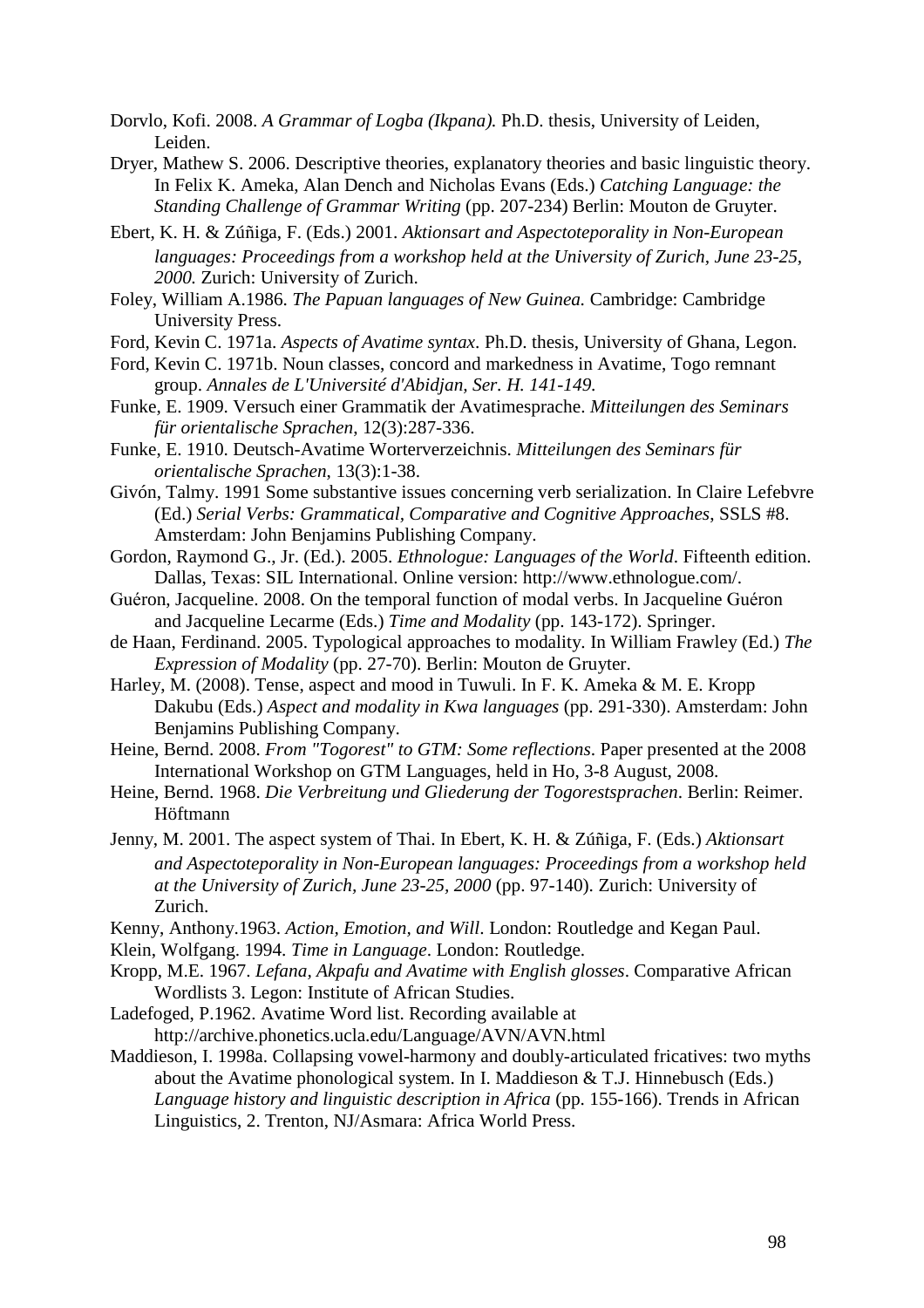- Dorvlo, Kofi. 2008. *A Grammar of Logba (Ikpana).* Ph.D. thesis, University of Leiden, Leiden.
- Dryer, Mathew S. 2006. Descriptive theories, explanatory theories and basic linguistic theory. In Felix K. Ameka, Alan Dench and Nicholas Evans (Eds.) *Catching Language: the Standing Challenge of Grammar Writing* (pp. 207-234) Berlin: Mouton de Gruyter.
- Ebert, K. H. & Zúñiga, F. (Eds.) 2001. *Aktionsart and Aspectoteporality in Non-European languages: Proceedings from a workshop held at the University of Zurich, June 23-25, 2000.* Zurich: University of Zurich.
- Foley, William A.1986. *The Papuan languages of New Guinea.* Cambridge: Cambridge University Press.
- Ford, Kevin C. 1971a. *Aspects of Avatime syntax*. Ph.D. thesis, University of Ghana, Legon.
- Ford, Kevin C. 1971b. Noun classes, concord and markedness in Avatime, Togo remnant group. *Annales de L'Université d'Abidjan, Ser. H. 141-149.*
- Funke, E. 1909. Versuch einer Grammatik der Avatimesprache. *Mitteilungen des Seminars für orientalische Sprachen*, 12(3):287-336.
- Funke, E. 1910. Deutsch-Avatime Worterverzeichnis. *Mitteilungen des Seminars für orientalische Sprachen*, 13(3):1-38.
- Givón, Talmy. 1991 Some substantive issues concerning verb serialization. In Claire Lefebvre (Ed.) *Serial Verbs: Grammatical, Comparative and Cognitive Approaches*, SSLS #8. Amsterdam: John Benjamins Publishing Company.
- Gordon, Raymond G., Jr. (Ed.). 2005. *Ethnologue: Languages of the World*. Fifteenth edition. Dallas, Texas: SIL International. Online version: http://www.ethnologue.com/.
- Guéron, Jacqueline. 2008. On the temporal function of modal verbs. In Jacqueline Guéron and Jacqueline Lecarme (Eds.) *Time and Modality* (pp. 143-172). Springer.
- de Haan, Ferdinand. 2005. Typological approaches to modality. In William Frawley (Ed.) *The Expression of Modality* (pp. 27-70). Berlin: Mouton de Gruyter.
- Harley, M. (2008). Tense, aspect and mood in Tuwuli. In F. K. Ameka & M. E. Kropp Dakubu (Eds.) *Aspect and modality in Kwa languages* (pp. 291-330). Amsterdam: John Benjamins Publishing Company.
- Heine, Bernd. 2008. *From "Togorest" to GTM: Some reflections*. Paper presented at the 2008 International Workshop on GTM Languages, held in Ho, 3-8 August, 2008.
- Heine, Bernd. 1968. *Die Verbreitung und Gliederung der Togorestsprachen*. Berlin: Reimer. Höftmann
- Jenny, M. 2001. The aspect system of Thai. In Ebert, K. H. & Zúñiga, F. (Eds.) *Aktionsart and Aspectoteporality in Non-European languages: Proceedings from a workshop held at the University of Zurich, June 23-25, 2000* (pp. 97-140). Zurich: University of Zurich.
- Kenny, Anthony.1963. *Action, Emotion, and Will*. London: Routledge and Kegan Paul.
- Klein, Wolfgang. 1994. *Time in Language*. London: Routledge.
- Kropp, M.E. 1967. *Lefana, Akpafu and Avatime with English glosses*. Comparative African Wordlists 3. Legon: Institute of African Studies.
- Ladefoged, P.1962. Avatime Word list. Recording available at http://archive.phonetics.ucla.edu/Language/AVN/AVN.html
- Maddieson, I. 1998a. Collapsing vowel-harmony and doubly-articulated fricatives: two myths about the Avatime phonological system. In I. Maddieson & T.J. Hinnebusch (Eds.) *Language history and linguistic description in Africa* (pp. 155-166). Trends in African Linguistics, 2. Trenton, NJ/Asmara: Africa World Press.